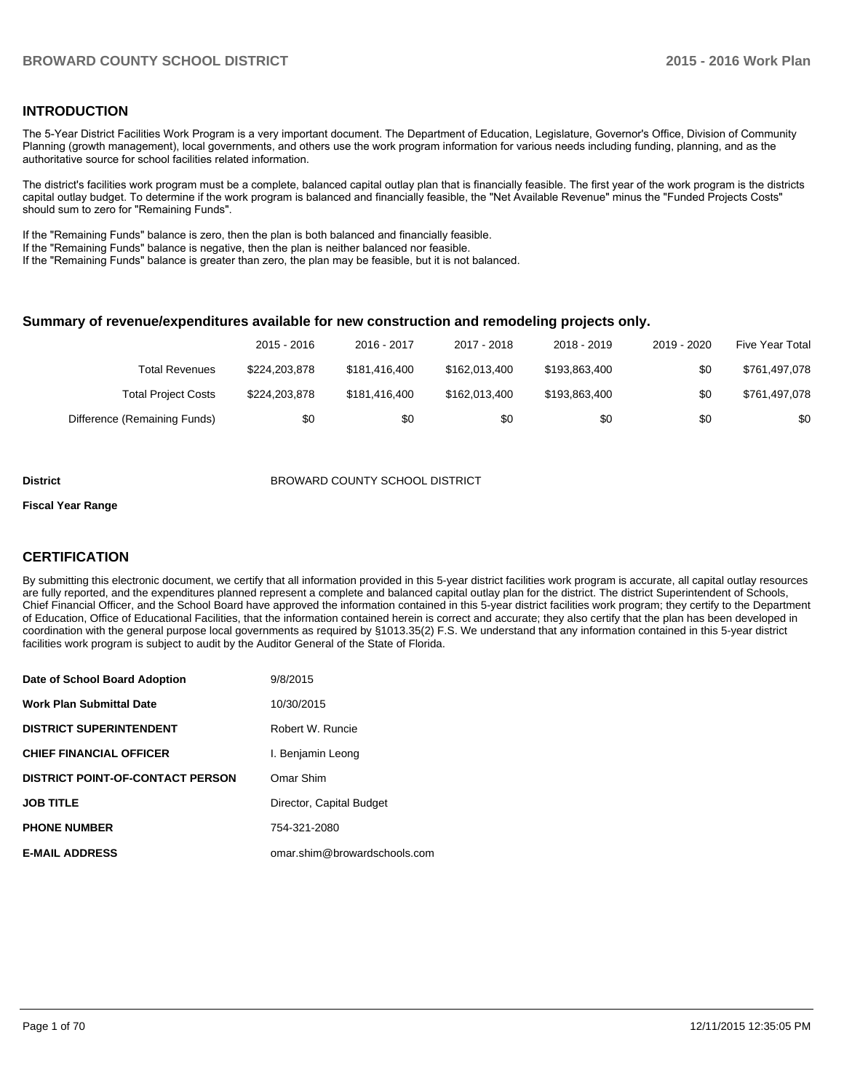## **INTRODUCTION**

The 5-Year District Facilities Work Program is a very important document. The Department of Education, Legislature, Governor's Office, Division of Community Planning (growth management), local governments, and others use the work program information for various needs including funding, planning, and as the authoritative source for school facilities related information.

The district's facilities work program must be a complete, balanced capital outlay plan that is financially feasible. The first year of the work program is the districts capital outlay budget. To determine if the work program is balanced and financially feasible, the "Net Available Revenue" minus the "Funded Projects Costs" should sum to zero for "Remaining Funds".

If the "Remaining Funds" balance is zero, then the plan is both balanced and financially feasible.

If the "Remaining Funds" balance is negative, then the plan is neither balanced nor feasible.

If the "Remaining Funds" balance is greater than zero, the plan may be feasible, but it is not balanced.

#### **Summary of revenue/expenditures available for new construction and remodeling projects only.**

|                              | 2015 - 2016   | 2016 - 2017   | 2017 - 2018   | 2018 - 2019   | 2019 - 2020 | Five Year Total |
|------------------------------|---------------|---------------|---------------|---------------|-------------|-----------------|
| <b>Total Revenues</b>        | \$224.203.878 | \$181.416.400 | \$162,013,400 | \$193,863,400 | \$0         | \$761,497,078   |
| <b>Total Project Costs</b>   | \$224.203.878 | \$181.416.400 | \$162,013,400 | \$193,863,400 | \$0         | \$761,497,078   |
| Difference (Remaining Funds) | \$0           | \$0           | \$0           | \$0           | \$0         | \$0             |

#### **District** BROWARD COUNTY SCHOOL DISTRICT

#### **Fiscal Year Range**

## **CERTIFICATION**

By submitting this electronic document, we certify that all information provided in this 5-year district facilities work program is accurate, all capital outlay resources are fully reported, and the expenditures planned represent a complete and balanced capital outlay plan for the district. The district Superintendent of Schools, Chief Financial Officer, and the School Board have approved the information contained in this 5-year district facilities work program; they certify to the Department of Education, Office of Educational Facilities, that the information contained herein is correct and accurate; they also certify that the plan has been developed in coordination with the general purpose local governments as required by §1013.35(2) F.S. We understand that any information contained in this 5-year district facilities work program is subject to audit by the Auditor General of the State of Florida.

| Date of School Board Adoption           | 9/8/2015                     |
|-----------------------------------------|------------------------------|
| <b>Work Plan Submittal Date</b>         | 10/30/2015                   |
| <b>DISTRICT SUPERINTENDENT</b>          | Robert W. Runcie             |
| <b>CHIEF FINANCIAL OFFICER</b>          | I. Benjamin Leong            |
| <b>DISTRICT POINT-OF-CONTACT PERSON</b> | Omar Shim                    |
| <b>JOB TITLE</b>                        | Director, Capital Budget     |
| <b>PHONE NUMBER</b>                     | 754-321-2080                 |
| <b>E-MAIL ADDRESS</b>                   | omar.shim@browardschools.com |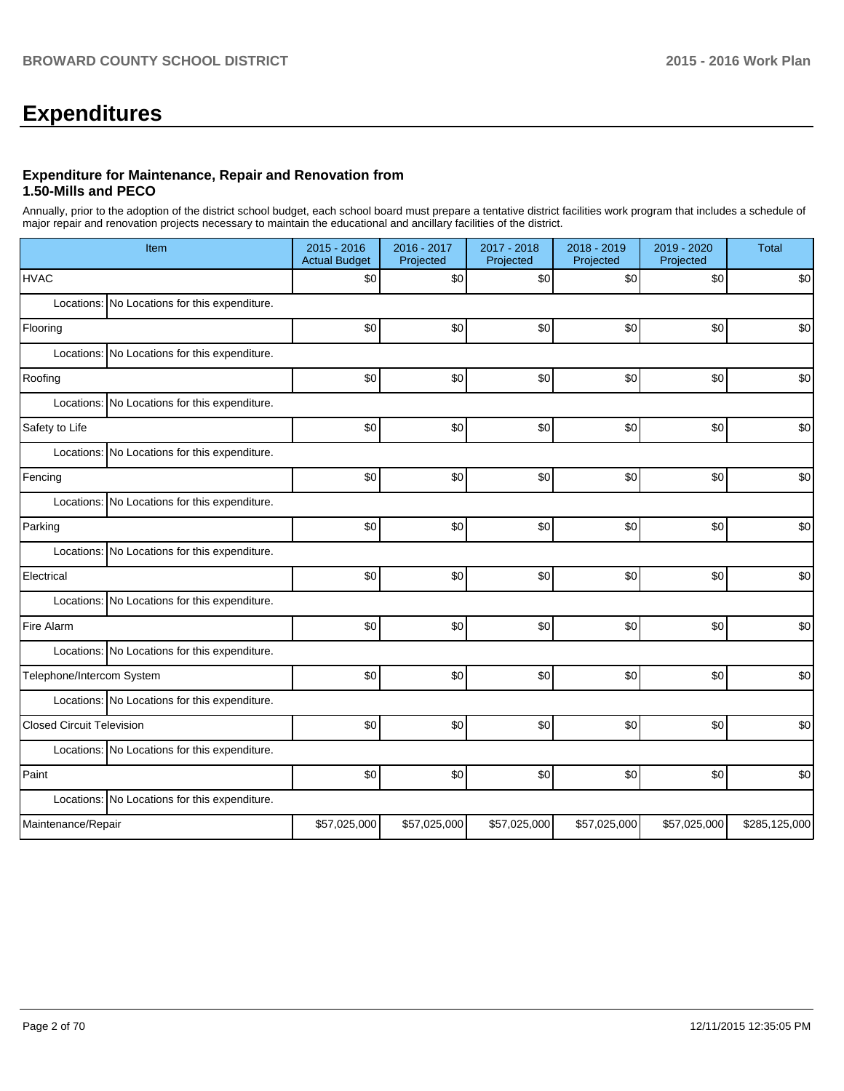# **Expenditures**

#### **Expenditure for Maintenance, Repair and Renovation from 1.50-Mills and PECO**

Annually, prior to the adoption of the district school budget, each school board must prepare a tentative district facilities work program that includes a schedule of major repair and renovation projects necessary to maintain the educational and ancillary facilities of the district.

| Item                                             | 2015 - 2016<br><b>Actual Budget</b> | 2016 - 2017<br>Projected | 2017 - 2018<br>Projected | 2018 - 2019<br>Projected | 2019 - 2020<br>Projected | <b>Total</b>  |
|--------------------------------------------------|-------------------------------------|--------------------------|--------------------------|--------------------------|--------------------------|---------------|
| <b>HVAC</b>                                      | \$0                                 | \$0                      | \$0                      | \$0                      | \$0                      | \$0           |
| No Locations for this expenditure.<br>Locations: |                                     |                          |                          |                          |                          |               |
| Flooring                                         | \$0                                 | \$0                      | \$0                      | \$0                      | \$0                      | \$0           |
| Locations: No Locations for this expenditure.    |                                     |                          |                          |                          |                          |               |
| Roofing                                          | \$0                                 | \$0                      | \$0                      | \$0                      | \$0                      | \$0           |
| No Locations for this expenditure.<br>Locations: |                                     |                          |                          |                          |                          |               |
| Safety to Life                                   | \$0                                 | \$0                      | \$0                      | \$0                      | \$0                      | \$0           |
| Locations: No Locations for this expenditure.    |                                     |                          |                          |                          |                          |               |
| Fencing                                          | \$0                                 | \$0                      | \$0                      | \$0                      | \$0                      | \$0           |
| Locations: No Locations for this expenditure.    |                                     |                          |                          |                          |                          |               |
| Parking                                          | \$0                                 | \$0                      | \$0                      | \$0                      | \$0                      | \$0           |
| Locations: No Locations for this expenditure.    |                                     |                          |                          |                          |                          |               |
| Electrical                                       | \$0                                 | \$0                      | \$0                      | \$0                      | \$0                      | \$0           |
| Locations: No Locations for this expenditure.    |                                     |                          |                          |                          |                          |               |
| Fire Alarm                                       | \$0                                 | \$0                      | \$0                      | \$0                      | \$0                      | \$0           |
| Locations: No Locations for this expenditure.    |                                     |                          |                          |                          |                          |               |
| Telephone/Intercom System                        | \$0                                 | \$0                      | \$0                      | \$0                      | \$0                      | \$0           |
| Locations: No Locations for this expenditure.    |                                     |                          |                          |                          |                          |               |
| <b>Closed Circuit Television</b>                 | \$0                                 | \$0                      | \$0                      | \$0                      | \$0                      | \$0           |
| Locations: No Locations for this expenditure.    |                                     |                          |                          |                          |                          |               |
| Paint                                            | \$0                                 | \$0                      | \$0                      | \$0                      | \$0                      | \$0           |
| Locations: No Locations for this expenditure.    |                                     |                          |                          |                          |                          |               |
| Maintenance/Repair                               | \$57,025,000                        | \$57,025,000             | \$57,025,000             | \$57,025,000             | \$57,025,000             | \$285,125,000 |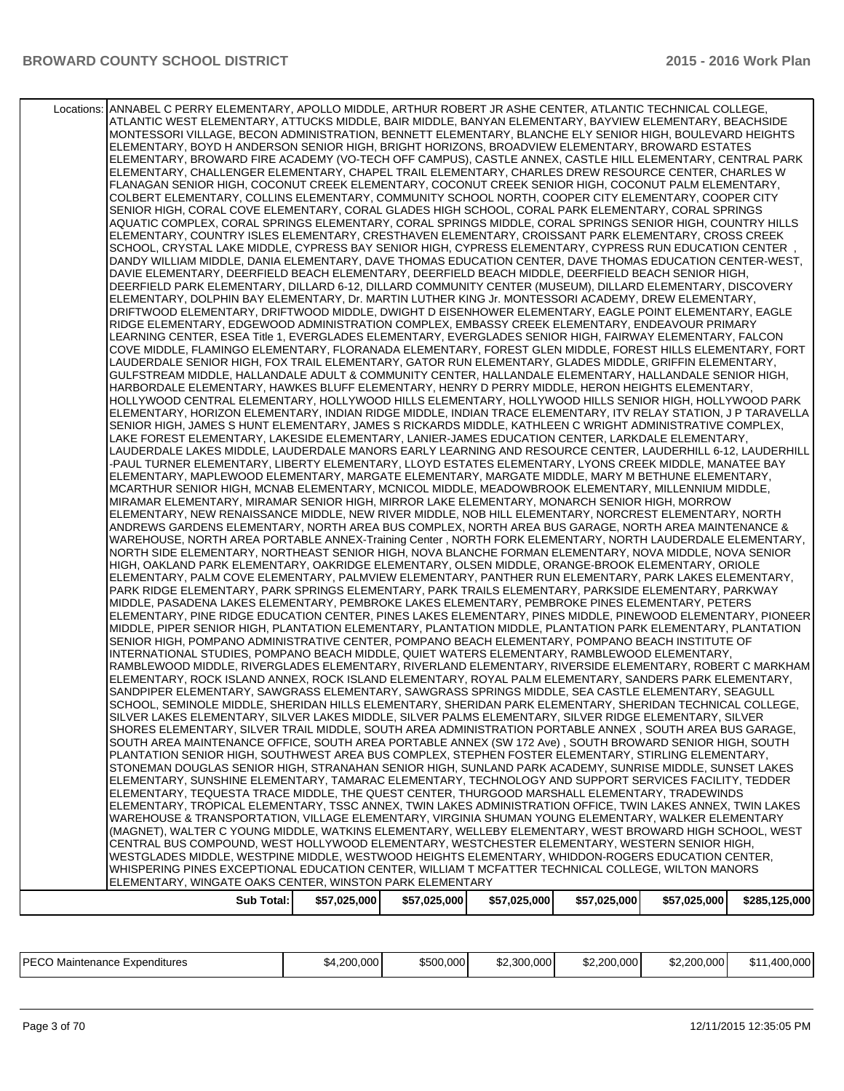| Locations: ANNABEL C PERRY ELEMENTARY, APOLLO MIDDLE, ARTHUR ROBERT JR ASHE CENTER, ATLANTIC TECHNICAL COLLEGE,<br>ATLANTIC WEST ELEMENTARY, ATTUCKS MIDDLE, BAIR MIDDLE, BANYAN ELEMENTARY, BAYVIEW ELEMENTARY, BEACHSIDE<br>MONTESSORI VILLAGE, BECON ADMINISTRATION, BENNETT ELEMENTARY, BLANCHE ELY SENIOR HIGH, BOULEVARD HEIGHTS<br>ELEMENTARY, BOYD H ANDERSON SENIOR HIGH, BRIGHT HORIZONS, BROADVIEW ELEMENTARY, BROWARD ESTATES<br>ELEMENTARY, BROWARD FIRE ACADEMY (VO-TECH OFF CAMPUS), CASTLE ANNEX, CASTLE HILL ELEMENTARY, CENTRAL PARK<br>ELEMENTARY, CHALLENGER ELEMENTARY, CHAPEL TRAIL ELEMENTARY, CHARLES DREW RESOURCE CENTER, CHARLES W<br>FLANAGAN SENIOR HIGH, COCONUT CREEK ELEMENTARY, COCONUT CREEK SENIOR HIGH, COCONUT PALM ELEMENTARY,<br>COLBERT ELEMENTARY, COLLINS ELEMENTARY, COMMUNITY SCHOOL NORTH, COOPER CITY ELEMENTARY, COOPER CITY<br>SENIOR HIGH, CORAL COVE ELEMENTARY, CORAL GLADES HIGH SCHOOL, CORAL PARK ELEMENTARY, CORAL SPRINGS<br>AQUATIC COMPLEX, CORAL SPRINGS ELEMENTARY, CORAL SPRINGS MIDDLE, CORAL SPRINGS SENIOR HIGH, COUNTRY HILLS<br>ELEMENTARY, COUNTRY ISLES ELEMENTARY, CRESTHAVEN ELEMENTARY, CROISSANT PARK ELEMENTARY, CROSS CREEK<br>SCHOOL, CRYSTAL LAKE MIDDLE, CYPRESS BAY SENIOR HIGH, CYPRESS ELEMENTARY, CYPRESS RUN EDUCATION CENTER,<br>DANDY WILLIAM MIDDLE, DANIA ELEMENTARY, DAVE THOMAS EDUCATION CENTER, DAVE THOMAS EDUCATION CENTER-WEST,<br>DAVIE ELEMENTARY, DEERFIELD BEACH ELEMENTARY, DEERFIELD BEACH MIDDLE, DEERFIELD BEACH SENIOR HIGH,<br>DEERFIELD PARK ELEMENTARY, DILLARD 6-12, DILLARD COMMUNITY CENTER (MUSEUM), DILLARD ELEMENTARY, DISCOVERY<br>ELEMENTARY, DOLPHIN BAY ELEMENTARY, Dr. MARTIN LUTHER KING Jr. MONTESSORI ACADEMY, DREW ELEMENTARY,<br>DRIFTWOOD ELEMENTARY, DRIFTWOOD MIDDLE, DWIGHT D EISENHOWER ELEMENTARY, EAGLE POINT ELEMENTARY, EAGLE<br>RIDGE ELEMENTARY, EDGEWOOD ADMINISTRATION COMPLEX, EMBASSY CREEK ELEMENTARY, ENDEAVOUR PRIMARY<br>LEARNING CENTER, ESEA Title 1, EVERGLADES ELEMENTARY, EVERGLADES SENIOR HIGH, FAIRWAY ELEMENTARY, FALCON<br>COVE MIDDLE, FLAMINGO ELEMENTARY, FLORANADA ELEMENTARY, FOREST GLEN MIDDLE, FOREST HILLS ELEMENTARY, FORT<br>LAUDERDALE SENIOR HIGH, FOX TRAIL ELEMENTARY, GATOR RUN ELEMENTARY, GLADES MIDDLE, GRIFFIN ELEMENTARY,<br>GULFSTREAM MIDDLE, HALLANDALE ADULT & COMMUNITY CENTER, HALLANDALE ELEMENTARY, HALLANDALE SENIOR HIGH,<br>HARBORDALE ELEMENTARY, HAWKES BLUFF ELEMENTARY, HENRY D PERRY MIDDLE, HERON HEIGHTS ELEMENTARY,<br>HOLLYWOOD CENTRAL ELEMENTARY, HOLLYWOOD HILLS ELEMENTARY, HOLLYWOOD HILLS SENIOR HIGH, HOLLYWOOD PARK<br>ELEMENTARY, HORIZON ELEMENTARY, INDIAN RIDGE MIDDLE, INDIAN TRACE ELEMENTARY, ITV RELAY STATION, J P TARAVELLA<br>SENIOR HIGH, JAMES S HUNT ELEMENTARY, JAMES S RICKARDS MIDDLE, KATHLEEN C WRIGHT ADMINISTRATIVE COMPLEX,<br>LAKE FOREST ELEMENTARY, LAKESIDE ELEMENTARY, LANIER-JAMES EDUCATION CENTER, LARKDALE ELEMENTARY,<br>LAUDERDALE LAKES MIDDLE, LAUDERDALE MANORS EARLY LEARNING AND RESOURCE CENTER, LAUDERHILL 6-12, LAUDERHILL<br>-PAUL TURNER ELEMENTARY, LIBERTY ELEMENTARY, LLOYD ESTATES ELEMENTARY, LYONS CREEK MIDDLE, MANATEE BAY<br>ELEMENTARY, MAPLEWOOD ELEMENTARY, MARGATE ELEMENTARY, MARGATE MIDDLE, MARY M BETHUNE ELEMENTARY,<br>MCARTHUR SENIOR HIGH. MCNAB ELEMENTARY, MCNICOL MIDDLE, MEADOWBROOK ELEMENTARY, MILLENNIUM MIDDLE,<br>MIRAMAR ELEMENTARY, MIRAMAR SENIOR HIGH, MIRROR LAKE ELEMENTARY, MONARCH SENIOR HIGH, MORROW<br>ELEMENTARY, NEW RENAISSANCE MIDDLE, NEW RIVER MIDDLE, NOB HILL ELEMENTARY, NORCREST ELEMENTARY, NORTH<br>ANDREWS GARDENS ELEMENTARY, NORTH AREA BUS COMPLEX, NORTH AREA BUS GARAGE, NORTH AREA MAINTENANCE &<br>WAREHOUSE, NORTH AREA PORTABLE ANNEX-Training Center, NORTH FORK ELEMENTARY, NORTH LAUDERDALE ELEMENTARY,<br>NORTH SIDE ELEMENTARY, NORTHEAST SENIOR HIGH, NOVA BLANCHE FORMAN ELEMENTARY, NOVA MIDDLE, NOVA SENIOR<br>HIGH, OAKLAND PARK ELEMENTARY, OAKRIDGE ELEMENTARY, OLSEN MIDDLE, ORANGE-BROOK ELEMENTARY, ORIOLE<br>ELEMENTARY, PALM COVE ELEMENTARY, PALMVIEW ELEMENTARY, PANTHER RUN ELEMENTARY, PARK LAKES ELEMENTARY,<br>PARK RIDGE ELEMENTARY, PARK SPRINGS ELEMENTARY, PARK TRAILS ELEMENTARY, PARKSIDE ELEMENTARY, PARKWAY<br>MIDDLE, PASADENA LAKES ELEMENTARY, PEMBROKE LAKES ELEMENTARY, PEMBROKE PINES ELEMENTARY, PETERS<br>ELEMENTARY, PINE RIDGE EDUCATION CENTER, PINES LAKES ELEMENTARY, PINES MIDDLE, PINEWOOD ELEMENTARY, PIONEER<br>MIDDLE, PIPER SENIOR HIGH, PLANTATION ELEMENTARY, PLANTATION MIDDLE, PLANTATION PARK ELEMENTARY, PLANTATION<br>SENIOR HIGH, POMPANO ADMINISTRATIVE CENTER, POMPANO BEACH ELEMENTARY, POMPANO BEACH INSTITUTE OF<br>INTERNATIONAL STUDIES, POMPANO BEACH MIDDLE, QUIET WATERS ELEMENTARY, RAMBLEWOOD ELEMENTARY,<br>RAMBLEWOOD MIDDLE, RIVERGLADES ELEMENTARY, RIVERLAND ELEMENTARY, RIVERSIDE ELEMENTARY, ROBERT C MARKHAM<br>ELEMENTARY, ROCK ISLAND ANNEX, ROCK ISLAND ELEMENTARY, ROYAL PALM ELEMENTARY, SANDERS PARK ELEMENTARY,<br>SANDPIPER ELEMENTARY, SAWGRASS ELEMENTARY, SAWGRASS SPRINGS MIDDLE, SEA CASTLE ELEMENTARY, SEAGULL<br>SCHOOL, SEMINOLE MIDDLE, SHERIDAN HILLS ELEMENTARY, SHERIDAN PARK ELEMENTARY, SHERIDAN TECHNICAL COLLEGE,<br>SILVER LAKES ELEMENTARY, SILVER LAKES MIDDLE, SILVER PALMS ELEMENTARY, SILVER RIDGE ELEMENTARY, SILVER<br>SHORES ELEMENTARY, SILVER TRAIL MIDDLE, SOUTH AREA ADMINISTRATION PORTABLE ANNEX, SOUTH AREA BUS GARAGE,<br>SOUTH AREA MAINTENANCE OFFICE, SOUTH AREA PORTABLE ANNEX (SW 172 Ave), SOUTH BROWARD SENIOR HIGH, SOUTH<br>PLANTATION SENIOR HIGH, SOUTHWEST AREA BUS COMPLEX, STEPHEN FOSTER ELEMENTARY, STIRLING ELEMENTARY,<br>STONEMAN DOUGLAS SENIOR HIGH, STRANAHAN SENIOR HIGH, SUNLAND PARK ACADEMY, SUNRISE MIDDLE, SUNSET LAKES<br>ELEMENTARY, SUNSHINE ELEMENTARY, TAMARAC ELEMENTARY, TECHNOLOGY AND SUPPORT SERVICES FACILITY, TEDDER<br>ELEMENTARY, TEQUESTA TRACE MIDDLE, THE QUEST CENTER, THURGOOD MARSHALL ELEMENTARY, TRADEWINDS<br>ELEMENTARY, TROPICAL ELEMENTARY, TSSC ANNEX, TWIN LAKES ADMINISTRATION OFFICE, TWIN LAKES ANNEX, TWIN LAKES<br>WAREHOUSE & TRANSPORTATION, VILLAGE ELEMENTARY, VIRGINIA SHUMAN YOUNG ELEMENTARY, WALKER ELEMENTARY<br>(MAGNET), WALTER C YOUNG MIDDLE, WATKINS ELEMENTARY, WELLEBY ELEMENTARY, WEST BROWARD HIGH SCHOOL, WEST<br>CENTRAL BUS COMPOUND, WEST HOLLYWOOD ELEMENTARY, WESTCHESTER ELEMENTARY, WESTERN SENIOR HIGH,<br>WESTGLADES MIDDLE. WESTPINE MIDDLE, WESTWOOD HEIGHTS ELEMENTARY, WHIDDON-ROGERS EDUCATION CENTER.<br>WHISPERING PINES EXCEPTIONAL EDUCATION CENTER, WILLIAM T MCFATTER TECHNICAL COLLEGE, WILTON MANORS<br>ELEMENTARY, WINGATE OAKS CENTER, WINSTON PARK ELEMENTARY<br>\$57,025,000<br>\$57,025,000<br>\$57,025,000<br><b>Sub Total:</b><br>\$57,025,000<br>\$57,025,000<br>\$285,125,000 |  |  |  |  |
|--------------------------------------------------------------------------------------------------------------------------------------------------------------------------------------------------------------------------------------------------------------------------------------------------------------------------------------------------------------------------------------------------------------------------------------------------------------------------------------------------------------------------------------------------------------------------------------------------------------------------------------------------------------------------------------------------------------------------------------------------------------------------------------------------------------------------------------------------------------------------------------------------------------------------------------------------------------------------------------------------------------------------------------------------------------------------------------------------------------------------------------------------------------------------------------------------------------------------------------------------------------------------------------------------------------------------------------------------------------------------------------------------------------------------------------------------------------------------------------------------------------------------------------------------------------------------------------------------------------------------------------------------------------------------------------------------------------------------------------------------------------------------------------------------------------------------------------------------------------------------------------------------------------------------------------------------------------------------------------------------------------------------------------------------------------------------------------------------------------------------------------------------------------------------------------------------------------------------------------------------------------------------------------------------------------------------------------------------------------------------------------------------------------------------------------------------------------------------------------------------------------------------------------------------------------------------------------------------------------------------------------------------------------------------------------------------------------------------------------------------------------------------------------------------------------------------------------------------------------------------------------------------------------------------------------------------------------------------------------------------------------------------------------------------------------------------------------------------------------------------------------------------------------------------------------------------------------------------------------------------------------------------------------------------------------------------------------------------------------------------------------------------------------------------------------------------------------------------------------------------------------------------------------------------------------------------------------------------------------------------------------------------------------------------------------------------------------------------------------------------------------------------------------------------------------------------------------------------------------------------------------------------------------------------------------------------------------------------------------------------------------------------------------------------------------------------------------------------------------------------------------------------------------------------------------------------------------------------------------------------------------------------------------------------------------------------------------------------------------------------------------------------------------------------------------------------------------------------------------------------------------------------------------------------------------------------------------------------------------------------------------------------------------------------------------------------------------------------------------------------------------------------------------------------------------------------------------------------------------------------------------------------------------------------------------------------------------------------------------------------------------------------------------------------------------------------------------------------------------------------------------------------------------------------------------------------------------------------------------------------------------------------------------------------------------------------------------------------------------------------------------------------------------------------------------------------------------------------------------------------------------------------------------------------------------------------------------------------------------------------------------------------------------------------------------------------------------------------------------------------------------------------------------------------------------------------------------------------------------------------------------------------------------------------------------------------------------------------------------------------------------------------------------------------------------------------------------------------------------------------------------------------------------------------------------------------------------------------------------------------------------------------------------------------------------------------------------------------------------------------------------------------------------------------------------------------------------------------------------------------------------------------------------------------------------------------------------------------------------------------------------------------------------------------------------------------------------------------------------------------------------------------------------------------------------------------------------|--|--|--|--|
|                                                                                                                                                                                                                                                                                                                                                                                                                                                                                                                                                                                                                                                                                                                                                                                                                                                                                                                                                                                                                                                                                                                                                                                                                                                                                                                                                                                                                                                                                                                                                                                                                                                                                                                                                                                                                                                                                                                                                                                                                                                                                                                                                                                                                                                                                                                                                                                                                                                                                                                                                                                                                                                                                                                                                                                                                                                                                                                                                                                                                                                                                                                                                                                                                                                                                                                                                                                                                                                                                                                                                                                                                                                                                                                                                                                                                                                                                                                                                                                                                                                                                                                                                                                                                                                                                                                                                                                                                                                                                                                                                                                                                                                                                                                                                                                                                                                                                                                                                                                                                                                                                                                                                                                                                                                                                                                                                                                                                                                                                                                                                                                                                                                                                                                                                                                                                                                                                                                                                                                                                                                                                                                                                                                                                                                                                                                                                                                                                                                                                                                                                                                                                                                                                                                                                                                                                                      |  |  |  |  |
|                                                                                                                                                                                                                                                                                                                                                                                                                                                                                                                                                                                                                                                                                                                                                                                                                                                                                                                                                                                                                                                                                                                                                                                                                                                                                                                                                                                                                                                                                                                                                                                                                                                                                                                                                                                                                                                                                                                                                                                                                                                                                                                                                                                                                                                                                                                                                                                                                                                                                                                                                                                                                                                                                                                                                                                                                                                                                                                                                                                                                                                                                                                                                                                                                                                                                                                                                                                                                                                                                                                                                                                                                                                                                                                                                                                                                                                                                                                                                                                                                                                                                                                                                                                                                                                                                                                                                                                                                                                                                                                                                                                                                                                                                                                                                                                                                                                                                                                                                                                                                                                                                                                                                                                                                                                                                                                                                                                                                                                                                                                                                                                                                                                                                                                                                                                                                                                                                                                                                                                                                                                                                                                                                                                                                                                                                                                                                                                                                                                                                                                                                                                                                                                                                                                                                                                                                                      |  |  |  |  |
|                                                                                                                                                                                                                                                                                                                                                                                                                                                                                                                                                                                                                                                                                                                                                                                                                                                                                                                                                                                                                                                                                                                                                                                                                                                                                                                                                                                                                                                                                                                                                                                                                                                                                                                                                                                                                                                                                                                                                                                                                                                                                                                                                                                                                                                                                                                                                                                                                                                                                                                                                                                                                                                                                                                                                                                                                                                                                                                                                                                                                                                                                                                                                                                                                                                                                                                                                                                                                                                                                                                                                                                                                                                                                                                                                                                                                                                                                                                                                                                                                                                                                                                                                                                                                                                                                                                                                                                                                                                                                                                                                                                                                                                                                                                                                                                                                                                                                                                                                                                                                                                                                                                                                                                                                                                                                                                                                                                                                                                                                                                                                                                                                                                                                                                                                                                                                                                                                                                                                                                                                                                                                                                                                                                                                                                                                                                                                                                                                                                                                                                                                                                                                                                                                                                                                                                                                                      |  |  |  |  |
|                                                                                                                                                                                                                                                                                                                                                                                                                                                                                                                                                                                                                                                                                                                                                                                                                                                                                                                                                                                                                                                                                                                                                                                                                                                                                                                                                                                                                                                                                                                                                                                                                                                                                                                                                                                                                                                                                                                                                                                                                                                                                                                                                                                                                                                                                                                                                                                                                                                                                                                                                                                                                                                                                                                                                                                                                                                                                                                                                                                                                                                                                                                                                                                                                                                                                                                                                                                                                                                                                                                                                                                                                                                                                                                                                                                                                                                                                                                                                                                                                                                                                                                                                                                                                                                                                                                                                                                                                                                                                                                                                                                                                                                                                                                                                                                                                                                                                                                                                                                                                                                                                                                                                                                                                                                                                                                                                                                                                                                                                                                                                                                                                                                                                                                                                                                                                                                                                                                                                                                                                                                                                                                                                                                                                                                                                                                                                                                                                                                                                                                                                                                                                                                                                                                                                                                                                                      |  |  |  |  |
|                                                                                                                                                                                                                                                                                                                                                                                                                                                                                                                                                                                                                                                                                                                                                                                                                                                                                                                                                                                                                                                                                                                                                                                                                                                                                                                                                                                                                                                                                                                                                                                                                                                                                                                                                                                                                                                                                                                                                                                                                                                                                                                                                                                                                                                                                                                                                                                                                                                                                                                                                                                                                                                                                                                                                                                                                                                                                                                                                                                                                                                                                                                                                                                                                                                                                                                                                                                                                                                                                                                                                                                                                                                                                                                                                                                                                                                                                                                                                                                                                                                                                                                                                                                                                                                                                                                                                                                                                                                                                                                                                                                                                                                                                                                                                                                                                                                                                                                                                                                                                                                                                                                                                                                                                                                                                                                                                                                                                                                                                                                                                                                                                                                                                                                                                                                                                                                                                                                                                                                                                                                                                                                                                                                                                                                                                                                                                                                                                                                                                                                                                                                                                                                                                                                                                                                                                                      |  |  |  |  |
|                                                                                                                                                                                                                                                                                                                                                                                                                                                                                                                                                                                                                                                                                                                                                                                                                                                                                                                                                                                                                                                                                                                                                                                                                                                                                                                                                                                                                                                                                                                                                                                                                                                                                                                                                                                                                                                                                                                                                                                                                                                                                                                                                                                                                                                                                                                                                                                                                                                                                                                                                                                                                                                                                                                                                                                                                                                                                                                                                                                                                                                                                                                                                                                                                                                                                                                                                                                                                                                                                                                                                                                                                                                                                                                                                                                                                                                                                                                                                                                                                                                                                                                                                                                                                                                                                                                                                                                                                                                                                                                                                                                                                                                                                                                                                                                                                                                                                                                                                                                                                                                                                                                                                                                                                                                                                                                                                                                                                                                                                                                                                                                                                                                                                                                                                                                                                                                                                                                                                                                                                                                                                                                                                                                                                                                                                                                                                                                                                                                                                                                                                                                                                                                                                                                                                                                                                                      |  |  |  |  |
|                                                                                                                                                                                                                                                                                                                                                                                                                                                                                                                                                                                                                                                                                                                                                                                                                                                                                                                                                                                                                                                                                                                                                                                                                                                                                                                                                                                                                                                                                                                                                                                                                                                                                                                                                                                                                                                                                                                                                                                                                                                                                                                                                                                                                                                                                                                                                                                                                                                                                                                                                                                                                                                                                                                                                                                                                                                                                                                                                                                                                                                                                                                                                                                                                                                                                                                                                                                                                                                                                                                                                                                                                                                                                                                                                                                                                                                                                                                                                                                                                                                                                                                                                                                                                                                                                                                                                                                                                                                                                                                                                                                                                                                                                                                                                                                                                                                                                                                                                                                                                                                                                                                                                                                                                                                                                                                                                                                                                                                                                                                                                                                                                                                                                                                                                                                                                                                                                                                                                                                                                                                                                                                                                                                                                                                                                                                                                                                                                                                                                                                                                                                                                                                                                                                                                                                                                                      |  |  |  |  |
|                                                                                                                                                                                                                                                                                                                                                                                                                                                                                                                                                                                                                                                                                                                                                                                                                                                                                                                                                                                                                                                                                                                                                                                                                                                                                                                                                                                                                                                                                                                                                                                                                                                                                                                                                                                                                                                                                                                                                                                                                                                                                                                                                                                                                                                                                                                                                                                                                                                                                                                                                                                                                                                                                                                                                                                                                                                                                                                                                                                                                                                                                                                                                                                                                                                                                                                                                                                                                                                                                                                                                                                                                                                                                                                                                                                                                                                                                                                                                                                                                                                                                                                                                                                                                                                                                                                                                                                                                                                                                                                                                                                                                                                                                                                                                                                                                                                                                                                                                                                                                                                                                                                                                                                                                                                                                                                                                                                                                                                                                                                                                                                                                                                                                                                                                                                                                                                                                                                                                                                                                                                                                                                                                                                                                                                                                                                                                                                                                                                                                                                                                                                                                                                                                                                                                                                                                                      |  |  |  |  |
|                                                                                                                                                                                                                                                                                                                                                                                                                                                                                                                                                                                                                                                                                                                                                                                                                                                                                                                                                                                                                                                                                                                                                                                                                                                                                                                                                                                                                                                                                                                                                                                                                                                                                                                                                                                                                                                                                                                                                                                                                                                                                                                                                                                                                                                                                                                                                                                                                                                                                                                                                                                                                                                                                                                                                                                                                                                                                                                                                                                                                                                                                                                                                                                                                                                                                                                                                                                                                                                                                                                                                                                                                                                                                                                                                                                                                                                                                                                                                                                                                                                                                                                                                                                                                                                                                                                                                                                                                                                                                                                                                                                                                                                                                                                                                                                                                                                                                                                                                                                                                                                                                                                                                                                                                                                                                                                                                                                                                                                                                                                                                                                                                                                                                                                                                                                                                                                                                                                                                                                                                                                                                                                                                                                                                                                                                                                                                                                                                                                                                                                                                                                                                                                                                                                                                                                                                                      |  |  |  |  |
|                                                                                                                                                                                                                                                                                                                                                                                                                                                                                                                                                                                                                                                                                                                                                                                                                                                                                                                                                                                                                                                                                                                                                                                                                                                                                                                                                                                                                                                                                                                                                                                                                                                                                                                                                                                                                                                                                                                                                                                                                                                                                                                                                                                                                                                                                                                                                                                                                                                                                                                                                                                                                                                                                                                                                                                                                                                                                                                                                                                                                                                                                                                                                                                                                                                                                                                                                                                                                                                                                                                                                                                                                                                                                                                                                                                                                                                                                                                                                                                                                                                                                                                                                                                                                                                                                                                                                                                                                                                                                                                                                                                                                                                                                                                                                                                                                                                                                                                                                                                                                                                                                                                                                                                                                                                                                                                                                                                                                                                                                                                                                                                                                                                                                                                                                                                                                                                                                                                                                                                                                                                                                                                                                                                                                                                                                                                                                                                                                                                                                                                                                                                                                                                                                                                                                                                                                                      |  |  |  |  |
|                                                                                                                                                                                                                                                                                                                                                                                                                                                                                                                                                                                                                                                                                                                                                                                                                                                                                                                                                                                                                                                                                                                                                                                                                                                                                                                                                                                                                                                                                                                                                                                                                                                                                                                                                                                                                                                                                                                                                                                                                                                                                                                                                                                                                                                                                                                                                                                                                                                                                                                                                                                                                                                                                                                                                                                                                                                                                                                                                                                                                                                                                                                                                                                                                                                                                                                                                                                                                                                                                                                                                                                                                                                                                                                                                                                                                                                                                                                                                                                                                                                                                                                                                                                                                                                                                                                                                                                                                                                                                                                                                                                                                                                                                                                                                                                                                                                                                                                                                                                                                                                                                                                                                                                                                                                                                                                                                                                                                                                                                                                                                                                                                                                                                                                                                                                                                                                                                                                                                                                                                                                                                                                                                                                                                                                                                                                                                                                                                                                                                                                                                                                                                                                                                                                                                                                                                                      |  |  |  |  |
|                                                                                                                                                                                                                                                                                                                                                                                                                                                                                                                                                                                                                                                                                                                                                                                                                                                                                                                                                                                                                                                                                                                                                                                                                                                                                                                                                                                                                                                                                                                                                                                                                                                                                                                                                                                                                                                                                                                                                                                                                                                                                                                                                                                                                                                                                                                                                                                                                                                                                                                                                                                                                                                                                                                                                                                                                                                                                                                                                                                                                                                                                                                                                                                                                                                                                                                                                                                                                                                                                                                                                                                                                                                                                                                                                                                                                                                                                                                                                                                                                                                                                                                                                                                                                                                                                                                                                                                                                                                                                                                                                                                                                                                                                                                                                                                                                                                                                                                                                                                                                                                                                                                                                                                                                                                                                                                                                                                                                                                                                                                                                                                                                                                                                                                                                                                                                                                                                                                                                                                                                                                                                                                                                                                                                                                                                                                                                                                                                                                                                                                                                                                                                                                                                                                                                                                                                                      |  |  |  |  |
|                                                                                                                                                                                                                                                                                                                                                                                                                                                                                                                                                                                                                                                                                                                                                                                                                                                                                                                                                                                                                                                                                                                                                                                                                                                                                                                                                                                                                                                                                                                                                                                                                                                                                                                                                                                                                                                                                                                                                                                                                                                                                                                                                                                                                                                                                                                                                                                                                                                                                                                                                                                                                                                                                                                                                                                                                                                                                                                                                                                                                                                                                                                                                                                                                                                                                                                                                                                                                                                                                                                                                                                                                                                                                                                                                                                                                                                                                                                                                                                                                                                                                                                                                                                                                                                                                                                                                                                                                                                                                                                                                                                                                                                                                                                                                                                                                                                                                                                                                                                                                                                                                                                                                                                                                                                                                                                                                                                                                                                                                                                                                                                                                                                                                                                                                                                                                                                                                                                                                                                                                                                                                                                                                                                                                                                                                                                                                                                                                                                                                                                                                                                                                                                                                                                                                                                                                                      |  |  |  |  |
|                                                                                                                                                                                                                                                                                                                                                                                                                                                                                                                                                                                                                                                                                                                                                                                                                                                                                                                                                                                                                                                                                                                                                                                                                                                                                                                                                                                                                                                                                                                                                                                                                                                                                                                                                                                                                                                                                                                                                                                                                                                                                                                                                                                                                                                                                                                                                                                                                                                                                                                                                                                                                                                                                                                                                                                                                                                                                                                                                                                                                                                                                                                                                                                                                                                                                                                                                                                                                                                                                                                                                                                                                                                                                                                                                                                                                                                                                                                                                                                                                                                                                                                                                                                                                                                                                                                                                                                                                                                                                                                                                                                                                                                                                                                                                                                                                                                                                                                                                                                                                                                                                                                                                                                                                                                                                                                                                                                                                                                                                                                                                                                                                                                                                                                                                                                                                                                                                                                                                                                                                                                                                                                                                                                                                                                                                                                                                                                                                                                                                                                                                                                                                                                                                                                                                                                                                                      |  |  |  |  |
|                                                                                                                                                                                                                                                                                                                                                                                                                                                                                                                                                                                                                                                                                                                                                                                                                                                                                                                                                                                                                                                                                                                                                                                                                                                                                                                                                                                                                                                                                                                                                                                                                                                                                                                                                                                                                                                                                                                                                                                                                                                                                                                                                                                                                                                                                                                                                                                                                                                                                                                                                                                                                                                                                                                                                                                                                                                                                                                                                                                                                                                                                                                                                                                                                                                                                                                                                                                                                                                                                                                                                                                                                                                                                                                                                                                                                                                                                                                                                                                                                                                                                                                                                                                                                                                                                                                                                                                                                                                                                                                                                                                                                                                                                                                                                                                                                                                                                                                                                                                                                                                                                                                                                                                                                                                                                                                                                                                                                                                                                                                                                                                                                                                                                                                                                                                                                                                                                                                                                                                                                                                                                                                                                                                                                                                                                                                                                                                                                                                                                                                                                                                                                                                                                                                                                                                                                                      |  |  |  |  |
|                                                                                                                                                                                                                                                                                                                                                                                                                                                                                                                                                                                                                                                                                                                                                                                                                                                                                                                                                                                                                                                                                                                                                                                                                                                                                                                                                                                                                                                                                                                                                                                                                                                                                                                                                                                                                                                                                                                                                                                                                                                                                                                                                                                                                                                                                                                                                                                                                                                                                                                                                                                                                                                                                                                                                                                                                                                                                                                                                                                                                                                                                                                                                                                                                                                                                                                                                                                                                                                                                                                                                                                                                                                                                                                                                                                                                                                                                                                                                                                                                                                                                                                                                                                                                                                                                                                                                                                                                                                                                                                                                                                                                                                                                                                                                                                                                                                                                                                                                                                                                                                                                                                                                                                                                                                                                                                                                                                                                                                                                                                                                                                                                                                                                                                                                                                                                                                                                                                                                                                                                                                                                                                                                                                                                                                                                                                                                                                                                                                                                                                                                                                                                                                                                                                                                                                                                                      |  |  |  |  |
|                                                                                                                                                                                                                                                                                                                                                                                                                                                                                                                                                                                                                                                                                                                                                                                                                                                                                                                                                                                                                                                                                                                                                                                                                                                                                                                                                                                                                                                                                                                                                                                                                                                                                                                                                                                                                                                                                                                                                                                                                                                                                                                                                                                                                                                                                                                                                                                                                                                                                                                                                                                                                                                                                                                                                                                                                                                                                                                                                                                                                                                                                                                                                                                                                                                                                                                                                                                                                                                                                                                                                                                                                                                                                                                                                                                                                                                                                                                                                                                                                                                                                                                                                                                                                                                                                                                                                                                                                                                                                                                                                                                                                                                                                                                                                                                                                                                                                                                                                                                                                                                                                                                                                                                                                                                                                                                                                                                                                                                                                                                                                                                                                                                                                                                                                                                                                                                                                                                                                                                                                                                                                                                                                                                                                                                                                                                                                                                                                                                                                                                                                                                                                                                                                                                                                                                                                                      |  |  |  |  |
|                                                                                                                                                                                                                                                                                                                                                                                                                                                                                                                                                                                                                                                                                                                                                                                                                                                                                                                                                                                                                                                                                                                                                                                                                                                                                                                                                                                                                                                                                                                                                                                                                                                                                                                                                                                                                                                                                                                                                                                                                                                                                                                                                                                                                                                                                                                                                                                                                                                                                                                                                                                                                                                                                                                                                                                                                                                                                                                                                                                                                                                                                                                                                                                                                                                                                                                                                                                                                                                                                                                                                                                                                                                                                                                                                                                                                                                                                                                                                                                                                                                                                                                                                                                                                                                                                                                                                                                                                                                                                                                                                                                                                                                                                                                                                                                                                                                                                                                                                                                                                                                                                                                                                                                                                                                                                                                                                                                                                                                                                                                                                                                                                                                                                                                                                                                                                                                                                                                                                                                                                                                                                                                                                                                                                                                                                                                                                                                                                                                                                                                                                                                                                                                                                                                                                                                                                                      |  |  |  |  |
|                                                                                                                                                                                                                                                                                                                                                                                                                                                                                                                                                                                                                                                                                                                                                                                                                                                                                                                                                                                                                                                                                                                                                                                                                                                                                                                                                                                                                                                                                                                                                                                                                                                                                                                                                                                                                                                                                                                                                                                                                                                                                                                                                                                                                                                                                                                                                                                                                                                                                                                                                                                                                                                                                                                                                                                                                                                                                                                                                                                                                                                                                                                                                                                                                                                                                                                                                                                                                                                                                                                                                                                                                                                                                                                                                                                                                                                                                                                                                                                                                                                                                                                                                                                                                                                                                                                                                                                                                                                                                                                                                                                                                                                                                                                                                                                                                                                                                                                                                                                                                                                                                                                                                                                                                                                                                                                                                                                                                                                                                                                                                                                                                                                                                                                                                                                                                                                                                                                                                                                                                                                                                                                                                                                                                                                                                                                                                                                                                                                                                                                                                                                                                                                                                                                                                                                                                                      |  |  |  |  |
|                                                                                                                                                                                                                                                                                                                                                                                                                                                                                                                                                                                                                                                                                                                                                                                                                                                                                                                                                                                                                                                                                                                                                                                                                                                                                                                                                                                                                                                                                                                                                                                                                                                                                                                                                                                                                                                                                                                                                                                                                                                                                                                                                                                                                                                                                                                                                                                                                                                                                                                                                                                                                                                                                                                                                                                                                                                                                                                                                                                                                                                                                                                                                                                                                                                                                                                                                                                                                                                                                                                                                                                                                                                                                                                                                                                                                                                                                                                                                                                                                                                                                                                                                                                                                                                                                                                                                                                                                                                                                                                                                                                                                                                                                                                                                                                                                                                                                                                                                                                                                                                                                                                                                                                                                                                                                                                                                                                                                                                                                                                                                                                                                                                                                                                                                                                                                                                                                                                                                                                                                                                                                                                                                                                                                                                                                                                                                                                                                                                                                                                                                                                                                                                                                                                                                                                                                                      |  |  |  |  |
|                                                                                                                                                                                                                                                                                                                                                                                                                                                                                                                                                                                                                                                                                                                                                                                                                                                                                                                                                                                                                                                                                                                                                                                                                                                                                                                                                                                                                                                                                                                                                                                                                                                                                                                                                                                                                                                                                                                                                                                                                                                                                                                                                                                                                                                                                                                                                                                                                                                                                                                                                                                                                                                                                                                                                                                                                                                                                                                                                                                                                                                                                                                                                                                                                                                                                                                                                                                                                                                                                                                                                                                                                                                                                                                                                                                                                                                                                                                                                                                                                                                                                                                                                                                                                                                                                                                                                                                                                                                                                                                                                                                                                                                                                                                                                                                                                                                                                                                                                                                                                                                                                                                                                                                                                                                                                                                                                                                                                                                                                                                                                                                                                                                                                                                                                                                                                                                                                                                                                                                                                                                                                                                                                                                                                                                                                                                                                                                                                                                                                                                                                                                                                                                                                                                                                                                                                                      |  |  |  |  |
|                                                                                                                                                                                                                                                                                                                                                                                                                                                                                                                                                                                                                                                                                                                                                                                                                                                                                                                                                                                                                                                                                                                                                                                                                                                                                                                                                                                                                                                                                                                                                                                                                                                                                                                                                                                                                                                                                                                                                                                                                                                                                                                                                                                                                                                                                                                                                                                                                                                                                                                                                                                                                                                                                                                                                                                                                                                                                                                                                                                                                                                                                                                                                                                                                                                                                                                                                                                                                                                                                                                                                                                                                                                                                                                                                                                                                                                                                                                                                                                                                                                                                                                                                                                                                                                                                                                                                                                                                                                                                                                                                                                                                                                                                                                                                                                                                                                                                                                                                                                                                                                                                                                                                                                                                                                                                                                                                                                                                                                                                                                                                                                                                                                                                                                                                                                                                                                                                                                                                                                                                                                                                                                                                                                                                                                                                                                                                                                                                                                                                                                                                                                                                                                                                                                                                                                                                                      |  |  |  |  |
|                                                                                                                                                                                                                                                                                                                                                                                                                                                                                                                                                                                                                                                                                                                                                                                                                                                                                                                                                                                                                                                                                                                                                                                                                                                                                                                                                                                                                                                                                                                                                                                                                                                                                                                                                                                                                                                                                                                                                                                                                                                                                                                                                                                                                                                                                                                                                                                                                                                                                                                                                                                                                                                                                                                                                                                                                                                                                                                                                                                                                                                                                                                                                                                                                                                                                                                                                                                                                                                                                                                                                                                                                                                                                                                                                                                                                                                                                                                                                                                                                                                                                                                                                                                                                                                                                                                                                                                                                                                                                                                                                                                                                                                                                                                                                                                                                                                                                                                                                                                                                                                                                                                                                                                                                                                                                                                                                                                                                                                                                                                                                                                                                                                                                                                                                                                                                                                                                                                                                                                                                                                                                                                                                                                                                                                                                                                                                                                                                                                                                                                                                                                                                                                                                                                                                                                                                                      |  |  |  |  |
|                                                                                                                                                                                                                                                                                                                                                                                                                                                                                                                                                                                                                                                                                                                                                                                                                                                                                                                                                                                                                                                                                                                                                                                                                                                                                                                                                                                                                                                                                                                                                                                                                                                                                                                                                                                                                                                                                                                                                                                                                                                                                                                                                                                                                                                                                                                                                                                                                                                                                                                                                                                                                                                                                                                                                                                                                                                                                                                                                                                                                                                                                                                                                                                                                                                                                                                                                                                                                                                                                                                                                                                                                                                                                                                                                                                                                                                                                                                                                                                                                                                                                                                                                                                                                                                                                                                                                                                                                                                                                                                                                                                                                                                                                                                                                                                                                                                                                                                                                                                                                                                                                                                                                                                                                                                                                                                                                                                                                                                                                                                                                                                                                                                                                                                                                                                                                                                                                                                                                                                                                                                                                                                                                                                                                                                                                                                                                                                                                                                                                                                                                                                                                                                                                                                                                                                                                                      |  |  |  |  |
|                                                                                                                                                                                                                                                                                                                                                                                                                                                                                                                                                                                                                                                                                                                                                                                                                                                                                                                                                                                                                                                                                                                                                                                                                                                                                                                                                                                                                                                                                                                                                                                                                                                                                                                                                                                                                                                                                                                                                                                                                                                                                                                                                                                                                                                                                                                                                                                                                                                                                                                                                                                                                                                                                                                                                                                                                                                                                                                                                                                                                                                                                                                                                                                                                                                                                                                                                                                                                                                                                                                                                                                                                                                                                                                                                                                                                                                                                                                                                                                                                                                                                                                                                                                                                                                                                                                                                                                                                                                                                                                                                                                                                                                                                                                                                                                                                                                                                                                                                                                                                                                                                                                                                                                                                                                                                                                                                                                                                                                                                                                                                                                                                                                                                                                                                                                                                                                                                                                                                                                                                                                                                                                                                                                                                                                                                                                                                                                                                                                                                                                                                                                                                                                                                                                                                                                                                                      |  |  |  |  |
|                                                                                                                                                                                                                                                                                                                                                                                                                                                                                                                                                                                                                                                                                                                                                                                                                                                                                                                                                                                                                                                                                                                                                                                                                                                                                                                                                                                                                                                                                                                                                                                                                                                                                                                                                                                                                                                                                                                                                                                                                                                                                                                                                                                                                                                                                                                                                                                                                                                                                                                                                                                                                                                                                                                                                                                                                                                                                                                                                                                                                                                                                                                                                                                                                                                                                                                                                                                                                                                                                                                                                                                                                                                                                                                                                                                                                                                                                                                                                                                                                                                                                                                                                                                                                                                                                                                                                                                                                                                                                                                                                                                                                                                                                                                                                                                                                                                                                                                                                                                                                                                                                                                                                                                                                                                                                                                                                                                                                                                                                                                                                                                                                                                                                                                                                                                                                                                                                                                                                                                                                                                                                                                                                                                                                                                                                                                                                                                                                                                                                                                                                                                                                                                                                                                                                                                                                                      |  |  |  |  |
|                                                                                                                                                                                                                                                                                                                                                                                                                                                                                                                                                                                                                                                                                                                                                                                                                                                                                                                                                                                                                                                                                                                                                                                                                                                                                                                                                                                                                                                                                                                                                                                                                                                                                                                                                                                                                                                                                                                                                                                                                                                                                                                                                                                                                                                                                                                                                                                                                                                                                                                                                                                                                                                                                                                                                                                                                                                                                                                                                                                                                                                                                                                                                                                                                                                                                                                                                                                                                                                                                                                                                                                                                                                                                                                                                                                                                                                                                                                                                                                                                                                                                                                                                                                                                                                                                                                                                                                                                                                                                                                                                                                                                                                                                                                                                                                                                                                                                                                                                                                                                                                                                                                                                                                                                                                                                                                                                                                                                                                                                                                                                                                                                                                                                                                                                                                                                                                                                                                                                                                                                                                                                                                                                                                                                                                                                                                                                                                                                                                                                                                                                                                                                                                                                                                                                                                                                                      |  |  |  |  |
|                                                                                                                                                                                                                                                                                                                                                                                                                                                                                                                                                                                                                                                                                                                                                                                                                                                                                                                                                                                                                                                                                                                                                                                                                                                                                                                                                                                                                                                                                                                                                                                                                                                                                                                                                                                                                                                                                                                                                                                                                                                                                                                                                                                                                                                                                                                                                                                                                                                                                                                                                                                                                                                                                                                                                                                                                                                                                                                                                                                                                                                                                                                                                                                                                                                                                                                                                                                                                                                                                                                                                                                                                                                                                                                                                                                                                                                                                                                                                                                                                                                                                                                                                                                                                                                                                                                                                                                                                                                                                                                                                                                                                                                                                                                                                                                                                                                                                                                                                                                                                                                                                                                                                                                                                                                                                                                                                                                                                                                                                                                                                                                                                                                                                                                                                                                                                                                                                                                                                                                                                                                                                                                                                                                                                                                                                                                                                                                                                                                                                                                                                                                                                                                                                                                                                                                                                                      |  |  |  |  |
|                                                                                                                                                                                                                                                                                                                                                                                                                                                                                                                                                                                                                                                                                                                                                                                                                                                                                                                                                                                                                                                                                                                                                                                                                                                                                                                                                                                                                                                                                                                                                                                                                                                                                                                                                                                                                                                                                                                                                                                                                                                                                                                                                                                                                                                                                                                                                                                                                                                                                                                                                                                                                                                                                                                                                                                                                                                                                                                                                                                                                                                                                                                                                                                                                                                                                                                                                                                                                                                                                                                                                                                                                                                                                                                                                                                                                                                                                                                                                                                                                                                                                                                                                                                                                                                                                                                                                                                                                                                                                                                                                                                                                                                                                                                                                                                                                                                                                                                                                                                                                                                                                                                                                                                                                                                                                                                                                                                                                                                                                                                                                                                                                                                                                                                                                                                                                                                                                                                                                                                                                                                                                                                                                                                                                                                                                                                                                                                                                                                                                                                                                                                                                                                                                                                                                                                                                                      |  |  |  |  |
|                                                                                                                                                                                                                                                                                                                                                                                                                                                                                                                                                                                                                                                                                                                                                                                                                                                                                                                                                                                                                                                                                                                                                                                                                                                                                                                                                                                                                                                                                                                                                                                                                                                                                                                                                                                                                                                                                                                                                                                                                                                                                                                                                                                                                                                                                                                                                                                                                                                                                                                                                                                                                                                                                                                                                                                                                                                                                                                                                                                                                                                                                                                                                                                                                                                                                                                                                                                                                                                                                                                                                                                                                                                                                                                                                                                                                                                                                                                                                                                                                                                                                                                                                                                                                                                                                                                                                                                                                                                                                                                                                                                                                                                                                                                                                                                                                                                                                                                                                                                                                                                                                                                                                                                                                                                                                                                                                                                                                                                                                                                                                                                                                                                                                                                                                                                                                                                                                                                                                                                                                                                                                                                                                                                                                                                                                                                                                                                                                                                                                                                                                                                                                                                                                                                                                                                                                                      |  |  |  |  |
|                                                                                                                                                                                                                                                                                                                                                                                                                                                                                                                                                                                                                                                                                                                                                                                                                                                                                                                                                                                                                                                                                                                                                                                                                                                                                                                                                                                                                                                                                                                                                                                                                                                                                                                                                                                                                                                                                                                                                                                                                                                                                                                                                                                                                                                                                                                                                                                                                                                                                                                                                                                                                                                                                                                                                                                                                                                                                                                                                                                                                                                                                                                                                                                                                                                                                                                                                                                                                                                                                                                                                                                                                                                                                                                                                                                                                                                                                                                                                                                                                                                                                                                                                                                                                                                                                                                                                                                                                                                                                                                                                                                                                                                                                                                                                                                                                                                                                                                                                                                                                                                                                                                                                                                                                                                                                                                                                                                                                                                                                                                                                                                                                                                                                                                                                                                                                                                                                                                                                                                                                                                                                                                                                                                                                                                                                                                                                                                                                                                                                                                                                                                                                                                                                                                                                                                                                                      |  |  |  |  |
|                                                                                                                                                                                                                                                                                                                                                                                                                                                                                                                                                                                                                                                                                                                                                                                                                                                                                                                                                                                                                                                                                                                                                                                                                                                                                                                                                                                                                                                                                                                                                                                                                                                                                                                                                                                                                                                                                                                                                                                                                                                                                                                                                                                                                                                                                                                                                                                                                                                                                                                                                                                                                                                                                                                                                                                                                                                                                                                                                                                                                                                                                                                                                                                                                                                                                                                                                                                                                                                                                                                                                                                                                                                                                                                                                                                                                                                                                                                                                                                                                                                                                                                                                                                                                                                                                                                                                                                                                                                                                                                                                                                                                                                                                                                                                                                                                                                                                                                                                                                                                                                                                                                                                                                                                                                                                                                                                                                                                                                                                                                                                                                                                                                                                                                                                                                                                                                                                                                                                                                                                                                                                                                                                                                                                                                                                                                                                                                                                                                                                                                                                                                                                                                                                                                                                                                                                                      |  |  |  |  |
|                                                                                                                                                                                                                                                                                                                                                                                                                                                                                                                                                                                                                                                                                                                                                                                                                                                                                                                                                                                                                                                                                                                                                                                                                                                                                                                                                                                                                                                                                                                                                                                                                                                                                                                                                                                                                                                                                                                                                                                                                                                                                                                                                                                                                                                                                                                                                                                                                                                                                                                                                                                                                                                                                                                                                                                                                                                                                                                                                                                                                                                                                                                                                                                                                                                                                                                                                                                                                                                                                                                                                                                                                                                                                                                                                                                                                                                                                                                                                                                                                                                                                                                                                                                                                                                                                                                                                                                                                                                                                                                                                                                                                                                                                                                                                                                                                                                                                                                                                                                                                                                                                                                                                                                                                                                                                                                                                                                                                                                                                                                                                                                                                                                                                                                                                                                                                                                                                                                                                                                                                                                                                                                                                                                                                                                                                                                                                                                                                                                                                                                                                                                                                                                                                                                                                                                                                                      |  |  |  |  |
|                                                                                                                                                                                                                                                                                                                                                                                                                                                                                                                                                                                                                                                                                                                                                                                                                                                                                                                                                                                                                                                                                                                                                                                                                                                                                                                                                                                                                                                                                                                                                                                                                                                                                                                                                                                                                                                                                                                                                                                                                                                                                                                                                                                                                                                                                                                                                                                                                                                                                                                                                                                                                                                                                                                                                                                                                                                                                                                                                                                                                                                                                                                                                                                                                                                                                                                                                                                                                                                                                                                                                                                                                                                                                                                                                                                                                                                                                                                                                                                                                                                                                                                                                                                                                                                                                                                                                                                                                                                                                                                                                                                                                                                                                                                                                                                                                                                                                                                                                                                                                                                                                                                                                                                                                                                                                                                                                                                                                                                                                                                                                                                                                                                                                                                                                                                                                                                                                                                                                                                                                                                                                                                                                                                                                                                                                                                                                                                                                                                                                                                                                                                                                                                                                                                                                                                                                                      |  |  |  |  |
|                                                                                                                                                                                                                                                                                                                                                                                                                                                                                                                                                                                                                                                                                                                                                                                                                                                                                                                                                                                                                                                                                                                                                                                                                                                                                                                                                                                                                                                                                                                                                                                                                                                                                                                                                                                                                                                                                                                                                                                                                                                                                                                                                                                                                                                                                                                                                                                                                                                                                                                                                                                                                                                                                                                                                                                                                                                                                                                                                                                                                                                                                                                                                                                                                                                                                                                                                                                                                                                                                                                                                                                                                                                                                                                                                                                                                                                                                                                                                                                                                                                                                                                                                                                                                                                                                                                                                                                                                                                                                                                                                                                                                                                                                                                                                                                                                                                                                                                                                                                                                                                                                                                                                                                                                                                                                                                                                                                                                                                                                                                                                                                                                                                                                                                                                                                                                                                                                                                                                                                                                                                                                                                                                                                                                                                                                                                                                                                                                                                                                                                                                                                                                                                                                                                                                                                                                                      |  |  |  |  |
|                                                                                                                                                                                                                                                                                                                                                                                                                                                                                                                                                                                                                                                                                                                                                                                                                                                                                                                                                                                                                                                                                                                                                                                                                                                                                                                                                                                                                                                                                                                                                                                                                                                                                                                                                                                                                                                                                                                                                                                                                                                                                                                                                                                                                                                                                                                                                                                                                                                                                                                                                                                                                                                                                                                                                                                                                                                                                                                                                                                                                                                                                                                                                                                                                                                                                                                                                                                                                                                                                                                                                                                                                                                                                                                                                                                                                                                                                                                                                                                                                                                                                                                                                                                                                                                                                                                                                                                                                                                                                                                                                                                                                                                                                                                                                                                                                                                                                                                                                                                                                                                                                                                                                                                                                                                                                                                                                                                                                                                                                                                                                                                                                                                                                                                                                                                                                                                                                                                                                                                                                                                                                                                                                                                                                                                                                                                                                                                                                                                                                                                                                                                                                                                                                                                                                                                                                                      |  |  |  |  |
|                                                                                                                                                                                                                                                                                                                                                                                                                                                                                                                                                                                                                                                                                                                                                                                                                                                                                                                                                                                                                                                                                                                                                                                                                                                                                                                                                                                                                                                                                                                                                                                                                                                                                                                                                                                                                                                                                                                                                                                                                                                                                                                                                                                                                                                                                                                                                                                                                                                                                                                                                                                                                                                                                                                                                                                                                                                                                                                                                                                                                                                                                                                                                                                                                                                                                                                                                                                                                                                                                                                                                                                                                                                                                                                                                                                                                                                                                                                                                                                                                                                                                                                                                                                                                                                                                                                                                                                                                                                                                                                                                                                                                                                                                                                                                                                                                                                                                                                                                                                                                                                                                                                                                                                                                                                                                                                                                                                                                                                                                                                                                                                                                                                                                                                                                                                                                                                                                                                                                                                                                                                                                                                                                                                                                                                                                                                                                                                                                                                                                                                                                                                                                                                                                                                                                                                                                                      |  |  |  |  |
|                                                                                                                                                                                                                                                                                                                                                                                                                                                                                                                                                                                                                                                                                                                                                                                                                                                                                                                                                                                                                                                                                                                                                                                                                                                                                                                                                                                                                                                                                                                                                                                                                                                                                                                                                                                                                                                                                                                                                                                                                                                                                                                                                                                                                                                                                                                                                                                                                                                                                                                                                                                                                                                                                                                                                                                                                                                                                                                                                                                                                                                                                                                                                                                                                                                                                                                                                                                                                                                                                                                                                                                                                                                                                                                                                                                                                                                                                                                                                                                                                                                                                                                                                                                                                                                                                                                                                                                                                                                                                                                                                                                                                                                                                                                                                                                                                                                                                                                                                                                                                                                                                                                                                                                                                                                                                                                                                                                                                                                                                                                                                                                                                                                                                                                                                                                                                                                                                                                                                                                                                                                                                                                                                                                                                                                                                                                                                                                                                                                                                                                                                                                                                                                                                                                                                                                                                                      |  |  |  |  |
|                                                                                                                                                                                                                                                                                                                                                                                                                                                                                                                                                                                                                                                                                                                                                                                                                                                                                                                                                                                                                                                                                                                                                                                                                                                                                                                                                                                                                                                                                                                                                                                                                                                                                                                                                                                                                                                                                                                                                                                                                                                                                                                                                                                                                                                                                                                                                                                                                                                                                                                                                                                                                                                                                                                                                                                                                                                                                                                                                                                                                                                                                                                                                                                                                                                                                                                                                                                                                                                                                                                                                                                                                                                                                                                                                                                                                                                                                                                                                                                                                                                                                                                                                                                                                                                                                                                                                                                                                                                                                                                                                                                                                                                                                                                                                                                                                                                                                                                                                                                                                                                                                                                                                                                                                                                                                                                                                                                                                                                                                                                                                                                                                                                                                                                                                                                                                                                                                                                                                                                                                                                                                                                                                                                                                                                                                                                                                                                                                                                                                                                                                                                                                                                                                                                                                                                                                                      |  |  |  |  |
|                                                                                                                                                                                                                                                                                                                                                                                                                                                                                                                                                                                                                                                                                                                                                                                                                                                                                                                                                                                                                                                                                                                                                                                                                                                                                                                                                                                                                                                                                                                                                                                                                                                                                                                                                                                                                                                                                                                                                                                                                                                                                                                                                                                                                                                                                                                                                                                                                                                                                                                                                                                                                                                                                                                                                                                                                                                                                                                                                                                                                                                                                                                                                                                                                                                                                                                                                                                                                                                                                                                                                                                                                                                                                                                                                                                                                                                                                                                                                                                                                                                                                                                                                                                                                                                                                                                                                                                                                                                                                                                                                                                                                                                                                                                                                                                                                                                                                                                                                                                                                                                                                                                                                                                                                                                                                                                                                                                                                                                                                                                                                                                                                                                                                                                                                                                                                                                                                                                                                                                                                                                                                                                                                                                                                                                                                                                                                                                                                                                                                                                                                                                                                                                                                                                                                                                                                                      |  |  |  |  |
|                                                                                                                                                                                                                                                                                                                                                                                                                                                                                                                                                                                                                                                                                                                                                                                                                                                                                                                                                                                                                                                                                                                                                                                                                                                                                                                                                                                                                                                                                                                                                                                                                                                                                                                                                                                                                                                                                                                                                                                                                                                                                                                                                                                                                                                                                                                                                                                                                                                                                                                                                                                                                                                                                                                                                                                                                                                                                                                                                                                                                                                                                                                                                                                                                                                                                                                                                                                                                                                                                                                                                                                                                                                                                                                                                                                                                                                                                                                                                                                                                                                                                                                                                                                                                                                                                                                                                                                                                                                                                                                                                                                                                                                                                                                                                                                                                                                                                                                                                                                                                                                                                                                                                                                                                                                                                                                                                                                                                                                                                                                                                                                                                                                                                                                                                                                                                                                                                                                                                                                                                                                                                                                                                                                                                                                                                                                                                                                                                                                                                                                                                                                                                                                                                                                                                                                                                                      |  |  |  |  |
|                                                                                                                                                                                                                                                                                                                                                                                                                                                                                                                                                                                                                                                                                                                                                                                                                                                                                                                                                                                                                                                                                                                                                                                                                                                                                                                                                                                                                                                                                                                                                                                                                                                                                                                                                                                                                                                                                                                                                                                                                                                                                                                                                                                                                                                                                                                                                                                                                                                                                                                                                                                                                                                                                                                                                                                                                                                                                                                                                                                                                                                                                                                                                                                                                                                                                                                                                                                                                                                                                                                                                                                                                                                                                                                                                                                                                                                                                                                                                                                                                                                                                                                                                                                                                                                                                                                                                                                                                                                                                                                                                                                                                                                                                                                                                                                                                                                                                                                                                                                                                                                                                                                                                                                                                                                                                                                                                                                                                                                                                                                                                                                                                                                                                                                                                                                                                                                                                                                                                                                                                                                                                                                                                                                                                                                                                                                                                                                                                                                                                                                                                                                                                                                                                                                                                                                                                                      |  |  |  |  |
|                                                                                                                                                                                                                                                                                                                                                                                                                                                                                                                                                                                                                                                                                                                                                                                                                                                                                                                                                                                                                                                                                                                                                                                                                                                                                                                                                                                                                                                                                                                                                                                                                                                                                                                                                                                                                                                                                                                                                                                                                                                                                                                                                                                                                                                                                                                                                                                                                                                                                                                                                                                                                                                                                                                                                                                                                                                                                                                                                                                                                                                                                                                                                                                                                                                                                                                                                                                                                                                                                                                                                                                                                                                                                                                                                                                                                                                                                                                                                                                                                                                                                                                                                                                                                                                                                                                                                                                                                                                                                                                                                                                                                                                                                                                                                                                                                                                                                                                                                                                                                                                                                                                                                                                                                                                                                                                                                                                                                                                                                                                                                                                                                                                                                                                                                                                                                                                                                                                                                                                                                                                                                                                                                                                                                                                                                                                                                                                                                                                                                                                                                                                                                                                                                                                                                                                                                                      |  |  |  |  |
|                                                                                                                                                                                                                                                                                                                                                                                                                                                                                                                                                                                                                                                                                                                                                                                                                                                                                                                                                                                                                                                                                                                                                                                                                                                                                                                                                                                                                                                                                                                                                                                                                                                                                                                                                                                                                                                                                                                                                                                                                                                                                                                                                                                                                                                                                                                                                                                                                                                                                                                                                                                                                                                                                                                                                                                                                                                                                                                                                                                                                                                                                                                                                                                                                                                                                                                                                                                                                                                                                                                                                                                                                                                                                                                                                                                                                                                                                                                                                                                                                                                                                                                                                                                                                                                                                                                                                                                                                                                                                                                                                                                                                                                                                                                                                                                                                                                                                                                                                                                                                                                                                                                                                                                                                                                                                                                                                                                                                                                                                                                                                                                                                                                                                                                                                                                                                                                                                                                                                                                                                                                                                                                                                                                                                                                                                                                                                                                                                                                                                                                                                                                                                                                                                                                                                                                                                                      |  |  |  |  |
|                                                                                                                                                                                                                                                                                                                                                                                                                                                                                                                                                                                                                                                                                                                                                                                                                                                                                                                                                                                                                                                                                                                                                                                                                                                                                                                                                                                                                                                                                                                                                                                                                                                                                                                                                                                                                                                                                                                                                                                                                                                                                                                                                                                                                                                                                                                                                                                                                                                                                                                                                                                                                                                                                                                                                                                                                                                                                                                                                                                                                                                                                                                                                                                                                                                                                                                                                                                                                                                                                                                                                                                                                                                                                                                                                                                                                                                                                                                                                                                                                                                                                                                                                                                                                                                                                                                                                                                                                                                                                                                                                                                                                                                                                                                                                                                                                                                                                                                                                                                                                                                                                                                                                                                                                                                                                                                                                                                                                                                                                                                                                                                                                                                                                                                                                                                                                                                                                                                                                                                                                                                                                                                                                                                                                                                                                                                                                                                                                                                                                                                                                                                                                                                                                                                                                                                                                                      |  |  |  |  |
|                                                                                                                                                                                                                                                                                                                                                                                                                                                                                                                                                                                                                                                                                                                                                                                                                                                                                                                                                                                                                                                                                                                                                                                                                                                                                                                                                                                                                                                                                                                                                                                                                                                                                                                                                                                                                                                                                                                                                                                                                                                                                                                                                                                                                                                                                                                                                                                                                                                                                                                                                                                                                                                                                                                                                                                                                                                                                                                                                                                                                                                                                                                                                                                                                                                                                                                                                                                                                                                                                                                                                                                                                                                                                                                                                                                                                                                                                                                                                                                                                                                                                                                                                                                                                                                                                                                                                                                                                                                                                                                                                                                                                                                                                                                                                                                                                                                                                                                                                                                                                                                                                                                                                                                                                                                                                                                                                                                                                                                                                                                                                                                                                                                                                                                                                                                                                                                                                                                                                                                                                                                                                                                                                                                                                                                                                                                                                                                                                                                                                                                                                                                                                                                                                                                                                                                                                                      |  |  |  |  |
|                                                                                                                                                                                                                                                                                                                                                                                                                                                                                                                                                                                                                                                                                                                                                                                                                                                                                                                                                                                                                                                                                                                                                                                                                                                                                                                                                                                                                                                                                                                                                                                                                                                                                                                                                                                                                                                                                                                                                                                                                                                                                                                                                                                                                                                                                                                                                                                                                                                                                                                                                                                                                                                                                                                                                                                                                                                                                                                                                                                                                                                                                                                                                                                                                                                                                                                                                                                                                                                                                                                                                                                                                                                                                                                                                                                                                                                                                                                                                                                                                                                                                                                                                                                                                                                                                                                                                                                                                                                                                                                                                                                                                                                                                                                                                                                                                                                                                                                                                                                                                                                                                                                                                                                                                                                                                                                                                                                                                                                                                                                                                                                                                                                                                                                                                                                                                                                                                                                                                                                                                                                                                                                                                                                                                                                                                                                                                                                                                                                                                                                                                                                                                                                                                                                                                                                                                                      |  |  |  |  |
|                                                                                                                                                                                                                                                                                                                                                                                                                                                                                                                                                                                                                                                                                                                                                                                                                                                                                                                                                                                                                                                                                                                                                                                                                                                                                                                                                                                                                                                                                                                                                                                                                                                                                                                                                                                                                                                                                                                                                                                                                                                                                                                                                                                                                                                                                                                                                                                                                                                                                                                                                                                                                                                                                                                                                                                                                                                                                                                                                                                                                                                                                                                                                                                                                                                                                                                                                                                                                                                                                                                                                                                                                                                                                                                                                                                                                                                                                                                                                                                                                                                                                                                                                                                                                                                                                                                                                                                                                                                                                                                                                                                                                                                                                                                                                                                                                                                                                                                                                                                                                                                                                                                                                                                                                                                                                                                                                                                                                                                                                                                                                                                                                                                                                                                                                                                                                                                                                                                                                                                                                                                                                                                                                                                                                                                                                                                                                                                                                                                                                                                                                                                                                                                                                                                                                                                                                                      |  |  |  |  |
|                                                                                                                                                                                                                                                                                                                                                                                                                                                                                                                                                                                                                                                                                                                                                                                                                                                                                                                                                                                                                                                                                                                                                                                                                                                                                                                                                                                                                                                                                                                                                                                                                                                                                                                                                                                                                                                                                                                                                                                                                                                                                                                                                                                                                                                                                                                                                                                                                                                                                                                                                                                                                                                                                                                                                                                                                                                                                                                                                                                                                                                                                                                                                                                                                                                                                                                                                                                                                                                                                                                                                                                                                                                                                                                                                                                                                                                                                                                                                                                                                                                                                                                                                                                                                                                                                                                                                                                                                                                                                                                                                                                                                                                                                                                                                                                                                                                                                                                                                                                                                                                                                                                                                                                                                                                                                                                                                                                                                                                                                                                                                                                                                                                                                                                                                                                                                                                                                                                                                                                                                                                                                                                                                                                                                                                                                                                                                                                                                                                                                                                                                                                                                                                                                                                                                                                                                                      |  |  |  |  |
|                                                                                                                                                                                                                                                                                                                                                                                                                                                                                                                                                                                                                                                                                                                                                                                                                                                                                                                                                                                                                                                                                                                                                                                                                                                                                                                                                                                                                                                                                                                                                                                                                                                                                                                                                                                                                                                                                                                                                                                                                                                                                                                                                                                                                                                                                                                                                                                                                                                                                                                                                                                                                                                                                                                                                                                                                                                                                                                                                                                                                                                                                                                                                                                                                                                                                                                                                                                                                                                                                                                                                                                                                                                                                                                                                                                                                                                                                                                                                                                                                                                                                                                                                                                                                                                                                                                                                                                                                                                                                                                                                                                                                                                                                                                                                                                                                                                                                                                                                                                                                                                                                                                                                                                                                                                                                                                                                                                                                                                                                                                                                                                                                                                                                                                                                                                                                                                                                                                                                                                                                                                                                                                                                                                                                                                                                                                                                                                                                                                                                                                                                                                                                                                                                                                                                                                                                                      |  |  |  |  |
|                                                                                                                                                                                                                                                                                                                                                                                                                                                                                                                                                                                                                                                                                                                                                                                                                                                                                                                                                                                                                                                                                                                                                                                                                                                                                                                                                                                                                                                                                                                                                                                                                                                                                                                                                                                                                                                                                                                                                                                                                                                                                                                                                                                                                                                                                                                                                                                                                                                                                                                                                                                                                                                                                                                                                                                                                                                                                                                                                                                                                                                                                                                                                                                                                                                                                                                                                                                                                                                                                                                                                                                                                                                                                                                                                                                                                                                                                                                                                                                                                                                                                                                                                                                                                                                                                                                                                                                                                                                                                                                                                                                                                                                                                                                                                                                                                                                                                                                                                                                                                                                                                                                                                                                                                                                                                                                                                                                                                                                                                                                                                                                                                                                                                                                                                                                                                                                                                                                                                                                                                                                                                                                                                                                                                                                                                                                                                                                                                                                                                                                                                                                                                                                                                                                                                                                                                                      |  |  |  |  |
|                                                                                                                                                                                                                                                                                                                                                                                                                                                                                                                                                                                                                                                                                                                                                                                                                                                                                                                                                                                                                                                                                                                                                                                                                                                                                                                                                                                                                                                                                                                                                                                                                                                                                                                                                                                                                                                                                                                                                                                                                                                                                                                                                                                                                                                                                                                                                                                                                                                                                                                                                                                                                                                                                                                                                                                                                                                                                                                                                                                                                                                                                                                                                                                                                                                                                                                                                                                                                                                                                                                                                                                                                                                                                                                                                                                                                                                                                                                                                                                                                                                                                                                                                                                                                                                                                                                                                                                                                                                                                                                                                                                                                                                                                                                                                                                                                                                                                                                                                                                                                                                                                                                                                                                                                                                                                                                                                                                                                                                                                                                                                                                                                                                                                                                                                                                                                                                                                                                                                                                                                                                                                                                                                                                                                                                                                                                                                                                                                                                                                                                                                                                                                                                                                                                                                                                                                                      |  |  |  |  |
|                                                                                                                                                                                                                                                                                                                                                                                                                                                                                                                                                                                                                                                                                                                                                                                                                                                                                                                                                                                                                                                                                                                                                                                                                                                                                                                                                                                                                                                                                                                                                                                                                                                                                                                                                                                                                                                                                                                                                                                                                                                                                                                                                                                                                                                                                                                                                                                                                                                                                                                                                                                                                                                                                                                                                                                                                                                                                                                                                                                                                                                                                                                                                                                                                                                                                                                                                                                                                                                                                                                                                                                                                                                                                                                                                                                                                                                                                                                                                                                                                                                                                                                                                                                                                                                                                                                                                                                                                                                                                                                                                                                                                                                                                                                                                                                                                                                                                                                                                                                                                                                                                                                                                                                                                                                                                                                                                                                                                                                                                                                                                                                                                                                                                                                                                                                                                                                                                                                                                                                                                                                                                                                                                                                                                                                                                                                                                                                                                                                                                                                                                                                                                                                                                                                                                                                                                                      |  |  |  |  |
|                                                                                                                                                                                                                                                                                                                                                                                                                                                                                                                                                                                                                                                                                                                                                                                                                                                                                                                                                                                                                                                                                                                                                                                                                                                                                                                                                                                                                                                                                                                                                                                                                                                                                                                                                                                                                                                                                                                                                                                                                                                                                                                                                                                                                                                                                                                                                                                                                                                                                                                                                                                                                                                                                                                                                                                                                                                                                                                                                                                                                                                                                                                                                                                                                                                                                                                                                                                                                                                                                                                                                                                                                                                                                                                                                                                                                                                                                                                                                                                                                                                                                                                                                                                                                                                                                                                                                                                                                                                                                                                                                                                                                                                                                                                                                                                                                                                                                                                                                                                                                                                                                                                                                                                                                                                                                                                                                                                                                                                                                                                                                                                                                                                                                                                                                                                                                                                                                                                                                                                                                                                                                                                                                                                                                                                                                                                                                                                                                                                                                                                                                                                                                                                                                                                                                                                                                                      |  |  |  |  |
|                                                                                                                                                                                                                                                                                                                                                                                                                                                                                                                                                                                                                                                                                                                                                                                                                                                                                                                                                                                                                                                                                                                                                                                                                                                                                                                                                                                                                                                                                                                                                                                                                                                                                                                                                                                                                                                                                                                                                                                                                                                                                                                                                                                                                                                                                                                                                                                                                                                                                                                                                                                                                                                                                                                                                                                                                                                                                                                                                                                                                                                                                                                                                                                                                                                                                                                                                                                                                                                                                                                                                                                                                                                                                                                                                                                                                                                                                                                                                                                                                                                                                                                                                                                                                                                                                                                                                                                                                                                                                                                                                                                                                                                                                                                                                                                                                                                                                                                                                                                                                                                                                                                                                                                                                                                                                                                                                                                                                                                                                                                                                                                                                                                                                                                                                                                                                                                                                                                                                                                                                                                                                                                                                                                                                                                                                                                                                                                                                                                                                                                                                                                                                                                                                                                                                                                                                                      |  |  |  |  |
|                                                                                                                                                                                                                                                                                                                                                                                                                                                                                                                                                                                                                                                                                                                                                                                                                                                                                                                                                                                                                                                                                                                                                                                                                                                                                                                                                                                                                                                                                                                                                                                                                                                                                                                                                                                                                                                                                                                                                                                                                                                                                                                                                                                                                                                                                                                                                                                                                                                                                                                                                                                                                                                                                                                                                                                                                                                                                                                                                                                                                                                                                                                                                                                                                                                                                                                                                                                                                                                                                                                                                                                                                                                                                                                                                                                                                                                                                                                                                                                                                                                                                                                                                                                                                                                                                                                                                                                                                                                                                                                                                                                                                                                                                                                                                                                                                                                                                                                                                                                                                                                                                                                                                                                                                                                                                                                                                                                                                                                                                                                                                                                                                                                                                                                                                                                                                                                                                                                                                                                                                                                                                                                                                                                                                                                                                                                                                                                                                                                                                                                                                                                                                                                                                                                                                                                                                                      |  |  |  |  |
|                                                                                                                                                                                                                                                                                                                                                                                                                                                                                                                                                                                                                                                                                                                                                                                                                                                                                                                                                                                                                                                                                                                                                                                                                                                                                                                                                                                                                                                                                                                                                                                                                                                                                                                                                                                                                                                                                                                                                                                                                                                                                                                                                                                                                                                                                                                                                                                                                                                                                                                                                                                                                                                                                                                                                                                                                                                                                                                                                                                                                                                                                                                                                                                                                                                                                                                                                                                                                                                                                                                                                                                                                                                                                                                                                                                                                                                                                                                                                                                                                                                                                                                                                                                                                                                                                                                                                                                                                                                                                                                                                                                                                                                                                                                                                                                                                                                                                                                                                                                                                                                                                                                                                                                                                                                                                                                                                                                                                                                                                                                                                                                                                                                                                                                                                                                                                                                                                                                                                                                                                                                                                                                                                                                                                                                                                                                                                                                                                                                                                                                                                                                                                                                                                                                                                                                                                                      |  |  |  |  |
|                                                                                                                                                                                                                                                                                                                                                                                                                                                                                                                                                                                                                                                                                                                                                                                                                                                                                                                                                                                                                                                                                                                                                                                                                                                                                                                                                                                                                                                                                                                                                                                                                                                                                                                                                                                                                                                                                                                                                                                                                                                                                                                                                                                                                                                                                                                                                                                                                                                                                                                                                                                                                                                                                                                                                                                                                                                                                                                                                                                                                                                                                                                                                                                                                                                                                                                                                                                                                                                                                                                                                                                                                                                                                                                                                                                                                                                                                                                                                                                                                                                                                                                                                                                                                                                                                                                                                                                                                                                                                                                                                                                                                                                                                                                                                                                                                                                                                                                                                                                                                                                                                                                                                                                                                                                                                                                                                                                                                                                                                                                                                                                                                                                                                                                                                                                                                                                                                                                                                                                                                                                                                                                                                                                                                                                                                                                                                                                                                                                                                                                                                                                                                                                                                                                                                                                                                                      |  |  |  |  |
|                                                                                                                                                                                                                                                                                                                                                                                                                                                                                                                                                                                                                                                                                                                                                                                                                                                                                                                                                                                                                                                                                                                                                                                                                                                                                                                                                                                                                                                                                                                                                                                                                                                                                                                                                                                                                                                                                                                                                                                                                                                                                                                                                                                                                                                                                                                                                                                                                                                                                                                                                                                                                                                                                                                                                                                                                                                                                                                                                                                                                                                                                                                                                                                                                                                                                                                                                                                                                                                                                                                                                                                                                                                                                                                                                                                                                                                                                                                                                                                                                                                                                                                                                                                                                                                                                                                                                                                                                                                                                                                                                                                                                                                                                                                                                                                                                                                                                                                                                                                                                                                                                                                                                                                                                                                                                                                                                                                                                                                                                                                                                                                                                                                                                                                                                                                                                                                                                                                                                                                                                                                                                                                                                                                                                                                                                                                                                                                                                                                                                                                                                                                                                                                                                                                                                                                                                                      |  |  |  |  |
|                                                                                                                                                                                                                                                                                                                                                                                                                                                                                                                                                                                                                                                                                                                                                                                                                                                                                                                                                                                                                                                                                                                                                                                                                                                                                                                                                                                                                                                                                                                                                                                                                                                                                                                                                                                                                                                                                                                                                                                                                                                                                                                                                                                                                                                                                                                                                                                                                                                                                                                                                                                                                                                                                                                                                                                                                                                                                                                                                                                                                                                                                                                                                                                                                                                                                                                                                                                                                                                                                                                                                                                                                                                                                                                                                                                                                                                                                                                                                                                                                                                                                                                                                                                                                                                                                                                                                                                                                                                                                                                                                                                                                                                                                                                                                                                                                                                                                                                                                                                                                                                                                                                                                                                                                                                                                                                                                                                                                                                                                                                                                                                                                                                                                                                                                                                                                                                                                                                                                                                                                                                                                                                                                                                                                                                                                                                                                                                                                                                                                                                                                                                                                                                                                                                                                                                                                                      |  |  |  |  |
|                                                                                                                                                                                                                                                                                                                                                                                                                                                                                                                                                                                                                                                                                                                                                                                                                                                                                                                                                                                                                                                                                                                                                                                                                                                                                                                                                                                                                                                                                                                                                                                                                                                                                                                                                                                                                                                                                                                                                                                                                                                                                                                                                                                                                                                                                                                                                                                                                                                                                                                                                                                                                                                                                                                                                                                                                                                                                                                                                                                                                                                                                                                                                                                                                                                                                                                                                                                                                                                                                                                                                                                                                                                                                                                                                                                                                                                                                                                                                                                                                                                                                                                                                                                                                                                                                                                                                                                                                                                                                                                                                                                                                                                                                                                                                                                                                                                                                                                                                                                                                                                                                                                                                                                                                                                                                                                                                                                                                                                                                                                                                                                                                                                                                                                                                                                                                                                                                                                                                                                                                                                                                                                                                                                                                                                                                                                                                                                                                                                                                                                                                                                                                                                                                                                                                                                                                                      |  |  |  |  |
|                                                                                                                                                                                                                                                                                                                                                                                                                                                                                                                                                                                                                                                                                                                                                                                                                                                                                                                                                                                                                                                                                                                                                                                                                                                                                                                                                                                                                                                                                                                                                                                                                                                                                                                                                                                                                                                                                                                                                                                                                                                                                                                                                                                                                                                                                                                                                                                                                                                                                                                                                                                                                                                                                                                                                                                                                                                                                                                                                                                                                                                                                                                                                                                                                                                                                                                                                                                                                                                                                                                                                                                                                                                                                                                                                                                                                                                                                                                                                                                                                                                                                                                                                                                                                                                                                                                                                                                                                                                                                                                                                                                                                                                                                                                                                                                                                                                                                                                                                                                                                                                                                                                                                                                                                                                                                                                                                                                                                                                                                                                                                                                                                                                                                                                                                                                                                                                                                                                                                                                                                                                                                                                                                                                                                                                                                                                                                                                                                                                                                                                                                                                                                                                                                                                                                                                                                                      |  |  |  |  |
|                                                                                                                                                                                                                                                                                                                                                                                                                                                                                                                                                                                                                                                                                                                                                                                                                                                                                                                                                                                                                                                                                                                                                                                                                                                                                                                                                                                                                                                                                                                                                                                                                                                                                                                                                                                                                                                                                                                                                                                                                                                                                                                                                                                                                                                                                                                                                                                                                                                                                                                                                                                                                                                                                                                                                                                                                                                                                                                                                                                                                                                                                                                                                                                                                                                                                                                                                                                                                                                                                                                                                                                                                                                                                                                                                                                                                                                                                                                                                                                                                                                                                                                                                                                                                                                                                                                                                                                                                                                                                                                                                                                                                                                                                                                                                                                                                                                                                                                                                                                                                                                                                                                                                                                                                                                                                                                                                                                                                                                                                                                                                                                                                                                                                                                                                                                                                                                                                                                                                                                                                                                                                                                                                                                                                                                                                                                                                                                                                                                                                                                                                                                                                                                                                                                                                                                                                                      |  |  |  |  |
|                                                                                                                                                                                                                                                                                                                                                                                                                                                                                                                                                                                                                                                                                                                                                                                                                                                                                                                                                                                                                                                                                                                                                                                                                                                                                                                                                                                                                                                                                                                                                                                                                                                                                                                                                                                                                                                                                                                                                                                                                                                                                                                                                                                                                                                                                                                                                                                                                                                                                                                                                                                                                                                                                                                                                                                                                                                                                                                                                                                                                                                                                                                                                                                                                                                                                                                                                                                                                                                                                                                                                                                                                                                                                                                                                                                                                                                                                                                                                                                                                                                                                                                                                                                                                                                                                                                                                                                                                                                                                                                                                                                                                                                                                                                                                                                                                                                                                                                                                                                                                                                                                                                                                                                                                                                                                                                                                                                                                                                                                                                                                                                                                                                                                                                                                                                                                                                                                                                                                                                                                                                                                                                                                                                                                                                                                                                                                                                                                                                                                                                                                                                                                                                                                                                                                                                                                                      |  |  |  |  |
|                                                                                                                                                                                                                                                                                                                                                                                                                                                                                                                                                                                                                                                                                                                                                                                                                                                                                                                                                                                                                                                                                                                                                                                                                                                                                                                                                                                                                                                                                                                                                                                                                                                                                                                                                                                                                                                                                                                                                                                                                                                                                                                                                                                                                                                                                                                                                                                                                                                                                                                                                                                                                                                                                                                                                                                                                                                                                                                                                                                                                                                                                                                                                                                                                                                                                                                                                                                                                                                                                                                                                                                                                                                                                                                                                                                                                                                                                                                                                                                                                                                                                                                                                                                                                                                                                                                                                                                                                                                                                                                                                                                                                                                                                                                                                                                                                                                                                                                                                                                                                                                                                                                                                                                                                                                                                                                                                                                                                                                                                                                                                                                                                                                                                                                                                                                                                                                                                                                                                                                                                                                                                                                                                                                                                                                                                                                                                                                                                                                                                                                                                                                                                                                                                                                                                                                                                                      |  |  |  |  |
|                                                                                                                                                                                                                                                                                                                                                                                                                                                                                                                                                                                                                                                                                                                                                                                                                                                                                                                                                                                                                                                                                                                                                                                                                                                                                                                                                                                                                                                                                                                                                                                                                                                                                                                                                                                                                                                                                                                                                                                                                                                                                                                                                                                                                                                                                                                                                                                                                                                                                                                                                                                                                                                                                                                                                                                                                                                                                                                                                                                                                                                                                                                                                                                                                                                                                                                                                                                                                                                                                                                                                                                                                                                                                                                                                                                                                                                                                                                                                                                                                                                                                                                                                                                                                                                                                                                                                                                                                                                                                                                                                                                                                                                                                                                                                                                                                                                                                                                                                                                                                                                                                                                                                                                                                                                                                                                                                                                                                                                                                                                                                                                                                                                                                                                                                                                                                                                                                                                                                                                                                                                                                                                                                                                                                                                                                                                                                                                                                                                                                                                                                                                                                                                                                                                                                                                                                                      |  |  |  |  |
|                                                                                                                                                                                                                                                                                                                                                                                                                                                                                                                                                                                                                                                                                                                                                                                                                                                                                                                                                                                                                                                                                                                                                                                                                                                                                                                                                                                                                                                                                                                                                                                                                                                                                                                                                                                                                                                                                                                                                                                                                                                                                                                                                                                                                                                                                                                                                                                                                                                                                                                                                                                                                                                                                                                                                                                                                                                                                                                                                                                                                                                                                                                                                                                                                                                                                                                                                                                                                                                                                                                                                                                                                                                                                                                                                                                                                                                                                                                                                                                                                                                                                                                                                                                                                                                                                                                                                                                                                                                                                                                                                                                                                                                                                                                                                                                                                                                                                                                                                                                                                                                                                                                                                                                                                                                                                                                                                                                                                                                                                                                                                                                                                                                                                                                                                                                                                                                                                                                                                                                                                                                                                                                                                                                                                                                                                                                                                                                                                                                                                                                                                                                                                                                                                                                                                                                                                                      |  |  |  |  |
|                                                                                                                                                                                                                                                                                                                                                                                                                                                                                                                                                                                                                                                                                                                                                                                                                                                                                                                                                                                                                                                                                                                                                                                                                                                                                                                                                                                                                                                                                                                                                                                                                                                                                                                                                                                                                                                                                                                                                                                                                                                                                                                                                                                                                                                                                                                                                                                                                                                                                                                                                                                                                                                                                                                                                                                                                                                                                                                                                                                                                                                                                                                                                                                                                                                                                                                                                                                                                                                                                                                                                                                                                                                                                                                                                                                                                                                                                                                                                                                                                                                                                                                                                                                                                                                                                                                                                                                                                                                                                                                                                                                                                                                                                                                                                                                                                                                                                                                                                                                                                                                                                                                                                                                                                                                                                                                                                                                                                                                                                                                                                                                                                                                                                                                                                                                                                                                                                                                                                                                                                                                                                                                                                                                                                                                                                                                                                                                                                                                                                                                                                                                                                                                                                                                                                                                                                                      |  |  |  |  |
|                                                                                                                                                                                                                                                                                                                                                                                                                                                                                                                                                                                                                                                                                                                                                                                                                                                                                                                                                                                                                                                                                                                                                                                                                                                                                                                                                                                                                                                                                                                                                                                                                                                                                                                                                                                                                                                                                                                                                                                                                                                                                                                                                                                                                                                                                                                                                                                                                                                                                                                                                                                                                                                                                                                                                                                                                                                                                                                                                                                                                                                                                                                                                                                                                                                                                                                                                                                                                                                                                                                                                                                                                                                                                                                                                                                                                                                                                                                                                                                                                                                                                                                                                                                                                                                                                                                                                                                                                                                                                                                                                                                                                                                                                                                                                                                                                                                                                                                                                                                                                                                                                                                                                                                                                                                                                                                                                                                                                                                                                                                                                                                                                                                                                                                                                                                                                                                                                                                                                                                                                                                                                                                                                                                                                                                                                                                                                                                                                                                                                                                                                                                                                                                                                                                                                                                                                                      |  |  |  |  |
|                                                                                                                                                                                                                                                                                                                                                                                                                                                                                                                                                                                                                                                                                                                                                                                                                                                                                                                                                                                                                                                                                                                                                                                                                                                                                                                                                                                                                                                                                                                                                                                                                                                                                                                                                                                                                                                                                                                                                                                                                                                                                                                                                                                                                                                                                                                                                                                                                                                                                                                                                                                                                                                                                                                                                                                                                                                                                                                                                                                                                                                                                                                                                                                                                                                                                                                                                                                                                                                                                                                                                                                                                                                                                                                                                                                                                                                                                                                                                                                                                                                                                                                                                                                                                                                                                                                                                                                                                                                                                                                                                                                                                                                                                                                                                                                                                                                                                                                                                                                                                                                                                                                                                                                                                                                                                                                                                                                                                                                                                                                                                                                                                                                                                                                                                                                                                                                                                                                                                                                                                                                                                                                                                                                                                                                                                                                                                                                                                                                                                                                                                                                                                                                                                                                                                                                                                                      |  |  |  |  |
|                                                                                                                                                                                                                                                                                                                                                                                                                                                                                                                                                                                                                                                                                                                                                                                                                                                                                                                                                                                                                                                                                                                                                                                                                                                                                                                                                                                                                                                                                                                                                                                                                                                                                                                                                                                                                                                                                                                                                                                                                                                                                                                                                                                                                                                                                                                                                                                                                                                                                                                                                                                                                                                                                                                                                                                                                                                                                                                                                                                                                                                                                                                                                                                                                                                                                                                                                                                                                                                                                                                                                                                                                                                                                                                                                                                                                                                                                                                                                                                                                                                                                                                                                                                                                                                                                                                                                                                                                                                                                                                                                                                                                                                                                                                                                                                                                                                                                                                                                                                                                                                                                                                                                                                                                                                                                                                                                                                                                                                                                                                                                                                                                                                                                                                                                                                                                                                                                                                                                                                                                                                                                                                                                                                                                                                                                                                                                                                                                                                                                                                                                                                                                                                                                                                                                                                                                                      |  |  |  |  |
|                                                                                                                                                                                                                                                                                                                                                                                                                                                                                                                                                                                                                                                                                                                                                                                                                                                                                                                                                                                                                                                                                                                                                                                                                                                                                                                                                                                                                                                                                                                                                                                                                                                                                                                                                                                                                                                                                                                                                                                                                                                                                                                                                                                                                                                                                                                                                                                                                                                                                                                                                                                                                                                                                                                                                                                                                                                                                                                                                                                                                                                                                                                                                                                                                                                                                                                                                                                                                                                                                                                                                                                                                                                                                                                                                                                                                                                                                                                                                                                                                                                                                                                                                                                                                                                                                                                                                                                                                                                                                                                                                                                                                                                                                                                                                                                                                                                                                                                                                                                                                                                                                                                                                                                                                                                                                                                                                                                                                                                                                                                                                                                                                                                                                                                                                                                                                                                                                                                                                                                                                                                                                                                                                                                                                                                                                                                                                                                                                                                                                                                                                                                                                                                                                                                                                                                                                                      |  |  |  |  |
|                                                                                                                                                                                                                                                                                                                                                                                                                                                                                                                                                                                                                                                                                                                                                                                                                                                                                                                                                                                                                                                                                                                                                                                                                                                                                                                                                                                                                                                                                                                                                                                                                                                                                                                                                                                                                                                                                                                                                                                                                                                                                                                                                                                                                                                                                                                                                                                                                                                                                                                                                                                                                                                                                                                                                                                                                                                                                                                                                                                                                                                                                                                                                                                                                                                                                                                                                                                                                                                                                                                                                                                                                                                                                                                                                                                                                                                                                                                                                                                                                                                                                                                                                                                                                                                                                                                                                                                                                                                                                                                                                                                                                                                                                                                                                                                                                                                                                                                                                                                                                                                                                                                                                                                                                                                                                                                                                                                                                                                                                                                                                                                                                                                                                                                                                                                                                                                                                                                                                                                                                                                                                                                                                                                                                                                                                                                                                                                                                                                                                                                                                                                                                                                                                                                                                                                                                                      |  |  |  |  |
|                                                                                                                                                                                                                                                                                                                                                                                                                                                                                                                                                                                                                                                                                                                                                                                                                                                                                                                                                                                                                                                                                                                                                                                                                                                                                                                                                                                                                                                                                                                                                                                                                                                                                                                                                                                                                                                                                                                                                                                                                                                                                                                                                                                                                                                                                                                                                                                                                                                                                                                                                                                                                                                                                                                                                                                                                                                                                                                                                                                                                                                                                                                                                                                                                                                                                                                                                                                                                                                                                                                                                                                                                                                                                                                                                                                                                                                                                                                                                                                                                                                                                                                                                                                                                                                                                                                                                                                                                                                                                                                                                                                                                                                                                                                                                                                                                                                                                                                                                                                                                                                                                                                                                                                                                                                                                                                                                                                                                                                                                                                                                                                                                                                                                                                                                                                                                                                                                                                                                                                                                                                                                                                                                                                                                                                                                                                                                                                                                                                                                                                                                                                                                                                                                                                                                                                                                                      |  |  |  |  |
|                                                                                                                                                                                                                                                                                                                                                                                                                                                                                                                                                                                                                                                                                                                                                                                                                                                                                                                                                                                                                                                                                                                                                                                                                                                                                                                                                                                                                                                                                                                                                                                                                                                                                                                                                                                                                                                                                                                                                                                                                                                                                                                                                                                                                                                                                                                                                                                                                                                                                                                                                                                                                                                                                                                                                                                                                                                                                                                                                                                                                                                                                                                                                                                                                                                                                                                                                                                                                                                                                                                                                                                                                                                                                                                                                                                                                                                                                                                                                                                                                                                                                                                                                                                                                                                                                                                                                                                                                                                                                                                                                                                                                                                                                                                                                                                                                                                                                                                                                                                                                                                                                                                                                                                                                                                                                                                                                                                                                                                                                                                                                                                                                                                                                                                                                                                                                                                                                                                                                                                                                                                                                                                                                                                                                                                                                                                                                                                                                                                                                                                                                                                                                                                                                                                                                                                                                                      |  |  |  |  |
|                                                                                                                                                                                                                                                                                                                                                                                                                                                                                                                                                                                                                                                                                                                                                                                                                                                                                                                                                                                                                                                                                                                                                                                                                                                                                                                                                                                                                                                                                                                                                                                                                                                                                                                                                                                                                                                                                                                                                                                                                                                                                                                                                                                                                                                                                                                                                                                                                                                                                                                                                                                                                                                                                                                                                                                                                                                                                                                                                                                                                                                                                                                                                                                                                                                                                                                                                                                                                                                                                                                                                                                                                                                                                                                                                                                                                                                                                                                                                                                                                                                                                                                                                                                                                                                                                                                                                                                                                                                                                                                                                                                                                                                                                                                                                                                                                                                                                                                                                                                                                                                                                                                                                                                                                                                                                                                                                                                                                                                                                                                                                                                                                                                                                                                                                                                                                                                                                                                                                                                                                                                                                                                                                                                                                                                                                                                                                                                                                                                                                                                                                                                                                                                                                                                                                                                                                                      |  |  |  |  |

| IPFCO.<br>) Maintenance Expenditures<br>└─ | \$4,200,000 | \$500,000 | \$2,300,000 | \$2,200,000 | \$2,200,000 | .400.000<br><b>CA</b> |
|--------------------------------------------|-------------|-----------|-------------|-------------|-------------|-----------------------|
|                                            |             |           |             |             |             |                       |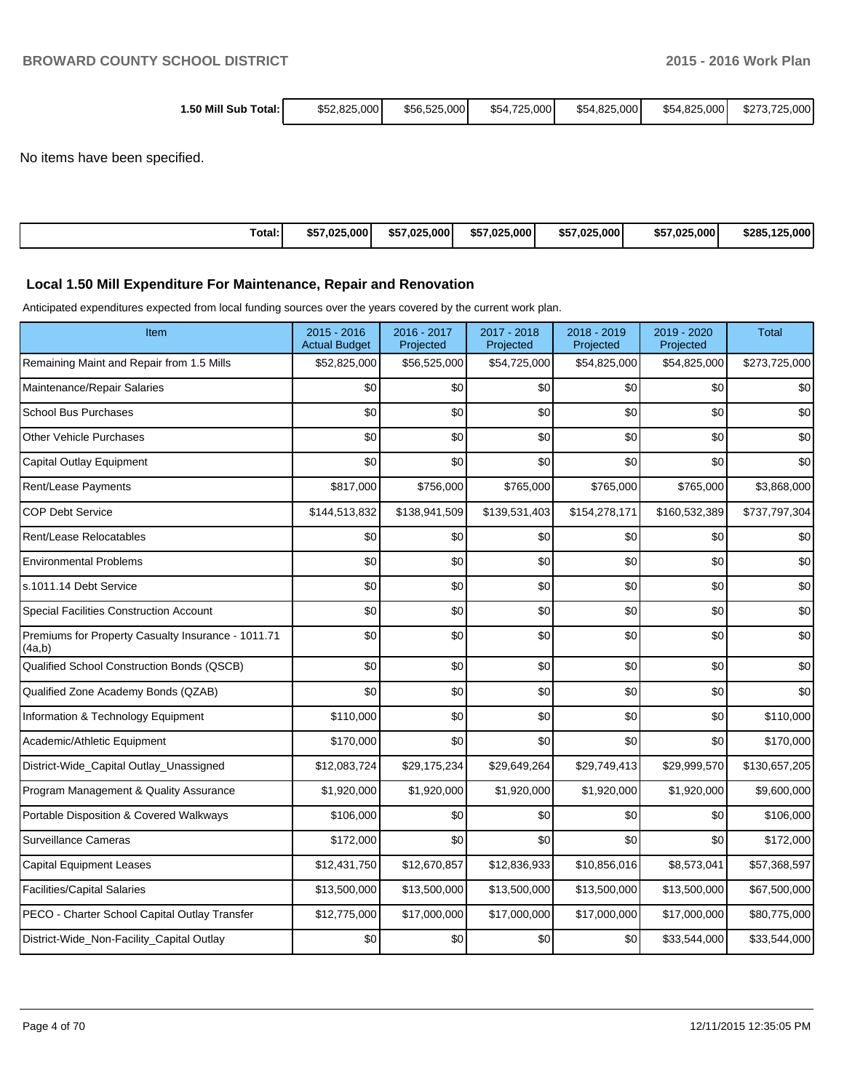|  | 1.50 Mill Sub Total: I | \$52,825,000 | \$56,525,000 | \$54,725,000 | \$54,825,000 | \$54,825,000 | \$273.725.000 |
|--|------------------------|--------------|--------------|--------------|--------------|--------------|---------------|
|--|------------------------|--------------|--------------|--------------|--------------|--------------|---------------|

No items have been specified.

| Total: | \$57.025.000 | \$57.025.000 | \$57.025.000 | \$57.025.000 | \$57,025,000 | \$285.125.000 |
|--------|--------------|--------------|--------------|--------------|--------------|---------------|
|--------|--------------|--------------|--------------|--------------|--------------|---------------|

## **Local 1.50 Mill Expenditure For Maintenance, Repair and Renovation**

Anticipated expenditures expected from local funding sources over the years covered by the current work plan.

| Item                                                         | $2015 - 2016$<br><b>Actual Budget</b> | 2016 - 2017<br>Projected | 2017 - 2018<br>Projected | 2018 - 2019<br>Projected | 2019 - 2020<br>Projected | <b>Total</b>  |
|--------------------------------------------------------------|---------------------------------------|--------------------------|--------------------------|--------------------------|--------------------------|---------------|
| Remaining Maint and Repair from 1.5 Mills                    | \$52,825,000                          | \$56,525,000             | \$54,725,000             | \$54,825,000             | \$54,825,000             | \$273,725,000 |
| Maintenance/Repair Salaries                                  | \$0                                   | \$0                      | \$0                      | \$0                      | \$0                      | \$0           |
| <b>School Bus Purchases</b>                                  | \$0                                   | \$0                      | \$0                      | \$0                      | \$0                      | \$0           |
| Other Vehicle Purchases                                      | \$0                                   | \$0                      | \$0                      | \$0                      | \$0                      | \$0           |
| Capital Outlay Equipment                                     | \$0                                   | \$0                      | \$0                      | \$0                      | \$0                      | \$0           |
| Rent/Lease Payments                                          | \$817,000                             | \$756,000                | \$765,000                | \$765,000                | \$765,000                | \$3,868,000   |
| <b>COP Debt Service</b>                                      | \$144,513,832                         | \$138,941,509            | \$139,531,403            | \$154,278,171            | \$160,532,389            | \$737,797,304 |
| Rent/Lease Relocatables                                      | \$0                                   | \$0                      | \$0                      | \$0                      | \$0                      | \$0           |
| <b>Environmental Problems</b>                                | \$0                                   | \$0                      | \$0                      | \$0                      | \$0                      | \$0           |
| s.1011.14 Debt Service                                       | \$0                                   | \$0                      | \$0                      | \$0                      | \$0                      | \$0           |
| <b>Special Facilities Construction Account</b>               | \$0                                   | \$0                      | \$0                      | \$0                      | \$0                      | \$0           |
| Premiums for Property Casualty Insurance - 1011.71<br>(4a,b) | \$0                                   | \$0                      | \$0                      | \$0                      | \$0                      | \$0           |
| Qualified School Construction Bonds (QSCB)                   | \$0                                   | \$0                      | \$0                      | \$0                      | \$0                      | \$0           |
| Qualified Zone Academy Bonds (QZAB)                          | \$0                                   | \$0                      | \$0                      | \$0                      | \$0                      | \$0           |
| Information & Technology Equipment                           | \$110,000                             | \$0                      | \$0                      | \$0                      | \$0                      | \$110,000     |
| Academic/Athletic Equipment                                  | \$170,000                             | \$0                      | \$0                      | \$0                      | \$0                      | \$170,000     |
| District-Wide_Capital Outlay_Unassigned                      | \$12,083,724                          | \$29,175,234             | \$29,649,264             | \$29,749,413             | \$29,999,570             | \$130,657,205 |
| Program Management & Quality Assurance                       | \$1,920,000                           | \$1,920,000              | \$1,920,000              | \$1,920,000              | \$1,920,000              | \$9,600,000   |
| Portable Disposition & Covered Walkways                      | \$106,000                             | \$0                      | \$0                      | \$0                      | \$0                      | \$106,000     |
| Surveillance Cameras                                         | \$172,000                             | \$0                      | \$0                      | \$0                      | \$0                      | \$172,000     |
| <b>Capital Equipment Leases</b>                              | \$12,431,750                          | \$12,670,857             | \$12,836,933             | \$10,856,016             | \$8,573,041              | \$57,368,597  |
| <b>Facilities/Capital Salaries</b>                           | \$13,500,000                          | \$13,500,000             | \$13,500,000             | \$13,500,000             | \$13,500,000             | \$67,500,000  |
| PECO - Charter School Capital Outlay Transfer                | \$12,775,000                          | \$17,000,000             | \$17,000,000             | \$17,000,000             | \$17,000,000             | \$80,775,000  |
| District-Wide_Non-Facility_Capital Outlay                    | \$0                                   | \$0                      | \$0                      | \$0                      | \$33,544,000             | \$33,544,000  |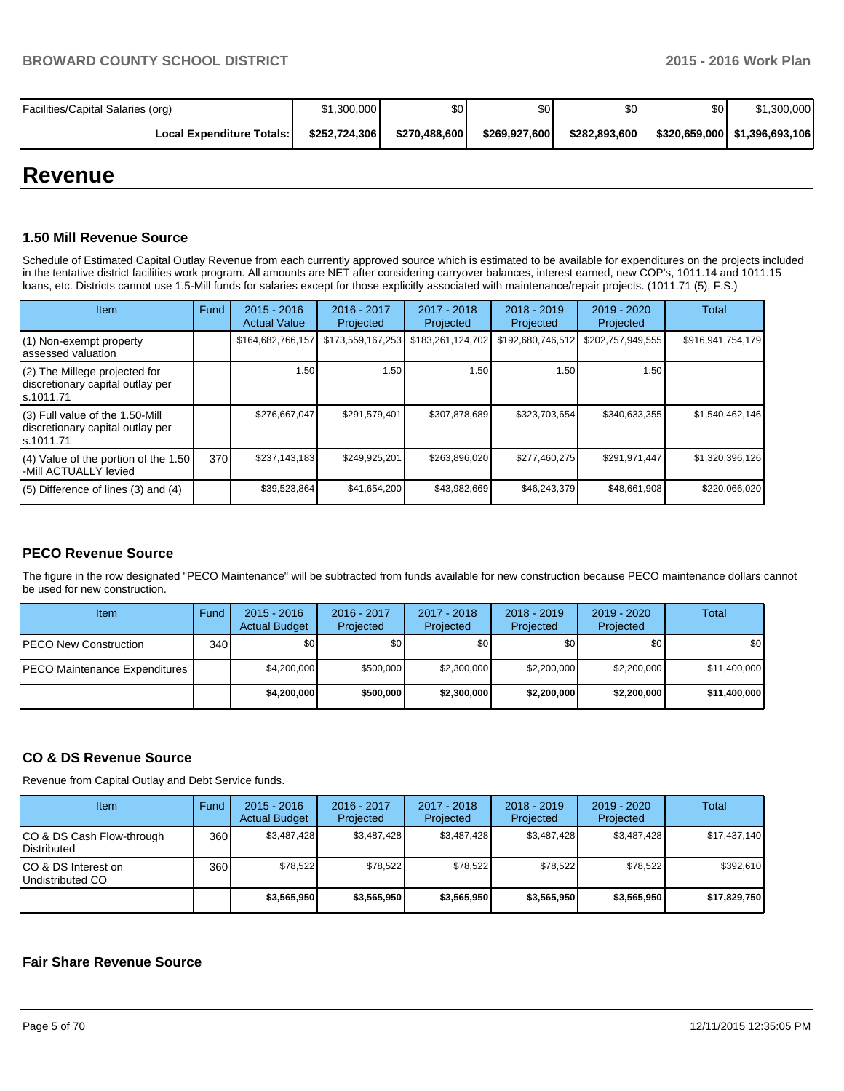| Facilities/Capital Salaries (org) | \$1,300,000   | \$0           | \$٥١          | \$0 <sub>1</sub> | \$0 | \$1,300,000                     |
|-----------------------------------|---------------|---------------|---------------|------------------|-----|---------------------------------|
| <b>Local Expenditure Totals:</b>  | \$252.724.306 | \$270,488,600 | \$269.927.600 | \$282,893,600    |     | \$320,659,000   \$1,396,693,106 |

# **Revenue**

## **1.50 Mill Revenue Source**

Schedule of Estimated Capital Outlay Revenue from each currently approved source which is estimated to be available for expenditures on the projects included in the tentative district facilities work program. All amounts are NET after considering carryover balances, interest earned, new COP's, 1011.14 and 1011.15 loans, etc. Districts cannot use 1.5-Mill funds for salaries except for those explicitly associated with maintenance/repair projects. (1011.71 (5), F.S.)

| Item                                                                              | Fund | $2015 - 2016$<br><b>Actual Value</b> | $2016 - 2017$<br>Projected | 2017 - 2018<br>Projected | $2018 - 2019$<br>Projected | 2019 - 2020<br>Projected | Total             |
|-----------------------------------------------------------------------------------|------|--------------------------------------|----------------------------|--------------------------|----------------------------|--------------------------|-------------------|
| (1) Non-exempt property<br>assessed valuation                                     |      | \$164,682,766,157                    | \$173,559,167,253          | \$183,261,124,702        | \$192,680,746,512          | \$202,757,949,555        | \$916,941,754,179 |
| (2) The Millege projected for<br>discretionary capital outlay per<br>ls.1011.71   |      | 1.50                                 | 1.50 l                     | 1.50                     | 1.50                       | 1.50                     |                   |
| (3) Full value of the 1.50-Mill<br>discretionary capital outlay per<br>ls.1011.71 |      | \$276,667,047                        | \$291,579,401              | \$307,878,689            | \$323,703,654              | \$340,633,355            | \$1,540,462,146   |
| (4) Value of the portion of the 1.50<br>-Mill ACTUALLY levied                     | 370  | \$237,143,183                        | \$249,925,201              | \$263,896,020            | \$277,460,275              | \$291,971,447            | \$1,320,396,126   |
| $(5)$ Difference of lines (3) and (4)                                             |      | \$39,523,864                         | \$41,654,200               | \$43,982,669             | \$46,243,379               | \$48.661.908             | \$220,066,020     |

## **PECO Revenue Source**

The figure in the row designated "PECO Maintenance" will be subtracted from funds available for new construction because PECO maintenance dollars cannot be used for new construction.

| <b>Item</b>                           | Fund | $2015 - 2016$<br><b>Actual Budget</b> | 2016 - 2017<br>Projected | 2017 - 2018<br>Projected | $2018 - 2019$<br>Projected | $2019 - 2020$<br>Projected | Total        |
|---------------------------------------|------|---------------------------------------|--------------------------|--------------------------|----------------------------|----------------------------|--------------|
| IPECO New Construction                | 340  | \$O I                                 | \$0                      | \$0                      | \$0                        | \$0                        | \$0          |
| <b>IPECO Maintenance Expenditures</b> |      | \$4,200,000                           | \$500,000                | \$2,300,000              | \$2,200,000                | \$2,200,000                | \$11,400,000 |
|                                       |      | \$4,200,000                           | \$500,000                | \$2,300,000              | \$2,200,000                | \$2,200,000                | \$11,400,000 |

## **CO & DS Revenue Source**

Revenue from Capital Outlay and Debt Service funds.

| Item                                               | Fund | $2015 - 2016$<br><b>Actual Budget</b> | $2016 - 2017$<br>Projected | $2017 - 2018$<br>Projected | $2018 - 2019$<br>Projected | $2019 - 2020$<br>Projected | Total        |
|----------------------------------------------------|------|---------------------------------------|----------------------------|----------------------------|----------------------------|----------------------------|--------------|
| ICO & DS Cash Flow-through<br><b>I</b> Distributed | 360  | \$3.487.428                           | \$3.487.428                | \$3.487.428                | \$3.487.428                | \$3,487,428                | \$17,437,140 |
| ICO & DS Interest on<br>Undistributed CO           | 360  | \$78.522                              | \$78,522                   | \$78.522                   | \$78.522                   | \$78.522                   | \$392.610    |
|                                                    |      | \$3,565,950                           | \$3,565,950                | \$3,565,950                | \$3,565,950                | \$3,565,950                | \$17,829,750 |

## **Fair Share Revenue Source**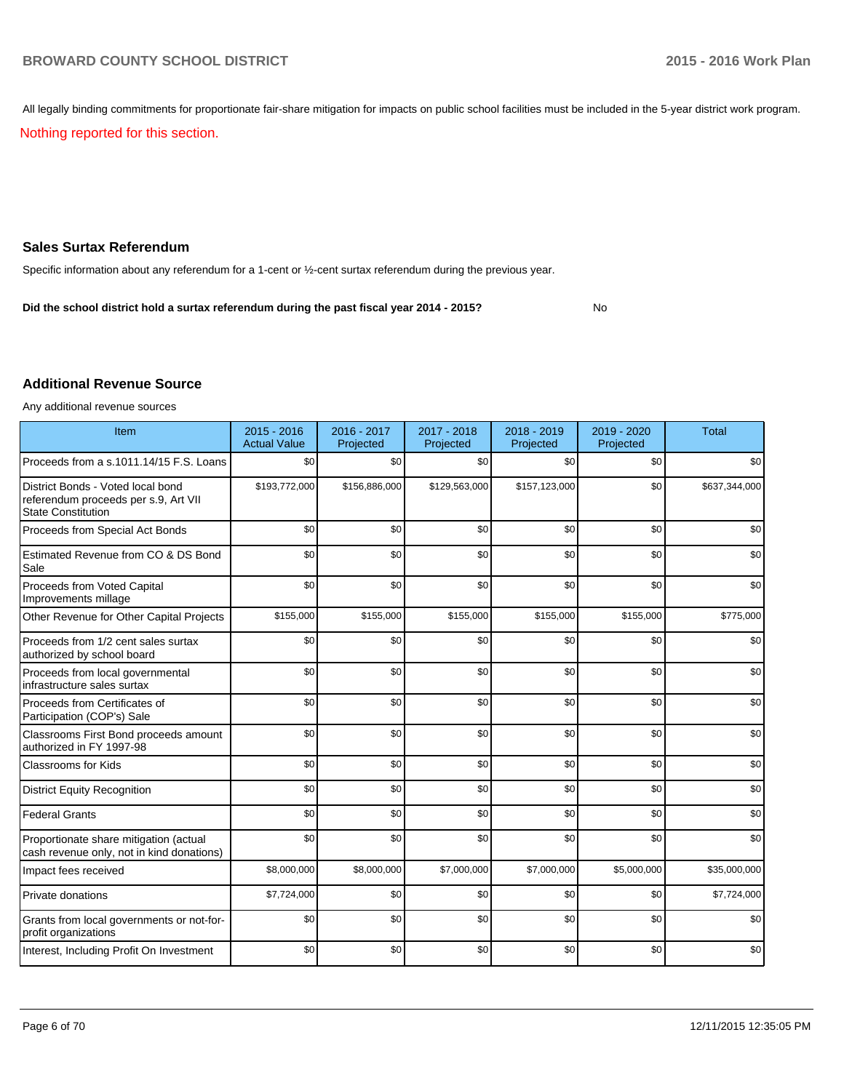All legally binding commitments for proportionate fair-share mitigation for impacts on public school facilities must be included in the 5-year district work program.

Nothing reported for this section.

## **Sales Surtax Referendum**

Specific information about any referendum for a 1-cent or ½-cent surtax referendum during the previous year.

No **Did the school district hold a surtax referendum during the past fiscal year 2014 - 2015?**

#### **Additional Revenue Source**

Any additional revenue sources

| Item                                                                                                   | $2015 - 2016$<br><b>Actual Value</b> | 2016 - 2017<br>Projected | 2017 - 2018<br>Projected | 2018 - 2019<br>Projected | 2019 - 2020<br>Projected | <b>Total</b>  |
|--------------------------------------------------------------------------------------------------------|--------------------------------------|--------------------------|--------------------------|--------------------------|--------------------------|---------------|
| Proceeds from a s.1011.14/15 F.S. Loans                                                                | \$0                                  | \$0                      | \$0                      | \$0                      | \$0                      | \$0           |
| District Bonds - Voted local bond<br>referendum proceeds per s.9, Art VII<br><b>State Constitution</b> | \$193,772,000                        | \$156,886,000            | \$129,563,000            | \$157,123,000            | \$0                      | \$637,344,000 |
| Proceeds from Special Act Bonds                                                                        | \$0                                  | \$0                      | \$0                      | \$0                      | \$0                      | \$0           |
| Estimated Revenue from CO & DS Bond<br>Sale                                                            | \$0                                  | \$0                      | \$0                      | \$0                      | \$0                      | \$0           |
| Proceeds from Voted Capital<br>Improvements millage                                                    | \$0                                  | \$0                      | \$0                      | \$0                      | \$0                      | \$0           |
| Other Revenue for Other Capital Projects                                                               | \$155,000                            | \$155,000                | \$155,000                | \$155,000                | \$155,000                | \$775,000     |
| Proceeds from 1/2 cent sales surtax<br>authorized by school board                                      | \$0                                  | \$0                      | \$0                      | \$0                      | \$0                      | \$0           |
| Proceeds from local governmental<br>infrastructure sales surtax                                        | \$0                                  | \$0                      | \$0                      | \$0                      | \$0                      | \$0           |
| Proceeds from Certificates of<br>Participation (COP's) Sale                                            | \$0                                  | \$0                      | \$0                      | \$0                      | \$0                      | \$0           |
| Classrooms First Bond proceeds amount<br>authorized in FY 1997-98                                      | \$0                                  | \$0                      | \$0                      | \$0                      | \$0                      | \$0           |
| <b>Classrooms for Kids</b>                                                                             | \$0                                  | \$0                      | \$0                      | \$0                      | \$0                      | \$0           |
| <b>District Equity Recognition</b>                                                                     | \$0                                  | \$0                      | \$0                      | \$0                      | \$0                      | \$0           |
| <b>Federal Grants</b>                                                                                  | \$0                                  | \$0                      | \$0                      | \$0                      | \$0                      | \$0           |
| Proportionate share mitigation (actual<br>cash revenue only, not in kind donations)                    | \$0                                  | \$0                      | \$0                      | \$0                      | \$0                      | \$0           |
| Impact fees received                                                                                   | \$8,000,000                          | \$8,000,000              | \$7,000,000              | \$7,000,000              | \$5,000,000              | \$35,000,000  |
| Private donations                                                                                      | \$7,724,000                          | \$0                      | \$0                      | \$0                      | \$0                      | \$7,724,000   |
| Grants from local governments or not-for-<br>profit organizations                                      | \$0                                  | \$0                      | \$0                      | \$0                      | \$0                      | \$0           |
| Interest, Including Profit On Investment                                                               | \$0                                  | \$0                      | \$0                      | \$0                      | \$0                      | \$0           |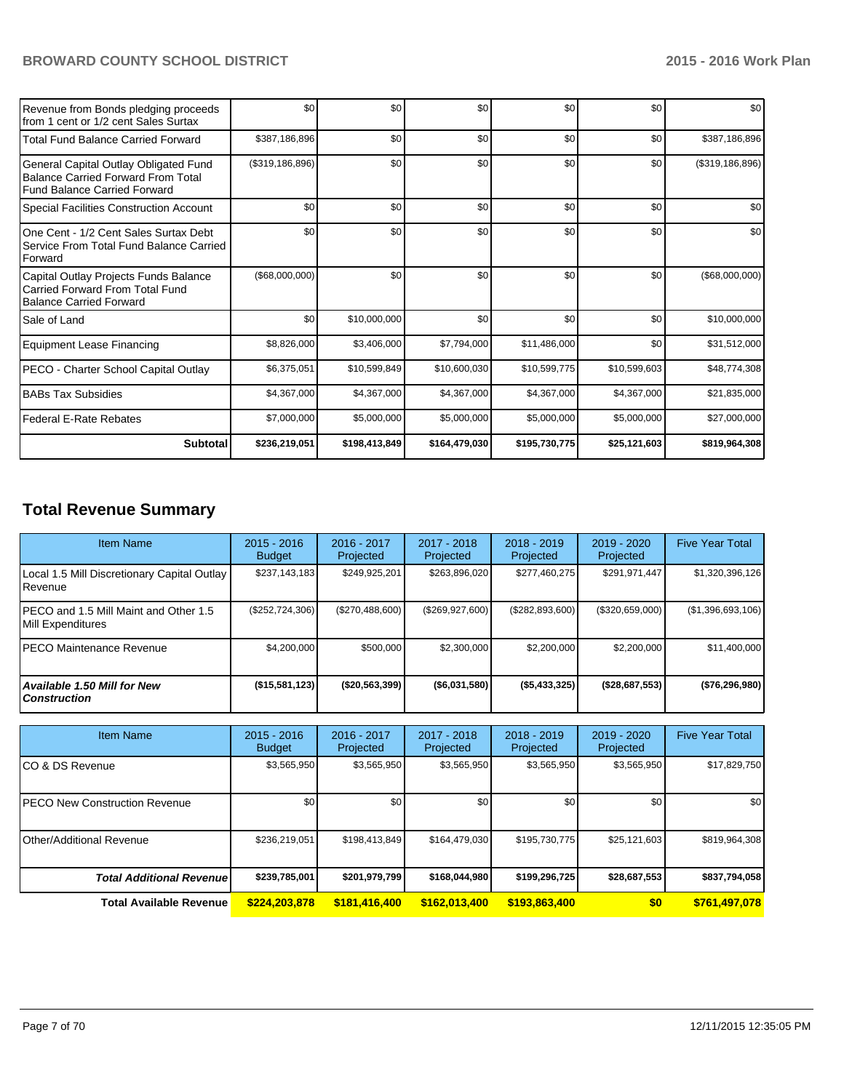| Revenue from Bonds pledging proceeds<br>from 1 cent or 1/2 cent Sales Surtax                                              | \$0               | \$0           | \$0           | \$0           | \$0          | \$0               |
|---------------------------------------------------------------------------------------------------------------------------|-------------------|---------------|---------------|---------------|--------------|-------------------|
| Total Fund Balance Carried Forward                                                                                        | \$387,186,896     | \$0           | \$0           | \$0           | \$0          | \$387,186,896     |
| General Capital Outlay Obligated Fund<br><b>Balance Carried Forward From Total</b><br><b>Fund Balance Carried Forward</b> | (\$319, 186, 896) | \$0           | \$0           | \$0           | \$0          | (\$319,186,896)   |
| Special Facilities Construction Account                                                                                   | \$0               | \$0           | \$0           | \$0           | \$0          | \$0               |
| One Cent - 1/2 Cent Sales Surtax Debt<br>Service From Total Fund Balance Carried<br>Forward                               | \$0               | \$0           | \$0           | \$0           | \$0          | \$0               |
| Capital Outlay Projects Funds Balance<br>Carried Forward From Total Fund<br><b>Balance Carried Forward</b>                | (\$68,000,000)    | \$0           | \$0           | \$0           | \$0          | $($ \$68,000,000) |
| Sale of Land                                                                                                              | \$0               | \$10,000,000  | \$0           | \$0           | \$0          | \$10,000,000      |
| Equipment Lease Financing                                                                                                 | \$8,826,000       | \$3,406,000   | \$7,794,000   | \$11,486,000  | \$0          | \$31,512,000      |
| PECO - Charter School Capital Outlay                                                                                      | \$6,375,051       | \$10,599,849  | \$10,600,030  | \$10,599,775  | \$10,599,603 | \$48,774,308      |
| <b>BABs Tax Subsidies</b>                                                                                                 | \$4,367,000       | \$4,367,000   | \$4,367,000   | \$4,367,000   | \$4,367,000  | \$21,835,000      |
| l Federal E-Rate Rebates                                                                                                  | \$7,000,000       | \$5,000,000   | \$5,000,000   | \$5,000,000   | \$5,000,000  | \$27,000,000      |
| <b>Subtotal</b>                                                                                                           | \$236,219,051     | \$198,413,849 | \$164,479,030 | \$195,730,775 | \$25,121,603 | \$819,964,308     |

# **Total Revenue Summary**

| <b>Item Name</b>                                               | $2015 - 2016$<br><b>Budget</b> | $2016 - 2017$<br>Projected | $2017 - 2018$<br>Projected | $2018 - 2019$<br>Projected | $2019 - 2020$<br>Projected | <b>Five Year Total</b> |
|----------------------------------------------------------------|--------------------------------|----------------------------|----------------------------|----------------------------|----------------------------|------------------------|
| Local 1.5 Mill Discretionary Capital Outlay<br><b>IRevenue</b> | \$237,143,183                  | \$249,925,201              | \$263,896,020              | \$277,460,275              | \$291,971,447              | \$1,320,396,126        |
| IPECO and 1.5 Mill Maint and Other 1.5<br>Mill Expenditures    | $(\$252,724,306)$              | (\$270,488,600)            | (\$269,927,600)            | (\$282,893,600)            | (\$320,659,000)            | (\$1,396,693,106)      |
| <b>IPECO Maintenance Revenue</b>                               | \$4,200,000                    | \$500,000                  | \$2,300,000                | \$2,200,000                | \$2,200,000                | \$11,400,000           |
| Available 1.50 Mill for New<br>l Construction                  | (\$15,581,123)                 | (\$20,563,399)             | ( \$6,031,580)             | $($ \$5,433,325)           | (\$28,687,553)             | (\$76, 296, 980)       |

| <b>Item Name</b>                      | $2015 - 2016$<br><b>Budget</b> | $2016 - 2017$<br>Projected | 2017 - 2018<br>Projected | $2018 - 2019$<br>Projected | $2019 - 2020$<br>Projected | <b>Five Year Total</b> |
|---------------------------------------|--------------------------------|----------------------------|--------------------------|----------------------------|----------------------------|------------------------|
| ICO & DS Revenue                      | \$3,565,950                    | \$3,565,950                | \$3,565,950              | \$3,565,950                | \$3,565,950                | \$17,829,750           |
| <b>IPECO New Construction Revenue</b> | \$0                            | \$0                        | \$0                      | \$0                        | \$0 <sub>1</sub>           | \$0                    |
| Other/Additional Revenue              | \$236,219,051                  | \$198.413.849              | \$164,479,030            | \$195,730,775              | \$25,121,603               | \$819,964,308          |
| <b>Total Additional Revenuel</b>      | \$239,785,001                  | \$201,979,799              | \$168,044,980            | \$199,296,725              | \$28,687,553               | \$837,794,058          |
| <b>Total Available Revenue</b>        | \$224,203,878                  | \$181,416,400              | \$162.013.400            | \$193,863,400              | \$0                        | \$761,497,078          |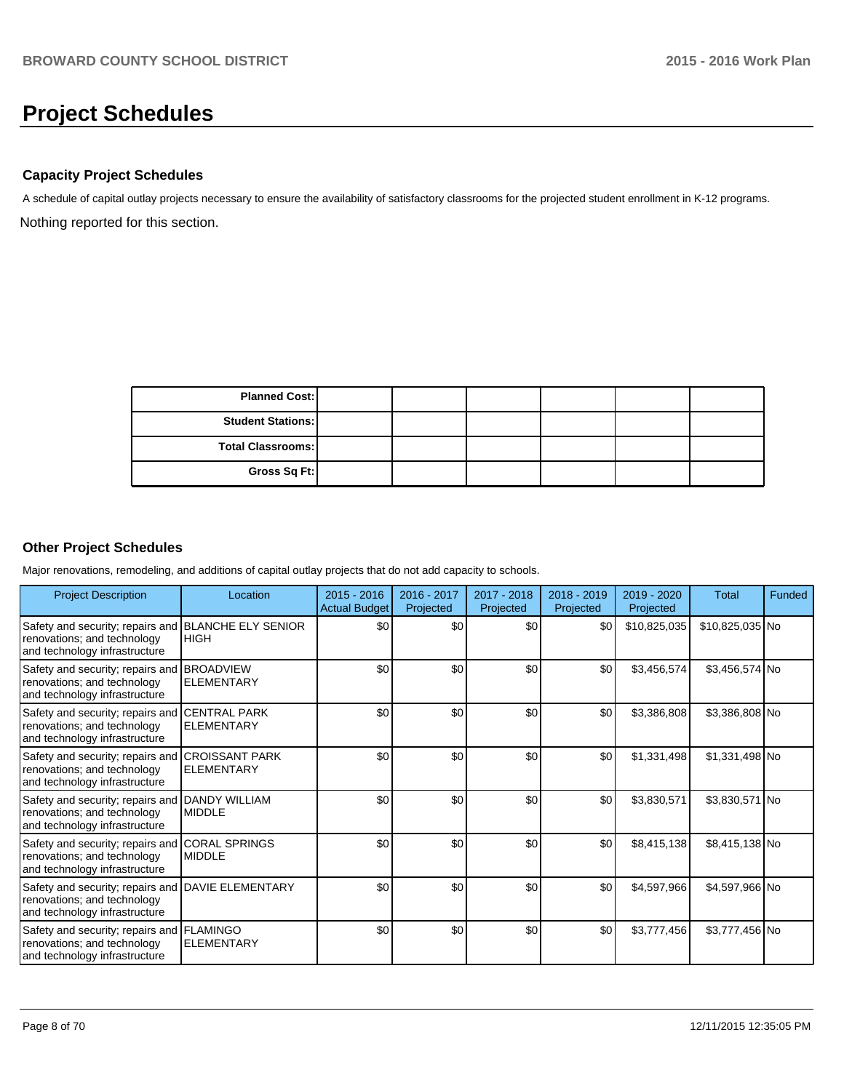# **Project Schedules**

## **Capacity Project Schedules**

Nothing reported for this section. A schedule of capital outlay projects necessary to ensure the availability of satisfactory classrooms for the projected student enrollment in K-12 programs.

| <b>Planned Cost:</b>     |  |  |  |
|--------------------------|--|--|--|
| <b>Student Stations:</b> |  |  |  |
| <b>Total Classrooms:</b> |  |  |  |
| Gross Sq Ft:             |  |  |  |

## **Other Project Schedules**

Major renovations, remodeling, and additions of capital outlay projects that do not add capacity to schools.

| <b>Project Description</b>                                                                                     | Location                                    | $2015 - 2016$<br><b>Actual Budget</b> | 2016 - 2017<br>Projected | 2017 - 2018<br>Projected | 2018 - 2019<br>Projected | 2019 - 2020<br>Projected | <b>Total</b>    | Funded |
|----------------------------------------------------------------------------------------------------------------|---------------------------------------------|---------------------------------------|--------------------------|--------------------------|--------------------------|--------------------------|-----------------|--------|
| Safety and security; repairs and<br>renovations; and technology<br>and technology infrastructure               | <b>BLANCHE ELY SENIOR</b><br><b>HIGH</b>    | \$0 <sub>0</sub>                      | \$0                      | \$0                      | \$0                      | \$10,825,035             | \$10,825,035 No |        |
| Safety and security; repairs and<br>renovations; and technology<br>and technology infrastructure               | <b>BROADVIEW</b><br><b>ELEMENTARY</b>       | \$0                                   | \$0                      | \$0                      | \$0                      | \$3,456,574              | \$3,456,574 No  |        |
| Safety and security; repairs and<br>renovations; and technology<br>and technology infrastructure               | <b>CENTRAL PARK</b><br><b>ELEMENTARY</b>    | \$0                                   | \$0                      | \$0                      | \$0                      | \$3,386,808              | \$3,386,808 No  |        |
| Safety and security; repairs and<br>renovations; and technology<br>and technology infrastructure               | <b>ICROISSANT PARK</b><br><b>ELEMENTARY</b> | \$0                                   | \$0                      | \$0                      | \$0                      | \$1,331,498              | \$1,331,498 No  |        |
| Safety and security; repairs and<br>renovations; and technology<br>and technology infrastructure               | <b>DANDY WILLIAM</b><br><b>MIDDLE</b>       | \$0                                   | \$0                      | \$0                      | \$0                      | \$3,830,571              | \$3,830,571 No  |        |
| Safety and security; repairs and CORAL SPRINGS<br>renovations; and technology<br>and technology infrastructure | <b>MIDDLE</b>                               | \$0                                   | \$0                      | \$0                      | \$0                      | \$8,415,138              | \$8,415,138 No  |        |
| Safety and security; repairs and<br>renovations; and technology<br>and technology infrastructure               | <b>DAVIE ELEMENTARY</b>                     | \$0                                   | \$0                      | \$0                      | \$0                      | \$4,597,966              | \$4,597,966 No  |        |
| Safety and security; repairs and FLAMINGO<br>renovations; and technology<br>and technology infrastructure      | <b>ELEMENTARY</b>                           | \$0                                   | \$0                      | \$0                      | \$0                      | \$3,777,456              | \$3,777,456 No  |        |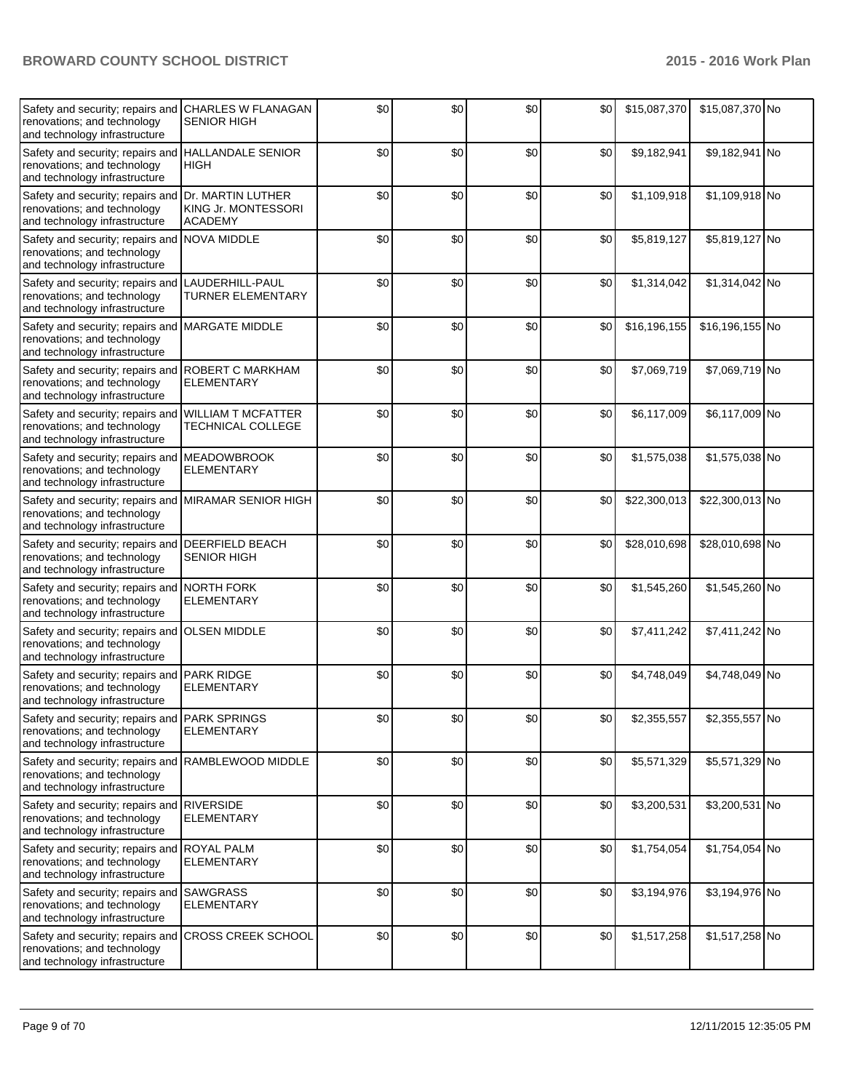| Safety and security; repairs and<br>renovations; and technology<br>and technology infrastructure                   | <b>CHARLES W FLANAGAN</b><br><b>SENIOR HIGH</b>            | \$0 | \$0   | \$0   | \$0 | \$15,087,370 | \$15,087,370 No |  |
|--------------------------------------------------------------------------------------------------------------------|------------------------------------------------------------|-----|-------|-------|-----|--------------|-----------------|--|
| Safety and security; repairs and<br>renovations; and technology<br>and technology infrastructure                   | <b>HALLANDALE SENIOR</b><br>HIGH                           | \$0 | \$0   | \$0   | \$0 | \$9,182,941  | \$9,182,941 No  |  |
| Safety and security; repairs and<br>renovations; and technology<br>and technology infrastructure                   | Dr. MARTIN LUTHER<br>KING Jr. MONTESSORI<br><b>ACADEMY</b> | \$0 | \$0   | \$0   | \$0 | \$1,109,918  | \$1,109,918 No  |  |
| Safety and security; repairs and NOVA MIDDLE<br>renovations; and technology<br>and technology infrastructure       |                                                            | \$0 | \$0   | \$0   | \$0 | \$5,819,127  | \$5,819,127 No  |  |
| Safety and security; repairs and<br>renovations; and technology<br>and technology infrastructure                   | LAUDERHILL-PAUL<br><b>TURNER ELEMENTARY</b>                | \$0 | \$0   | \$0   | \$0 | \$1,314,042  | \$1,314,042 No  |  |
| Safety and security; repairs and MARGATE MIDDLE<br>renovations; and technology<br>and technology infrastructure    |                                                            | \$0 | \$0   | \$0   | \$0 | \$16,196,155 | \$16,196,155 No |  |
| Safety and security; repairs and ROBERT C MARKHAM<br>renovations; and technology<br>and technology infrastructure  | <b>ELEMENTARY</b>                                          | \$0 | \$0   | \$0   | \$0 | \$7,069,719  | \$7,069,719 No  |  |
| Safety and security; repairs and<br>renovations; and technology<br>and technology infrastructure                   | <b>WILLIAM T MCFATTER</b><br>TECHNICAL COLLEGE             | \$0 | \$0   | \$0   | \$0 | \$6,117,009  | \$6,117,009 No  |  |
| Safety and security; repairs and<br>renovations; and technology<br>and technology infrastructure                   | <b>MEADOWBROOK</b><br><b>ELEMENTARY</b>                    | \$0 | \$0   | \$0   | \$0 | \$1,575,038  | \$1,575,038 No  |  |
| Safety and security; repairs and<br>renovations; and technology<br>and technology infrastructure                   | <b>MIRAMAR SENIOR HIGH</b>                                 | \$0 | \$0   | \$0   | \$0 | \$22,300,013 | \$22,300,013 No |  |
| Safety and security; repairs and DEERFIELD BEACH<br>renovations; and technology<br>and technology infrastructure   | <b>SENIOR HIGH</b>                                         | \$0 | \$0   | \$0   | \$0 | \$28,010,698 | \$28,010,698 No |  |
| Safety and security; repairs and<br>renovations; and technology<br>and technology infrastructure                   | <b>NORTH FORK</b><br><b>ELEMENTARY</b>                     | \$0 | \$0   | \$0   | \$0 | \$1,545,260  | \$1,545,260 No  |  |
| Safety and security; repairs and<br>renovations; and technology<br>and technology infrastructure                   | <b>OLSEN MIDDLE</b>                                        | \$0 | \$0   | \$0   | \$0 | \$7,411,242  | \$7,411,242 No  |  |
| Safety and security; repairs and PARK RIDGE<br>renovations; and technology<br>and technology infrastructure        | <b>ELEMENTARY</b>                                          | \$0 | \$0   | \$0   | \$0 | \$4,748,049  | \$4,748,049 No  |  |
| Safety and security; repairs and PARK SPRINGS<br>renovations; and technology<br>and technology infrastructure      | <b>ELEMENTARY</b>                                          | \$0 | $\$0$ | $\$0$ | \$0 | \$2,355,557  | \$2,355,557 No  |  |
| Safety and security; repairs and RAMBLEWOOD MIDDLE<br>renovations; and technology<br>and technology infrastructure |                                                            | \$0 | \$0   | \$0   | \$0 | \$5,571,329  | \$5,571,329 No  |  |
| Safety and security; repairs and<br>renovations; and technology<br>and technology infrastructure                   | <b>RIVERSIDE</b><br><b>ELEMENTARY</b>                      | \$0 | \$0   | \$0   | \$0 | \$3,200,531  | \$3,200,531 No  |  |
| Safety and security; repairs and ROYAL PALM<br>renovations; and technology<br>and technology infrastructure        | <b>ELEMENTARY</b>                                          | \$0 | \$0   | \$0   | \$0 | \$1,754,054  | \$1,754,054 No  |  |
| Safety and security; repairs and SAWGRASS<br>renovations; and technology<br>and technology infrastructure          | <b>ELEMENTARY</b>                                          | \$0 | \$0   | \$0   | \$0 | \$3,194,976  | \$3,194,976 No  |  |
| Safety and security; repairs and<br>renovations; and technology<br>and technology infrastructure                   | <b>CROSS CREEK SCHOOL</b>                                  | \$0 | \$0   | \$0   | \$0 | \$1,517,258  | \$1,517,258 No  |  |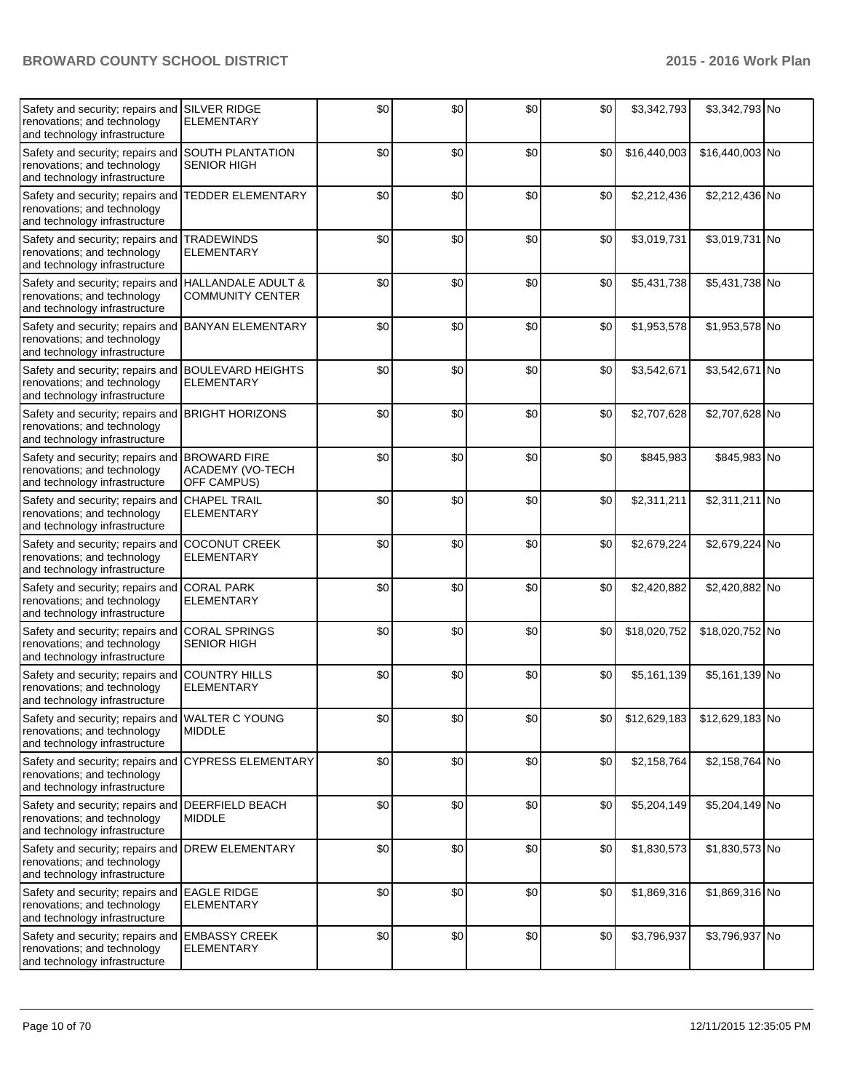| Safety and security; repairs and<br>renovations; and technology<br>and technology infrastructure                   | <b>SILVER RIDGE</b><br><b>ELEMENTARY</b>               | \$0 | \$0 | \$0   | \$0 | \$3,342,793  | \$3,342,793 No                 |  |
|--------------------------------------------------------------------------------------------------------------------|--------------------------------------------------------|-----|-----|-------|-----|--------------|--------------------------------|--|
| Safety and security; repairs and<br>renovations; and technology<br>and technology infrastructure                   | <b>SOUTH PLANTATION</b><br><b>SENIOR HIGH</b>          | \$0 | \$0 | \$0   | \$0 | \$16,440,003 | \$16,440,003 No                |  |
| Safety and security; repairs and<br>renovations; and technology<br>and technology infrastructure                   | <b>TEDDER ELEMENTARY</b>                               | \$0 | \$0 | \$0   | \$0 | \$2,212,436  | \$2,212,436 No                 |  |
| Safety and security; repairs and<br>renovations; and technology<br>and technology infrastructure                   | <b>TRADEWINDS</b><br><b>ELEMENTARY</b>                 | \$0 | \$0 | \$0   | \$0 | \$3,019,731  | \$3,019,731 No                 |  |
| Safety and security; repairs and<br>renovations; and technology<br>and technology infrastructure                   | HALLANDALE ADULT &<br><b>COMMUNITY CENTER</b>          | \$0 | \$0 | \$0   | \$0 | \$5,431,738  | \$5,431,738 No                 |  |
| Safety and security; repairs and<br>renovations; and technology<br>and technology infrastructure                   | <b>BANYAN ELEMENTARY</b>                               | \$0 | \$0 | \$0   | \$0 | \$1,953,578  | \$1,953,578 No                 |  |
| Safety and security; repairs and BOULEVARD HEIGHTS<br>renovations; and technology<br>and technology infrastructure | <b>ELEMENTARY</b>                                      | \$0 | \$0 | \$0   | \$0 | \$3,542,671  | \$3,542,671 No                 |  |
| Safety and security; repairs and<br>renovations; and technology<br>and technology infrastructure                   | <b>BRIGHT HORIZONS</b>                                 | \$0 | \$0 | \$0   | \$0 | \$2,707,628  | \$2,707,628 No                 |  |
| Safety and security; repairs and<br>renovations; and technology<br>and technology infrastructure                   | <b>BROWARD FIRE</b><br>ACADEMY (VO-TECH<br>OFF CAMPUS) | \$0 | \$0 | \$0   | \$0 | \$845,983    | \$845,983 No                   |  |
| Safety and security; repairs and<br>renovations; and technology<br>and technology infrastructure                   | <b>CHAPEL TRAIL</b><br><b>ELEMENTARY</b>               | \$0 | \$0 | \$0   | \$0 | \$2,311,211  | \$2,311,211 No                 |  |
| Safety and security; repairs and<br>renovations; and technology<br>and technology infrastructure                   | <b>COCONUT CREEK</b><br><b>ELEMENTARY</b>              | \$0 | \$0 | \$0   | \$0 | \$2,679,224  | \$2,679,224 No                 |  |
| Safety and security; repairs and<br>renovations; and technology<br>and technology infrastructure                   | <b>CORAL PARK</b><br><b>ELEMENTARY</b>                 | \$0 | \$0 | \$0   | \$0 | \$2,420,882  | \$2,420,882 No                 |  |
| Safety and security; repairs and<br>renovations; and technology<br>and technology infrastructure                   | <b>CORAL SPRINGS</b><br><b>SENIOR HIGH</b>             | \$0 | \$0 | \$0   | \$0 | \$18,020,752 | \$18,020,752 No                |  |
| Safety and security; repairs and<br>renovations; and technology<br>and technology infrastructure                   | <b>COUNTRY HILLS</b><br><b>ELEMENTARY</b>              | \$0 | \$0 | \$0   | \$0 | \$5,161,139  | \$5,161,139 No                 |  |
| Safety and security; repairs and WALTER C YOUNG<br>renovations; and technology<br>and technology infrastructure    | <b>MIDDLE</b>                                          | \$0 | \$0 | $\$0$ | \$0 |              | $$12,629,183$ $$12,629,183$ No |  |
| Safety and security; repairs and<br>renovations; and technology<br>and technology infrastructure                   | <b>CYPRESS ELEMENTARY</b>                              | \$0 | \$0 | \$0   | \$0 | \$2,158,764  | \$2,158,764 No                 |  |
| Safety and security; repairs and<br>renovations; and technology<br>and technology infrastructure                   | <b>DEERFIELD BEACH</b><br><b>MIDDLE</b>                | \$0 | \$0 | \$0   | \$0 | \$5,204,149  | \$5,204,149 No                 |  |
| Safety and security; repairs and<br>renovations; and technology<br>and technology infrastructure                   | <b>DREW ELEMENTARY</b>                                 | \$0 | \$0 | \$0   | \$0 | \$1,830,573  | \$1,830,573 No                 |  |
| Safety and security; repairs and EAGLE RIDGE<br>renovations; and technology<br>and technology infrastructure       | <b>ELEMENTARY</b>                                      | \$0 | \$0 | \$0   | \$0 | \$1,869,316  | \$1,869,316 No                 |  |
| Safety and security; repairs and<br>renovations; and technology<br>and technology infrastructure                   | <b>EMBASSY CREEK</b><br><b>ELEMENTARY</b>              | \$0 | \$0 | \$0   | \$0 | \$3,796,937  | \$3,796,937 No                 |  |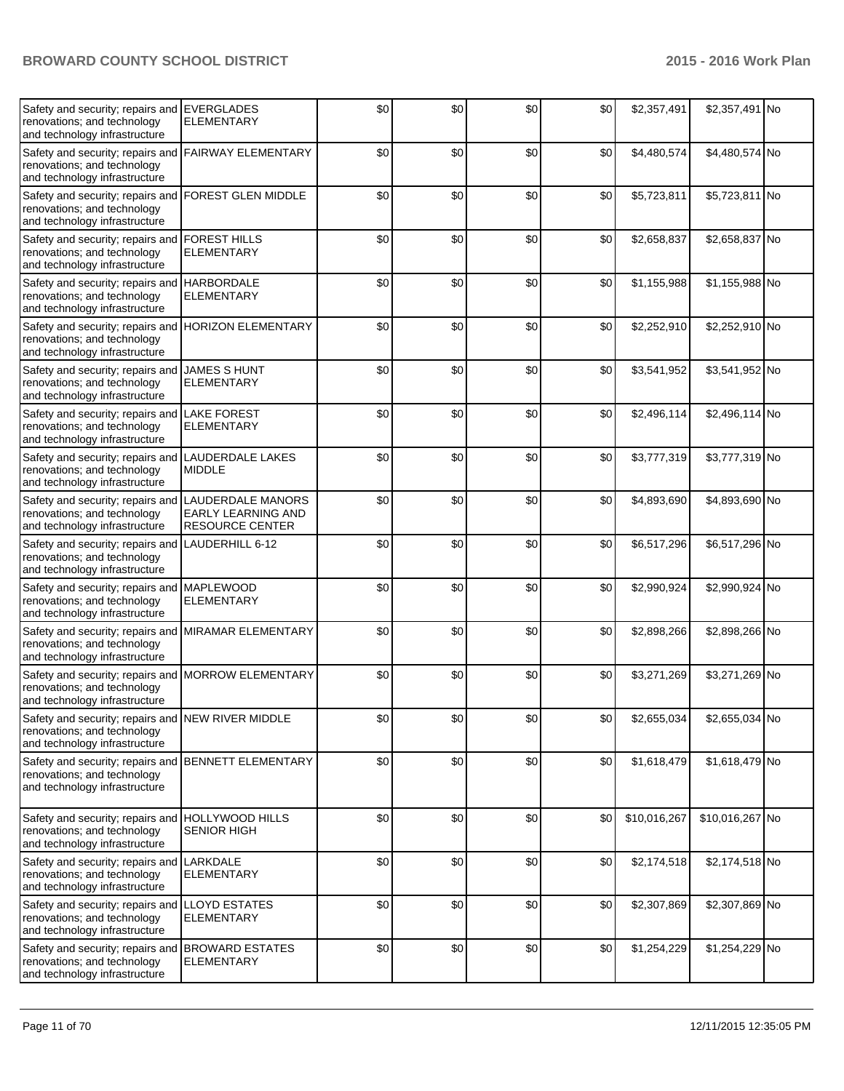| Safety and security; repairs and<br>renovations; and technology<br>and technology infrastructure                  | <b>EVERGLADES</b><br><b>ELEMENTARY</b>                            | \$0 | \$0 | \$0   | \$0   | \$2,357,491  | \$2,357,491 No  |  |
|-------------------------------------------------------------------------------------------------------------------|-------------------------------------------------------------------|-----|-----|-------|-------|--------------|-----------------|--|
| Safety and security; repairs and<br>renovations; and technology<br>and technology infrastructure                  | <b>FAIRWAY ELEMENTARY</b>                                         | \$0 | \$0 | \$0   | \$0   | \$4,480,574  | \$4,480,574 No  |  |
| Safety and security; repairs and<br>renovations; and technology<br>and technology infrastructure                  | <b>FOREST GLEN MIDDLE</b>                                         | \$0 | \$0 | \$0   | \$0   | \$5,723,811  | \$5,723,811 No  |  |
| Safety and security; repairs and<br>renovations; and technology<br>and technology infrastructure                  | <b>FOREST HILLS</b><br><b>ELEMENTARY</b>                          | \$0 | \$0 | \$0   | \$0   | \$2,658,837  | \$2,658,837 No  |  |
| Safety and security; repairs and<br>renovations; and technology<br>and technology infrastructure                  | <b>HARBORDALE</b><br><b>ELEMENTARY</b>                            | \$0 | \$0 | \$0   | \$0   | \$1,155,988  | \$1,155,988 No  |  |
| Safety and security; repairs and<br>renovations; and technology<br>and technology infrastructure                  | <b>HORIZON ELEMENTARY</b>                                         | \$0 | \$0 | \$0   | \$0   | \$2,252,910  | \$2,252,910 No  |  |
| Safety and security; repairs and<br>renovations; and technology<br>and technology infrastructure                  | <b>JAMES S HUNT</b><br><b>ELEMENTARY</b>                          | \$0 | \$0 | \$0   | \$0   | \$3,541,952  | \$3,541,952 No  |  |
| Safety and security; repairs and<br>renovations; and technology<br>and technology infrastructure                  | <b>LAKE FOREST</b><br><b>ELEMENTARY</b>                           | \$0 | \$0 | \$0   | \$0   | \$2,496,114  | \$2,496,114 No  |  |
| Safety and security; repairs and<br>renovations; and technology<br>and technology infrastructure                  | <b>LAUDERDALE LAKES</b><br><b>MIDDLE</b>                          | \$0 | \$0 | \$0   | \$0   | \$3,777,319  | \$3,777,319 No  |  |
| Safety and security; repairs and<br>renovations; and technology<br>and technology infrastructure                  | LAUDERDALE MANORS<br><b>EARLY LEARNING AND</b><br>RESOURCE CENTER | \$0 | \$0 | \$0   | \$0   | \$4,893,690  | \$4,893,690 No  |  |
| Safety and security; repairs and<br>renovations; and technology<br>and technology infrastructure                  | LAUDERHILL 6-12                                                   | \$0 | \$0 | \$0   | \$0   | \$6,517,296  | \$6,517,296 No  |  |
| Safety and security; repairs and<br>renovations; and technology<br>and technology infrastructure                  | <b>MAPLEWOOD</b><br><b>ELEMENTARY</b>                             | \$0 | \$0 | \$0   | \$0   | \$2,990,924  | \$2,990,924 No  |  |
| Safety and security; repairs and<br>renovations; and technology<br>and technology infrastructure                  | MIRAMAR ELEMENTARY                                                | \$0 | \$0 | \$0   | \$0   | \$2,898,266  | \$2,898,266 No  |  |
| Safety and security; repairs and<br>renovations; and technology<br>and technology infrastructure                  | <b>MORROW ELEMENTARY</b>                                          | \$0 | \$0 | \$0   | \$0   | \$3,271,269  | \$3,271,269 No  |  |
| Safety and security; repairs and NEW RIVER MIDDLE<br>renovations; and technology<br>and technology infrastructure |                                                                   | \$0 | \$0 | $\$0$ | $$0$$ | \$2,655,034  | \$2,655,034 No  |  |
| Safety and security; repairs and<br>renovations; and technology<br>and technology infrastructure                  | <b>BENNETT ELEMENTARY</b>                                         | \$0 | \$0 | \$0   | \$0   | \$1,618,479  | \$1,618,479 No  |  |
| Safety and security; repairs and HOLLYWOOD HILLS<br>renovations; and technology<br>and technology infrastructure  | <b>SENIOR HIGH</b>                                                | \$0 | \$0 | \$0   | \$0   | \$10,016,267 | \$10,016,267 No |  |
| Safety and security; repairs and<br>renovations; and technology<br>and technology infrastructure                  | LARKDALE<br><b>ELEMENTARY</b>                                     | \$0 | \$0 | \$0   | \$0   | \$2,174,518  | \$2,174,518 No  |  |
| Safety and security; repairs and<br>renovations; and technology<br>and technology infrastructure                  | <b>LLOYD ESTATES</b><br><b>ELEMENTARY</b>                         | \$0 | \$0 | \$0   | \$0   | \$2,307,869  | \$2,307,869 No  |  |
| Safety and security; repairs and BROWARD ESTATES<br>renovations; and technology<br>and technology infrastructure  | <b>ELEMENTARY</b>                                                 | \$0 | \$0 | \$0   | \$0   | \$1,254,229  | \$1,254,229 No  |  |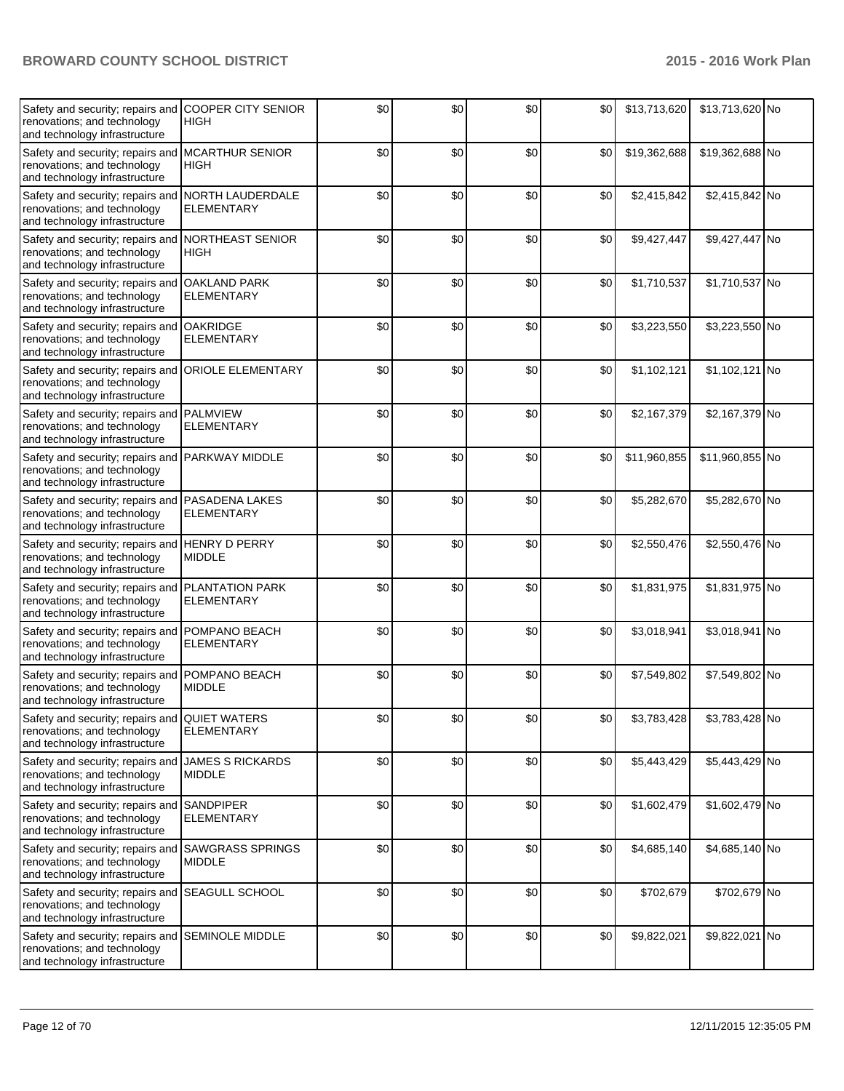| Safety and security; repairs and<br>renovations; and technology<br>and technology infrastructure                   | <b>COOPER CITY SENIOR</b><br><b>HIGH</b>    | \$0 | \$0   | \$0   | \$0   | \$13,713,620 | \$13,713,620 No |  |
|--------------------------------------------------------------------------------------------------------------------|---------------------------------------------|-----|-------|-------|-------|--------------|-----------------|--|
| Safety and security; repairs and<br>renovations; and technology<br>and technology infrastructure                   | <b>MCARTHUR SENIOR</b><br><b>HIGH</b>       | \$0 | \$0   | \$0   | \$0   | \$19,362,688 | \$19,362,688 No |  |
| Safety and security; repairs and NORTH LAUDERDALE<br>renovations; and technology<br>and technology infrastructure  | <b>ELEMENTARY</b>                           | \$0 | \$0   | \$0   | \$0   | \$2,415,842  | \$2,415,842 No  |  |
| Safety and security; repairs and NORTHEAST SENIOR<br>renovations; and technology<br>and technology infrastructure  | <b>HIGH</b>                                 | \$0 | \$0   | \$0   | \$0   | \$9,427,447  | \$9,427,447 No  |  |
| Safety and security; repairs and<br>renovations; and technology<br>and technology infrastructure                   | <b>OAKLAND PARK</b><br><b>ELEMENTARY</b>    | \$0 | \$0   | \$0   | \$0   | \$1,710,537  | \$1,710,537 No  |  |
| Safety and security; repairs and<br>renovations; and technology<br>and technology infrastructure                   | <b>OAKRIDGE</b><br><b>ELEMENTARY</b>        | \$0 | \$0   | \$0   | \$0   | \$3,223,550  | \$3,223,550 No  |  |
| Safety and security; repairs and ORIOLE ELEMENTARY<br>renovations; and technology<br>and technology infrastructure |                                             | \$0 | \$0   | \$0   | \$0   | \$1,102,121  | \$1,102,121 No  |  |
| Safety and security; repairs and PALMVIEW<br>renovations; and technology<br>and technology infrastructure          | <b>ELEMENTARY</b>                           | \$0 | \$0   | \$0   | \$0   | \$2,167,379  | \$2,167,379 No  |  |
| Safety and security; repairs and PARKWAY MIDDLE<br>renovations; and technology<br>and technology infrastructure    |                                             | \$0 | \$0   | \$0   | \$0   | \$11,960,855 | \$11,960,855 No |  |
| Safety and security; repairs and<br>renovations; and technology<br>and technology infrastructure                   | PASADENA LAKES<br><b>ELEMENTARY</b>         | \$0 | \$0   | \$0   | \$0   | \$5,282,670  | \$5,282,670 No  |  |
| Safety and security; repairs and HENRY D PERRY<br>renovations; and technology<br>and technology infrastructure     | <b>MIDDLE</b>                               | \$0 | \$0   | \$0   | \$0   | \$2,550,476  | \$2,550,476 No  |  |
| Safety and security; repairs and<br>renovations; and technology<br>and technology infrastructure                   | <b>PLANTATION PARK</b><br><b>ELEMENTARY</b> | \$0 | \$0   | \$0   | \$0   | \$1,831,975  | \$1,831,975 No  |  |
| Safety and security; repairs and<br>renovations; and technology<br>and technology infrastructure                   | POMPANO BEACH<br><b>ELEMENTARY</b>          | \$0 | \$0   | \$0   | \$0   | \$3,018,941  | \$3,018,941 No  |  |
| Safety and security; repairs and POMPANO BEACH<br>renovations; and technology<br>and technology infrastructure     | <b>MIDDLE</b>                               | \$0 | \$0   | \$0   | \$0   | \$7,549,802  | \$7,549,802 No  |  |
| Safety and security; repairs and QUIET WATERS<br>renovations; and technology<br>and technology infrastructure      | <b>ELEMENTARY</b>                           | \$0 | $\$0$ | $\$0$ | $\$0$ | \$3,783,428  | \$3,783,428 No  |  |
| Safety and security; repairs and<br>renovations; and technology<br>and technology infrastructure                   | <b>JAMES S RICKARDS</b><br><b>MIDDLE</b>    | \$0 | \$0   | \$0   | \$0   | \$5,443,429  | \$5,443,429 No  |  |
| Safety and security; repairs and<br>renovations; and technology<br>and technology infrastructure                   | <b>SANDPIPER</b><br><b>ELEMENTARY</b>       | \$0 | \$0   | \$0   | \$0   | \$1,602,479  | \$1,602,479 No  |  |
| Safety and security; repairs and SAWGRASS SPRINGS<br>renovations; and technology<br>and technology infrastructure  | <b>MIDDLE</b>                               | \$0 | \$0   | \$0   | \$0   | \$4,685,140  | \$4,685,140 No  |  |
| Safety and security; repairs and SEAGULL SCHOOL<br>renovations; and technology<br>and technology infrastructure    |                                             | \$0 | \$0   | \$0   | \$0   | \$702,679    | \$702,679 No    |  |
| Safety and security; repairs and SEMINOLE MIDDLE<br>renovations; and technology<br>and technology infrastructure   |                                             | \$0 | \$0   | \$0   | \$0   | \$9,822,021  | \$9,822,021 No  |  |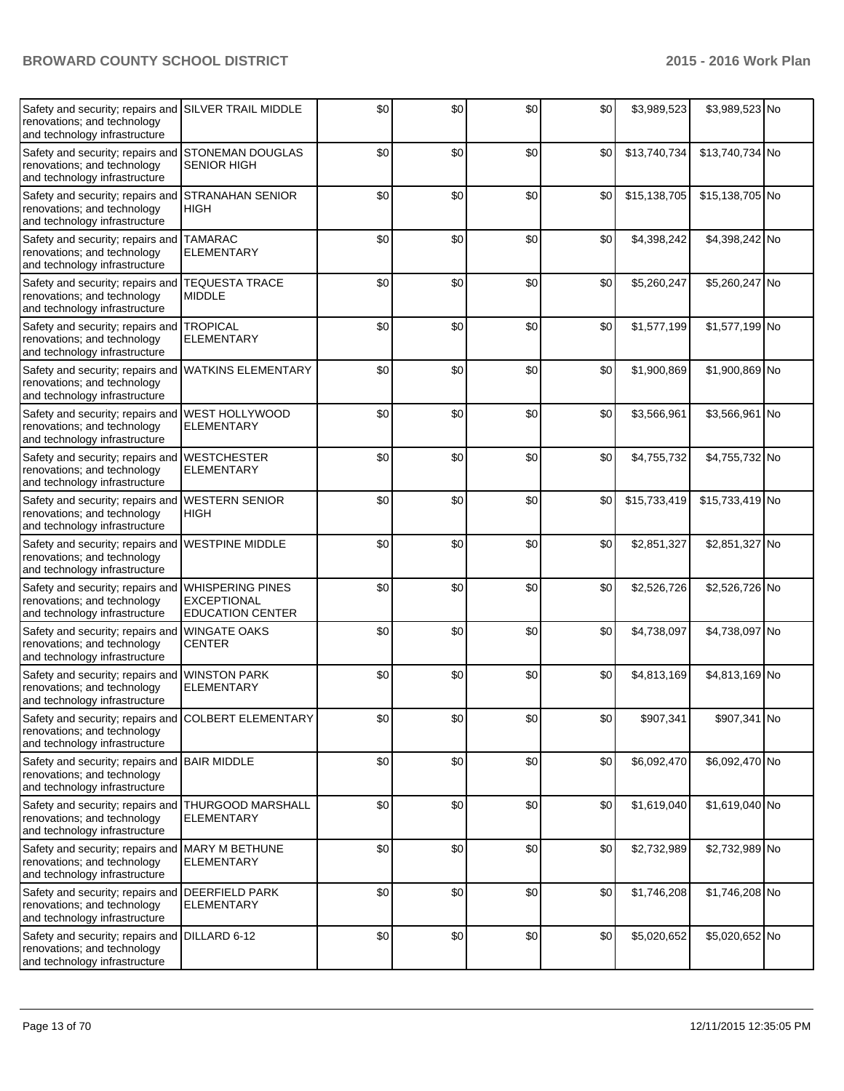| Safety and security; repairs and<br>renovations; and technology<br>and technology infrastructure                    | <b>SILVER TRAIL MIDDLE</b>                                               | \$0 | \$0 | \$0 | \$0 | \$3,989,523  | \$3,989,523 No  |  |
|---------------------------------------------------------------------------------------------------------------------|--------------------------------------------------------------------------|-----|-----|-----|-----|--------------|-----------------|--|
| Safety and security; repairs and<br>renovations; and technology<br>and technology infrastructure                    | <b>STONEMAN DOUGLAS</b><br><b>SENIOR HIGH</b>                            | \$0 | \$0 | \$0 | \$0 | \$13,740,734 | \$13,740,734 No |  |
| Safety and security; repairs and<br>renovations; and technology<br>and technology infrastructure                    | <b>STRANAHAN SENIOR</b><br>HIGH                                          | \$0 | \$0 | \$0 | \$0 | \$15,138,705 | \$15,138,705 No |  |
| Safety and security; repairs and TAMARAC<br>renovations; and technology<br>and technology infrastructure            | <b>ELEMENTARY</b>                                                        | \$0 | \$0 | \$0 | \$0 | \$4,398,242  | \$4,398,242 No  |  |
| Safety and security; repairs and<br>renovations; and technology<br>and technology infrastructure                    | <b>TEQUESTA TRACE</b><br><b>MIDDLE</b>                                   | \$0 | \$0 | \$0 | \$0 | \$5,260,247  | \$5,260,247 No  |  |
| Safety and security; repairs and<br>renovations; and technology<br>and technology infrastructure                    | <b>TROPICAL</b><br><b>ELEMENTARY</b>                                     | \$0 | \$0 | \$0 | \$0 | \$1,577,199  | \$1,577,199 No  |  |
| Safety and security; repairs and WATKINS ELEMENTARY<br>renovations; and technology<br>and technology infrastructure |                                                                          | \$0 | \$0 | \$0 | \$0 | \$1,900,869  | \$1,900,869 No  |  |
| Safety and security; repairs and WEST HOLLYWOOD<br>renovations; and technology<br>and technology infrastructure     | <b>ELEMENTARY</b>                                                        | \$0 | \$0 | \$0 | \$0 | \$3,566,961  | \$3,566,961 No  |  |
| Safety and security; repairs and<br>renovations; and technology<br>and technology infrastructure                    | <b>WESTCHESTER</b><br><b>ELEMENTARY</b>                                  | \$0 | \$0 | \$0 | \$0 | \$4,755,732  | \$4,755,732 No  |  |
| Safety and security; repairs and<br>renovations; and technology<br>and technology infrastructure                    | <b>WESTERN SENIOR</b><br><b>HIGH</b>                                     | \$0 | \$0 | \$0 | \$0 | \$15,733,419 | \$15,733,419 No |  |
| Safety and security; repairs and WESTPINE MIDDLE<br>renovations; and technology<br>and technology infrastructure    |                                                                          | \$0 | \$0 | \$0 | \$0 | \$2,851,327  | \$2,851,327 No  |  |
| Safety and security; repairs and<br>renovations; and technology<br>and technology infrastructure                    | <b>WHISPERING PINES</b><br><b>EXCEPTIONAL</b><br><b>EDUCATION CENTER</b> | \$0 | \$0 | \$0 | \$0 | \$2,526,726  | \$2,526,726 No  |  |
| Safety and security; repairs and<br>renovations; and technology<br>and technology infrastructure                    | <b>WINGATE OAKS</b><br>CENTER                                            | \$0 | \$0 | \$0 | \$0 | \$4,738,097  | \$4,738,097 No  |  |
| Safety and security; repairs and<br>renovations; and technology<br>and technology infrastructure                    | <b>WINSTON PARK</b><br><b>ELEMENTARY</b>                                 | \$0 | \$0 | \$0 | \$0 | \$4,813,169  | \$4,813,169 No  |  |
| Safety and security; repairs and COLBERT ELEMENTARY<br>renovations; and technology<br>and technology infrastructure |                                                                          | \$0 | \$0 | \$0 | \$0 | \$907,341    | \$907,341 No    |  |
| Safety and security; repairs and BAIR MIDDLE<br>renovations; and technology<br>and technology infrastructure        |                                                                          | \$0 | \$0 | \$0 | \$0 | \$6,092,470  | \$6,092,470 No  |  |
| Safety and security; repairs and<br>renovations; and technology<br>and technology infrastructure                    | <b>THURGOOD MARSHALL</b><br><b>ELEMENTARY</b>                            | \$0 | \$0 | \$0 | \$0 | \$1,619,040  | \$1,619,040 No  |  |
| Safety and security; repairs and MARY M BETHUNE<br>renovations; and technology<br>and technology infrastructure     | <b>ELEMENTARY</b>                                                        | \$0 | \$0 | \$0 | \$0 | \$2,732,989  | \$2,732,989 No  |  |
| Safety and security; repairs and DEERFIELD PARK<br>renovations; and technology<br>and technology infrastructure     | <b>ELEMENTARY</b>                                                        | \$0 | \$0 | \$0 | \$0 | \$1,746,208  | \$1,746,208 No  |  |
| Safety and security; repairs and DILLARD 6-12<br>renovations; and technology<br>and technology infrastructure       |                                                                          | \$0 | \$0 | \$0 | \$0 | \$5,020,652  | \$5,020,652 No  |  |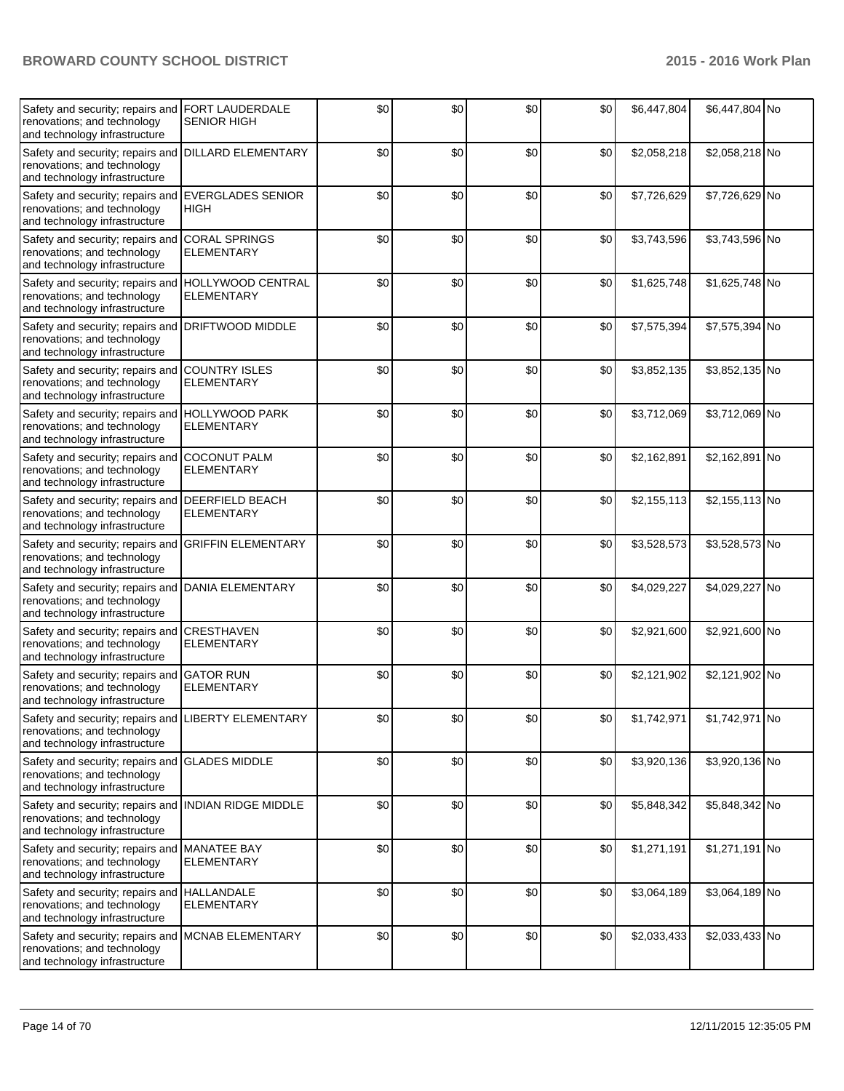| Safety and security; repairs and<br>renovations; and technology<br>and technology infrastructure                    | <b>FORT LAUDERDALE</b><br><b>SENIOR HIGH</b>  | \$0 | \$0 | \$0 | \$0 | \$6,447,804 | \$6,447,804 No |  |
|---------------------------------------------------------------------------------------------------------------------|-----------------------------------------------|-----|-----|-----|-----|-------------|----------------|--|
| Safety and security; repairs and<br>renovations; and technology<br>and technology infrastructure                    | <b>DILLARD ELEMENTARY</b>                     | \$0 | \$0 | \$0 | \$0 | \$2,058,218 | \$2,058,218 No |  |
| Safety and security; repairs and<br>renovations; and technology<br>and technology infrastructure                    | <b>EVERGLADES SENIOR</b><br>HIGH              | \$0 | \$0 | \$0 | \$0 | \$7,726,629 | \$7,726,629 No |  |
| Safety and security; repairs and CORAL SPRINGS<br>renovations; and technology<br>and technology infrastructure      | <b>ELEMENTARY</b>                             | \$0 | \$0 | \$0 | \$0 | \$3,743,596 | \$3,743,596 No |  |
| Safety and security; repairs and<br>renovations; and technology<br>and technology infrastructure                    | <b>HOLLYWOOD CENTRAL</b><br><b>ELEMENTARY</b> | \$0 | \$0 | \$0 | \$0 | \$1,625,748 | \$1,625,748 No |  |
| Safety and security; repairs and<br>renovations; and technology<br>and technology infrastructure                    | <b>DRIFTWOOD MIDDLE</b>                       | \$0 | \$0 | \$0 | \$0 | \$7,575,394 | \$7,575,394 No |  |
| Safety and security; repairs and COUNTRY ISLES<br>renovations; and technology<br>and technology infrastructure      | <b>ELEMENTARY</b>                             | \$0 | \$0 | \$0 | \$0 | \$3,852,135 | \$3,852,135 No |  |
| Safety and security; repairs and HOLLYWOOD PARK<br>renovations; and technology<br>and technology infrastructure     | <b>ELEMENTARY</b>                             | \$0 | \$0 | \$0 | \$0 | \$3,712,069 | \$3,712,069 No |  |
| Safety and security; repairs and<br>renovations; and technology<br>and technology infrastructure                    | <b>COCONUT PALM</b><br><b>ELEMENTARY</b>      | \$0 | \$0 | \$0 | \$0 | \$2,162,891 | \$2,162,891 No |  |
| Safety and security; repairs and<br>renovations; and technology<br>and technology infrastructure                    | <b>DEERFIELD BEACH</b><br><b>ELEMENTARY</b>   | \$0 | \$0 | \$0 | \$0 | \$2,155,113 | \$2,155,113 No |  |
| Safety and security; repairs and GRIFFIN ELEMENTARY<br>renovations; and technology<br>and technology infrastructure |                                               | \$0 | \$0 | \$0 | \$0 | \$3,528,573 | \$3,528,573 No |  |
| Safety and security; repairs and<br>renovations; and technology<br>and technology infrastructure                    | <b>DANIA ELEMENTARY</b>                       | \$0 | \$0 | \$0 | \$0 | \$4,029,227 | \$4,029,227 No |  |
| Safety and security; repairs and<br>renovations; and technology<br>and technology infrastructure                    | CRESTHAVEN<br><b>ELEMENTARY</b>               | \$0 | \$0 | \$0 | \$0 | \$2,921,600 | \$2,921,600 No |  |
| Safety and security; repairs and<br>renovations; and technology<br>and technology infrastructure                    | <b>GATOR RUN</b><br><b>ELEMENTARY</b>         | \$0 | \$0 | \$0 | \$0 | \$2,121,902 | \$2,121,902 No |  |
| Safety and security; repairs and LIBERTY ELEMENTARY<br>renovations; and technology<br>and technology infrastructure |                                               | \$0 | \$0 | \$0 | \$0 | \$1,742,971 | \$1,742,971 No |  |
| Safety and security; repairs and<br>renovations; and technology<br>and technology infrastructure                    | <b>GLADES MIDDLE</b>                          | \$0 | \$0 | \$0 | \$0 | \$3,920,136 | \$3,920,136 No |  |
| Safety and security; repairs and<br>renovations; and technology<br>and technology infrastructure                    | <b>INDIAN RIDGE MIDDLE</b>                    | \$0 | \$0 | \$0 | \$0 | \$5,848,342 | \$5,848,342 No |  |
| Safety and security; repairs and MANATEE BAY<br>renovations; and technology<br>and technology infrastructure        | ELEMENTARY                                    | \$0 | \$0 | \$0 | \$0 | \$1,271,191 | \$1,271,191 No |  |
| Safety and security; repairs and HALLANDALE<br>renovations; and technology<br>and technology infrastructure         | <b>ELEMENTARY</b>                             | \$0 | \$0 | \$0 | \$0 | \$3,064,189 | \$3,064,189 No |  |
| Safety and security; repairs and MCNAB ELEMENTARY<br>renovations; and technology<br>and technology infrastructure   |                                               | \$0 | \$0 | \$0 | \$0 | \$2,033,433 | \$2,033,433 No |  |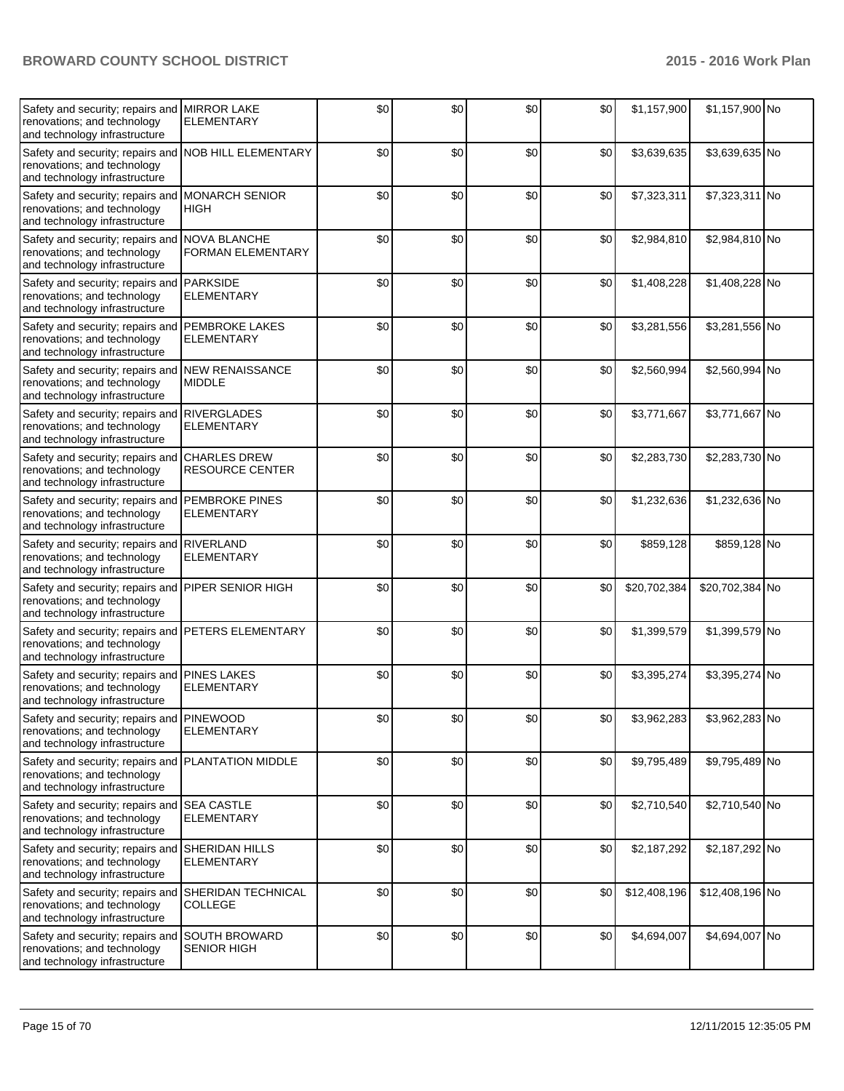| Safety and security; repairs and<br>renovations; and technology<br>and technology infrastructure                 | <b>MIRROR LAKE</b><br><b>ELEMENTARY</b>    | \$0   | \$0 | \$0 | \$0 | \$1,157,900  | \$1,157,900 No  |  |
|------------------------------------------------------------------------------------------------------------------|--------------------------------------------|-------|-----|-----|-----|--------------|-----------------|--|
| Safety and security; repairs and<br>renovations; and technology<br>and technology infrastructure                 | <b>NOB HILL ELEMENTARY</b>                 | \$0   | \$0 | \$0 | \$0 | \$3,639,635  | \$3,639,635 No  |  |
| Safety and security; repairs and<br>renovations; and technology<br>and technology infrastructure                 | <b>MONARCH SENIOR</b><br><b>HIGH</b>       | \$0   | \$0 | \$0 | \$0 | \$7,323,311  | \$7,323,311 No  |  |
| Safety and security; repairs and<br>renovations; and technology<br>and technology infrastructure                 | <b>NOVA BLANCHE</b><br>FORMAN ELEMENTARY   | \$0   | \$0 | \$0 | \$0 | \$2,984,810  | \$2,984,810 No  |  |
| Safety and security; repairs and<br>renovations; and technology<br>and technology infrastructure                 | <b>PARKSIDE</b><br><b>ELEMENTARY</b>       | \$0   | \$0 | \$0 | \$0 | \$1,408,228  | \$1,408,228 No  |  |
| Safety and security; repairs and<br>renovations; and technology<br>and technology infrastructure                 | <b>PEMBROKE LAKES</b><br><b>ELEMENTARY</b> | \$0   | \$0 | \$0 | \$0 | \$3,281,556  | \$3,281,556 No  |  |
| Safety and security; repairs and NEW RENAISSANCE<br>renovations; and technology<br>and technology infrastructure | <b>MIDDLE</b>                              | \$0   | \$0 | \$0 | \$0 | \$2,560,994  | \$2,560,994 No  |  |
| Safety and security; repairs and<br>renovations; and technology<br>and technology infrastructure                 | <b>RIVERGLADES</b><br><b>ELEMENTARY</b>    | \$0   | \$0 | \$0 | \$0 | \$3,771,667  | \$3,771,667 No  |  |
| Safety and security; repairs and<br>renovations; and technology<br>and technology infrastructure                 | <b>CHARLES DREW</b><br>RESOURCE CENTER     | \$0   | \$0 | \$0 | \$0 | \$2,283,730  | \$2,283,730 No  |  |
| Safety and security; repairs and<br>renovations; and technology<br>and technology infrastructure                 | <b>PEMBROKE PINES</b><br><b>ELEMENTARY</b> | \$0   | \$0 | \$0 | \$0 | \$1,232,636  | \$1,232,636 No  |  |
| Safety and security; repairs and<br>renovations; and technology<br>and technology infrastructure                 | <b>RIVERLAND</b><br><b>ELEMENTARY</b>      | \$0   | \$0 | \$0 | \$0 | \$859,128    | \$859,128 No    |  |
| Safety and security; repairs and<br>renovations; and technology<br>and technology infrastructure                 | PIPER SENIOR HIGH                          | \$0   | \$0 | \$0 | \$0 | \$20,702,384 | \$20,702,384 No |  |
| Safety and security; repairs and<br>renovations; and technology<br>and technology infrastructure                 | PETERS ELEMENTARY                          | \$0   | \$0 | \$0 | \$0 | \$1,399,579  | \$1,399,579 No  |  |
| Safety and security; repairs and<br>renovations; and technology<br>and technology infrastructure                 | <b>PINES LAKES</b><br>ELEMENTARY           | \$0   | \$0 | \$0 | \$0 | \$3,395,274  | \$3,395,274 No  |  |
| Safety and security; repairs and PINEWOOD<br>renovations; and technology<br>and technology infrastructure        | <b>ELEMENTARY</b>                          | $\$0$ | \$0 | \$0 | \$0 | \$3,962,283  | \$3,962,283 No  |  |
| Safety and security; repairs and<br>renovations; and technology<br>and technology infrastructure                 | <b>PLANTATION MIDDLE</b>                   | \$0   | \$0 | \$0 | \$0 | \$9,795,489  | \$9,795,489 No  |  |
| Safety and security; repairs and<br>renovations; and technology<br>and technology infrastructure                 | <b>SEA CASTLE</b><br><b>ELEMENTARY</b>     | \$0   | \$0 | \$0 | \$0 | \$2,710,540  | \$2,710,540 No  |  |
| Safety and security; repairs and SHERIDAN HILLS<br>renovations; and technology<br>and technology infrastructure  | <b>ELEMENTARY</b>                          | \$0   | \$0 | \$0 | \$0 | \$2,187,292  | \$2,187,292 No  |  |
| Safety and security; repairs and<br>renovations; and technology<br>and technology infrastructure                 | SHERIDAN TECHNICAL<br><b>COLLEGE</b>       | \$0   | \$0 | \$0 | \$0 | \$12,408,196 | \$12,408,196 No |  |
| Safety and security; repairs and<br>renovations; and technology<br>and technology infrastructure                 | <b>SOUTH BROWARD</b><br><b>SENIOR HIGH</b> | \$0   | \$0 | \$0 | \$0 | \$4,694,007  | \$4,694,007 No  |  |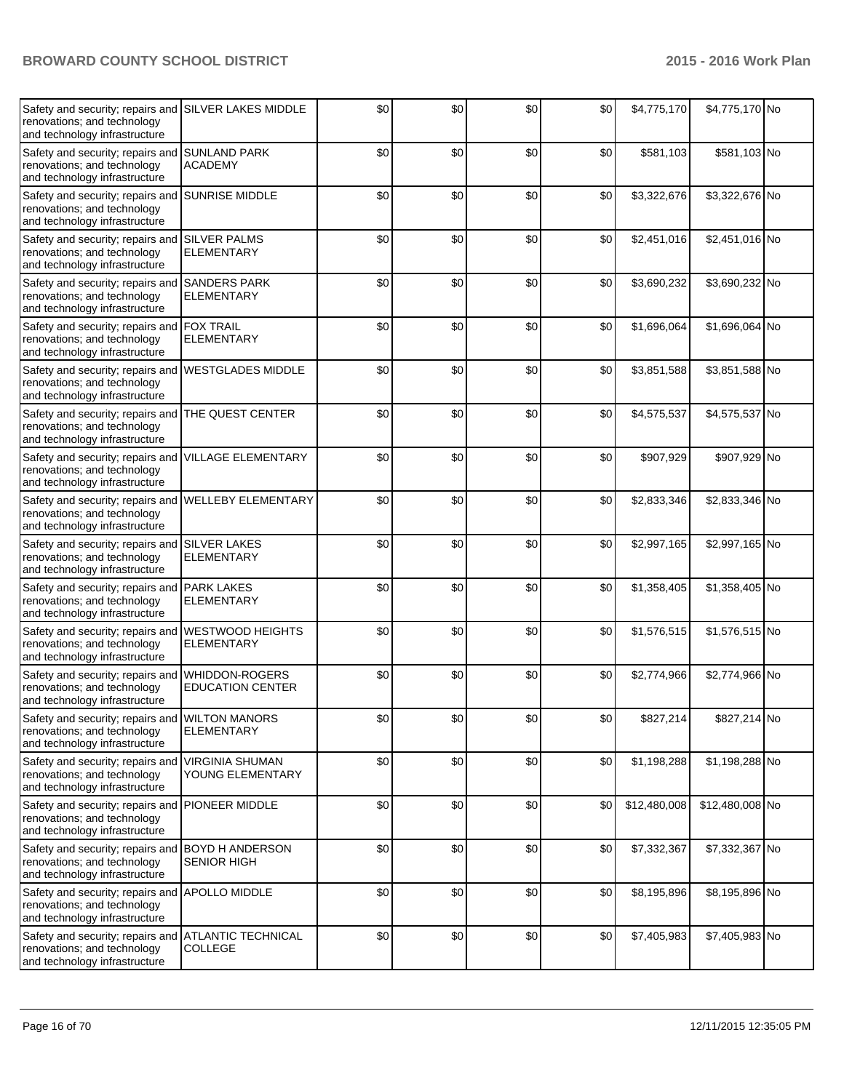| Safety and security; repairs and<br>renovations; and technology<br>and technology infrastructure                    | <b>SILVER LAKES MIDDLE</b>                       | \$0 | \$0 | \$0 | \$0 | \$4,775,170  | \$4,775,170 No  |  |
|---------------------------------------------------------------------------------------------------------------------|--------------------------------------------------|-----|-----|-----|-----|--------------|-----------------|--|
| Safety and security; repairs and<br>renovations; and technology<br>and technology infrastructure                    | <b>SUNLAND PARK</b><br><b>ACADEMY</b>            | \$0 | \$0 | \$0 | \$0 | \$581,103    | \$581,103 No    |  |
| Safety and security; repairs and SUNRISE MIDDLE<br>renovations; and technology<br>and technology infrastructure     |                                                  | \$0 | \$0 | \$0 | \$0 | \$3,322,676  | \$3,322,676 No  |  |
| Safety and security; repairs and SILVER PALMS<br>renovations; and technology<br>and technology infrastructure       | <b>ELEMENTARY</b>                                | \$0 | \$0 | \$0 | \$0 | \$2,451,016  | \$2,451,016 No  |  |
| Safety and security; repairs and<br>renovations; and technology<br>and technology infrastructure                    | <b>SANDERS PARK</b><br><b>ELEMENTARY</b>         | \$0 | \$0 | \$0 | \$0 | \$3,690,232  | \$3,690,232 No  |  |
| Safety and security; repairs and<br>renovations; and technology<br>and technology infrastructure                    | <b>FOX TRAIL</b><br><b>ELEMENTARY</b>            | \$0 | \$0 | \$0 | \$0 | \$1,696,064  | \$1,696,064 No  |  |
| Safety and security; repairs and WESTGLADES MIDDLE<br>renovations; and technology<br>and technology infrastructure  |                                                  | \$0 | \$0 | \$0 | \$0 | \$3,851,588  | \$3,851,588 No  |  |
| Safety and security; repairs and<br>renovations; and technology<br>and technology infrastructure                    | THE QUEST CENTER                                 | \$0 | \$0 | \$0 | \$0 | \$4,575,537  | \$4,575,537 No  |  |
| Safety and security; repairs and<br>renovations; and technology<br>and technology infrastructure                    | <b>VILLAGE ELEMENTARY</b>                        | \$0 | \$0 | \$0 | \$0 | \$907,929    | \$907,929 No    |  |
| Safety and security; repairs and<br>renovations; and technology<br>and technology infrastructure                    | <b>WELLEBY ELEMENTARY</b>                        | \$0 | \$0 | \$0 | \$0 | \$2,833,346  | \$2,833,346 No  |  |
| Safety and security; repairs and SILVER LAKES<br>renovations; and technology<br>and technology infrastructure       | <b>ELEMENTARY</b>                                | \$0 | \$0 | \$0 | \$0 | \$2,997,165  | \$2,997,165 No  |  |
| Safety and security; repairs and<br>renovations; and technology<br>and technology infrastructure                    | <b>PARK LAKES</b><br><b>ELEMENTARY</b>           | \$0 | \$0 | \$0 | \$0 | \$1,358,405  | \$1,358,405 No  |  |
| Safety and security; repairs and<br>renovations; and technology<br>and technology infrastructure                    | <b>WESTWOOD HEIGHTS</b><br><b>ELEMENTARY</b>     | \$0 | \$0 | \$0 | \$0 | \$1,576,515  | \$1,576,515 No  |  |
| Safety and security; repairs and<br>renovations; and technology<br>and technology infrastructure                    | <b>WHIDDON-ROGERS</b><br><b>EDUCATION CENTER</b> | \$0 | \$0 | \$0 | \$0 | \$2,774,966  | \$2,774,966 No  |  |
| Safety and security; repairs and WILTON MANORS<br>renovations; and technology<br>and technology infrastructure      | <b>ELEMENTARY</b>                                | \$0 | \$0 | \$0 | \$0 | \$827,214    | \$827,214 No    |  |
| Safety and security; repairs and<br>renovations; and technology<br>and technology infrastructure                    | <b>VIRGINIA SHUMAN</b><br>YOUNG ELEMENTARY       | \$0 | \$0 | \$0 | \$0 | \$1,198,288  | \$1,198,288 No  |  |
| Safety and security; repairs and<br>renovations; and technology<br>and technology infrastructure                    | <b>PIONEER MIDDLE</b>                            | \$0 | \$0 | \$0 | \$0 | \$12,480,008 | \$12,480,008 No |  |
| Safety and security; repairs and BOYD H ANDERSON<br>renovations; and technology<br>and technology infrastructure    | SENIOR HIGH                                      | \$0 | \$0 | \$0 | \$0 | \$7,332,367  | \$7,332,367 No  |  |
| Safety and security; repairs and APOLLO MIDDLE<br>renovations; and technology<br>and technology infrastructure      |                                                  | \$0 | \$0 | \$0 | \$0 | \$8,195,896  | \$8,195,896 No  |  |
| Safety and security; repairs and ATLANTIC TECHNICAL<br>renovations; and technology<br>and technology infrastructure | <b>COLLEGE</b>                                   | \$0 | \$0 | \$0 | \$0 | \$7,405,983  | \$7,405,983 No  |  |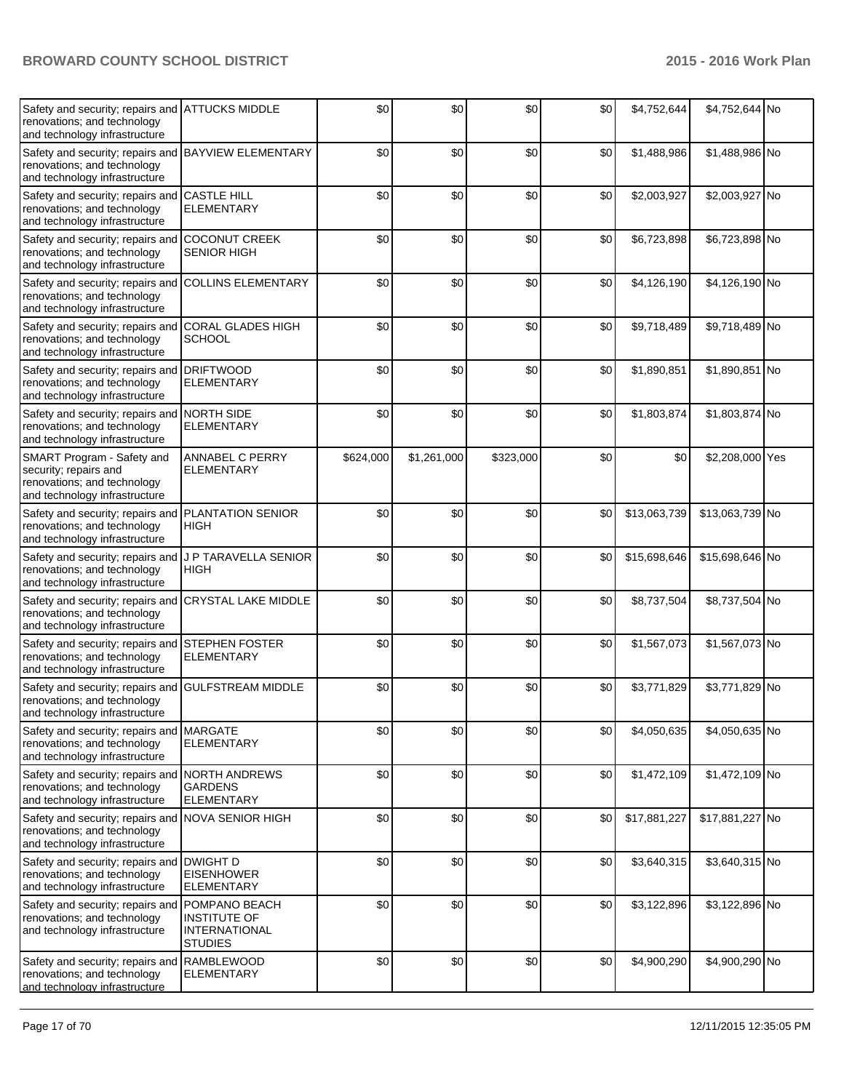| Safety and security; repairs and ATTUCKS MIDDLE<br>renovations; and technology<br>and technology infrastructure      |                                                                                | \$0       | \$0         | \$0       | \$0 | \$4,752,644  | \$4,752,644 No  |  |
|----------------------------------------------------------------------------------------------------------------------|--------------------------------------------------------------------------------|-----------|-------------|-----------|-----|--------------|-----------------|--|
| Safety and security; repairs and BAYVIEW ELEMENTARY<br>renovations; and technology<br>and technology infrastructure  |                                                                                | \$0       | \$0         | \$0       | \$0 | \$1,488,986  | \$1,488,986 No  |  |
| Safety and security; repairs and CASTLE HILL<br>renovations; and technology<br>and technology infrastructure         | <b>ELEMENTARY</b>                                                              | \$0       | \$0         | \$0       | \$0 | \$2,003,927  | \$2,003,927 No  |  |
| Safety and security; repairs and<br>renovations; and technology<br>and technology infrastructure                     | <b>COCONUT CREEK</b><br><b>SENIOR HIGH</b>                                     | \$0       | \$0         | \$0       | \$0 | \$6,723,898  | \$6,723,898 No  |  |
| Safety and security; repairs and<br>renovations; and technology<br>and technology infrastructure                     | <b>COLLINS ELEMENTARY</b>                                                      | \$0       | \$0         | \$0       | \$0 | \$4,126,190  | \$4,126,190 No  |  |
| Safety and security; repairs and<br>renovations; and technology<br>and technology infrastructure                     | <b>CORAL GLADES HIGH</b><br><b>SCHOOL</b>                                      | \$0       | \$0         | \$0       | \$0 | \$9,718,489  | \$9,718,489 No  |  |
| Safety and security; repairs and DRIFTWOOD<br>renovations; and technology<br>and technology infrastructure           | <b>ELEMENTARY</b>                                                              | \$0       | \$0         | \$0       | \$0 | \$1,890,851  | \$1,890,851 No  |  |
| Safety and security; repairs and NORTH SIDE<br>renovations; and technology<br>and technology infrastructure          | <b>ELEMENTARY</b>                                                              | \$0       | \$0         | \$0       | \$0 | \$1,803,874  | \$1,803,874 No  |  |
| SMART Program - Safety and<br>security; repairs and<br>renovations; and technology<br>and technology infrastructure  | ANNABEL C PERRY<br><b>ELEMENTARY</b>                                           | \$624,000 | \$1,261,000 | \$323,000 | \$0 | \$0          | \$2,208,000 Yes |  |
| Safety and security; repairs and<br>renovations; and technology<br>and technology infrastructure                     | <b>PLANTATION SENIOR</b><br><b>HIGH</b>                                        | \$0       | \$0         | \$0       | \$0 | \$13,063,739 | \$13,063,739 No |  |
| Safety and security; repairs and<br>renovations; and technology<br>and technology infrastructure                     | J P TARAVELLA SENIOR<br><b>HIGH</b>                                            | \$0       | \$0         | \$0       | \$0 | \$15,698,646 | \$15,698,646 No |  |
| Safety and security; repairs and CRYSTAL LAKE MIDDLE<br>renovations; and technology<br>and technology infrastructure |                                                                                | \$0       | \$0         | \$0       | \$0 | \$8,737,504  | \$8,737,504 No  |  |
| Safety and security; repairs and STEPHEN FOSTER<br>renovations; and technology<br>and technology infrastructure      | <b>ELEMENTARY</b>                                                              | \$0       | \$0         | \$0       | \$0 | \$1,567,073  | \$1,567,073 No  |  |
| Safety and security; repairs and<br>renovations; and technology<br>and technology infrastructure                     | <b>GULFSTREAM MIDDLE</b>                                                       | \$0       | \$0         | \$0       | \$0 | \$3,771,829  | \$3,771,829 No  |  |
| Safety and security; repairs and MARGATE<br>renovations; and technology<br>and technology infrastructure             | <b>ELEMENTARY</b>                                                              | \$0       | \$0         | \$0       | \$0 | \$4,050,635  | \$4,050,635 No  |  |
| Safety and security; repairs and NORTH ANDREWS<br>renovations; and technology<br>and technology infrastructure       | <b>GARDENS</b><br><b>ELEMENTARY</b>                                            | \$0       | \$0         | \$0       | \$0 | \$1,472,109  | \$1,472,109 No  |  |
| Safety and security; repairs and NOVA SENIOR HIGH<br>renovations; and technology<br>and technology infrastructure    |                                                                                | \$0       | \$0         | \$0       | \$0 | \$17,881,227 | \$17,881,227 No |  |
| Safety and security; repairs and DWIGHT D<br>renovations; and technology<br>and technology infrastructure            | <b>EISENHOWER</b><br><b>ELEMENTARY</b>                                         | \$0       | \$0         | \$0       | \$0 | \$3,640,315  | \$3,640,315 No  |  |
| Safety and security; repairs and<br>renovations; and technology<br>and technology infrastructure                     | POMPANO BEACH<br><b>INSTITUTE OF</b><br><b>INTERNATIONAL</b><br><b>STUDIES</b> | \$0       | \$0         | \$0       | \$0 | \$3,122,896  | \$3,122,896 No  |  |
| Safety and security; repairs and RAMBLEWOOD<br>renovations; and technology<br>and technology infrastructure          | <b>ELEMENTARY</b>                                                              | \$0       | \$0         | \$0       | \$0 | \$4,900,290  | \$4,900,290 No  |  |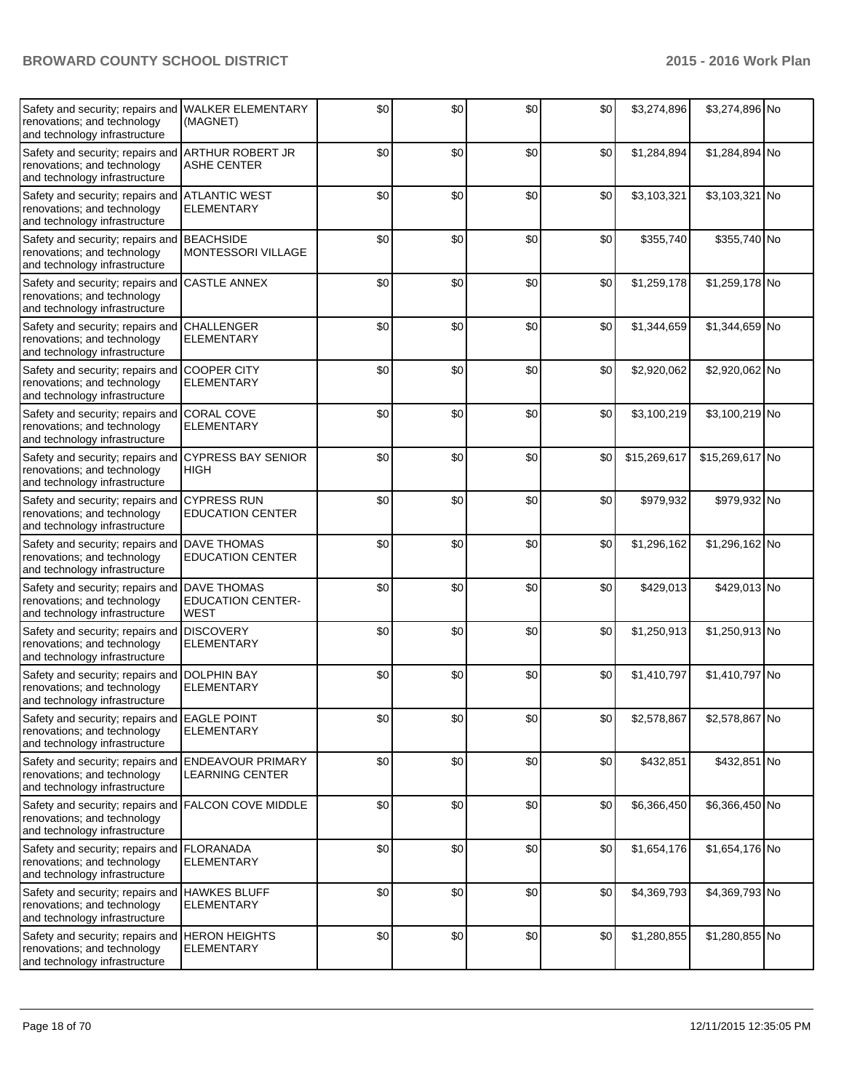| Safety and security; repairs and<br>renovations; and technology<br>and technology infrastructure             | <b>WALKER ELEMENTARY</b><br>(MAGNET)                          | \$0 | \$0 | \$0   | \$0   | \$3,274,896  | \$3,274,896 No  |  |
|--------------------------------------------------------------------------------------------------------------|---------------------------------------------------------------|-----|-----|-------|-------|--------------|-----------------|--|
| Safety and security; repairs and<br>renovations; and technology<br>and technology infrastructure             | <b>ARTHUR ROBERT JR</b><br>ASHE CENTER                        | \$0 | \$0 | \$0   | \$0   | \$1,284,894  | \$1,284,894 No  |  |
| Safety and security; repairs and<br>renovations; and technology<br>and technology infrastructure             | <b>ATLANTIC WEST</b><br>ELEMENTARY                            | \$0 | \$0 | \$0   | \$0   | \$3,103,321  | \$3,103,321 No  |  |
| Safety and security; repairs and BEACHSIDE<br>renovations; and technology<br>and technology infrastructure   | <b>MONTESSORI VILLAGE</b>                                     | \$0 | \$0 | \$0   | \$0   | \$355,740    | \$355,740 No    |  |
| Safety and security; repairs and<br>renovations; and technology<br>and technology infrastructure             | <b>CASTLE ANNEX</b>                                           | \$0 | \$0 | \$0   | \$0   | \$1,259,178  | \$1,259,178 No  |  |
| Safety and security; repairs and<br>renovations; and technology<br>and technology infrastructure             | <b>CHALLENGER</b><br><b>ELEMENTARY</b>                        | \$0 | \$0 | \$0   | \$0   | \$1,344,659  | \$1,344,659 No  |  |
| Safety and security; repairs and<br>renovations; and technology<br>and technology infrastructure             | <b>COOPER CITY</b><br><b>ELEMENTARY</b>                       | \$0 | \$0 | \$0   | \$0   | \$2,920,062  | \$2,920,062 No  |  |
| Safety and security; repairs and<br>renovations; and technology<br>and technology infrastructure             | <b>CORAL COVE</b><br><b>ELEMENTARY</b>                        | \$0 | \$0 | \$0   | \$0   | \$3,100,219  | \$3,100,219 No  |  |
| Safety and security; repairs and<br>renovations; and technology<br>and technology infrastructure             | <b>CYPRESS BAY SENIOR</b><br><b>HIGH</b>                      | \$0 | \$0 | \$0   | \$0   | \$15,269,617 | \$15,269,617 No |  |
| Safety and security; repairs and<br>renovations; and technology<br>and technology infrastructure             | <b>CYPRESS RUN</b><br><b>EDUCATION CENTER</b>                 | \$0 | \$0 | \$0   | \$0   | \$979,932    | \$979,932 No    |  |
| Safety and security; repairs and<br>renovations; and technology<br>and technology infrastructure             | <b>DAVE THOMAS</b><br><b>EDUCATION CENTER</b>                 | \$0 | \$0 | \$0   | \$0   | \$1,296,162  | \$1,296,162 No  |  |
| Safety and security; repairs and<br>renovations; and technology<br>and technology infrastructure             | <b>DAVE THOMAS</b><br><b>EDUCATION CENTER-</b><br><b>WEST</b> | \$0 | \$0 | \$0   | \$0   | \$429,013    | \$429,013 No    |  |
| Safety and security; repairs and<br>renovations; and technology<br>and technology infrastructure             | <b>DISCOVERY</b><br><b>ELEMENTARY</b>                         | \$0 | \$0 | \$0   | \$0   | \$1,250,913  | \$1,250,913 No  |  |
| Safety and security; repairs and<br>renovations; and technology<br>and technology infrastructure             | <b>DOLPHIN BAY</b><br>ELEMENTARY                              | \$0 | \$0 | \$0   | \$0   | \$1,410,797  | \$1,410,797 No  |  |
| Safety and security; repairs and EAGLE POINT<br>renovations; and technology<br>and technology infrastructure | <b>ELEMENTARY</b>                                             | \$0 | \$0 | $\$0$ | $\$0$ | \$2,578,867  | \$2,578,867 No  |  |
| Safety and security; repairs and<br>renovations; and technology<br>and technology infrastructure             | <b>ENDEAVOUR PRIMARY</b><br><b>LEARNING CENTER</b>            | \$0 | \$0 | \$0   | \$0   | \$432,851    | \$432,851 No    |  |
| Safety and security; repairs and<br>renovations; and technology<br>and technology infrastructure             | <b>FALCON COVE MIDDLE</b>                                     | \$0 | \$0 | \$0   | \$0   | \$6,366,450  | \$6,366,450 No  |  |
| Safety and security; repairs and<br>renovations; and technology<br>and technology infrastructure             | <b>FLORANADA</b><br><b>ELEMENTARY</b>                         | \$0 | \$0 | \$0   | \$0   | \$1,654,176  | \$1,654,176 No  |  |
| Safety and security; repairs and<br>renovations; and technology<br>and technology infrastructure             | <b>HAWKES BLUFF</b><br><b>ELEMENTARY</b>                      | \$0 | \$0 | \$0   | \$0   | \$4,369,793  | \$4,369,793 No  |  |
| Safety and security; repairs and<br>renovations; and technology<br>and technology infrastructure             | <b>HERON HEIGHTS</b><br><b>ELEMENTARY</b>                     | \$0 | \$0 | \$0   | \$0   | \$1,280,855  | \$1,280,855 No  |  |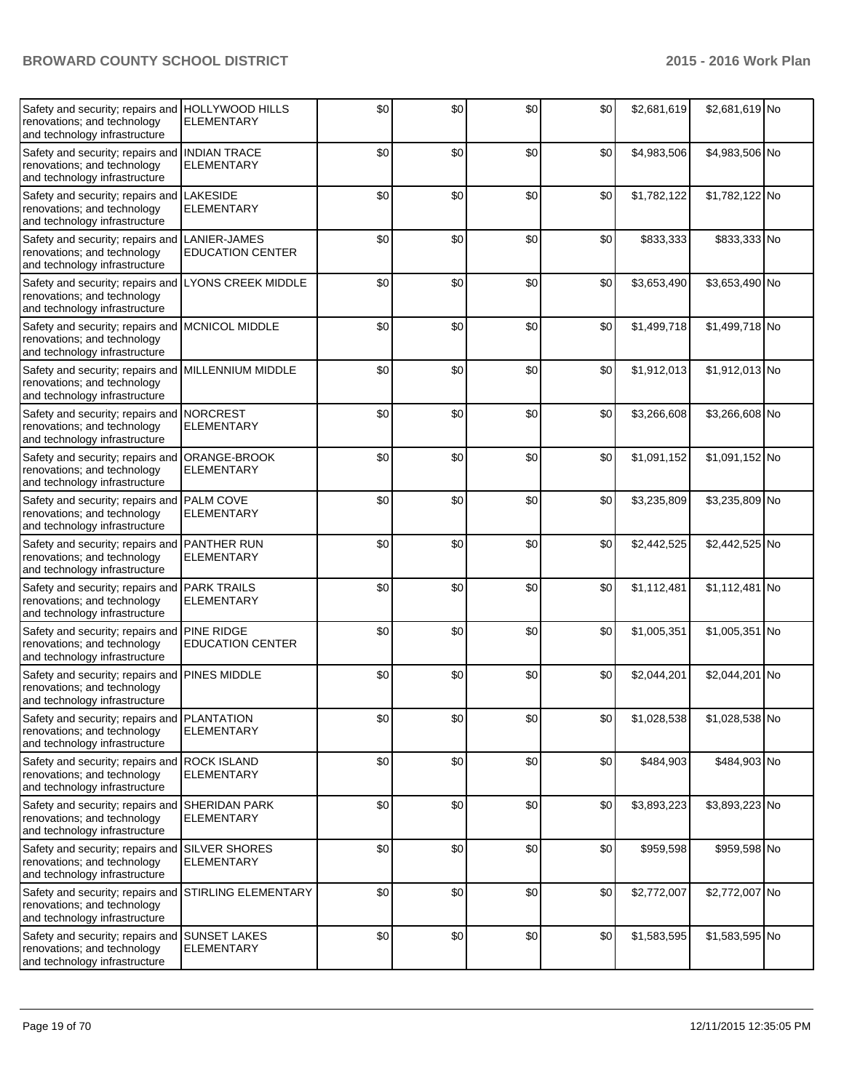| Safety and security; repairs and<br>renovations; and technology<br>and technology infrastructure                     | <b>HOLLYWOOD HILLS</b><br><b>ELEMENTARY</b>  | \$0 | \$0 | \$0   | \$0 | \$2,681,619 | \$2,681,619 No |  |
|----------------------------------------------------------------------------------------------------------------------|----------------------------------------------|-----|-----|-------|-----|-------------|----------------|--|
| Safety and security; repairs and<br>renovations; and technology<br>and technology infrastructure                     | <b>INDIAN TRACE</b><br><b>ELEMENTARY</b>     | \$0 | \$0 | \$0   | \$0 | \$4,983,506 | \$4,983,506 No |  |
| Safety and security; repairs and<br>renovations; and technology<br>and technology infrastructure                     | <b>LAKESIDE</b><br>ELEMENTARY                | \$0 | \$0 | \$0   | \$0 | \$1,782,122 | \$1,782,122 No |  |
| Safety and security; repairs and<br>renovations; and technology<br>and technology infrastructure                     | LANIER-JAMES<br><b>EDUCATION CENTER</b>      | \$0 | \$0 | \$0   | \$0 | \$833,333   | \$833,333 No   |  |
| Safety and security; repairs and<br>renovations; and technology<br>and technology infrastructure                     | <b>LYONS CREEK MIDDLE</b>                    | \$0 | \$0 | \$0   | \$0 | \$3,653,490 | \$3,653,490 No |  |
| Safety and security; repairs and<br>renovations; and technology<br>and technology infrastructure                     | <b>MCNICOL MIDDLE</b>                        | \$0 | \$0 | \$0   | \$0 | \$1,499,718 | \$1,499,718 No |  |
| Safety and security; repairs and<br>renovations; and technology<br>and technology infrastructure                     | MILLENNIUM MIDDLE                            | \$0 | \$0 | \$0   | \$0 | \$1,912,013 | \$1,912,013 No |  |
| Safety and security; repairs and<br>renovations; and technology<br>and technology infrastructure                     | <b>NORCREST</b><br><b>ELEMENTARY</b>         | \$0 | \$0 | \$0   | \$0 | \$3,266,608 | \$3,266,608 No |  |
| Safety and security; repairs and<br>renovations; and technology<br>and technology infrastructure                     | ORANGE-BROOK<br><b>ELEMENTARY</b>            | \$0 | \$0 | \$0   | \$0 | \$1,091,152 | \$1,091,152 No |  |
| Safety and security; repairs and<br>renovations; and technology<br>and technology infrastructure                     | PALM COVE<br><b>ELEMENTARY</b>               | \$0 | \$0 | \$0   | \$0 | \$3,235,809 | \$3,235,809 No |  |
| Safety and security; repairs and PANTHER RUN<br>renovations; and technology<br>and technology infrastructure         | <b>ELEMENTARY</b>                            | \$0 | \$0 | \$0   | \$0 | \$2,442,525 | \$2,442,525 No |  |
| Safety and security; repairs and PARK TRAILS<br>renovations; and technology<br>and technology infrastructure         | <b>ELEMENTARY</b>                            | \$0 | \$0 | \$0   | \$0 | \$1,112,481 | \$1,112,481 No |  |
| Safety and security; repairs and<br>renovations; and technology<br>and technology infrastructure                     | <b>PINE RIDGE</b><br><b>EDUCATION CENTER</b> | \$0 | \$0 | \$0   | \$0 | \$1,005,351 | \$1,005,351 No |  |
| Safety and security; repairs and<br>renovations; and technology<br>and technology infrastructure                     | PINES MIDDLE                                 | \$0 | \$0 | \$0   | \$0 | \$2,044,201 | \$2,044,201 No |  |
| Safety and security; repairs and PLANTATION<br>renovations; and technology<br>and technology infrastructure          | <b>ELEMENTARY</b>                            | \$0 | \$0 | $\$0$ | \$0 | \$1,028,538 | \$1,028,538 No |  |
| Safety and security; repairs and<br>renovations; and technology<br>and technology infrastructure                     | <b>ROCK ISLAND</b><br><b>ELEMENTARY</b>      | \$0 | \$0 | \$0   | \$0 | \$484,903   | \$484,903 No   |  |
| Safety and security; repairs and<br>renovations; and technology<br>and technology infrastructure                     | <b>SHERIDAN PARK</b><br><b>ELEMENTARY</b>    | \$0 | \$0 | \$0   | \$0 | \$3,893,223 | \$3,893,223 No |  |
| Safety and security; repairs and<br>renovations; and technology<br>and technology infrastructure                     | <b>SILVER SHORES</b><br><b>ELEMENTARY</b>    | \$0 | \$0 | \$0   | \$0 | \$959,598   | \$959,598 No   |  |
| Safety and security; repairs and STIRLING ELEMENTARY<br>renovations; and technology<br>and technology infrastructure |                                              | \$0 | \$0 | \$0   | \$0 | \$2,772,007 | \$2,772,007 No |  |
| Safety and security; repairs and<br>renovations; and technology<br>and technology infrastructure                     | <b>SUNSET LAKES</b><br><b>ELEMENTARY</b>     | \$0 | \$0 | \$0   | \$0 | \$1,583,595 | \$1,583,595 No |  |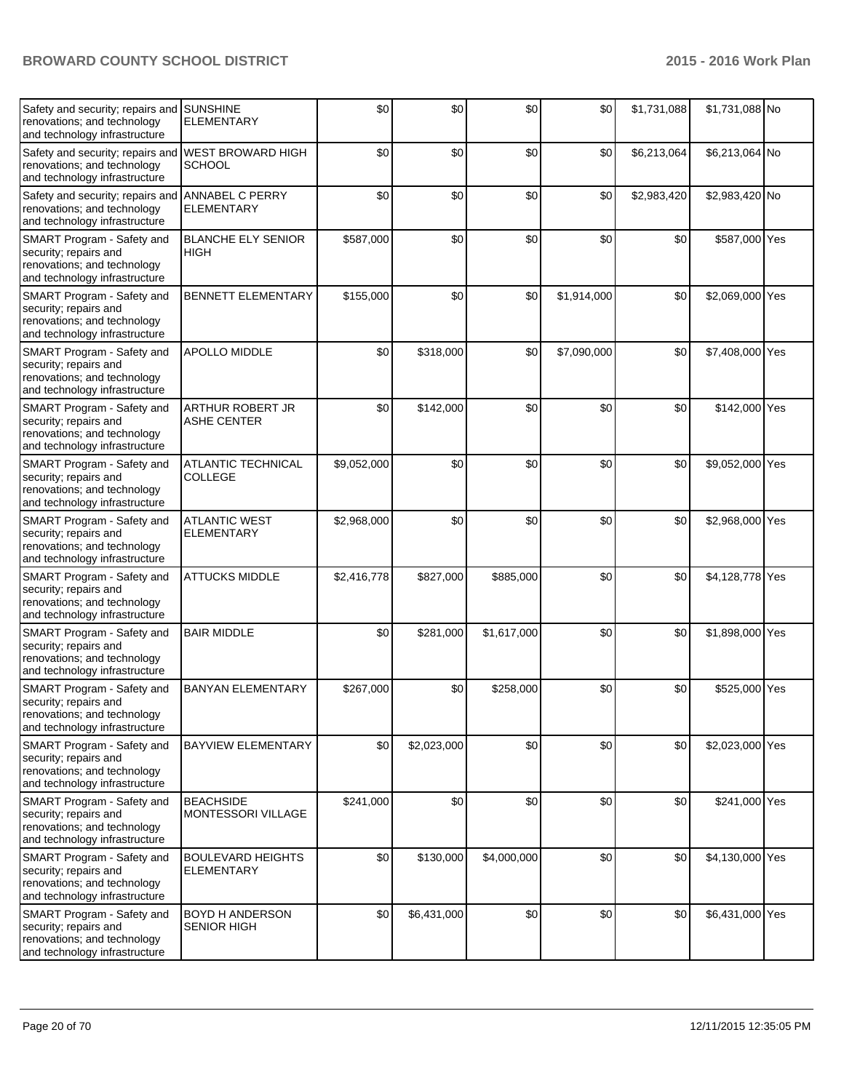| Safety and security; repairs and<br>renovations; and technology<br>and technology infrastructure                    | <b>SUNSHINE</b><br><b>ELEMENTARY</b>          | \$0         | \$0         | \$0         | \$0         | \$1,731,088 | \$1,731,088 No  |  |
|---------------------------------------------------------------------------------------------------------------------|-----------------------------------------------|-------------|-------------|-------------|-------------|-------------|-----------------|--|
| Safety and security; repairs and<br>renovations; and technology<br>and technology infrastructure                    | <b>WEST BROWARD HIGH</b><br><b>SCHOOL</b>     | \$0         | \$0         | \$0         | \$0         | \$6,213,064 | \$6,213,064 No  |  |
| Safety and security; repairs and ANNABEL C PERRY<br>renovations; and technology<br>and technology infrastructure    | <b>ELEMENTARY</b>                             | \$0         | \$0         | \$0         | \$0         | \$2,983,420 | \$2,983,420 No  |  |
| SMART Program - Safety and<br>security; repairs and<br>renovations; and technology<br>and technology infrastructure | <b>BLANCHE ELY SENIOR</b><br><b>HIGH</b>      | \$587,000   | \$0         | \$0         | \$0         | \$0         | \$587,000 Yes   |  |
| SMART Program - Safety and<br>security; repairs and<br>renovations; and technology<br>and technology infrastructure | <b>BENNETT ELEMENTARY</b>                     | \$155,000   | \$0         | \$0         | \$1,914,000 | \$0         | \$2,069,000 Yes |  |
| SMART Program - Safety and<br>security; repairs and<br>renovations; and technology<br>and technology infrastructure | APOLLO MIDDLE                                 | \$0         | \$318,000   | \$0         | \$7,090,000 | \$0         | \$7,408,000 Yes |  |
| SMART Program - Safety and<br>security; repairs and<br>renovations; and technology<br>and technology infrastructure | <b>ARTHUR ROBERT JR</b><br><b>ASHE CENTER</b> | \$0         | \$142,000   | \$0         | \$0         | \$0         | \$142,000 Yes   |  |
| SMART Program - Safety and<br>security; repairs and<br>renovations; and technology<br>and technology infrastructure | <b>ATLANTIC TECHNICAL</b><br><b>COLLEGE</b>   | \$9,052,000 | \$0         | \$0         | \$0         | \$0         | \$9,052,000 Yes |  |
| SMART Program - Safety and<br>security; repairs and<br>renovations; and technology<br>and technology infrastructure | <b>ATLANTIC WEST</b><br><b>ELEMENTARY</b>     | \$2,968,000 | \$0         | \$0         | \$0         | \$0         | \$2,968,000 Yes |  |
| SMART Program - Safety and<br>security; repairs and<br>renovations; and technology<br>and technology infrastructure | <b>ATTUCKS MIDDLE</b>                         | \$2,416,778 | \$827,000   | \$885,000   | \$0         | \$0         | \$4,128,778 Yes |  |
| SMART Program - Safety and<br>security; repairs and<br>renovations; and technology<br>and technology infrastructure | <b>BAIR MIDDLE</b>                            | \$0         | \$281,000   | \$1,617,000 | \$0         | \$0         | \$1,898,000 Yes |  |
| SMART Program - Safety and<br>security; repairs and<br>renovations; and technology<br>and technology infrastructure | <b>BANYAN ELEMENTARY</b>                      | \$267,000   | \$0         | \$258,000   | \$0         | \$0         | \$525,000 Yes   |  |
| SMART Program - Safety and<br>security; repairs and<br>renovations; and technology<br>and technology infrastructure | <b>BAYVIEW ELEMENTARY</b>                     | \$0         | \$2,023,000 | \$0         | \$0         | \$0         | \$2,023,000 Yes |  |
| SMART Program - Safety and<br>security; repairs and<br>renovations; and technology<br>and technology infrastructure | <b>BEACHSIDE</b><br>MONTESSORI VILLAGE        | \$241,000   | \$0         | \$0         | \$0         | \$0         | \$241,000 Yes   |  |
| SMART Program - Safety and<br>security; repairs and<br>renovations; and technology<br>and technology infrastructure | <b>BOULEVARD HEIGHTS</b><br><b>ELEMENTARY</b> | \$0         | \$130,000   | \$4,000,000 | \$0         | \$0         | \$4,130,000 Yes |  |
| SMART Program - Safety and<br>security; repairs and<br>renovations; and technology<br>and technology infrastructure | BOYD H ANDERSON<br>SENIOR HIGH                | \$0         | \$6,431,000 | \$0         | \$0         | \$0         | \$6,431,000 Yes |  |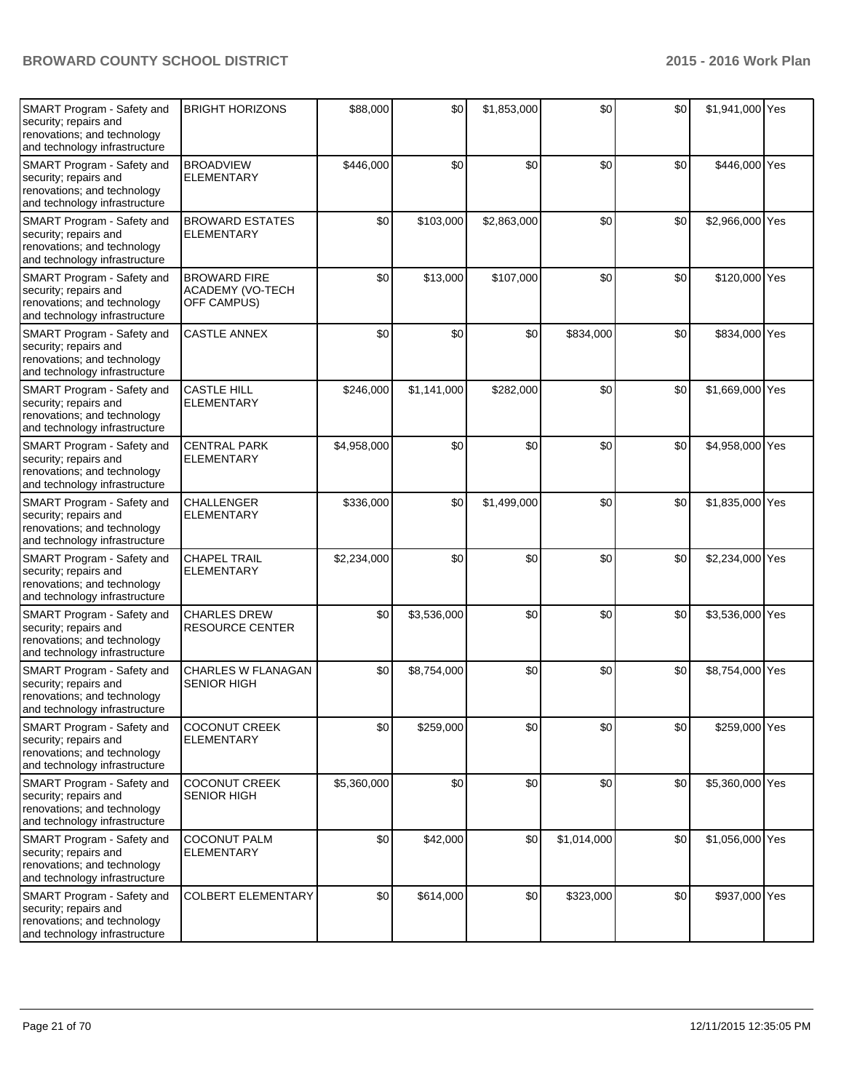| SMART Program - Safety and<br>security; repairs and<br>renovations; and technology<br>and technology infrastructure | <b>BRIGHT HORIZONS</b>                                 | \$88,000    | \$0         | \$1,853,000 | \$0         | \$0 | \$1,941,000 Yes |  |
|---------------------------------------------------------------------------------------------------------------------|--------------------------------------------------------|-------------|-------------|-------------|-------------|-----|-----------------|--|
| SMART Program - Safety and<br>security; repairs and<br>renovations; and technology<br>and technology infrastructure | <b>BROADVIEW</b><br><b>ELEMENTARY</b>                  | \$446,000   | \$0         | \$0         | \$0         | \$0 | \$446,000 Yes   |  |
| SMART Program - Safety and<br>security; repairs and<br>renovations; and technology<br>and technology infrastructure | <b>BROWARD ESTATES</b><br><b>ELEMENTARY</b>            | \$0         | \$103,000   | \$2,863,000 | \$0         | \$0 | \$2,966,000 Yes |  |
| SMART Program - Safety and<br>security; repairs and<br>renovations; and technology<br>and technology infrastructure | <b>BROWARD FIRE</b><br>ACADEMY (VO-TECH<br>OFF CAMPUS) | \$0         | \$13,000    | \$107,000   | \$0         | \$0 | \$120,000 Yes   |  |
| SMART Program - Safety and<br>security; repairs and<br>renovations; and technology<br>and technology infrastructure | <b>CASTLE ANNEX</b>                                    | \$0         | \$0         | \$0         | \$834,000   | \$0 | \$834,000 Yes   |  |
| SMART Program - Safety and<br>security; repairs and<br>renovations; and technology<br>and technology infrastructure | <b>CASTLE HILL</b><br><b>ELEMENTARY</b>                | \$246,000   | \$1,141,000 | \$282,000   | \$0         | \$0 | \$1,669,000 Yes |  |
| SMART Program - Safety and<br>security; repairs and<br>renovations; and technology<br>and technology infrastructure | <b>CENTRAL PARK</b><br><b>ELEMENTARY</b>               | \$4,958,000 | \$0         | \$0         | \$0         | \$0 | \$4,958,000 Yes |  |
| SMART Program - Safety and<br>security; repairs and<br>renovations; and technology<br>and technology infrastructure | <b>CHALLENGER</b><br><b>ELEMENTARY</b>                 | \$336,000   | \$0         | \$1,499,000 | \$0         | \$0 | \$1,835,000 Yes |  |
| SMART Program - Safety and<br>security; repairs and<br>renovations; and technology<br>and technology infrastructure | <b>CHAPEL TRAIL</b><br><b>ELEMENTARY</b>               | \$2,234,000 | \$0         | \$0         | \$0         | \$0 | \$2,234,000 Yes |  |
| SMART Program - Safety and<br>security; repairs and<br>renovations; and technology<br>and technology infrastructure | <b>CHARLES DREW</b><br><b>RESOURCE CENTER</b>          | \$0         | \$3,536,000 | \$0         | \$0         | \$0 | \$3,536,000 Yes |  |
| SMART Program - Safety and<br>security; repairs and<br>renovations; and technology<br>and technology infrastructure | CHARLES W FLANAGAN<br><b>SENIOR HIGH</b>               | \$0         | \$8,754,000 | \$0         | \$0         | \$0 | \$8,754,000 Yes |  |
| SMART Program - Safety and<br>security; repairs and<br>renovations; and technology<br>and technology infrastructure | <b>COCONUT CREEK</b><br><b>ELEMENTARY</b>              | \$0         | \$259,000   | \$0         | \$0         | \$0 | \$259,000 Yes   |  |
| SMART Program - Safety and<br>security; repairs and<br>renovations; and technology<br>and technology infrastructure | <b>COCONUT CREEK</b><br><b>SENIOR HIGH</b>             | \$5,360,000 | \$0         | \$0         | \$0         | \$0 | \$5,360,000 Yes |  |
| SMART Program - Safety and<br>security; repairs and<br>renovations; and technology<br>and technology infrastructure | COCONUT PALM<br><b>ELEMENTARY</b>                      | \$0         | \$42,000    | \$0         | \$1,014,000 | \$0 | \$1,056,000 Yes |  |
| SMART Program - Safety and<br>security; repairs and<br>renovations; and technology<br>and technology infrastructure | COLBERT ELEMENTARY                                     | \$0         | \$614,000   | \$0         | \$323,000   | \$0 | \$937,000 Yes   |  |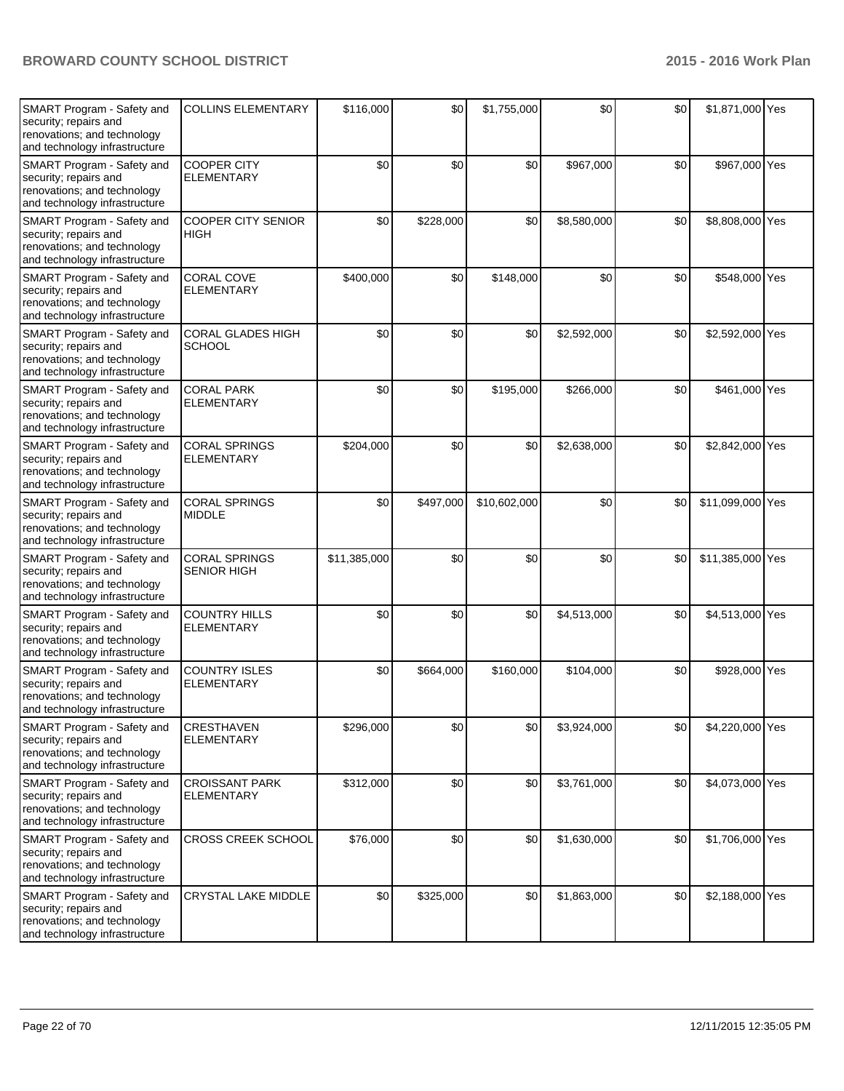| SMART Program - Safety and<br>security; repairs and<br>renovations; and technology<br>and technology infrastructure | <b>COLLINS ELEMENTARY</b>                  | \$116,000    | \$0       | \$1,755,000  | \$0         | \$0 | \$1,871,000 Yes  |  |
|---------------------------------------------------------------------------------------------------------------------|--------------------------------------------|--------------|-----------|--------------|-------------|-----|------------------|--|
| SMART Program - Safety and<br>security; repairs and<br>renovations; and technology<br>and technology infrastructure | <b>COOPER CITY</b><br><b>ELEMENTARY</b>    | \$0          | \$0       | \$0          | \$967,000   | \$0 | \$967,000 Yes    |  |
| SMART Program - Safety and<br>security; repairs and<br>renovations; and technology<br>and technology infrastructure | <b>COOPER CITY SENIOR</b><br><b>HIGH</b>   | \$0          | \$228,000 | \$0          | \$8,580,000 | \$0 | \$8,808,000 Yes  |  |
| SMART Program - Safety and<br>security; repairs and<br>renovations; and technology<br>and technology infrastructure | <b>CORAL COVE</b><br><b>ELEMENTARY</b>     | \$400,000    | \$0       | \$148,000    | \$0         | \$0 | \$548,000 Yes    |  |
| SMART Program - Safety and<br>security; repairs and<br>renovations; and technology<br>and technology infrastructure | CORAL GLADES HIGH<br><b>SCHOOL</b>         | \$0          | \$0       | \$0          | \$2,592,000 | \$0 | \$2,592,000 Yes  |  |
| SMART Program - Safety and<br>security; repairs and<br>renovations; and technology<br>and technology infrastructure | <b>CORAL PARK</b><br><b>ELEMENTARY</b>     | \$0          | \$0       | \$195,000    | \$266,000   | \$0 | \$461,000 Yes    |  |
| SMART Program - Safety and<br>security; repairs and<br>renovations; and technology<br>and technology infrastructure | <b>CORAL SPRINGS</b><br><b>ELEMENTARY</b>  | \$204,000    | \$0       | \$0          | \$2,638,000 | \$0 | \$2,842,000 Yes  |  |
| SMART Program - Safety and<br>security; repairs and<br>renovations; and technology<br>and technology infrastructure | <b>CORAL SPRINGS</b><br><b>MIDDLE</b>      | \$0          | \$497,000 | \$10,602,000 | \$0         | \$0 | \$11,099,000 Yes |  |
| SMART Program - Safety and<br>security; repairs and<br>renovations; and technology<br>and technology infrastructure | <b>CORAL SPRINGS</b><br><b>SENIOR HIGH</b> | \$11,385,000 | \$0       | \$0          | \$0         | \$0 | \$11,385,000 Yes |  |
| SMART Program - Safety and<br>security; repairs and<br>renovations; and technology<br>and technology infrastructure | <b>COUNTRY HILLS</b><br><b>ELEMENTARY</b>  | \$0          | \$0       | \$0          | \$4,513,000 | \$0 | \$4,513,000 Yes  |  |
| SMART Program - Safety and<br>security; repairs and<br>renovations; and technology<br>and technology infrastructure | <b>COUNTRY ISLES</b><br><b>ELEMENTARY</b>  | \$0          | \$664,000 | \$160,000    | \$104,000   | \$0 | \$928,000 Yes    |  |
| SMART Program - Safety and<br>security; repairs and<br>renovations; and technology<br>and technology infrastructure | CRESTHAVEN<br><b>ELEMENTARY</b>            | \$296,000    | \$0       | \$0          | \$3,924,000 | \$0 | \$4,220,000 Yes  |  |
| SMART Program - Safety and<br>security; repairs and<br>renovations; and technology<br>and technology infrastructure | <b>CROISSANT PARK</b><br><b>ELEMENTARY</b> | \$312,000    | \$0       | \$0          | \$3,761,000 | \$0 | \$4,073,000 Yes  |  |
| SMART Program - Safety and<br>security; repairs and<br>renovations; and technology<br>and technology infrastructure | <b>CROSS CREEK SCHOOL</b>                  | \$76,000     | \$0       | \$0          | \$1,630,000 | \$0 | \$1,706,000 Yes  |  |
| SMART Program - Safety and<br>security; repairs and<br>renovations; and technology<br>and technology infrastructure | CRYSTAL LAKE MIDDLE                        | \$0          | \$325,000 | \$0          | \$1,863,000 | \$0 | \$2,188,000 Yes  |  |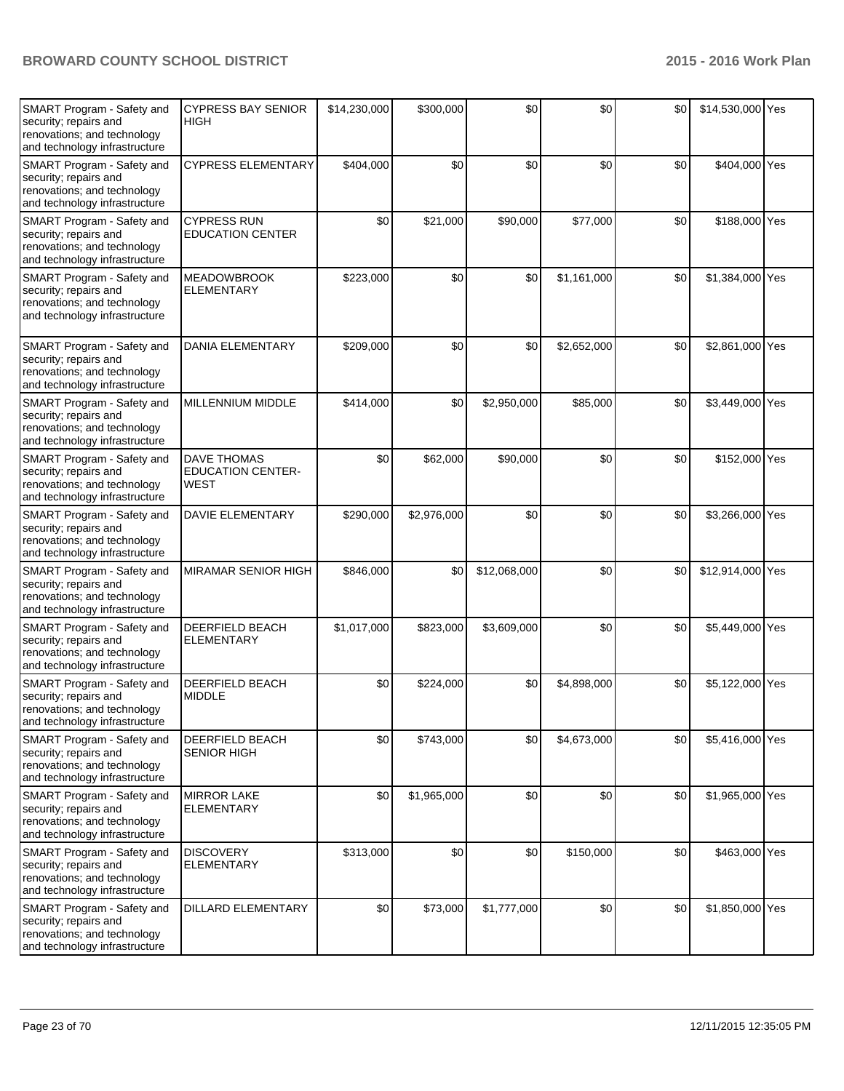| SMART Program - Safety and<br>security; repairs and<br>renovations; and technology<br>and technology infrastructure | <b>CYPRESS BAY SENIOR</b><br><b>HIGH</b>               | \$14,230,000 | \$300,000   | \$0          | \$0         | \$0 | \$14,530,000 Yes |  |
|---------------------------------------------------------------------------------------------------------------------|--------------------------------------------------------|--------------|-------------|--------------|-------------|-----|------------------|--|
| SMART Program - Safety and<br>security; repairs and<br>renovations; and technology<br>and technology infrastructure | <b>CYPRESS ELEMENTARY</b>                              | \$404,000    | \$0         | \$0          | \$0         | \$0 | \$404,000 Yes    |  |
| SMART Program - Safety and<br>security; repairs and<br>renovations; and technology<br>and technology infrastructure | <b>CYPRESS RUN</b><br><b>EDUCATION CENTER</b>          | \$0          | \$21,000    | \$90,000     | \$77,000    | \$0 | \$188,000 Yes    |  |
| SMART Program - Safety and<br>security; repairs and<br>renovations; and technology<br>and technology infrastructure | <b>MEADOWBROOK</b><br><b>ELEMENTARY</b>                | \$223,000    | \$0         | \$0          | \$1,161,000 | \$0 | \$1,384,000 Yes  |  |
| SMART Program - Safety and<br>security; repairs and<br>renovations; and technology<br>and technology infrastructure | <b>DANIA ELEMENTARY</b>                                | \$209,000    | \$0         | \$0          | \$2,652,000 | \$0 | \$2,861,000 Yes  |  |
| SMART Program - Safety and<br>security; repairs and<br>renovations; and technology<br>and technology infrastructure | MILLENNIUM MIDDLE                                      | \$414,000    | \$0         | \$2,950,000  | \$85,000    | \$0 | \$3,449,000 Yes  |  |
| SMART Program - Safety and<br>security; repairs and<br>renovations; and technology<br>and technology infrastructure | <b>DAVE THOMAS</b><br><b>EDUCATION CENTER-</b><br>WEST | \$0          | \$62,000    | \$90,000     | \$0         | \$0 | \$152,000 Yes    |  |
| SMART Program - Safety and<br>security; repairs and<br>renovations; and technology<br>and technology infrastructure | <b>DAVIE ELEMENTARY</b>                                | \$290,000    | \$2,976,000 | \$0          | \$0         | \$0 | \$3,266,000 Yes  |  |
| SMART Program - Safety and<br>security; repairs and<br>renovations; and technology<br>and technology infrastructure | <b>MIRAMAR SENIOR HIGH</b>                             | \$846,000    | \$0         | \$12,068,000 | \$0         | \$0 | \$12,914,000 Yes |  |
| SMART Program - Safety and<br>security; repairs and<br>renovations; and technology<br>and technology infrastructure | DEERFIELD BEACH<br><b>ELEMENTARY</b>                   | \$1,017,000  | \$823,000   | \$3,609,000  | \$0         | \$0 | \$5,449,000 Yes  |  |
| SMART Program - Safety and<br>security; repairs and<br>renovations; and technology<br>and technology infrastructure | <b>DEERFIELD BEACH</b><br><b>MIDDLE</b>                | \$0          | \$224,000   | \$0          | \$4,898,000 | \$0 | \$5,122,000 Yes  |  |
| SMART Program - Safety and<br>security; repairs and<br>renovations; and technology<br>and technology infrastructure | DEERFIELD BEACH<br><b>SENIOR HIGH</b>                  | \$0          | \$743,000   | \$0          | \$4,673,000 | \$0 | \$5,416,000 Yes  |  |
| SMART Program - Safety and<br>security; repairs and<br>renovations; and technology<br>and technology infrastructure | <b>MIRROR LAKE</b><br><b>ELEMENTARY</b>                | \$0          | \$1,965,000 | \$0          | \$0         | \$0 | \$1,965,000 Yes  |  |
| SMART Program - Safety and<br>security; repairs and<br>renovations; and technology<br>and technology infrastructure | <b>DISCOVERY</b><br><b>ELEMENTARY</b>                  | \$313,000    | \$0         | \$0          | \$150,000   | \$0 | \$463,000 Yes    |  |
| SMART Program - Safety and<br>security; repairs and<br>renovations; and technology<br>and technology infrastructure | <b>DILLARD ELEMENTARY</b>                              | \$0          | \$73,000    | \$1,777,000  | \$0         | \$0 | \$1,850,000 Yes  |  |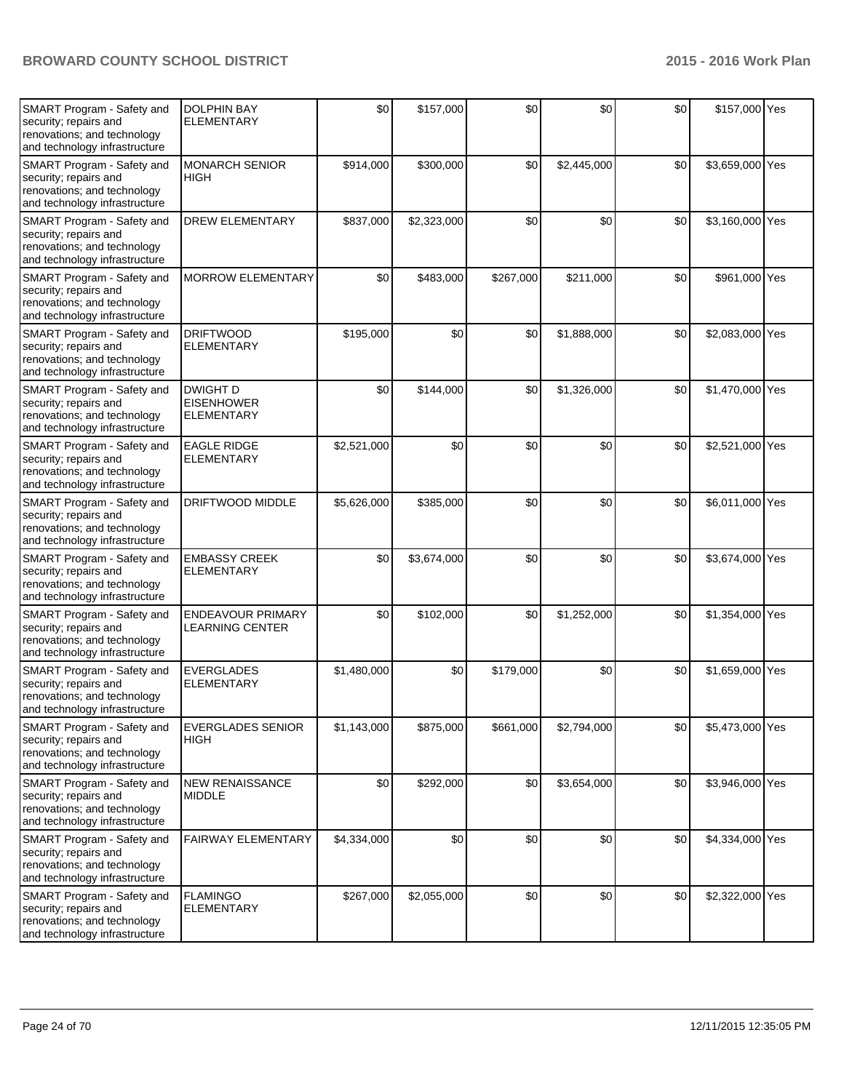| SMART Program - Safety and<br>security; repairs and<br>renovations; and technology<br>and technology infrastructure | <b>DOLPHIN BAY</b><br><b>ELEMENTARY</b>                   | \$0         | \$157,000   | \$0       | \$0         | \$0 | \$157,000 Yes   |  |
|---------------------------------------------------------------------------------------------------------------------|-----------------------------------------------------------|-------------|-------------|-----------|-------------|-----|-----------------|--|
| SMART Program - Safety and<br>security; repairs and<br>renovations; and technology<br>and technology infrastructure | <b>MONARCH SENIOR</b><br><b>HIGH</b>                      | \$914,000   | \$300,000   | \$0       | \$2,445,000 | \$0 | \$3,659,000 Yes |  |
| SMART Program - Safety and<br>security; repairs and<br>renovations; and technology<br>and technology infrastructure | <b>DREW ELEMENTARY</b>                                    | \$837,000   | \$2,323,000 | \$0       | \$0         | \$0 | \$3,160,000 Yes |  |
| SMART Program - Safety and<br>security; repairs and<br>renovations; and technology<br>and technology infrastructure | <b>MORROW ELEMENTARY</b>                                  | \$0         | \$483,000   | \$267,000 | \$211,000   | \$0 | \$961,000 Yes   |  |
| SMART Program - Safety and<br>security; repairs and<br>renovations; and technology<br>and technology infrastructure | <b>DRIFTWOOD</b><br><b>ELEMENTARY</b>                     | \$195,000   | \$0         | \$0       | \$1,888,000 | \$0 | \$2,083,000 Yes |  |
| SMART Program - Safety and<br>security; repairs and<br>renovations; and technology<br>and technology infrastructure | <b>DWIGHT D</b><br><b>EISENHOWER</b><br><b>ELEMENTARY</b> | \$0         | \$144,000   | \$0       | \$1,326,000 | \$0 | \$1,470,000 Yes |  |
| SMART Program - Safety and<br>security; repairs and<br>renovations; and technology<br>and technology infrastructure | <b>EAGLE RIDGE</b><br><b>ELEMENTARY</b>                   | \$2,521,000 | \$0         | \$0       | \$0         | \$0 | \$2,521,000 Yes |  |
| SMART Program - Safety and<br>security; repairs and<br>renovations; and technology<br>and technology infrastructure | DRIFTWOOD MIDDLE                                          | \$5,626,000 | \$385,000   | \$0       | \$0         | \$0 | \$6,011,000 Yes |  |
| SMART Program - Safety and<br>security; repairs and<br>renovations; and technology<br>and technology infrastructure | <b>EMBASSY CREEK</b><br><b>ELEMENTARY</b>                 | \$0         | \$3,674,000 | \$0       | \$0         | \$0 | \$3,674,000 Yes |  |
| SMART Program - Safety and<br>security; repairs and<br>renovations; and technology<br>and technology infrastructure | ENDEAVOUR PRIMARY<br>LEARNING CENTER                      | \$0         | \$102,000   | \$0       | \$1,252,000 | \$0 | \$1,354,000 Yes |  |
| SMART Program - Safety and<br>security; repairs and<br>renovations; and technology<br>and technology infrastructure | <b>EVERGLADES</b><br><b>ELEMENTARY</b>                    | \$1,480,000 | \$0         | \$179,000 | \$0         | \$0 | \$1,659,000 Yes |  |
| SMART Program - Safety and<br>security; repairs and<br>renovations; and technology<br>and technology infrastructure | <b>EVERGLADES SENIOR</b><br>HIGH                          | \$1,143,000 | \$875,000   | \$661,000 | \$2,794,000 | \$0 | \$5,473,000 Yes |  |
| SMART Program - Safety and<br>security; repairs and<br>renovations; and technology<br>and technology infrastructure | <b>NEW RENAISSANCE</b><br><b>MIDDLE</b>                   | \$0         | \$292,000   | \$0       | \$3,654,000 | \$0 | \$3,946,000 Yes |  |
| SMART Program - Safety and<br>security; repairs and<br>renovations; and technology<br>and technology infrastructure | FAIRWAY ELEMENTARY                                        | \$4,334,000 | \$0         | \$0       | \$0         | \$0 | \$4,334,000 Yes |  |
| SMART Program - Safety and<br>security; repairs and<br>renovations; and technology<br>and technology infrastructure | <b>FLAMINGO</b><br><b>ELEMENTARY</b>                      | \$267,000   | \$2,055,000 | \$0       | \$0         | \$0 | \$2,322,000 Yes |  |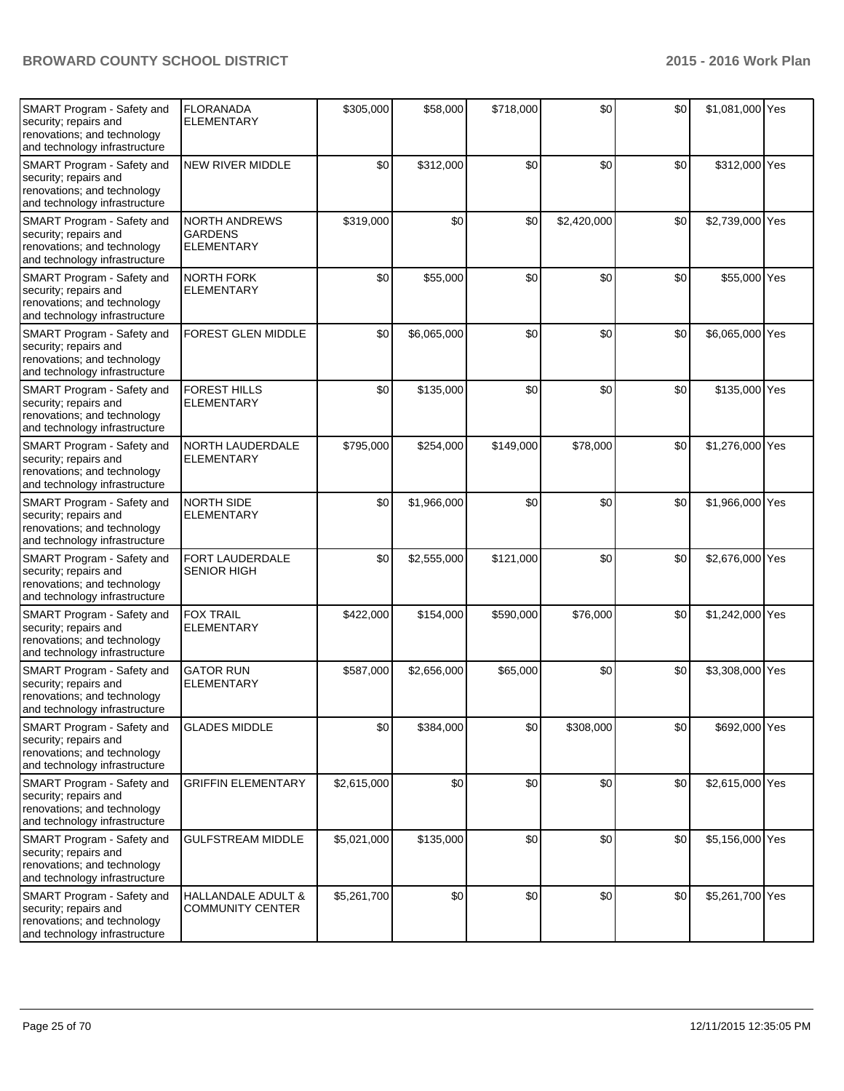| SMART Program - Safety and<br>security; repairs and<br>renovations; and technology<br>and technology infrastructure | <b>FLORANADA</b><br><b>ELEMENTARY</b>                       | \$305,000   | \$58,000    | \$718,000 | \$0         | \$0 | \$1,081,000 Yes |  |
|---------------------------------------------------------------------------------------------------------------------|-------------------------------------------------------------|-------------|-------------|-----------|-------------|-----|-----------------|--|
| SMART Program - Safety and<br>security; repairs and<br>renovations; and technology<br>and technology infrastructure | <b>NEW RIVER MIDDLE</b>                                     | \$0         | \$312,000   | \$0       | \$0         | \$0 | \$312,000 Yes   |  |
| SMART Program - Safety and<br>security; repairs and<br>renovations; and technology<br>and technology infrastructure | <b>NORTH ANDREWS</b><br><b>GARDENS</b><br><b>ELEMENTARY</b> | \$319,000   | \$0         | \$0       | \$2,420,000 | \$0 | \$2,739,000 Yes |  |
| SMART Program - Safety and<br>security; repairs and<br>renovations; and technology<br>and technology infrastructure | <b>NORTH FORK</b><br><b>ELEMENTARY</b>                      | \$0         | \$55,000    | \$0       | \$0         | \$0 | \$55,000 Yes    |  |
| SMART Program - Safety and<br>security; repairs and<br>renovations; and technology<br>and technology infrastructure | <b>FOREST GLEN MIDDLE</b>                                   | \$0         | \$6,065,000 | \$0       | \$0         | \$0 | \$6,065,000 Yes |  |
| SMART Program - Safety and<br>security; repairs and<br>renovations; and technology<br>and technology infrastructure | <b>FOREST HILLS</b><br><b>ELEMENTARY</b>                    | \$0         | \$135,000   | \$0       | \$0         | \$0 | \$135,000 Yes   |  |
| SMART Program - Safety and<br>security; repairs and<br>renovations; and technology<br>and technology infrastructure | NORTH LAUDERDALE<br><b>ELEMENTARY</b>                       | \$795,000   | \$254,000   | \$149,000 | \$78,000    | \$0 | \$1,276,000 Yes |  |
| SMART Program - Safety and<br>security; repairs and<br>renovations; and technology<br>and technology infrastructure | <b>NORTH SIDE</b><br><b>ELEMENTARY</b>                      | \$0         | \$1,966,000 | \$0       | \$0         | \$0 | \$1,966,000 Yes |  |
| SMART Program - Safety and<br>security; repairs and<br>renovations; and technology<br>and technology infrastructure | FORT LAUDERDALE<br><b>SENIOR HIGH</b>                       | \$0         | \$2,555,000 | \$121,000 | \$0         | \$0 | \$2,676,000 Yes |  |
| SMART Program - Safety and<br>security; repairs and<br>renovations; and technology<br>and technology infrastructure | <b>FOX TRAIL</b><br><b>ELEMENTARY</b>                       | \$422,000   | \$154,000   | \$590,000 | \$76,000    | \$0 | \$1,242,000 Yes |  |
| SMART Program - Safety and<br>security; repairs and<br>renovations; and technology<br>and technology infrastructure | <b>GATOR RUN</b><br><b>ELEMENTARY</b>                       | \$587,000   | \$2,656,000 | \$65,000  | \$0         | \$0 | \$3,308,000 Yes |  |
| SMART Program - Safety and<br>security; repairs and<br>renovations; and technology<br>and technology infrastructure | <b>GLADES MIDDLE</b>                                        | \$0         | \$384,000   | \$0       | \$308,000   | \$0 | \$692,000 Yes   |  |
| SMART Program - Safety and<br>security; repairs and<br>renovations; and technology<br>and technology infrastructure | <b>GRIFFIN ELEMENTARY</b>                                   | \$2,615,000 | \$0         | \$0       | \$0         | \$0 | \$2,615,000 Yes |  |
| SMART Program - Safety and<br>security; repairs and<br>renovations; and technology<br>and technology infrastructure | <b>GULFSTREAM MIDDLE</b>                                    | \$5,021,000 | \$135,000   | \$0       | \$0         | \$0 | \$5,156,000 Yes |  |
| SMART Program - Safety and<br>security; repairs and<br>renovations; and technology<br>and technology infrastructure | HALLANDALE ADULT &<br><b>COMMUNITY CENTER</b>               | \$5,261,700 | \$0         | \$0       | \$0         | \$0 | \$5,261,700 Yes |  |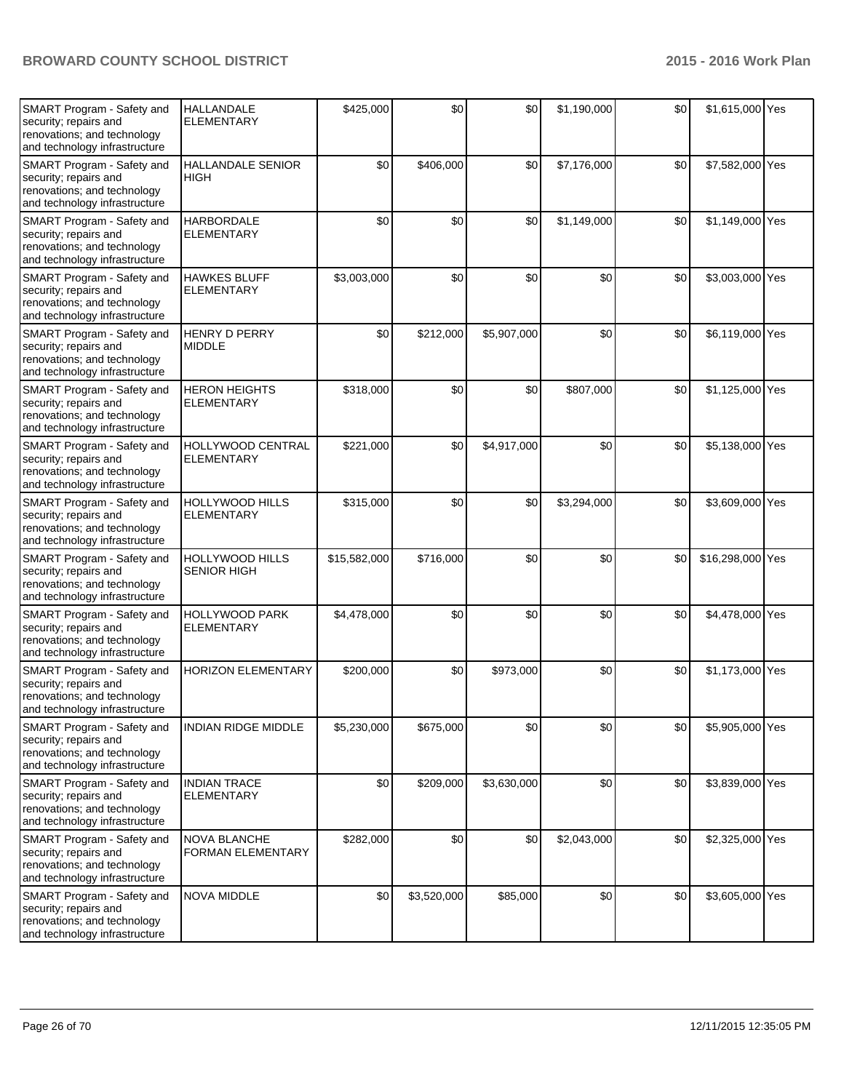| SMART Program - Safety and<br>security; repairs and<br>renovations; and technology<br>and technology infrastructure | HALLANDALE<br><b>ELEMENTARY</b>              | \$425,000    | \$0         | \$0         | \$1,190,000 | \$0 | \$1,615,000 Yes  |  |
|---------------------------------------------------------------------------------------------------------------------|----------------------------------------------|--------------|-------------|-------------|-------------|-----|------------------|--|
| SMART Program - Safety and<br>security; repairs and<br>renovations; and technology<br>and technology infrastructure | <b>HALLANDALE SENIOR</b><br><b>HIGH</b>      | \$0          | \$406,000   | \$0         | \$7,176,000 | \$0 | \$7,582,000 Yes  |  |
| SMART Program - Safety and<br>security; repairs and<br>renovations; and technology<br>and technology infrastructure | <b>HARBORDALE</b><br><b>ELEMENTARY</b>       | \$0          | \$0         | \$0         | \$1,149,000 | \$0 | \$1,149,000 Yes  |  |
| SMART Program - Safety and<br>security; repairs and<br>renovations; and technology<br>and technology infrastructure | <b>HAWKES BLUFF</b><br><b>ELEMENTARY</b>     | \$3,003,000  | \$0         | \$0         | \$0         | \$0 | \$3,003,000 Yes  |  |
| SMART Program - Safety and<br>security; repairs and<br>renovations; and technology<br>and technology infrastructure | HENRY D PERRY<br><b>MIDDLE</b>               | \$0          | \$212,000   | \$5,907,000 | \$0         | \$0 | \$6,119,000 Yes  |  |
| SMART Program - Safety and<br>security; repairs and<br>renovations; and technology<br>and technology infrastructure | <b>HERON HEIGHTS</b><br><b>ELEMENTARY</b>    | \$318,000    | \$0         | \$0         | \$807,000   | \$0 | \$1,125,000 Yes  |  |
| SMART Program - Safety and<br>security; repairs and<br>renovations; and technology<br>and technology infrastructure | HOLLYWOOD CENTRAL<br><b>ELEMENTARY</b>       | \$221,000    | \$0         | \$4,917,000 | \$0         | \$0 | \$5,138,000 Yes  |  |
| SMART Program - Safety and<br>security; repairs and<br>renovations; and technology<br>and technology infrastructure | HOLLYWOOD HILLS<br><b>ELEMENTARY</b>         | \$315,000    | \$0         | \$0         | \$3,294,000 | \$0 | \$3,609,000 Yes  |  |
| SMART Program - Safety and<br>security; repairs and<br>renovations; and technology<br>and technology infrastructure | <b>HOLLYWOOD HILLS</b><br><b>SENIOR HIGH</b> | \$15,582,000 | \$716,000   | \$0         | \$0         | \$0 | \$16,298,000 Yes |  |
| SMART Program - Safety and<br>security; repairs and<br>renovations; and technology<br>and technology infrastructure | HOLLYWOOD PARK<br><b>ELEMENTARY</b>          | \$4,478,000  | \$0         | \$0         | \$0         | \$0 | \$4,478,000 Yes  |  |
| SMART Program - Safety and<br>security; repairs and<br>renovations; and technology<br>and technology infrastructure | <b>HORIZON ELEMENTARY</b>                    | \$200,000    | \$0         | \$973,000   | \$0         | \$0 | \$1,173,000 Yes  |  |
| SMART Program - Safety and<br>security; repairs and<br>renovations; and technology<br>and technology infrastructure | INDIAN RIDGE MIDDLE                          | \$5,230,000  | \$675,000   | \$0         | \$0         | \$0 | \$5,905,000 Yes  |  |
| SMART Program - Safety and<br>security; repairs and<br>renovations; and technology<br>and technology infrastructure | <b>INDIAN TRACE</b><br><b>ELEMENTARY</b>     | \$0          | \$209,000   | \$3,630,000 | \$0         | \$0 | \$3,839,000 Yes  |  |
| SMART Program - Safety and<br>security; repairs and<br>renovations; and technology<br>and technology infrastructure | NOVA BLANCHE<br>FORMAN ELEMENTARY            | \$282,000    | \$0         | \$0         | \$2,043,000 | \$0 | \$2,325,000 Yes  |  |
| SMART Program - Safety and<br>security; repairs and<br>renovations; and technology<br>and technology infrastructure | NOVA MIDDLE                                  | \$0          | \$3,520,000 | \$85,000    | \$0         | \$0 | \$3,605,000 Yes  |  |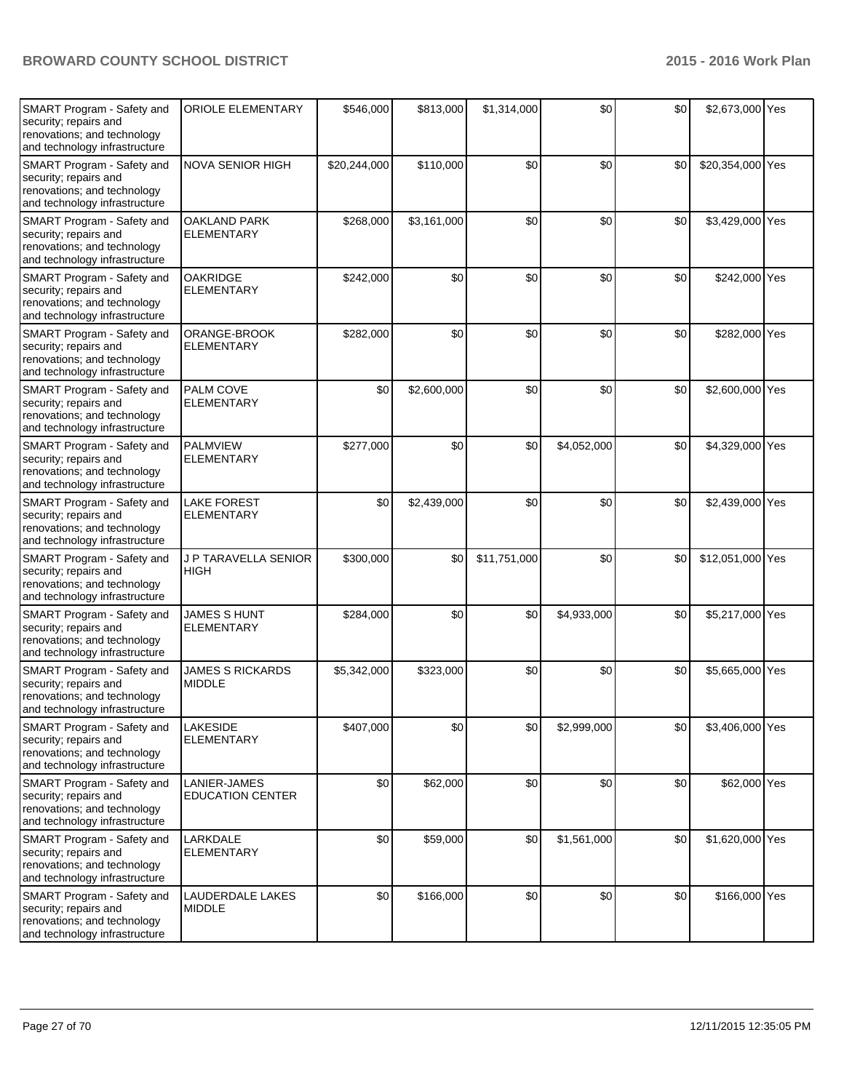| <b>SMART Program - Safety and</b><br>security; repairs and<br>renovations; and technology<br>and technology infrastructure | <b>ORIOLE ELEMENTARY</b>                 | \$546,000    | \$813,000   | \$1,314,000  | \$0         | \$0 | \$2,673,000 Yes  |  |
|----------------------------------------------------------------------------------------------------------------------------|------------------------------------------|--------------|-------------|--------------|-------------|-----|------------------|--|
| SMART Program - Safety and<br>security; repairs and<br>renovations; and technology<br>and technology infrastructure        | <b>NOVA SENIOR HIGH</b>                  | \$20,244,000 | \$110,000   | \$0          | \$0         | \$0 | \$20,354,000 Yes |  |
| SMART Program - Safety and<br>security; repairs and<br>renovations; and technology<br>and technology infrastructure        | <b>OAKLAND PARK</b><br><b>ELEMENTARY</b> | \$268,000    | \$3,161,000 | \$0          | \$0         | \$0 | \$3,429,000 Yes  |  |
| SMART Program - Safety and<br>security; repairs and<br>renovations; and technology<br>and technology infrastructure        | OAKRIDGE<br><b>ELEMENTARY</b>            | \$242,000    | \$0         | \$0          | \$0         | \$0 | \$242,000 Yes    |  |
| SMART Program - Safety and<br>security; repairs and<br>renovations; and technology<br>and technology infrastructure        | ORANGE-BROOK<br><b>ELEMENTARY</b>        | \$282,000    | \$0         | \$0          | \$0         | \$0 | \$282,000 Yes    |  |
| SMART Program - Safety and<br>security; repairs and<br>renovations; and technology<br>and technology infrastructure        | <b>PALM COVE</b><br><b>ELEMENTARY</b>    | \$0          | \$2,600,000 | \$0          | \$0         | \$0 | \$2,600,000 Yes  |  |
| SMART Program - Safety and<br>security; repairs and<br>renovations; and technology<br>and technology infrastructure        | <b>PALMVIEW</b><br><b>ELEMENTARY</b>     | \$277,000    | \$0         | \$0          | \$4,052,000 | \$0 | \$4,329,000 Yes  |  |
| SMART Program - Safety and<br>security; repairs and<br>renovations; and technology<br>and technology infrastructure        | <b>LAKE FOREST</b><br><b>ELEMENTARY</b>  | \$0          | \$2,439,000 | \$0          | \$0         | \$0 | \$2,439,000 Yes  |  |
| SMART Program - Safety and<br>security; repairs and<br>renovations; and technology<br>and technology infrastructure        | J P TARAVELLA SENIOR<br><b>HIGH</b>      | \$300,000    | \$0         | \$11,751,000 | \$0         | \$0 | \$12,051,000 Yes |  |
| SMART Program - Safety and<br>security; repairs and<br>renovations; and technology<br>and technology infrastructure        | <b>JAMES S HUNT</b><br><b>ELEMENTARY</b> | \$284,000    | \$0         | \$0          | \$4,933,000 | \$0 | \$5,217,000 Yes  |  |
| SMART Program - Safety and<br>security; repairs and<br>renovations; and technology<br>and technology infrastructure        | <b>JAMES S RICKARDS</b><br><b>MIDDLE</b> | \$5,342,000  | \$323,000   | \$0          | \$0         | \$0 | \$5,665,000 Yes  |  |
| SMART Program - Safety and<br>security; repairs and<br>renovations; and technology<br>and technology infrastructure        | LAKESIDE<br><b>ELEMENTARY</b>            | \$407,000    | \$0         | \$0          | \$2,999,000 | \$0 | \$3,406,000 Yes  |  |
| SMART Program - Safety and<br>security; repairs and<br>renovations; and technology<br>and technology infrastructure        | LANIER-JAMES<br><b>EDUCATION CENTER</b>  | \$0          | \$62,000    | \$0          | \$0         | \$0 | \$62,000 Yes     |  |
| SMART Program - Safety and<br>security; repairs and<br>renovations; and technology<br>and technology infrastructure        | LARKDALE<br><b>ELEMENTARY</b>            | \$0          | \$59,000    | \$0          | \$1,561,000 | \$0 | \$1,620,000 Yes  |  |
| SMART Program - Safety and<br>security; repairs and<br>renovations; and technology<br>and technology infrastructure        | LAUDERDALE LAKES<br><b>MIDDLE</b>        | \$0          | \$166,000   | \$0          | \$0         | \$0 | \$166,000 Yes    |  |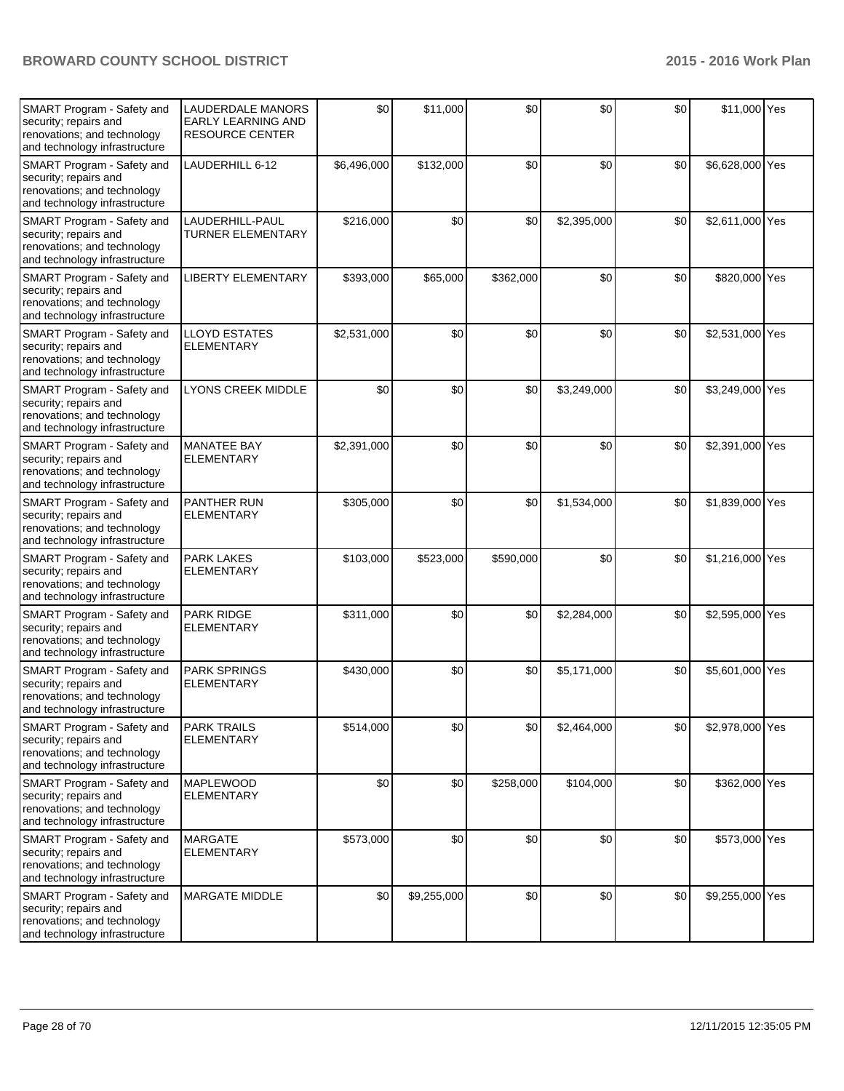| SMART Program - Safety and<br>security; repairs and<br>renovations; and technology<br>and technology infrastructure        | <b>LAUDERDALE MANORS</b><br><b>EARLY LEARNING AND</b><br><b>RESOURCE CENTER</b> | \$0         | \$11,000    | \$0       | \$0         | \$0 | \$11,000 Yes    |  |
|----------------------------------------------------------------------------------------------------------------------------|---------------------------------------------------------------------------------|-------------|-------------|-----------|-------------|-----|-----------------|--|
| SMART Program - Safety and<br>security; repairs and<br>renovations; and technology<br>and technology infrastructure        | LAUDERHILL 6-12                                                                 | \$6,496,000 | \$132,000   | \$0       | \$0         | \$0 | \$6,628,000 Yes |  |
| SMART Program - Safety and<br>security; repairs and<br>renovations; and technology<br>and technology infrastructure        | LAUDERHILL-PAUL<br><b>TURNER ELEMENTARY</b>                                     | \$216,000   | \$0         | \$0       | \$2,395,000 | \$0 | \$2,611,000 Yes |  |
| SMART Program - Safety and<br>security; repairs and<br>renovations; and technology<br>and technology infrastructure        | <b>LIBERTY ELEMENTARY</b>                                                       | \$393,000   | \$65,000    | \$362,000 | \$0         | \$0 | \$820,000 Yes   |  |
| SMART Program - Safety and<br>security; repairs and<br>renovations; and technology<br>and technology infrastructure        | LLOYD ESTATES<br><b>ELEMENTARY</b>                                              | \$2,531,000 | \$0         | \$0       | \$0         | \$0 | \$2,531,000 Yes |  |
| SMART Program - Safety and<br>security; repairs and<br>renovations; and technology<br>and technology infrastructure        | LYONS CREEK MIDDLE                                                              | \$0         | \$0         | \$0       | \$3,249,000 | \$0 | \$3,249,000 Yes |  |
| SMART Program - Safety and<br>security; repairs and<br>renovations; and technology<br>and technology infrastructure        | <b>MANATEE BAY</b><br><b>ELEMENTARY</b>                                         | \$2,391,000 | \$0         | \$0       | \$0         | \$0 | \$2,391,000 Yes |  |
| SMART Program - Safety and<br>security; repairs and<br>renovations; and technology<br>and technology infrastructure        | PANTHER RUN<br><b>ELEMENTARY</b>                                                | \$305,000   | \$0         | \$0       | \$1,534,000 | \$0 | \$1,839,000 Yes |  |
| SMART Program - Safety and<br>security; repairs and<br>renovations; and technology<br>and technology infrastructure        | <b>PARK LAKES</b><br><b>ELEMENTARY</b>                                          | \$103,000   | \$523,000   | \$590,000 | \$0         | \$0 | \$1,216,000 Yes |  |
| SMART Program - Safety and<br>security; repairs and<br>renovations; and technology<br>and technology infrastructure        | <b>PARK RIDGE</b><br><b>ELEMENTARY</b>                                          | \$311,000   | \$0         | \$0       | \$2,284,000 | \$0 | \$2,595,000 Yes |  |
| SMART Program - Safety and<br>security; repairs and<br>renovations; and technology<br>and technology infrastructure        | <b>PARK SPRINGS</b><br><b>ELEMENTARY</b>                                        | \$430,000   | \$0         | \$0       | \$5,171,000 | \$0 | \$5,601,000 Yes |  |
| <b>SMART Program - Safety and</b><br>security; repairs and<br>renovations; and technology<br>and technology infrastructure | <b>PARK TRAILS</b><br><b>ELEMENTARY</b>                                         | \$514,000   | \$0         | \$0       | \$2,464,000 | \$0 | \$2,978,000 Yes |  |
| SMART Program - Safety and<br>security; repairs and<br>renovations; and technology<br>and technology infrastructure        | <b>MAPLEWOOD</b><br><b>ELEMENTARY</b>                                           | \$0         | \$0         | \$258,000 | \$104,000   | \$0 | \$362,000 Yes   |  |
| SMART Program - Safety and<br>security; repairs and<br>renovations; and technology<br>and technology infrastructure        | <b>MARGATE</b><br><b>ELEMENTARY</b>                                             | \$573,000   | \$0         | \$0       | \$0         | \$0 | \$573,000 Yes   |  |
| SMART Program - Safety and<br>security; repairs and<br>renovations; and technology<br>and technology infrastructure        | MARGATE MIDDLE                                                                  | \$0         | \$9,255,000 | \$0       | \$0         | \$0 | \$9,255,000 Yes |  |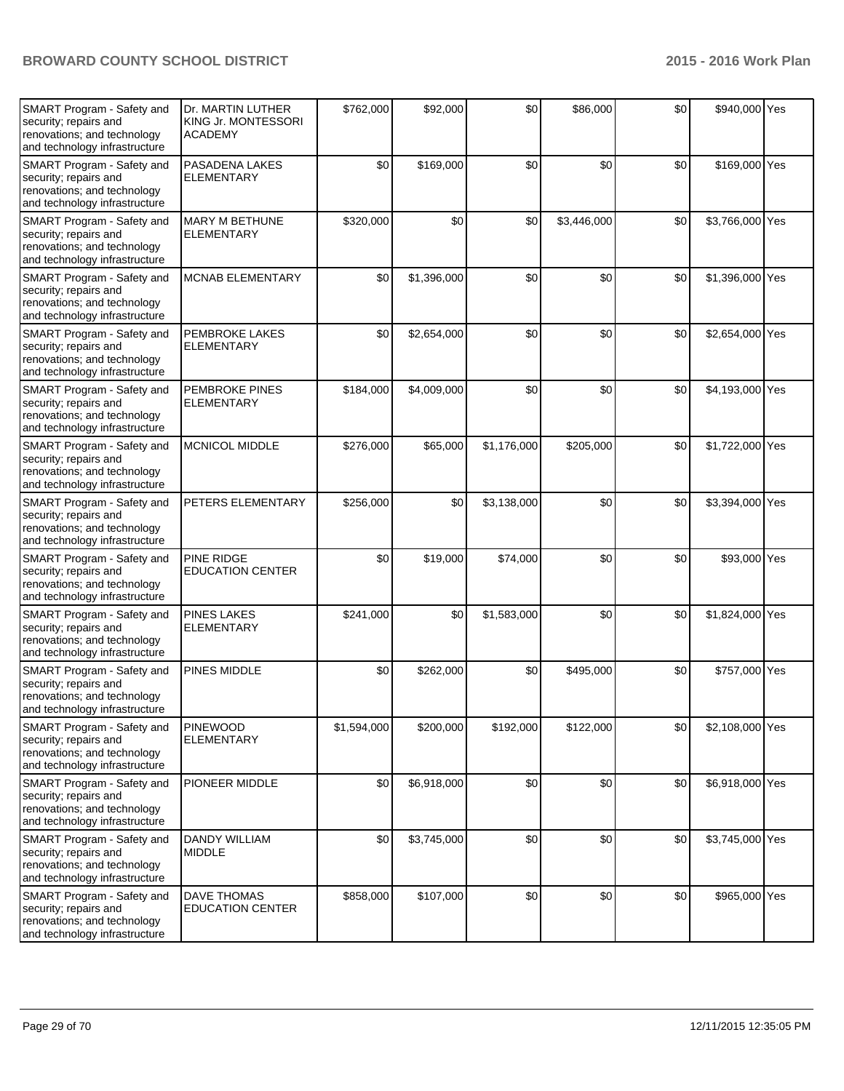| SMART Program - Safety and<br>security; repairs and<br>renovations; and technology<br>and technology infrastructure | Dr. MARTIN LUTHER<br>KING Jr. MONTESSORI<br><b>ACADEMY</b> | \$762,000   | \$92,000    | \$0         | \$86,000    | \$0 | \$940,000 Yes   |  |
|---------------------------------------------------------------------------------------------------------------------|------------------------------------------------------------|-------------|-------------|-------------|-------------|-----|-----------------|--|
| SMART Program - Safety and<br>security; repairs and<br>renovations; and technology<br>and technology infrastructure | PASADENA LAKES<br><b>ELEMENTARY</b>                        | \$0         | \$169,000   | \$0         | \$0         | \$0 | \$169,000 Yes   |  |
| SMART Program - Safety and<br>security; repairs and<br>renovations; and technology<br>and technology infrastructure | <b>MARY M BETHUNE</b><br><b>ELEMENTARY</b>                 | \$320,000   | \$0         | \$0         | \$3,446,000 | \$0 | \$3,766,000 Yes |  |
| SMART Program - Safety and<br>security; repairs and<br>renovations; and technology<br>and technology infrastructure | <b>MCNAB ELEMENTARY</b>                                    | \$0         | \$1,396,000 | \$0         | \$0         | \$0 | \$1,396,000 Yes |  |
| SMART Program - Safety and<br>security; repairs and<br>renovations; and technology<br>and technology infrastructure | PEMBROKE LAKES<br><b>ELEMENTARY</b>                        | \$0         | \$2,654,000 | \$0         | \$0         | \$0 | \$2,654,000 Yes |  |
| SMART Program - Safety and<br>security; repairs and<br>renovations; and technology<br>and technology infrastructure | <b>PEMBROKE PINES</b><br><b>ELEMENTARY</b>                 | \$184,000   | \$4,009,000 | \$0         | \$0         | \$0 | \$4,193,000 Yes |  |
| SMART Program - Safety and<br>security; repairs and<br>renovations; and technology<br>and technology infrastructure | <b>MCNICOL MIDDLE</b>                                      | \$276,000   | \$65,000    | \$1,176,000 | \$205,000   | \$0 | \$1,722,000 Yes |  |
| SMART Program - Safety and<br>security; repairs and<br>renovations; and technology<br>and technology infrastructure | PETERS ELEMENTARY                                          | \$256,000   | \$0         | \$3,138,000 | \$0         | \$0 | \$3,394,000 Yes |  |
| SMART Program - Safety and<br>security; repairs and<br>renovations; and technology<br>and technology infrastructure | PINE RIDGE<br><b>EDUCATION CENTER</b>                      | \$0         | \$19,000    | \$74,000    | \$0         | \$0 | \$93,000 Yes    |  |
| SMART Program - Safety and<br>security; repairs and<br>renovations; and technology<br>and technology infrastructure | <b>PINES LAKES</b><br><b>ELEMENTARY</b>                    | \$241,000   | \$0         | \$1,583,000 | \$0         | \$0 | \$1,824,000 Yes |  |
| SMART Program - Safety and<br>security; repairs and<br>renovations; and technology<br>and technology infrastructure | PINES MIDDLE                                               | \$0         | \$262,000   | \$0         | \$495,000   | \$0 | \$757,000 Yes   |  |
| SMART Program - Safety and<br>security; repairs and<br>renovations; and technology<br>and technology infrastructure | <b>PINEWOOD</b><br><b>ELEMENTARY</b>                       | \$1,594,000 | \$200,000   | \$192,000   | \$122,000   | \$0 | \$2,108,000 Yes |  |
| SMART Program - Safety and<br>security; repairs and<br>renovations; and technology<br>and technology infrastructure | PIONEER MIDDLE                                             | \$0         | \$6,918,000 | \$0         | \$0         | \$0 | \$6,918,000 Yes |  |
| SMART Program - Safety and<br>security; repairs and<br>renovations; and technology<br>and technology infrastructure | <b>DANDY WILLIAM</b><br><b>MIDDLE</b>                      | \$0         | \$3,745,000 | \$0         | \$0         | \$0 | \$3,745,000 Yes |  |
| SMART Program - Safety and<br>security; repairs and<br>renovations; and technology<br>and technology infrastructure | <b>DAVE THOMAS</b><br><b>EDUCATION CENTER</b>              | \$858,000   | \$107,000   | \$0         | \$0         | \$0 | \$965,000 Yes   |  |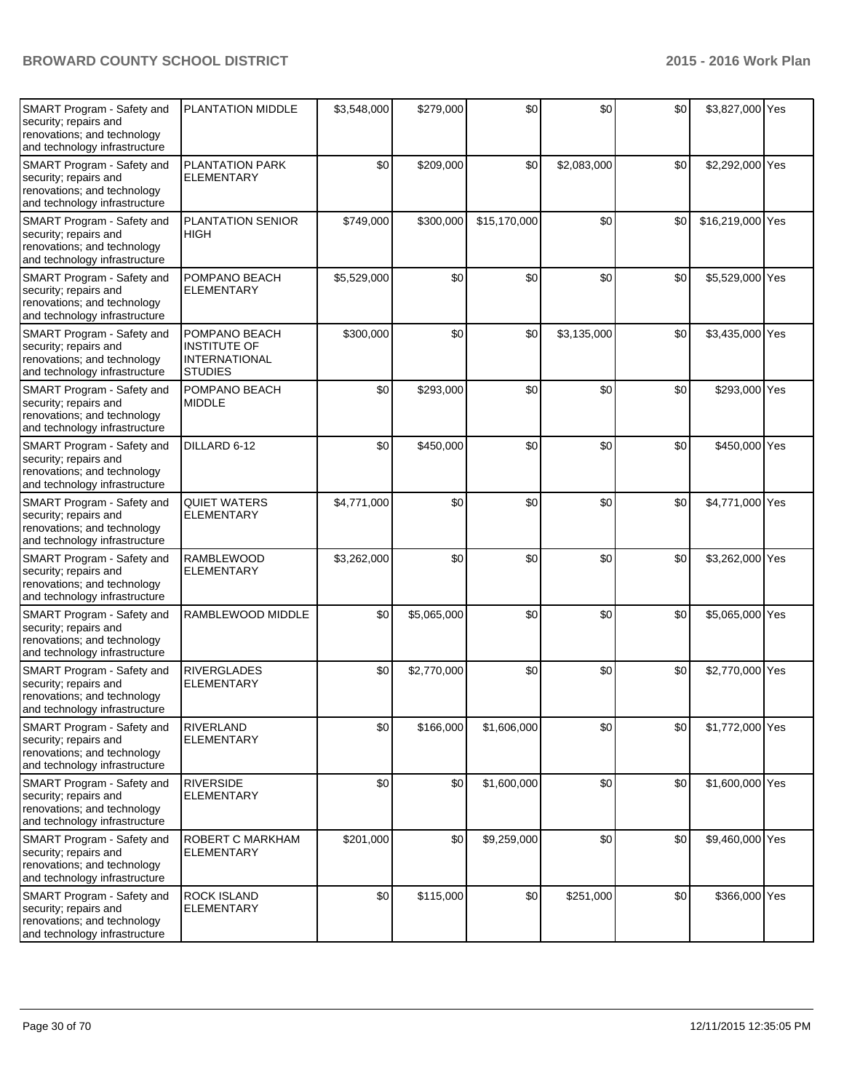| SMART Program - Safety and<br>security; repairs and<br>renovations; and technology<br>and technology infrastructure | PLANTATION MIDDLE                                                              | \$3,548,000 | \$279,000   | \$0          | \$0         | \$0 | \$3,827,000 Yes  |  |
|---------------------------------------------------------------------------------------------------------------------|--------------------------------------------------------------------------------|-------------|-------------|--------------|-------------|-----|------------------|--|
| SMART Program - Safety and<br>security; repairs and<br>renovations; and technology<br>and technology infrastructure | PLANTATION PARK<br><b>ELEMENTARY</b>                                           | \$0         | \$209,000   | \$0          | \$2,083,000 | \$0 | \$2,292,000 Yes  |  |
| SMART Program - Safety and<br>security; repairs and<br>renovations; and technology<br>and technology infrastructure | <b>PLANTATION SENIOR</b><br><b>HIGH</b>                                        | \$749,000   | \$300,000   | \$15,170,000 | \$0         | \$0 | \$16,219,000 Yes |  |
| SMART Program - Safety and<br>security; repairs and<br>renovations; and technology<br>and technology infrastructure | POMPANO BEACH<br><b>ELEMENTARY</b>                                             | \$5,529,000 | \$0         | \$0          | \$0         | \$0 | \$5,529,000 Yes  |  |
| SMART Program - Safety and<br>security; repairs and<br>renovations; and technology<br>and technology infrastructure | POMPANO BEACH<br><b>INSTITUTE OF</b><br><b>INTERNATIONAL</b><br><b>STUDIES</b> | \$300,000   | \$0         | \$0          | \$3,135,000 | \$0 | \$3,435,000 Yes  |  |
| SMART Program - Safety and<br>security; repairs and<br>renovations; and technology<br>and technology infrastructure | POMPANO BEACH<br><b>MIDDLE</b>                                                 | \$0         | \$293,000   | \$0          | \$0         | \$0 | \$293,000 Yes    |  |
| SMART Program - Safety and<br>security; repairs and<br>renovations; and technology<br>and technology infrastructure | DILLARD 6-12                                                                   | \$0         | \$450,000   | \$0          | \$0         | \$0 | \$450,000 Yes    |  |
| SMART Program - Safety and<br>security; repairs and<br>renovations; and technology<br>and technology infrastructure | <b>QUIET WATERS</b><br><b>ELEMENTARY</b>                                       | \$4,771,000 | \$0         | \$0          | \$0         | \$0 | \$4,771,000 Yes  |  |
| SMART Program - Safety and<br>security; repairs and<br>renovations; and technology<br>and technology infrastructure | <b>RAMBLEWOOD</b><br><b>ELEMENTARY</b>                                         | \$3,262,000 | \$0         | \$0          | \$0         | \$0 | \$3,262,000 Yes  |  |
| SMART Program - Safety and<br>security; repairs and<br>renovations; and technology<br>and technology infrastructure | RAMBLEWOOD MIDDLE                                                              | \$0         | \$5,065,000 | \$0          | \$0         | \$0 | \$5,065,000 Yes  |  |
| SMART Program - Safety and<br>security; repairs and<br>renovations; and technology<br>and technology infrastructure | <b>RIVERGLADES</b><br><b>ELEMENTARY</b>                                        | \$0         | \$2,770,000 | \$0          | \$0         | \$0 | \$2,770,000 Yes  |  |
| SMART Program - Safety and<br>security; repairs and<br>renovations; and technology<br>and technology infrastructure | <b>RIVERLAND</b><br><b>ELEMENTARY</b>                                          | \$0         | \$166,000   | \$1,606,000  | \$0         | \$0 | \$1,772,000 Yes  |  |
| SMART Program - Safety and<br>security; repairs and<br>renovations; and technology<br>and technology infrastructure | <b>RIVERSIDE</b><br><b>ELEMENTARY</b>                                          | \$0         | \$0         | \$1,600,000  | \$0         | \$0 | \$1,600,000 Yes  |  |
| SMART Program - Safety and<br>security; repairs and<br>renovations; and technology<br>and technology infrastructure | ROBERT C MARKHAM<br><b>ELEMENTARY</b>                                          | \$201,000   | \$0         | \$9,259,000  | \$0         | \$0 | \$9,460,000 Yes  |  |
| SMART Program - Safety and<br>security; repairs and<br>renovations; and technology<br>and technology infrastructure | <b>ROCK ISLAND</b><br><b>ELEMENTARY</b>                                        | \$0         | \$115,000   | \$0          | \$251,000   | \$0 | \$366,000 Yes    |  |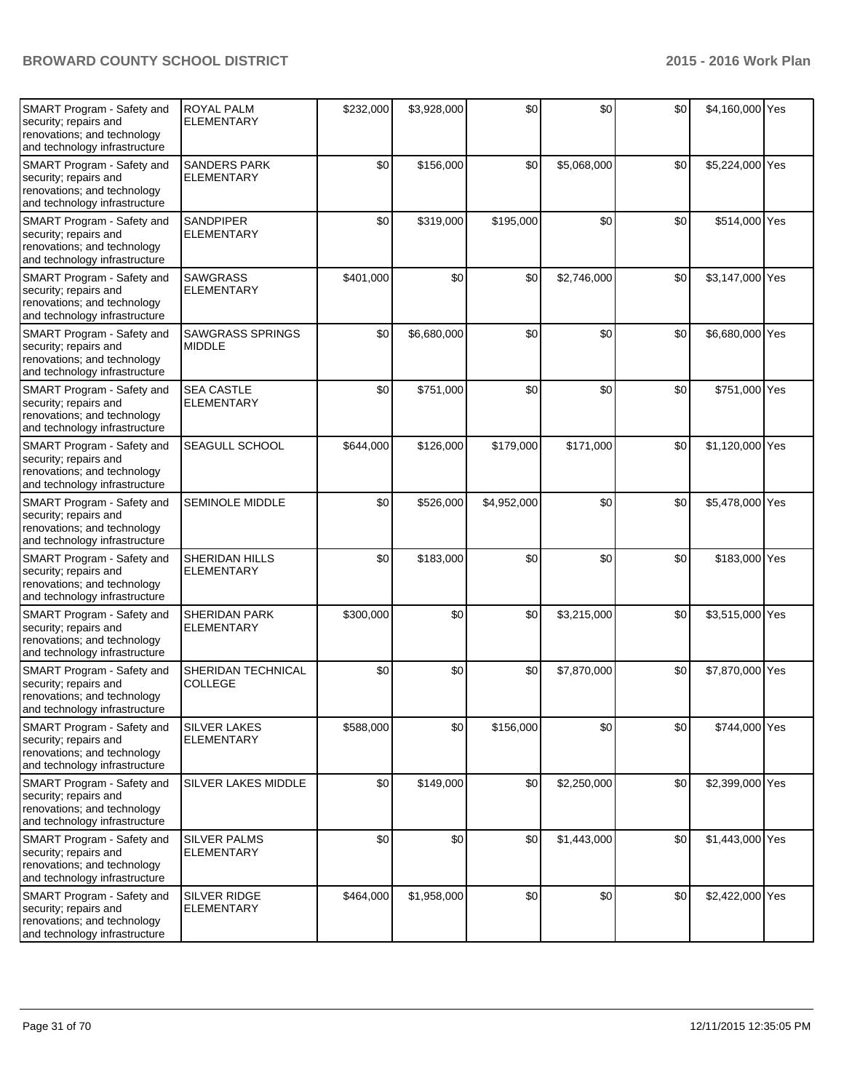| SMART Program - Safety and<br>security; repairs and<br>renovations; and technology<br>and technology infrastructure | <b>ROYAL PALM</b><br><b>ELEMENTARY</b>    | \$232,000 | \$3,928,000 | \$0         | \$0         | \$0 | \$4,160,000 Yes |  |
|---------------------------------------------------------------------------------------------------------------------|-------------------------------------------|-----------|-------------|-------------|-------------|-----|-----------------|--|
| SMART Program - Safety and<br>security; repairs and<br>renovations; and technology<br>and technology infrastructure | <b>SANDERS PARK</b><br><b>ELEMENTARY</b>  | \$0       | \$156,000   | \$0         | \$5,068,000 | \$0 | \$5,224,000 Yes |  |
| SMART Program - Safety and<br>security; repairs and<br>renovations; and technology<br>and technology infrastructure | <b>SANDPIPER</b><br><b>ELEMENTARY</b>     | \$0       | \$319,000   | \$195,000   | \$0         | \$0 | \$514,000 Yes   |  |
| SMART Program - Safety and<br>security; repairs and<br>renovations; and technology<br>and technology infrastructure | <b>SAWGRASS</b><br><b>ELEMENTARY</b>      | \$401,000 | \$0         | \$0         | \$2,746,000 | \$0 | \$3,147,000 Yes |  |
| SMART Program - Safety and<br>security; repairs and<br>renovations; and technology<br>and technology infrastructure | <b>SAWGRASS SPRINGS</b><br><b>MIDDLE</b>  | \$0       | \$6,680,000 | \$0         | \$0         | \$0 | \$6,680,000 Yes |  |
| SMART Program - Safety and<br>security; repairs and<br>renovations; and technology<br>and technology infrastructure | <b>SEA CASTLE</b><br><b>ELEMENTARY</b>    | \$0       | \$751,000   | \$0         | \$0         | \$0 | \$751,000 Yes   |  |
| SMART Program - Safety and<br>security; repairs and<br>renovations; and technology<br>and technology infrastructure | SEAGULL SCHOOL                            | \$644,000 | \$126,000   | \$179,000   | \$171,000   | \$0 | \$1,120,000 Yes |  |
| SMART Program - Safety and<br>security; repairs and<br>renovations; and technology<br>and technology infrastructure | <b>SEMINOLE MIDDLE</b>                    | \$0       | \$526,000   | \$4,952,000 | \$0         | \$0 | \$5,478,000 Yes |  |
| SMART Program - Safety and<br>security; repairs and<br>renovations; and technology<br>and technology infrastructure | SHERIDAN HILLS<br><b>ELEMENTARY</b>       | \$0       | \$183,000   | \$0         | \$0         | \$0 | \$183,000 Yes   |  |
| SMART Program - Safety and<br>security; repairs and<br>renovations; and technology<br>and technology infrastructure | <b>SHERIDAN PARK</b><br><b>ELEMENTARY</b> | \$300,000 | \$0         | \$0         | \$3,215,000 | \$0 | \$3,515,000 Yes |  |
| SMART Program - Safety and<br>security; repairs and<br>renovations; and technology<br>and technology infrastructure | SHERIDAN TECHNICAL<br><b>COLLEGE</b>      | \$0       | \$0         | \$0         | \$7,870,000 | \$0 | \$7,870,000 Yes |  |
| SMART Program - Safety and<br>security; repairs and<br>renovations; and technology<br>and technology infrastructure | <b>SILVER LAKES</b><br><b>ELEMENTARY</b>  | \$588,000 | \$0         | \$156,000   | \$0         | \$0 | \$744,000 Yes   |  |
| SMART Program - Safety and<br>security; repairs and<br>renovations; and technology<br>and technology infrastructure | SILVER LAKES MIDDLE                       | \$0       | \$149,000   | \$0         | \$2,250,000 | \$0 | \$2,399,000 Yes |  |
| SMART Program - Safety and<br>security; repairs and<br>renovations; and technology<br>and technology infrastructure | <b>SILVER PALMS</b><br><b>ELEMENTARY</b>  | \$0       | \$0         | \$0         | \$1,443,000 | \$0 | \$1,443,000 Yes |  |
| SMART Program - Safety and<br>security; repairs and<br>renovations; and technology<br>and technology infrastructure | SILVER RIDGE<br><b>ELEMENTARY</b>         | \$464,000 | \$1,958,000 | \$0         | \$0         | \$0 | \$2,422,000 Yes |  |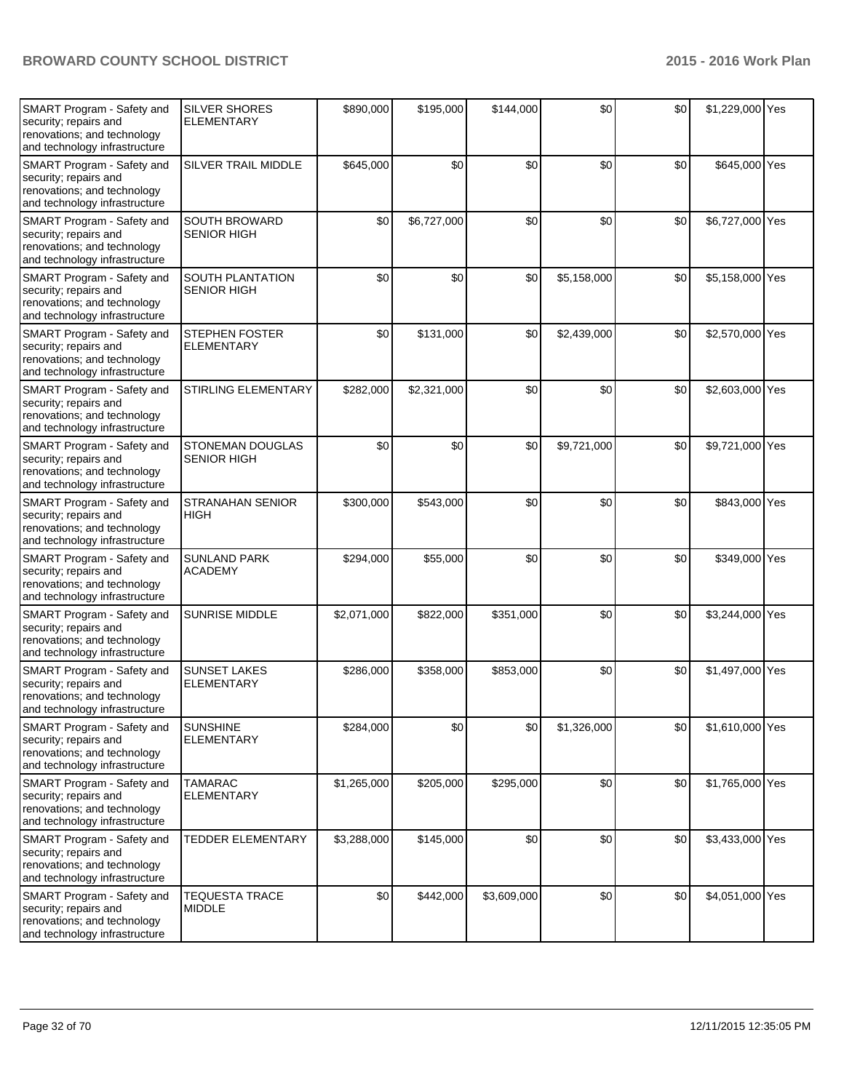| SMART Program - Safety and<br>security; repairs and<br>renovations; and technology<br>and technology infrastructure | <b>SILVER SHORES</b><br><b>ELEMENTARY</b>  | \$890,000   | \$195,000   | \$144,000   | \$0         | \$0 | \$1,229,000 Yes |  |
|---------------------------------------------------------------------------------------------------------------------|--------------------------------------------|-------------|-------------|-------------|-------------|-----|-----------------|--|
| SMART Program - Safety and<br>security; repairs and<br>renovations; and technology<br>and technology infrastructure | SILVER TRAIL MIDDLE                        | \$645,000   | \$0         | \$0         | \$0         | \$0 | \$645,000 Yes   |  |
| SMART Program - Safety and<br>security; repairs and<br>renovations; and technology<br>and technology infrastructure | SOUTH BROWARD<br><b>SENIOR HIGH</b>        | \$0         | \$6,727,000 | \$0         | \$0         | \$0 | \$6,727,000 Yes |  |
| SMART Program - Safety and<br>security; repairs and<br>renovations; and technology<br>and technology infrastructure | SOUTH PLANTATION<br><b>SENIOR HIGH</b>     | \$0         | \$0         | \$0         | \$5,158,000 | \$0 | \$5,158,000 Yes |  |
| SMART Program - Safety and<br>security; repairs and<br>renovations; and technology<br>and technology infrastructure | <b>STEPHEN FOSTER</b><br><b>ELEMENTARY</b> | \$0         | \$131,000   | \$0         | \$2,439,000 | \$0 | \$2,570,000 Yes |  |
| SMART Program - Safety and<br>security; repairs and<br>renovations; and technology<br>and technology infrastructure | STIRLING ELEMENTARY                        | \$282,000   | \$2,321,000 | \$0         | \$0         | \$0 | \$2,603,000 Yes |  |
| SMART Program - Safety and<br>security; repairs and<br>renovations; and technology<br>and technology infrastructure | STONEMAN DOUGLAS<br><b>SENIOR HIGH</b>     | \$0         | \$0         | \$0         | \$9,721,000 | \$0 | \$9,721,000 Yes |  |
| SMART Program - Safety and<br>security; repairs and<br>renovations; and technology<br>and technology infrastructure | <b>STRANAHAN SENIOR</b><br><b>HIGH</b>     | \$300,000   | \$543,000   | \$0         | \$0         | \$0 | \$843,000 Yes   |  |
| SMART Program - Safety and<br>security; repairs and<br>renovations; and technology<br>and technology infrastructure | <b>SUNLAND PARK</b><br><b>ACADEMY</b>      | \$294,000   | \$55,000    | \$0         | \$0         | \$0 | \$349,000 Yes   |  |
| SMART Program - Safety and<br>security; repairs and<br>renovations; and technology<br>and technology infrastructure | <b>SUNRISE MIDDLE</b>                      | \$2,071,000 | \$822,000   | \$351,000   | \$0         | \$0 | \$3,244,000 Yes |  |
| SMART Program - Safety and<br>security; repairs and<br>renovations; and technology<br>and technology infrastructure | <b>SUNSET LAKES</b><br><b>ELEMENTARY</b>   | \$286,000   | \$358,000   | \$853,000   | \$0         | \$0 | \$1,497,000 Yes |  |
| SMART Program - Safety and<br>security; repairs and<br>renovations; and technology<br>and technology infrastructure | <b>SUNSHINE</b><br><b>ELEMENTARY</b>       | \$284,000   | \$0         | \$0         | \$1,326,000 | \$0 | \$1,610,000 Yes |  |
| SMART Program - Safety and<br>security; repairs and<br>renovations; and technology<br>and technology infrastructure | <b>TAMARAC</b><br><b>ELEMENTARY</b>        | \$1,265,000 | \$205,000   | \$295,000   | \$0         | \$0 | \$1,765,000 Yes |  |
| SMART Program - Safety and<br>security; repairs and<br>renovations; and technology<br>and technology infrastructure | <b>TEDDER ELEMENTARY</b>                   | \$3,288,000 | \$145,000   | \$0         | \$0         | \$0 | \$3,433,000 Yes |  |
| SMART Program - Safety and<br>security; repairs and<br>renovations; and technology<br>and technology infrastructure | <b>TEQUESTA TRACE</b><br><b>MIDDLE</b>     | \$0         | \$442,000   | \$3,609,000 | \$0         | \$0 | \$4,051,000 Yes |  |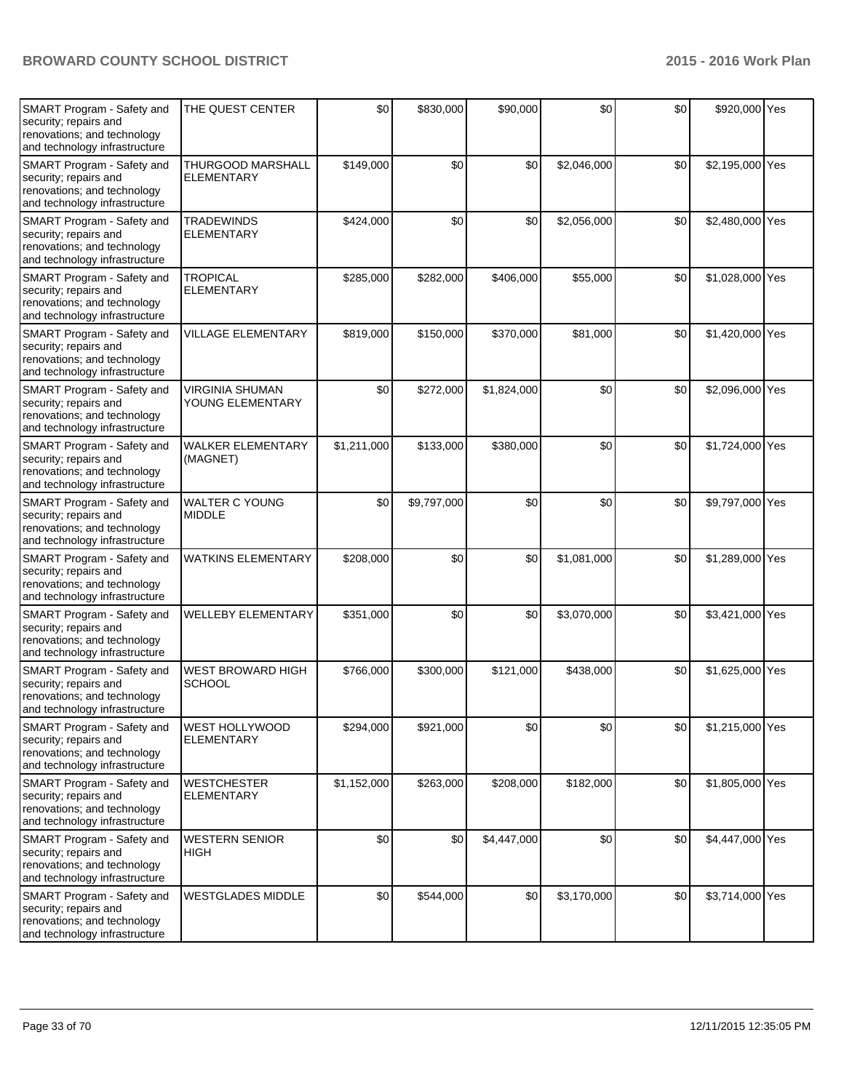| SMART Program - Safety and<br>security; repairs and<br>renovations; and technology<br>and technology infrastructure | THE QUEST CENTER                           | \$0         | \$830,000   | \$90,000    | \$0         | \$0 | \$920,000 Yes   |  |
|---------------------------------------------------------------------------------------------------------------------|--------------------------------------------|-------------|-------------|-------------|-------------|-----|-----------------|--|
| SMART Program - Safety and<br>security; repairs and<br>renovations; and technology<br>and technology infrastructure | THURGOOD MARSHALL<br><b>ELEMENTARY</b>     | \$149,000   | \$0         | \$0         | \$2,046,000 | \$0 | \$2,195,000 Yes |  |
| SMART Program - Safety and<br>security; repairs and<br>renovations; and technology<br>and technology infrastructure | <b>TRADEWINDS</b><br><b>ELEMENTARY</b>     | \$424,000   | \$0         | \$0         | \$2,056,000 | \$0 | \$2,480,000 Yes |  |
| SMART Program - Safety and<br>security; repairs and<br>renovations; and technology<br>and technology infrastructure | <b>TROPICAL</b><br><b>ELEMENTARY</b>       | \$285,000   | \$282,000   | \$406,000   | \$55,000    | \$0 | \$1,028,000 Yes |  |
| SMART Program - Safety and<br>security; repairs and<br>renovations; and technology<br>and technology infrastructure | <b>VILLAGE ELEMENTARY</b>                  | \$819,000   | \$150,000   | \$370,000   | \$81,000    | \$0 | \$1,420,000 Yes |  |
| SMART Program - Safety and<br>security; repairs and<br>renovations; and technology<br>and technology infrastructure | <b>VIRGINIA SHUMAN</b><br>YOUNG ELEMENTARY | \$0         | \$272,000   | \$1,824,000 | \$0         | \$0 | \$2,096,000 Yes |  |
| SMART Program - Safety and<br>security; repairs and<br>renovations; and technology<br>and technology infrastructure | <b>WALKER ELEMENTARY</b><br>(MAGNET)       | \$1,211,000 | \$133,000   | \$380,000   | \$0         | \$0 | \$1,724,000 Yes |  |
| SMART Program - Safety and<br>security; repairs and<br>renovations; and technology<br>and technology infrastructure | <b>WALTER C YOUNG</b><br><b>MIDDLE</b>     | \$0         | \$9,797,000 | \$0         | \$0         | \$0 | \$9,797,000 Yes |  |
| SMART Program - Safety and<br>security; repairs and<br>renovations; and technology<br>and technology infrastructure | <b>WATKINS ELEMENTARY</b>                  | \$208,000   | \$0         | \$0         | \$1,081,000 | \$0 | \$1,289,000 Yes |  |
| SMART Program - Safety and<br>security; repairs and<br>renovations; and technology<br>and technology infrastructure | <b>WELLEBY ELEMENTARY</b>                  | \$351,000   | \$0         | \$0         | \$3,070,000 | \$0 | \$3,421,000 Yes |  |
| SMART Program - Safety and<br>security; repairs and<br>renovations; and technology<br>and technology infrastructure | <b>WEST BROWARD HIGH</b><br><b>SCHOOL</b>  | \$766,000   | \$300,000   | \$121,000   | \$438,000   | \$0 | \$1,625,000 Yes |  |
| SMART Program - Safety and<br>security; repairs and<br>renovations; and technology<br>and technology infrastructure | <b>WEST HOLLYWOOD</b><br><b>ELEMENTARY</b> | \$294,000   | \$921,000   | \$0         | \$0         | \$0 | \$1,215,000 Yes |  |
| SMART Program - Safety and<br>security; repairs and<br>renovations; and technology<br>and technology infrastructure | <b>WESTCHESTER</b><br><b>ELEMENTARY</b>    | \$1,152,000 | \$263,000   | \$208,000   | \$182,000   | \$0 | \$1,805,000 Yes |  |
| SMART Program - Safety and<br>security; repairs and<br>renovations; and technology<br>and technology infrastructure | <b>WESTERN SENIOR</b><br><b>HIGH</b>       | \$0         | \$0         | \$4,447,000 | \$0         | \$0 | \$4,447,000 Yes |  |
| SMART Program - Safety and<br>security; repairs and<br>renovations; and technology<br>and technology infrastructure | <b>WESTGLADES MIDDLE</b>                   | \$0         | \$544,000   | \$0         | \$3,170,000 | \$0 | \$3,714,000 Yes |  |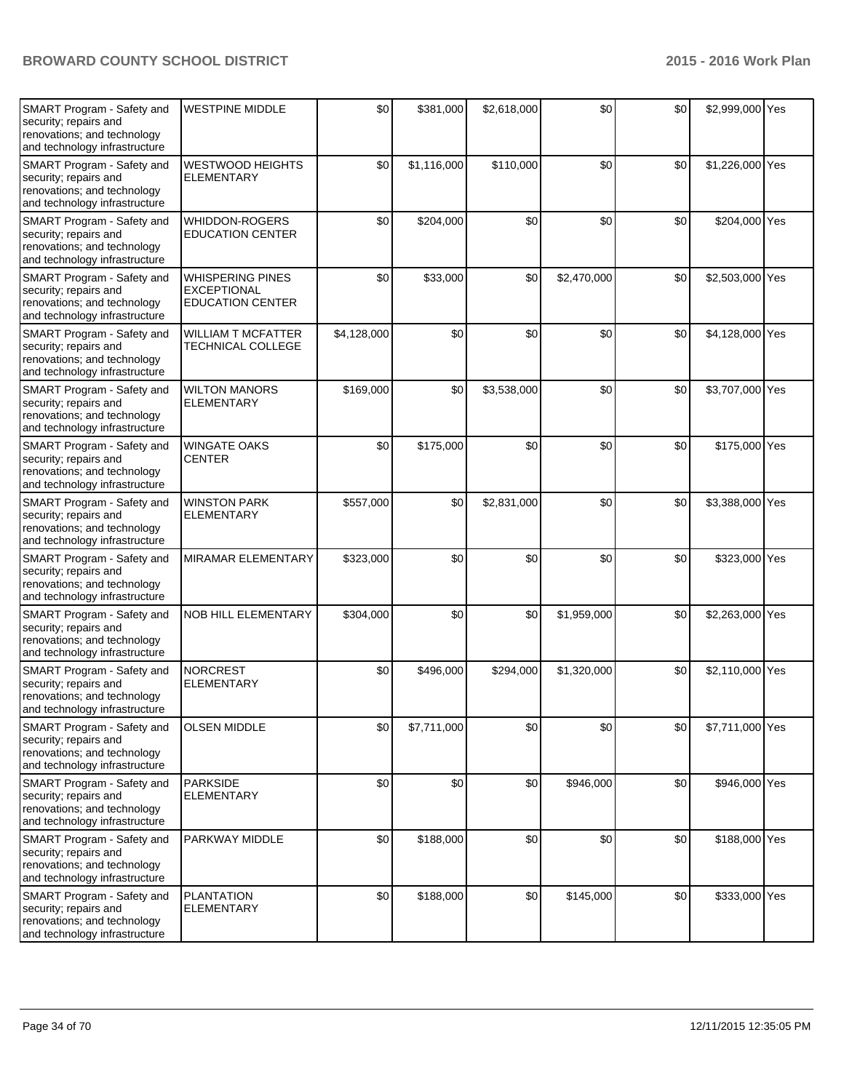| SMART Program - Safety and<br>security; repairs and<br>renovations; and technology<br>and technology infrastructure | <b>WESTPINE MIDDLE</b>                                                   | \$0         | \$381,000   | \$2,618,000 | \$0         | \$0 | \$2,999,000 Yes |  |
|---------------------------------------------------------------------------------------------------------------------|--------------------------------------------------------------------------|-------------|-------------|-------------|-------------|-----|-----------------|--|
| SMART Program - Safety and<br>security; repairs and<br>renovations; and technology<br>and technology infrastructure | <b>WESTWOOD HEIGHTS</b><br><b>ELEMENTARY</b>                             | \$0         | \$1,116,000 | \$110,000   | \$0         | \$0 | \$1,226,000 Yes |  |
| SMART Program - Safety and<br>security; repairs and<br>renovations; and technology<br>and technology infrastructure | WHIDDON-ROGERS<br><b>EDUCATION CENTER</b>                                | \$0         | \$204,000   | \$0         | \$0         | \$0 | \$204,000 Yes   |  |
| SMART Program - Safety and<br>security; repairs and<br>renovations; and technology<br>and technology infrastructure | <b>WHISPERING PINES</b><br><b>EXCEPTIONAL</b><br><b>EDUCATION CENTER</b> | \$0         | \$33,000    | \$0         | \$2,470,000 | \$0 | \$2,503,000 Yes |  |
| SMART Program - Safety and<br>security; repairs and<br>renovations; and technology<br>and technology infrastructure | <b>WILLIAM T MCFATTER</b><br>TECHNICAL COLLEGE                           | \$4,128,000 | \$0         | \$0         | \$0         | \$0 | \$4,128,000 Yes |  |
| SMART Program - Safety and<br>security; repairs and<br>renovations; and technology<br>and technology infrastructure | <b>WILTON MANORS</b><br><b>ELEMENTARY</b>                                | \$169,000   | \$0         | \$3,538,000 | \$0         | \$0 | \$3,707,000 Yes |  |
| SMART Program - Safety and<br>security; repairs and<br>renovations; and technology<br>and technology infrastructure | <b>WINGATE OAKS</b><br><b>CENTER</b>                                     | \$0         | \$175,000   | \$0         | \$0         | \$0 | \$175,000 Yes   |  |
| SMART Program - Safety and<br>security; repairs and<br>renovations; and technology<br>and technology infrastructure | <b>WINSTON PARK</b><br><b>ELEMENTARY</b>                                 | \$557,000   | \$0         | \$2,831,000 | \$0         | \$0 | \$3,388,000 Yes |  |
| SMART Program - Safety and<br>security; repairs and<br>renovations; and technology<br>and technology infrastructure | <b>MIRAMAR ELEMENTARY</b>                                                | \$323,000   | \$0         | \$0         | \$0         | \$0 | \$323,000 Yes   |  |
| SMART Program - Safety and<br>security; repairs and<br>renovations; and technology<br>and technology infrastructure | <b>NOB HILL ELEMENTARY</b>                                               | \$304,000   | \$0         | \$0         | \$1,959,000 | \$0 | \$2,263,000 Yes |  |
| SMART Program - Safety and<br>security; repairs and<br>renovations; and technology<br>and technology infrastructure | <b>NORCREST</b><br><b>ELEMENTARY</b>                                     | \$0         | \$496,000   | \$294,000   | \$1,320,000 | \$0 | \$2,110,000 Yes |  |
| SMART Program - Safety and<br>security; repairs and<br>renovations; and technology<br>and technology infrastructure | <b>OLSEN MIDDLE</b>                                                      | \$0         | \$7,711,000 | \$0         | \$0         | \$0 | \$7,711,000 Yes |  |
| SMART Program - Safety and<br>security; repairs and<br>renovations; and technology<br>and technology infrastructure | <b>PARKSIDE</b><br><b>ELEMENTARY</b>                                     | \$0         | \$0         | \$0         | \$946,000   | \$0 | \$946,000 Yes   |  |
| SMART Program - Safety and<br>security; repairs and<br>renovations; and technology<br>and technology infrastructure | PARKWAY MIDDLE                                                           | \$0         | \$188,000   | \$0         | \$0         | \$0 | \$188,000 Yes   |  |
| SMART Program - Safety and<br>security; repairs and<br>renovations; and technology<br>and technology infrastructure | <b>PLANTATION</b><br><b>ELEMENTARY</b>                                   | \$0         | \$188,000   | \$0         | \$145,000   | \$0 | \$333,000 Yes   |  |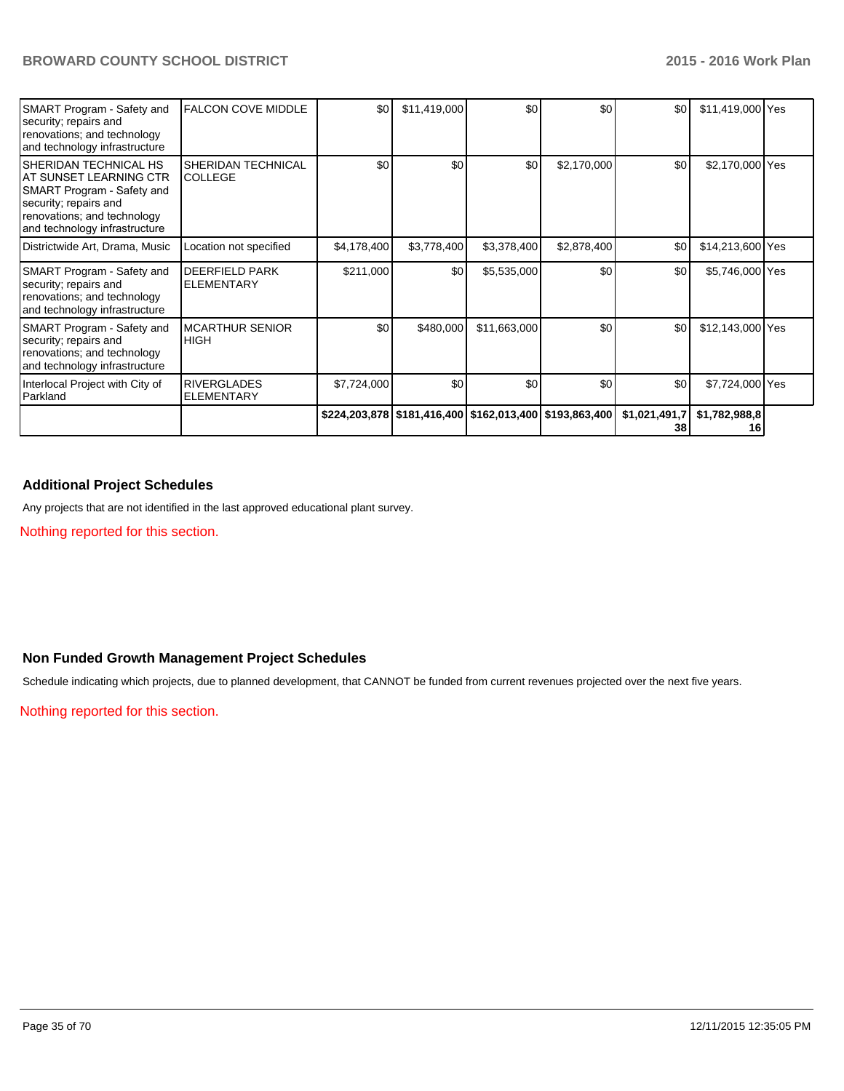| <b>SMART Program - Safety and</b><br>security; repairs and<br>renovations; and technology<br>and technology infrastructure                                                     | <b>FALCON COVE MIDDLE</b>                   | \$0         | \$11,419,000 | \$0          | \$0                                                           | \$0 <sub>1</sub>    | \$11,419,000 Yes    |  |
|--------------------------------------------------------------------------------------------------------------------------------------------------------------------------------|---------------------------------------------|-------------|--------------|--------------|---------------------------------------------------------------|---------------------|---------------------|--|
| <b>SHERIDAN TECHNICAL HS</b><br>IAT SUNSET LEARNING CTR<br>SMART Program - Safety and<br>security; repairs and<br>renovations; and technology<br>and technology infrastructure | <b>SHERIDAN TECHNICAL</b><br><b>COLLEGE</b> | \$0         | \$0          | \$0          | \$2,170,000                                                   | \$0                 | \$2,170,000 Yes     |  |
| Districtwide Art, Drama, Music                                                                                                                                                 | Location not specified                      | \$4,178,400 | \$3,778,400  | \$3,378,400  | \$2,878,400                                                   | \$0                 | \$14,213,600 Yes    |  |
| SMART Program - Safety and<br>security; repairs and<br>renovations; and technology<br>and technology infrastructure                                                            | <b>DEERFIELD PARK</b><br><b>ELEMENTARY</b>  | \$211,000   | \$0          | \$5,535,000  | \$0                                                           | \$0 <sub>1</sub>    | \$5,746,000 Yes     |  |
| SMART Program - Safety and<br>security; repairs and<br>renovations; and technology<br>and technology infrastructure                                                            | <b>MCARTHUR SENIOR</b><br><b>HIGH</b>       | \$0         | \$480,000    | \$11,663,000 | \$0                                                           | \$0 <sub>1</sub>    | \$12,143,000 Yes    |  |
| Interlocal Project with City of<br>Parkland                                                                                                                                    | <b>RIVERGLADES</b><br>ELEMENTARY            | \$7,724,000 | \$0          | \$0          | \$0                                                           | \$0 <sub>1</sub>    | \$7,724,000 Yes     |  |
|                                                                                                                                                                                |                                             |             |              |              | \$224,203,878   \$181,416,400   \$162,013,400   \$193,863,400 | \$1,021,491,7<br>38 | \$1,782,988,8<br>16 |  |

## **Additional Project Schedules**

Any projects that are not identified in the last approved educational plant survey.

Nothing reported for this section.

## **Non Funded Growth Management Project Schedules**

Schedule indicating which projects, due to planned development, that CANNOT be funded from current revenues projected over the next five years.

Nothing reported for this section.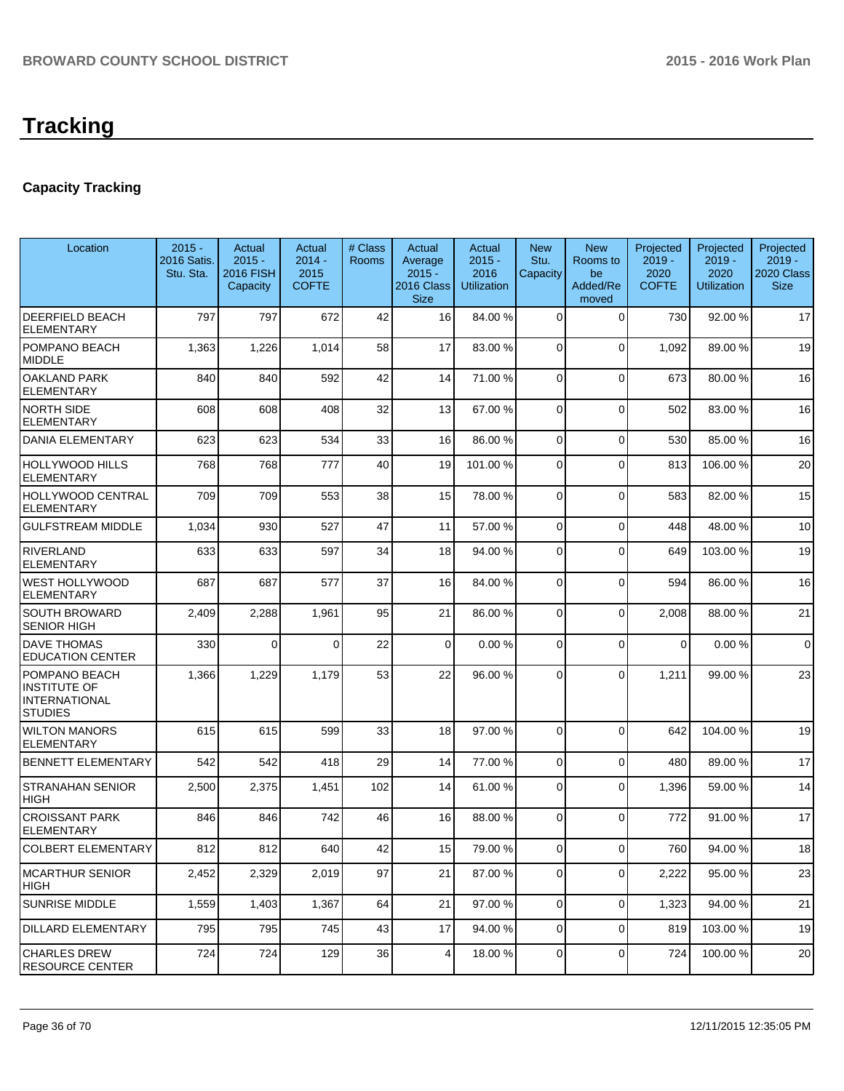# **Tracking**

# **Capacity Tracking**

| Location                                                                | $2015 -$<br>2016 Satis.<br>Stu. Sta. | Actual<br>$2015 -$<br>2016 FISH<br>Capacity | Actual<br>$2014 -$<br>2015<br><b>COFTE</b> | # Class<br><b>Rooms</b> | Actual<br>Average<br>$2015 -$<br>2016 Class<br><b>Size</b> | Actual<br>$2015 -$<br>2016<br><b>Utilization</b> | <b>New</b><br>Stu.<br>Capacity | <b>New</b><br>Rooms to<br>be<br>Added/Re<br>moved | Projected<br>$2019 -$<br>2020<br><b>COFTE</b> | Projected<br>$2019 -$<br>2020<br><b>Utilization</b> | Projected<br>$2019 -$<br>2020 Class<br><b>Size</b> |
|-------------------------------------------------------------------------|--------------------------------------|---------------------------------------------|--------------------------------------------|-------------------------|------------------------------------------------------------|--------------------------------------------------|--------------------------------|---------------------------------------------------|-----------------------------------------------|-----------------------------------------------------|----------------------------------------------------|
| DEERFIELD BEACH<br><b>ELEMENTARY</b>                                    | 797                                  | 797                                         | 672                                        | 42                      | 16                                                         | 84.00 %                                          | 0                              | $\Omega$                                          | 730                                           | 92.00 %                                             | 17                                                 |
| POMPANO BEACH<br><b>MIDDLE</b>                                          | 1,363                                | 1,226                                       | 1,014                                      | 58                      | 17                                                         | 83.00 %                                          | 0                              | $\Omega$                                          | 1,092                                         | 89.00 %                                             | 19                                                 |
| <b>OAKLAND PARK</b><br>ELEMENTARY                                       | 840                                  | 840                                         | 592                                        | 42                      | 14                                                         | 71.00 %                                          | 0                              | $\Omega$                                          | 673                                           | 80.00%                                              | 16                                                 |
| <b>NORTH SIDE</b><br><b>ELEMENTARY</b>                                  | 608                                  | 608                                         | 408                                        | 32                      | 13                                                         | 67.00 %                                          | 0                              | $\Omega$                                          | 502                                           | 83.00 %                                             | 16                                                 |
| DANIA ELEMENTARY                                                        | 623                                  | 623                                         | 534                                        | 33                      | 16                                                         | 86.00 %                                          | 0                              | $\Omega$                                          | 530                                           | 85.00 %                                             | 16                                                 |
| HOLLYWOOD HILLS<br>ELEMENTARY                                           | 768                                  | 768                                         | 777                                        | 40                      | 19                                                         | 101.00 %                                         | 0                              | $\Omega$                                          | 813                                           | 106.00%                                             | 20                                                 |
| HOLLYWOOD CENTRAL<br>ELEMENTARY                                         | 709                                  | 709                                         | 553                                        | 38                      | 15                                                         | 78.00 %                                          | $\mathbf 0$                    | $\Omega$                                          | 583                                           | 82.00%                                              | 15                                                 |
| <b>GULFSTREAM MIDDLE</b>                                                | 1,034                                | 930                                         | 527                                        | 47                      | 11                                                         | 57.00 %                                          | 0                              | $\Omega$                                          | 448                                           | 48.00%                                              | 10                                                 |
| <b>RIVERLAND</b><br><b>ELEMENTARY</b>                                   | 633                                  | 633                                         | 597                                        | 34                      | 18                                                         | 94.00 %                                          | 0                              | $\Omega$                                          | 649                                           | 103.00%                                             | 19                                                 |
| WEST HOLLYWOOD<br><b>ELEMENTARY</b>                                     | 687                                  | 687                                         | 577                                        | 37                      | 16                                                         | 84.00 %                                          | $\Omega$                       | $\Omega$                                          | 594                                           | 86.00 %                                             | 16                                                 |
| SOUTH BROWARD<br><b>SENIOR HIGH</b>                                     | 2,409                                | 2,288                                       | 1,961                                      | 95                      | 21                                                         | 86.00 %                                          | 0                              | $\Omega$                                          | 2,008                                         | 88.00 %                                             | 21                                                 |
| <b>DAVE THOMAS</b><br><b>EDUCATION CENTER</b>                           | 330                                  | $\Omega$                                    | $\Omega$                                   | 22                      | $\Omega$                                                   | 0.00%                                            | $\Omega$                       | $\Omega$                                          | $\Omega$                                      | 0.00%                                               | $\mathbf 0$                                        |
| POMPANO BEACH<br>INSTITUTE OF<br><b>INTERNATIONAL</b><br><b>STUDIES</b> | 1,366                                | 1,229                                       | 1,179                                      | 53                      | 22                                                         | 96.00 %                                          | 0                              | $\Omega$                                          | 1,211                                         | 99.00 %                                             | 23                                                 |
| <b>WILTON MANORS</b><br><b>ELEMENTARY</b>                               | 615                                  | 615                                         | 599                                        | 33                      | 18                                                         | 97.00 %                                          | $\Omega$                       | $\Omega$                                          | 642                                           | 104.00%                                             | 19                                                 |
| <b>BENNETT ELEMENTARY</b>                                               | 542                                  | 542                                         | 418                                        | 29                      | 14                                                         | 77.00 %                                          | 0                              | $\Omega$                                          | 480                                           | 89.00 %                                             | 17                                                 |
| <b>STRANAHAN SENIOR</b><br><b>HIGH</b>                                  | 2,500                                | 2,375                                       | 1,451                                      | 102                     | 14                                                         | 61.00%                                           | 0                              | $\Omega$                                          | 1,396                                         | 59.00 %                                             | 14                                                 |
| <b>CROISSANT PARK</b><br><b>ELEMENTARY</b>                              | 846                                  | 846                                         | 742                                        | 46                      | 16                                                         | 88.00 %                                          | $\Omega$                       | $\Omega$                                          | 772                                           | 91.00%                                              | 17                                                 |
| <b>COLBERT ELEMENTARY</b>                                               | 812                                  | 812                                         | 640                                        | 42                      | 15                                                         | 79.00 %                                          | $\Omega$                       | $\Omega$                                          | 760                                           | 94.00%                                              | 18                                                 |
| <b>MCARTHUR SENIOR</b><br>HIGH                                          | 2,452                                | 2,329                                       | 2,019                                      | 97                      | 21                                                         | 87.00 %                                          | 0                              | 0                                                 | 2,222                                         | 95.00 %                                             | 23                                                 |
| <b>SUNRISE MIDDLE</b>                                                   | 1,559                                | 1,403                                       | 1,367                                      | 64                      | 21                                                         | 97.00 %                                          | $\overline{0}$                 | $\Omega$                                          | 1,323                                         | 94.00%                                              | 21                                                 |
| DILLARD ELEMENTARY                                                      | 795                                  | 795                                         | 745                                        | 43                      | 17                                                         | 94.00 %                                          | 0                              | $\Omega$                                          | 819                                           | 103.00 %                                            | 19                                                 |
| <b>CHARLES DREW</b><br><b>RESOURCE CENTER</b>                           | 724                                  | 724                                         | 129                                        | 36                      | $\vert 4 \vert$                                            | 18.00 %                                          | 0                              | $\Omega$                                          | 724                                           | 100.00%                                             | 20                                                 |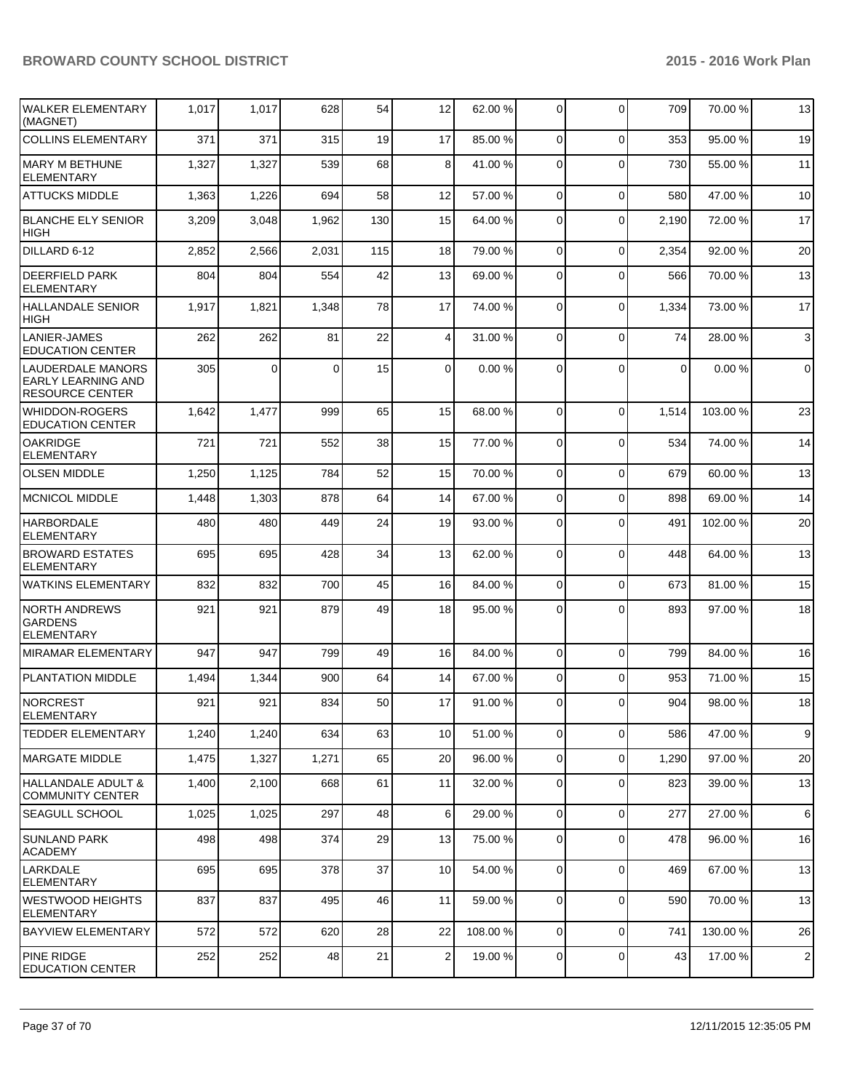| WALKER ELEMENTARY<br>(MAGNET)                                                   | 1,017 | 1,017    | 628   | 54  | 12              | 62.00 %  | 0               | $\Omega$    | 709   | 70.00 %  | 13             |
|---------------------------------------------------------------------------------|-------|----------|-------|-----|-----------------|----------|-----------------|-------------|-------|----------|----------------|
| <b>COLLINS ELEMENTARY</b>                                                       | 371   | 371      | 315   | 19  | 17              | 85.00 %  | $\overline{0}$  | $\Omega$    | 353   | 95.00 %  | 19             |
| <b>MARY M BETHUNE</b><br><b>ELEMENTARY</b>                                      | 1,327 | 1,327    | 539   | 68  | 8               | 41.00 %  | 0               | $\Omega$    | 730   | 55.00 %  | 11             |
| <b>ATTUCKS MIDDLE</b>                                                           | 1,363 | 1,226    | 694   | 58  | 12              | 57.00 %  | 0               | $\Omega$    | 580   | 47.00 %  | 10             |
| <b>BLANCHE ELY SENIOR</b><br><b>HIGH</b>                                        | 3,209 | 3,048    | 1,962 | 130 | 15              | 64.00 %  | 0               | $\Omega$    | 2,190 | 72.00 %  | 17             |
| DILLARD 6-12                                                                    | 2,852 | 2,566    | 2,031 | 115 | 18              | 79.00 %  | $\Omega$        | $\Omega$    | 2,354 | 92.00 %  | 20             |
| <b>DEERFIELD PARK</b><br><b>ELEMENTARY</b>                                      | 804   | 804      | 554   | 42  | 13              | 69.00 %  | $\Omega$        | $\Omega$    | 566   | 70.00%   | 13             |
| <b>HALLANDALE SENIOR</b><br><b>HIGH</b>                                         | 1,917 | 1,821    | 1,348 | 78  | 17              | 74.00 %  | $\Omega$        | $\Omega$    | 1,334 | 73.00 %  | 17             |
| <b>LANIER-JAMES</b><br><b>EDUCATION CENTER</b>                                  | 262   | 262      | 81    | 22  | 4               | 31.00 %  | $\overline{0}$  | $\Omega$    | 74    | 28.00 %  | 3              |
| <b>LAUDERDALE MANORS</b><br><b>EARLY LEARNING AND</b><br><b>RESOURCE CENTER</b> | 305   | $\Omega$ | 0     | 15  | 0               | 0.00%    | $\Omega$        | $\Omega$    | 0     | 0.00%    | $\mathbf 0$    |
| <b>WHIDDON-ROGERS</b><br><b>EDUCATION CENTER</b>                                | 1,642 | 1,477    | 999   | 65  | 15              | 68.00 %  | $\Omega$        | $\Omega$    | 1,514 | 103.00 % | 23             |
| <b>OAKRIDGE</b><br><b>ELEMENTARY</b>                                            | 721   | 721      | 552   | 38  | 15              | 77.00 %  | 0               | $\Omega$    | 534   | 74.00 %  | 14             |
| <b>OLSEN MIDDLE</b>                                                             | 1,250 | 1,125    | 784   | 52  | 15              | 70.00 %  | 0               | $\Omega$    | 679   | 60.00%   | 13             |
| <b>MCNICOL MIDDLE</b>                                                           | 1,448 | 1,303    | 878   | 64  | 14              | 67.00 %  | 0               | $\Omega$    | 898   | 69.00 %  | 14             |
| <b>HARBORDALE</b><br><b>ELEMENTARY</b>                                          | 480   | 480      | 449   | 24  | 19              | 93.00 %  | 0               | $\Omega$    | 491   | 102.00%  | 20             |
| <b>BROWARD ESTATES</b><br><b>ELEMENTARY</b>                                     | 695   | 695      | 428   | 34  | 13              | 62.00 %  | $\Omega$        | $\Omega$    | 448   | 64.00%   | 13             |
| <b>WATKINS ELEMENTARY</b>                                                       | 832   | 832      | 700   | 45  | 16              | 84.00 %  | $\overline{0}$  | $\Omega$    | 673   | 81.00%   | 15             |
| <b>NORTH ANDREWS</b><br><b>GARDENS</b><br><b>ELEMENTARY</b>                     | 921   | 921      | 879   | 49  | 18              | 95.00 %  | 0               | $\Omega$    | 893   | 97.00 %  | 18             |
| <b>MIRAMAR ELEMENTARY</b>                                                       | 947   | 947      | 799   | 49  | 16              | 84.00 %  | $\overline{0}$  | $\Omega$    | 799   | 84.00 %  | 16             |
| <b>PLANTATION MIDDLE</b>                                                        | 1,494 | 1,344    | 900   | 64  | 14              | 67.00 %  | $\overline{0}$  | $\Omega$    | 953   | 71.00 %  | 15             |
| NORCREST<br>ELEMENTARY                                                          | 921   | 921      | 834   | 50  | 17              | 91.00 %  | 0               | $\Omega$    | 904   | 98.00 %  | 18             |
| <b>TEDDER ELEMENTARY</b>                                                        | 1,240 | 1,240    | 634   | 63  | 10 <sup>1</sup> | 51.00 %  | $\overline{0}$  | $\mathbf 0$ | 586   | 47.00 %  | 9              |
| IMARGATE MIDDLE                                                                 | 1,475 | 1,327    | 1,271 | 65  | 20 <sub>2</sub> | 96.00 %  | $\overline{0}$  | $\mathbf 0$ | 1,290 | 97.00 %  | 20             |
| HALLANDALE ADULT &<br><b>COMMUNITY CENTER</b>                                   | 1,400 | 2,100    | 668   | 61  | 11              | 32.00 %  | $\overline{0}$  | $\mathbf 0$ | 823   | 39.00 %  | 13             |
| <b>SEAGULL SCHOOL</b>                                                           | 1,025 | 1,025    | 297   | 48  | 6               | 29.00 %  | $\overline{0}$  | $\mathbf 0$ | 277   | 27.00 %  | 6              |
| <b>SUNLAND PARK</b><br><b>ACADEMY</b>                                           | 498   | 498      | 374   | 29  | 13              | 75.00 %  | 0               | 0           | 478   | 96.00 %  | 16             |
| LARKDALE<br><b>ELEMENTARY</b>                                                   | 695   | 695      | 378   | 37  | 10 <sup>1</sup> | 54.00 %  | 0               | $\mathbf 0$ | 469   | 67.00 %  | 13             |
| <b>WESTWOOD HEIGHTS</b><br><b>ELEMENTARY</b>                                    | 837   | 837      | 495   | 46  | 11              | 59.00 %  | 0               | $\mathbf 0$ | 590   | 70.00 %  | 13             |
| <b>BAYVIEW ELEMENTARY</b>                                                       | 572   | 572      | 620   | 28  | 22              | 108.00 % | $\overline{0}$  | $\mathbf 0$ | 741   | 130.00%  | 26             |
| <b>PINE RIDGE</b><br><b>EDUCATION CENTER</b>                                    | 252   | 252      | 48    | 21  | $\mathbf{2}$    | 19.00 %  | $\vert 0 \vert$ | 0           | 43    | 17.00 %  | $\overline{c}$ |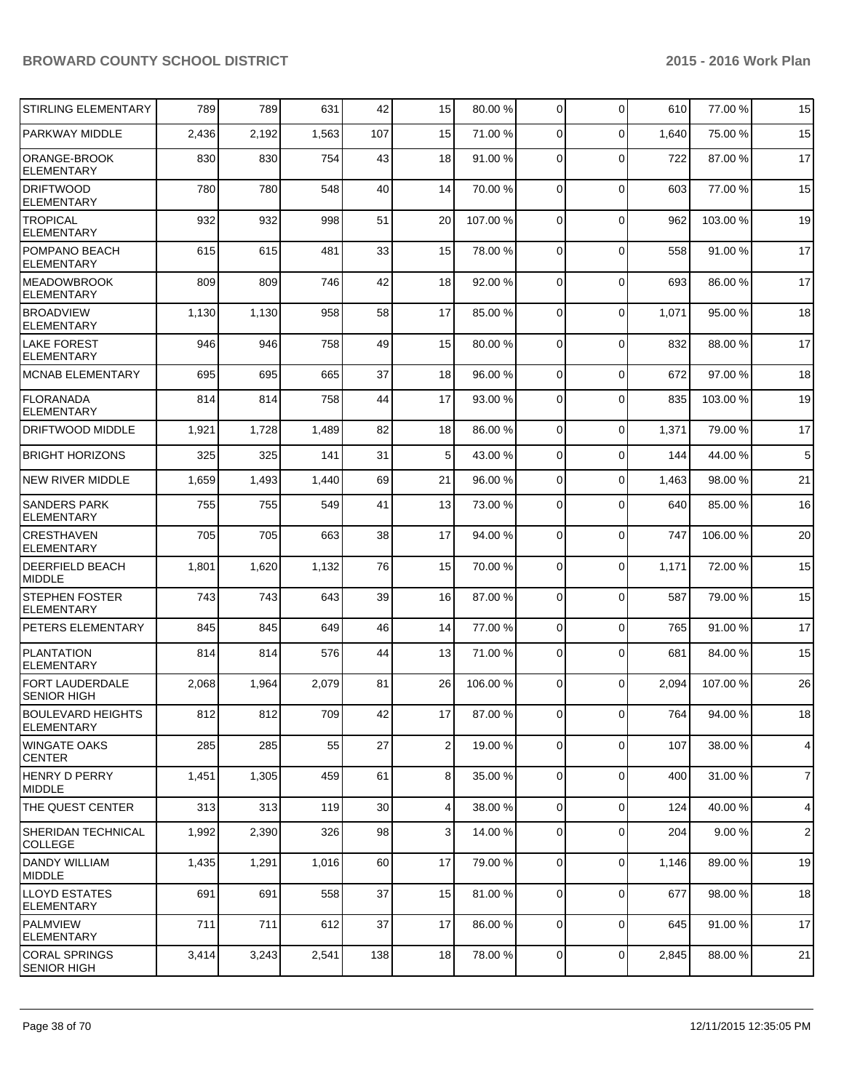| <b>STIRLING ELEMENTARY</b>                   | 789   | 789   | 631   | 42              | 15             | 80.00 %  | 0              | $\Omega$    | 610   | 77.00 %  | 15             |
|----------------------------------------------|-------|-------|-------|-----------------|----------------|----------|----------------|-------------|-------|----------|----------------|
| PARKWAY MIDDLE                               | 2,436 | 2,192 | 1,563 | 107             | 15             | 71.00 %  | $\Omega$       | $\Omega$    | 1,640 | 75.00 %  | 15             |
| ORANGE-BROOK<br><b>ELEMENTARY</b>            | 830   | 830   | 754   | 43              | 18             | 91.00 %  | 0              | $\Omega$    | 722   | 87.00 %  | 17             |
| <b>DRIFTWOOD</b><br><b>ELEMENTARY</b>        | 780   | 780   | 548   | 40              | 14             | 70.00 %  | $\mathbf 0$    | $\Omega$    | 603   | 77.00 %  | 15             |
| <b>TROPICAL</b><br><b>ELEMENTARY</b>         | 932   | 932   | 998   | 51              | 20             | 107.00%  | 0              | $\Omega$    | 962   | 103.00%  | 19             |
| POMPANO BEACH<br><b>ELEMENTARY</b>           | 615   | 615   | 481   | 33              | 15             | 78.00 %  | 0              | $\Omega$    | 558   | 91.00 %  | 17             |
| <b>MEADOWBROOK</b><br><b>ELEMENTARY</b>      | 809   | 809   | 746   | 42              | 18             | 92.00 %  | $\Omega$       | $\Omega$    | 693   | 86.00%   | 17             |
| <b>BROADVIEW</b><br><b>ELEMENTARY</b>        | 1,130 | 1,130 | 958   | 58              | 17             | 85.00 %  | $\mathbf 0$    | $\Omega$    | 1,071 | 95.00 %  | 18             |
| <b>LAKE FOREST</b><br><b>ELEMENTARY</b>      | 946   | 946   | 758   | 49              | 15             | 80.00 %  | 0              | $\Omega$    | 832   | 88.00 %  | 17             |
| <b>MCNAB ELEMENTARY</b>                      | 695   | 695   | 665   | 37              | 18             | 96.00 %  | 0              | 0           | 672   | 97.00 %  | 18             |
| <b>FLORANADA</b><br><b>ELEMENTARY</b>        | 814   | 814   | 758   | 44              | 17             | 93.00 %  | 0              | $\Omega$    | 835   | 103.00 % | 19             |
| DRIFTWOOD MIDDLE                             | 1,921 | 1,728 | 1,489 | 82              | 18             | 86.00 %  | 0              | $\mathbf 0$ | 1,371 | 79.00 %  | 17             |
| <b>BRIGHT HORIZONS</b>                       | 325   | 325   | 141   | 31              | 5              | 43.00 %  | 0              | $\Omega$    | 144   | 44.00 %  | 5              |
| <b>NEW RIVER MIDDLE</b>                      | 1,659 | 1,493 | 1,440 | 69              | 21             | 96.00 %  | 0              | $\mathbf 0$ | 1,463 | 98.00 %  | 21             |
| <b>SANDERS PARK</b><br><b>ELEMENTARY</b>     | 755   | 755   | 549   | 41              | 13             | 73.00 %  | 0              | $\Omega$    | 640   | 85.00 %  | 16             |
| <b>CRESTHAVEN</b><br><b>ELEMENTARY</b>       | 705   | 705   | 663   | 38              | 17             | 94.00 %  | $\mathbf 0$    | $\Omega$    | 747   | 106.00%  | 20             |
| <b>DEERFIELD BEACH</b><br><b>MIDDLE</b>      | 1,801 | 1,620 | 1,132 | 76              | 15             | 70.00 %  | 0              | $\mathbf 0$ | 1,171 | 72.00 %  | 15             |
| <b>STEPHEN FOSTER</b><br><b>ELEMENTARY</b>   | 743   | 743   | 643   | 39              | 16             | 87.00 %  | 0              | $\Omega$    | 587   | 79.00 %  | 15             |
| PETERS ELEMENTARY                            | 845   | 845   | 649   | 46              | 14             | 77.00 %  | 0              | $\mathbf 0$ | 765   | 91.00 %  | 17             |
| PLANTATION<br><b>ELEMENTARY</b>              | 814   | 814   | 576   | 44              | 13             | 71.00 %  | 0              | $\mathbf 0$ | 681   | 84.00%   | 15             |
| <b>FORT LAUDERDALE</b><br><b>SENIOR HIGH</b> | 2,068 | 1,964 | 2,079 | 81              | 26             | 106.00 % | 0              | $\Omega$    | 2,094 | 107.00%  | 26             |
| BOULEVARD HEIGHTS<br><b>ELEMENTARY</b>       | 812   | 812   | 709   | 42              | 17             | 87.00 %  | $\overline{0}$ | $\Omega$    | 764   | 94.00 %  | 18             |
| WINGATE OAKS<br><b>CENTER</b>                | 285   | 285   | 55    | 27              | 2              | 19.00 %  | 0              | $\Omega$    | 107   | 38.00 %  | $\overline{4}$ |
| HENRY D PERRY<br>MIDDLE                      | 1,451 | 1,305 | 459   | 61              | 8              | 35.00 %  | $\overline{0}$ | $\mathbf 0$ | 400   | 31.00%   | $\overline{7}$ |
| THE QUEST CENTER                             | 313   | 313   | 119   | 30 <sub>1</sub> | 4 <sup>1</sup> | 38.00 %  | $\mathbf 0$    | $\Omega$    | 124   | 40.00%   | 4              |
| <b>SHERIDAN TECHNICAL</b><br><b>COLLEGE</b>  | 1,992 | 2,390 | 326   | 98              | 3              | 14.00 %  | $\mathbf 0$    | $\Omega$    | 204   | 9.00%    | $\overline{2}$ |
| <b>DANDY WILLIAM</b><br><b>MIDDLE</b>        | 1,435 | 1,291 | 1,016 | 60              | 17             | 79.00 %  | 0              | $\mathbf 0$ | 1,146 | 89.00 %  | 19             |
| <b>ILLOYD ESTATES</b><br><b>ELEMENTARY</b>   | 691   | 691   | 558   | 37              | 15             | 81.00 %  | $\mathbf 0$    | $\Omega$    | 677   | 98.00 %  | 18             |
| PALMVIEW<br><b>ELEMENTARY</b>                | 711   | 711   | 612   | 37              | 17             | 86.00 %  | $\mathbf 0$    | $\mathbf 0$ | 645   | 91.00 %  | 17             |
| <b>CORAL SPRINGS</b><br><b>SENIOR HIGH</b>   | 3,414 | 3,243 | 2,541 | 138             | 18             | 78.00 %  | 0              | 0           | 2,845 | 88.00 %  | 21             |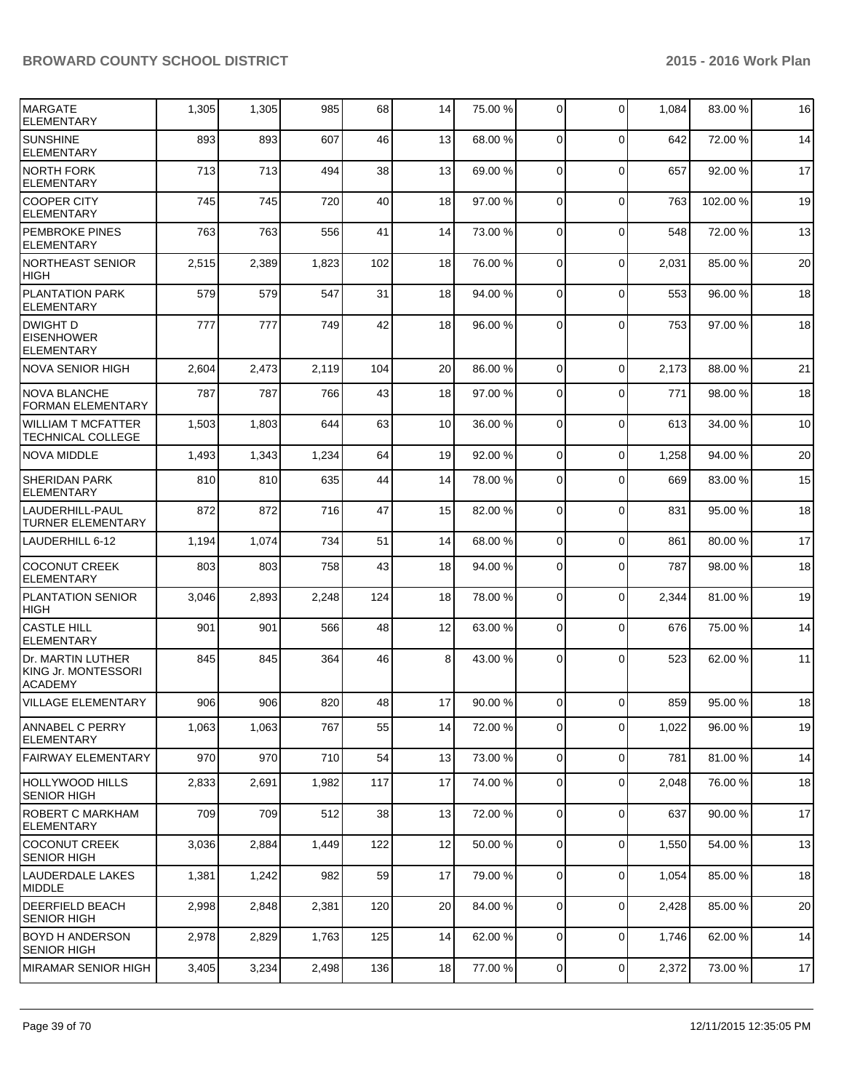| <b>MARGATE</b><br><b>ELEMENTARY</b>                        | 1,305 | 1,305 | 985   | 68  | 14              | 75.00 % | 0              | $\Omega$       | 1,084 | 83.00 % | 16 |
|------------------------------------------------------------|-------|-------|-------|-----|-----------------|---------|----------------|----------------|-------|---------|----|
| <b>SUNSHINE</b><br><b>ELEMENTARY</b>                       | 893   | 893   | 607   | 46  | 13              | 68.00 % | $\Omega$       | $\Omega$       | 642   | 72.00 % | 14 |
| <b>NORTH FORK</b><br>ELEMENTARY                            | 713   | 713   | 494   | 38  | 13              | 69.00 % | $\Omega$       | $\Omega$       | 657   | 92.00 % | 17 |
| <b>COOPER CITY</b><br><b>ELEMENTARY</b>                    | 745   | 745   | 720   | 40  | 18              | 97.00 % | $\Omega$       | $\Omega$       | 763   | 102.00% | 19 |
| <b>PEMBROKE PINES</b><br><b>ELEMENTARY</b>                 | 763   | 763   | 556   | 41  | 14              | 73.00 % | $\Omega$       | $\Omega$       | 548   | 72.00 % | 13 |
| NORTHEAST SENIOR<br><b>HIGH</b>                            | 2,515 | 2,389 | 1,823 | 102 | 18              | 76.00 % | $\Omega$       | $\mathbf 0$    | 2,031 | 85.00 % | 20 |
| <b>PLANTATION PARK</b><br><b>ELEMENTARY</b>                | 579   | 579   | 547   | 31  | 18              | 94.00 % | $\overline{0}$ | $\Omega$       | 553   | 96.00 % | 18 |
| <b>DWIGHT D</b><br><b>EISENHOWER</b><br>ELEMENTARY         | 777   | 777   | 749   | 42  | 18              | 96.00 % | $\Omega$       | $\Omega$       | 753   | 97.00%  | 18 |
| NOVA SENIOR HIGH                                           | 2,604 | 2,473 | 2,119 | 104 | 20 <sup>1</sup> | 86.00 % | $\Omega$       | $\Omega$       | 2,173 | 88.00 % | 21 |
| <b>NOVA BLANCHE</b><br><b>FORMAN ELEMENTARY</b>            | 787   | 787   | 766   | 43  | 18              | 97.00 % | $\overline{0}$ | $\Omega$       | 771   | 98.00%  | 18 |
| <b>WILLIAM T MCFATTER</b><br>TECHNICAL COLLEGE             | 1,503 | 1,803 | 644   | 63  | 10 <sup>1</sup> | 36.00 % | $\Omega$       | $\Omega$       | 613   | 34.00 % | 10 |
| <b>NOVA MIDDLE</b>                                         | 1,493 | 1,343 | 1,234 | 64  | 19              | 92.00 % | $\overline{0}$ | $\Omega$       | 1,258 | 94.00 % | 20 |
| <b>SHERIDAN PARK</b><br><b>ELEMENTARY</b>                  | 810   | 810   | 635   | 44  | 14              | 78.00 % | $\Omega$       | $\Omega$       | 669   | 83.00 % | 15 |
| LAUDERHILL-PAUL<br><b>TURNER ELEMENTARY</b>                | 872   | 872   | 716   | 47  | 15              | 82.00 % | $\Omega$       | $\Omega$       | 831   | 95.00 % | 18 |
| LAUDERHILL 6-12                                            | 1,194 | 1,074 | 734   | 51  | 14              | 68.00 % | $\overline{0}$ | $\mathbf 0$    | 861   | 80.00%  | 17 |
| <b>COCONUT CREEK</b><br><b>ELEMENTARY</b>                  | 803   | 803   | 758   | 43  | 18              | 94.00 % | $\overline{0}$ | $\Omega$       | 787   | 98.00 % | 18 |
| <b>PLANTATION SENIOR</b><br><b>HIGH</b>                    | 3,046 | 2,893 | 2,248 | 124 | 18              | 78.00 % | 0              | $\mathbf 0$    | 2,344 | 81.00 % | 19 |
| <b>CASTLE HILL</b><br><b>ELEMENTARY</b>                    | 901   | 901   | 566   | 48  | 12              | 63.00 % | 0              | $\Omega$       | 676   | 75.00 % | 14 |
| Dr. MARTIN LUTHER<br>KING Jr. MONTESSORI<br><b>ACADEMY</b> | 845   | 845   | 364   | 46  | 8 <sup>1</sup>  | 43.00 % | $\Omega$       | $\Omega$       | 523   | 62.00 % | 11 |
| <b>VILLAGE ELEMENTARY</b>                                  | 906   | 906   | 820   | 48  | 17              | 90.00 % | $\Omega$       | $\Omega$       | 859   | 95.00 % | 18 |
| <b>ANNABEL C PERRY</b><br><b>ELEMENTARY</b>                | 1,063 | 1,063 | 767   | 55  | 14              | 72.00 % | $\overline{0}$ | $\mathbf 0$    | 1,022 | 96.00%  | 19 |
| FAIRWAY ELEMENTARY                                         | 970   | 970   | 710   | 54  | 13              | 73.00 % | $\overline{0}$ | $\mathbf 0$    | 781   | 81.00%  | 14 |
| <b>HOLLYWOOD HILLS</b><br><b>SENIOR HIGH</b>               | 2,833 | 2,691 | 1,982 | 117 | 17              | 74.00 % | $\overline{0}$ | $\mathbf 0$    | 2,048 | 76.00 % | 18 |
| <b>ROBERT C MARKHAM</b><br><b>ELEMENTARY</b>               | 709   | 709   | 512   | 38  | 13              | 72.00 % | $\overline{0}$ | $\mathbf 0$    | 637   | 90.00 % | 17 |
| <b>COCONUT CREEK</b><br><b>SENIOR HIGH</b>                 | 3,036 | 2,884 | 1,449 | 122 | 12              | 50.00 % | $\overline{0}$ | $\mathbf 0$    | 1,550 | 54.00 % | 13 |
| <b>LAUDERDALE LAKES</b><br>MIDDLE                          | 1,381 | 1,242 | 982   | 59  | 17              | 79.00 % | $\Omega$       | $\mathbf 0$    | 1,054 | 85.00 % | 18 |
| <b>DEERFIELD BEACH</b><br><b>SENIOR HIGH</b>               | 2,998 | 2,848 | 2,381 | 120 | 20              | 84.00 % | $\overline{0}$ | $\overline{0}$ | 2,428 | 85.00 % | 20 |
| <b>BOYD H ANDERSON</b><br><b>SENIOR HIGH</b>               | 2,978 | 2,829 | 1,763 | 125 | 14              | 62.00 % | $\overline{0}$ | $\mathbf 0$    | 1,746 | 62.00 % | 14 |
| <b>MIRAMAR SENIOR HIGH</b>                                 | 3,405 | 3,234 | 2,498 | 136 | 18              | 77.00 % | $\overline{0}$ | $\overline{0}$ | 2,372 | 73.00%  | 17 |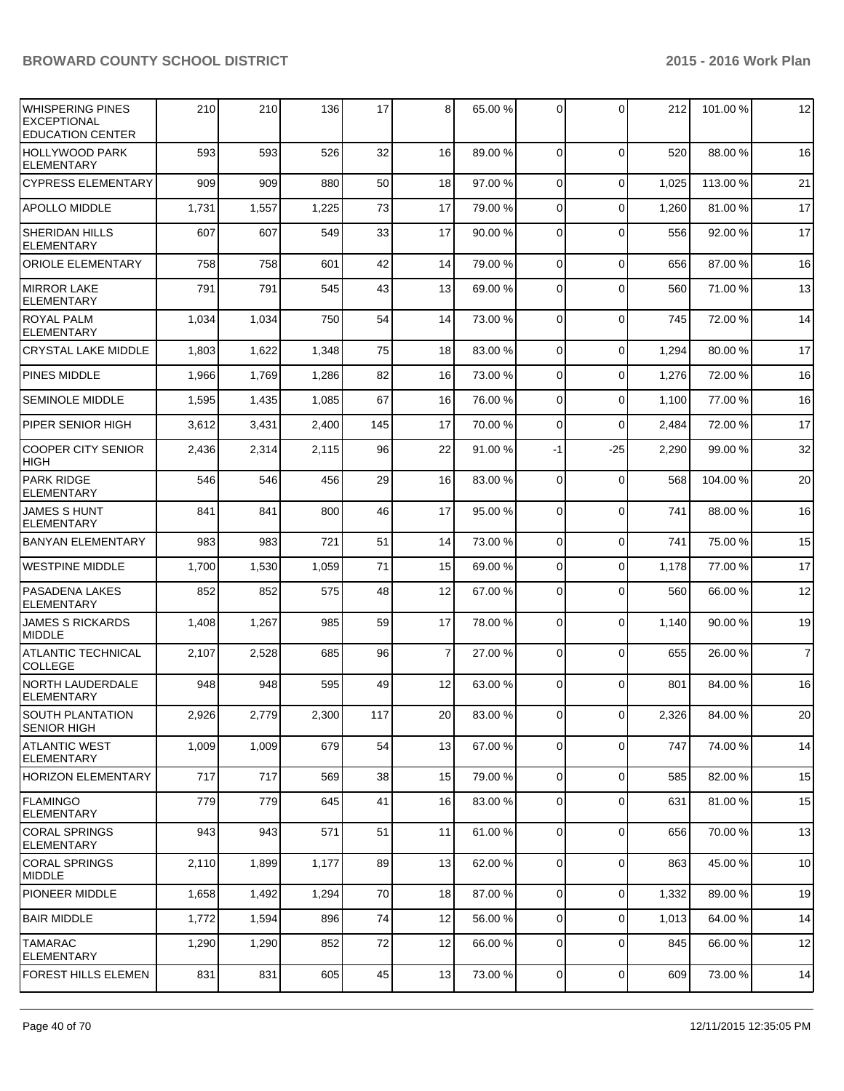| WHISPERING PINES<br><b>EXCEPTIONAL</b><br><b>EDUCATION CENTER</b> | 210   | 210   | 136   | 17  | 8  | 65.00 % | $\Omega$       | $\Omega$    | 212   | 101.00%  | 12             |
|-------------------------------------------------------------------|-------|-------|-------|-----|----|---------|----------------|-------------|-------|----------|----------------|
| HOLLYWOOD PARK<br><b>ELEMENTARY</b>                               | 593   | 593   | 526   | 32  | 16 | 89.00 % | $\Omega$       | $\Omega$    | 520   | 88.00 %  | 16             |
| <b>CYPRESS ELEMENTARY</b>                                         | 909   | 909   | 880   | 50  | 18 | 97.00 % | $\Omega$       | $\Omega$    | 1,025 | 113.00 % | 21             |
| <b>APOLLO MIDDLE</b>                                              | 1,731 | 1,557 | 1,225 | 73  | 17 | 79.00 % | $\Omega$       | $\Omega$    | 1,260 | 81.00%   | 17             |
| <b>SHERIDAN HILLS</b><br>ELEMENTARY                               | 607   | 607   | 549   | 33  | 17 | 90.00 % | $\Omega$       | $\Omega$    | 556   | 92.00%   | 17             |
| <b>ORIOLE ELEMENTARY</b>                                          | 758   | 758   | 601   | 42  | 14 | 79.00 % | $\Omega$       | $\mathbf 0$ | 656   | 87.00 %  | 16             |
| <b>MIRROR LAKE</b><br><b>ELEMENTARY</b>                           | 791   | 791   | 545   | 43  | 13 | 69.00 % | $\Omega$       | $\Omega$    | 560   | 71.00%   | 13             |
| <b>ROYAL PALM</b><br><b>ELEMENTARY</b>                            | 1,034 | 1,034 | 750   | 54  | 14 | 73.00 % | $\Omega$       | $\Omega$    | 745   | 72.00%   | 14             |
| <b>CRYSTAL LAKE MIDDLE</b>                                        | 1,803 | 1,622 | 1,348 | 75  | 18 | 83.00 % | $\Omega$       | $\Omega$    | 1,294 | 80.00%   | 17             |
| PINES MIDDLE                                                      | 1,966 | 1,769 | 1,286 | 82  | 16 | 73.00 % | $\Omega$       | $\Omega$    | 1,276 | 72.00 %  | 16             |
| <b>SEMINOLE MIDDLE</b>                                            | 1,595 | 1,435 | 1,085 | 67  | 16 | 76.00 % | $\Omega$       | $\Omega$    | 1,100 | 77.00 %  | 16             |
| PIPER SENIOR HIGH                                                 | 3,612 | 3,431 | 2,400 | 145 | 17 | 70.00 % | $\Omega$       | $\Omega$    | 2,484 | 72.00 %  | 17             |
| <b>COOPER CITY SENIOR</b><br><b>HIGH</b>                          | 2,436 | 2,314 | 2,115 | 96  | 22 | 91.00 % | $-1$           | $-25$       | 2,290 | 99.00 %  | 32             |
| <b>PARK RIDGE</b><br><b>ELEMENTARY</b>                            | 546   | 546   | 456   | 29  | 16 | 83.00 % | $\Omega$       | $\mathbf 0$ | 568   | 104.00%  | 20             |
| <b>JAMES S HUNT</b><br><b>ELEMENTARY</b>                          | 841   | 841   | 800   | 46  | 17 | 95.00 % | $\Omega$       | $\Omega$    | 741   | 88.00 %  | 16             |
| <b>BANYAN ELEMENTARY</b>                                          | 983   | 983   | 721   | 51  | 14 | 73.00 % | $\Omega$       | $\mathbf 0$ | 741   | 75.00 %  | 15             |
| <b>WESTPINE MIDDLE</b>                                            | 1,700 | 1,530 | 1,059 | 71  | 15 | 69.00 % | $\overline{0}$ | $\mathbf 0$ | 1,178 | 77.00 %  | 17             |
| PASADENA LAKES<br><b>ELEMENTARY</b>                               | 852   | 852   | 575   | 48  | 12 | 67.00 % | $\Omega$       | $\Omega$    | 560   | 66.00 %  | 12             |
| <b>JAMES S RICKARDS</b><br><b>MIDDLE</b>                          | 1,408 | 1,267 | 985   | 59  | 17 | 78.00 % | $\Omega$       | $\Omega$    | 1,140 | 90.00%   | 19             |
| <b>ATLANTIC TECHNICAL</b><br><b>COLLEGE</b>                       | 2,107 | 2,528 | 685   | 96  | 7  | 27.00 % | $\Omega$       | $\Omega$    | 655   | 26.00 %  | $\overline{7}$ |
| <b>NORTH LAUDERDALE</b><br><b>ELEMENTARY</b>                      | 948   | 948   | 595   | 49  | 12 | 63.00 % | $\Omega$       | $\Omega$    | 801   | 84.00%   | 16             |
| SOUTH PLANTATION<br><b>SENIOR HIGH</b>                            | 2,926 | 2,779 | 2,300 | 117 | 20 | 83.00 % | $\overline{0}$ | 0           | 2,326 | 84.00%   | $20\,$         |
| <b>ATLANTIC WEST</b><br><b>ELEMENTARY</b>                         | 1,009 | 1,009 | 679   | 54  | 13 | 67.00 % | $\overline{0}$ | $\mathbf 0$ | 747   | 74.00%   | 14             |
| <b>HORIZON ELEMENTARY</b>                                         | 717   | 717   | 569   | 38  | 15 | 79.00 % | $\overline{0}$ | $\mathbf 0$ | 585   | 82.00 %  | 15             |
| FLAMINGO<br>ELEMENTARY                                            | 779   | 779   | 645   | 41  | 16 | 83.00 % | $\overline{0}$ | $\mathbf 0$ | 631   | 81.00%   | 15             |
| <b>CORAL SPRINGS</b><br><b>ELEMENTARY</b>                         | 943   | 943   | 571   | 51  | 11 | 61.00 % | $\overline{0}$ | $\mathbf 0$ | 656   | 70.00%   | 13             |
| <b>CORAL SPRINGS</b><br><b>MIDDLE</b>                             | 2,110 | 1,899 | 1,177 | 89  | 13 | 62.00 % | $\overline{0}$ | $\mathbf 0$ | 863   | 45.00 %  | 10             |
| <b>PIONEER MIDDLE</b>                                             | 1,658 | 1,492 | 1,294 | 70  | 18 | 87.00 % | $\overline{0}$ | $\mathbf 0$ | 1,332 | 89.00%   | 19             |
| <b>BAIR MIDDLE</b>                                                | 1,772 | 1,594 | 896   | 74  | 12 | 56.00 % | $\overline{0}$ | $\mathbf 0$ | 1,013 | 64.00%   | 14             |
| <b>TAMARAC</b><br><b>ELEMENTARY</b>                               | 1,290 | 1,290 | 852   | 72  | 12 | 66.00 % | 0              | $\mathbf 0$ | 845   | 66.00%   | 12             |
| FOREST HILLS ELEMEN                                               | 831   | 831   | 605   | 45  | 13 | 73.00 % | $\overline{0}$ | $\mathbf 0$ | 609   | 73.00%   | 14             |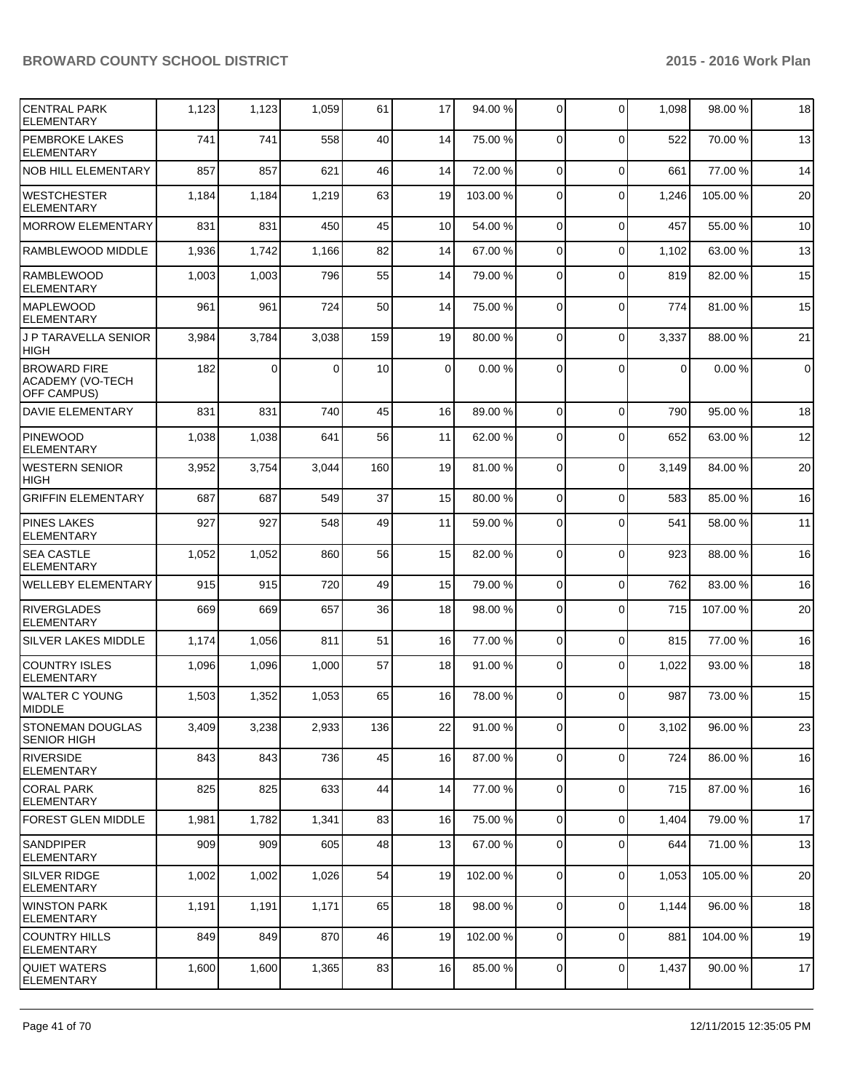| <b>CENTRAL PARK</b><br><b>ELEMENTARY</b>                             | 1,123 | 1,123    | 1,059 | 61  | 17          | 94.00 %  | $\mathbf 0$    | $\Omega$    | 1,098          | 98.00%   | 18             |
|----------------------------------------------------------------------|-------|----------|-------|-----|-------------|----------|----------------|-------------|----------------|----------|----------------|
| <b>PEMBROKE LAKES</b><br><b>ELEMENTARY</b>                           | 741   | 741      | 558   | 40  | 14          | 75.00 %  | $\Omega$       | $\Omega$    | 522            | 70.00%   | 13             |
| <b>NOB HILL ELEMENTARY</b>                                           | 857   | 857      | 621   | 46  | 14          | 72.00 %  | $\Omega$       | $\mathbf 0$ | 661            | 77.00 %  | 14             |
| <b>WESTCHESTER</b><br><b>ELEMENTARY</b>                              | 1,184 | 1,184    | 1,219 | 63  | 19          | 103.00 % | $\Omega$       | $\Omega$    | 1,246          | 105.00 % | 20             |
| <b>MORROW ELEMENTARY</b>                                             | 831   | 831      | 450   | 45  | 10          | 54.00 %  | $\Omega$       | $\Omega$    | 457            | 55.00 %  | 10             |
| <b>RAMBLEWOOD MIDDLE</b>                                             | 1,936 | 1,742    | 1,166 | 82  | 14          | 67.00 %  | $\Omega$       | $\Omega$    | 1,102          | 63.00 %  | 13             |
| <b>RAMBLEWOOD</b><br><b>ELEMENTARY</b>                               | 1,003 | 1,003    | 796   | 55  | 14          | 79.00 %  | $\Omega$       | $\Omega$    | 819            | 82.00%   | 15             |
| <b>MAPLEWOOD</b><br><b>ELEMENTARY</b>                                | 961   | 961      | 724   | 50  | 14          | 75.00 %  | $\Omega$       | $\Omega$    | 774            | 81.00%   | 15             |
| J P TARAVELLA SENIOR<br><b>HIGH</b>                                  | 3,984 | 3,784    | 3,038 | 159 | 19          | 80.00 %  | $\Omega$       | $\Omega$    | 3,337          | 88.00 %  | 21             |
| <b>BROWARD FIRE</b><br><b>ACADEMY (VO-TECH</b><br><b>OFF CAMPUS)</b> | 182   | $\Omega$ | 0     | 10  | $\mathbf 0$ | 0.00%    | $\Omega$       | $\Omega$    | $\overline{0}$ | 0.00%    | $\overline{0}$ |
| <b>DAVIE ELEMENTARY</b>                                              | 831   | 831      | 740   | 45  | 16          | 89.00 %  | $\Omega$       | $\Omega$    | 790            | 95.00 %  | 18             |
| <b>PINEWOOD</b><br><b>ELEMENTARY</b>                                 | 1,038 | 1,038    | 641   | 56  | 11          | 62.00 %  | $\Omega$       | $\Omega$    | 652            | 63.00%   | 12             |
| <b>WESTERN SENIOR</b><br><b>HIGH</b>                                 | 3,952 | 3,754    | 3,044 | 160 | 19          | 81.00 %  | $\overline{0}$ | $\Omega$    | 3,149          | 84.00 %  | 20             |
| <b>GRIFFIN ELEMENTARY</b>                                            | 687   | 687      | 549   | 37  | 15          | 80.00 %  | $\Omega$       | $\Omega$    | 583            | 85.00 %  | 16             |
| <b>PINES LAKES</b><br><b>ELEMENTARY</b>                              | 927   | 927      | 548   | 49  | 11          | 59.00 %  | $\Omega$       | $\Omega$    | 541            | 58.00 %  | 11             |
| <b>SEA CASTLE</b><br><b>ELEMENTARY</b>                               | 1,052 | 1,052    | 860   | 56  | 15          | 82.00 %  | 0              | $\Omega$    | 923            | 88.00 %  | 16             |
| <b>WELLEBY ELEMENTARY</b>                                            | 915   | 915      | 720   | 49  | 15          | 79.00 %  | $\overline{0}$ | $\mathbf 0$ | 762            | 83.00 %  | 16             |
| <b>RIVERGLADES</b><br><b>ELEMENTARY</b>                              | 669   | 669      | 657   | 36  | 18          | 98.00 %  | $\Omega$       | $\Omega$    | 715            | 107.00%  | 20             |
| <b>SILVER LAKES MIDDLE</b>                                           | 1,174 | 1,056    | 811   | 51  | 16          | 77.00 %  | $\overline{0}$ | $\Omega$    | 815            | 77.00 %  | 16             |
| <b>COUNTRY ISLES</b><br><b>ELEMENTARY</b>                            | 1,096 | 1,096    | 1,000 | 57  | 18          | 91.00%   | $\overline{0}$ | $\Omega$    | 1,022          | 93.00 %  | 18             |
| <b>WALTER C YOUNG</b><br><b>MIDDLE</b>                               | 1,503 | 1,352    | 1,053 | 65  | 16          | 78.00 %  | 0              | $\Omega$    | 987            | 73.00 %  | 15             |
| STONEMAN DOUGLAS<br><b>SENIOR HIGH</b>                               | 3,409 | 3,238    | 2,933 | 136 | 22          | 91.00 %  | $\overline{0}$ | $\mathbf 0$ | 3,102          | 96.00 %  | 23             |
| <b>RIVERSIDE</b><br><b>ELEMENTARY</b>                                | 843   | 843      | 736   | 45  | 16          | 87.00 %  | $\overline{0}$ | $\mathbf 0$ | 724            | 86.00 %  | 16             |
| <b>CORAL PARK</b><br><b>ELEMENTARY</b>                               | 825   | 825      | 633   | 44  | 14          | 77.00 %  | $\overline{0}$ | $\mathbf 0$ | 715            | 87.00 %  | 16             |
| <b>FOREST GLEN MIDDLE</b>                                            | 1,981 | 1,782    | 1,341 | 83  | 16          | 75.00 %  | $\overline{0}$ | $\mathbf 0$ | 1,404          | 79.00 %  | 17             |
| <b>SANDPIPER</b><br><b>ELEMENTARY</b>                                | 909   | 909      | 605   | 48  | 13          | 67.00 %  | 0              | $\mathbf 0$ | 644            | 71.00%   | 13             |
| <b>SILVER RIDGE</b><br>ELEMENTARY                                    | 1,002 | 1,002    | 1,026 | 54  | 19          | 102.00 % | $\overline{0}$ | $\mathbf 0$ | 1,053          | 105.00%  | 20             |
| <b>WINSTON PARK</b><br><b>ELEMENTARY</b>                             | 1,191 | 1,191    | 1,171 | 65  | 18          | 98.00 %  | $\overline{0}$ | $\mathbf 0$ | 1,144          | 96.00%   | 18             |
| <b>COUNTRY HILLS</b><br><b>ELEMENTARY</b>                            | 849   | 849      | 870   | 46  | 19          | 102.00%  | $\overline{0}$ | $\mathbf 0$ | 881            | 104.00%  | 19             |
| <b>QUIET WATERS</b><br><b>ELEMENTARY</b>                             | 1,600 | 1,600    | 1,365 | 83  | 16          | 85.00 %  | $\overline{0}$ | $\mathbf 0$ | 1,437          | 90.00 %  | 17             |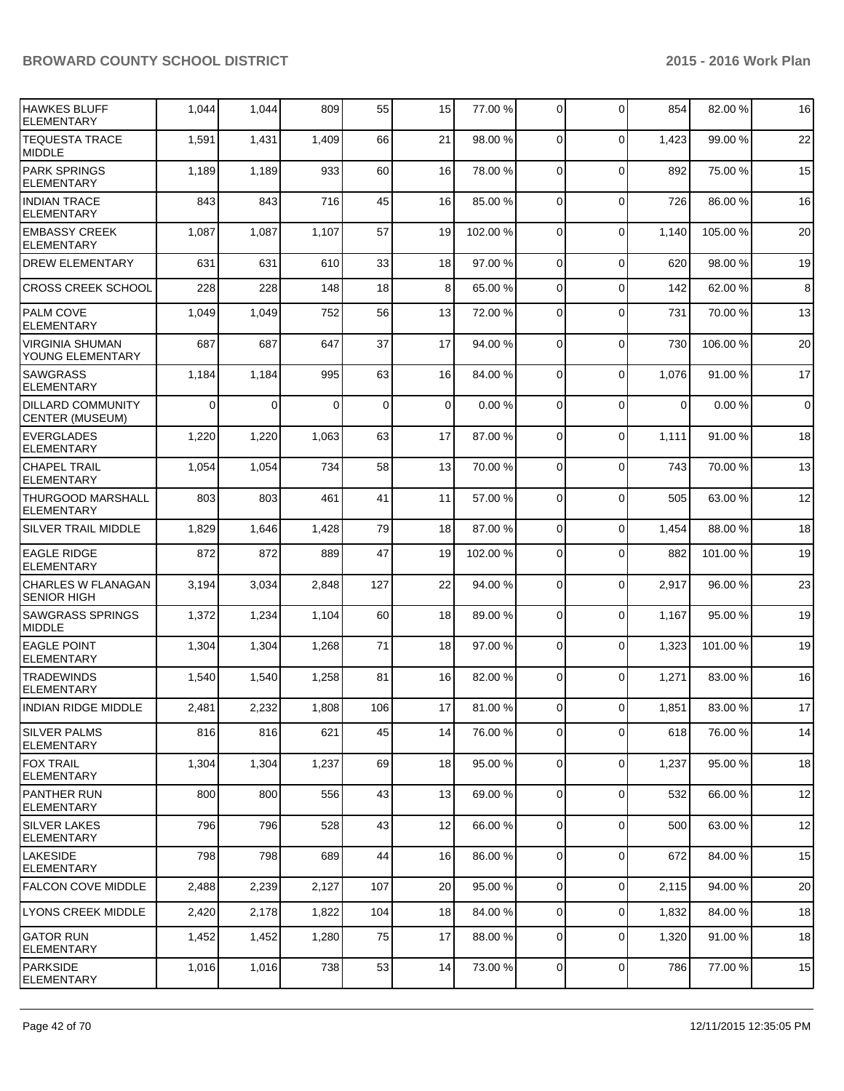| HAWKES BLUFF<br><b>ELEMENTARY</b>                  | 1,044    | 1,044       | 809   | 55  | 15 | 77.00 %  | 0              | $\Omega$       | 854   | 82.00%   | 16          |
|----------------------------------------------------|----------|-------------|-------|-----|----|----------|----------------|----------------|-------|----------|-------------|
| <b>TEQUESTA TRACE</b><br>MIDDLE                    | 1,591    | 1,431       | 1,409 | 66  | 21 | 98.00 %  | $\Omega$       | $\Omega$       | 1,423 | 99.00 %  | 22          |
| <b>PARK SPRINGS</b><br><b>ELEMENTARY</b>           | 1,189    | 1,189       | 933   | 60  | 16 | 78.00 %  | 0              | $\Omega$       | 892   | 75.00 %  | 15          |
| <b>INDIAN TRACE</b><br><b>ELEMENTARY</b>           | 843      | 843         | 716   | 45  | 16 | 85.00 %  | 0              | $\Omega$       | 726   | 86.00 %  | 16          |
| <b>EMBASSY CREEK</b><br><b>ELEMENTARY</b>          | 1,087    | 1,087       | 1,107 | 57  | 19 | 102.00 % | $\Omega$       | $\Omega$       | 1,140 | 105.00%  | 20          |
| <b>DREW ELEMENTARY</b>                             | 631      | 631         | 610   | 33  | 18 | 97.00 %  | $\mathbf 0$    | $\Omega$       | 620   | 98.00%   | 19          |
| <b>CROSS CREEK SCHOOL</b>                          | 228      | 228         | 148   | 18  | 8  | 65.00 %  | 0              | $\Omega$       | 142   | 62.00%   | 8           |
| <b>PALM COVE</b><br><b>ELEMENTARY</b>              | 1,049    | 1,049       | 752   | 56  | 13 | 72.00 %  | $\Omega$       | $\Omega$       | 731   | 70.00%   | 13          |
| <b>VIRGINIA SHUMAN</b><br>YOUNG ELEMENTARY         | 687      | 687         | 647   | 37  | 17 | 94.00 %  | $\mathbf 0$    | $\Omega$       | 730   | 106.00%  | 20          |
| <b>SAWGRASS</b><br><b>ELEMENTARY</b>               | 1,184    | 1,184       | 995   | 63  | 16 | 84.00 %  | 0              | $\Omega$       | 1,076 | 91.00%   | 17          |
| <b>DILLARD COMMUNITY</b><br><b>CENTER (MUSEUM)</b> | $\Omega$ | $\mathbf 0$ | 0     | 0   | 0  | 0.00%    | 0              | $\Omega$       | 0     | 0.00%    | $\mathbf 0$ |
| <b>EVERGLADES</b><br><b>ELEMENTARY</b>             | 1,220    | 1,220       | 1,063 | 63  | 17 | 87.00 %  | 0              | $\Omega$       | 1,111 | 91.00 %  | 18          |
| <b>CHAPEL TRAIL</b><br><b>ELEMENTARY</b>           | 1,054    | 1,054       | 734   | 58  | 13 | 70.00 %  | 0              | $\Omega$       | 743   | 70.00 %  | 13          |
| THURGOOD MARSHALL<br><b>ELEMENTARY</b>             | 803      | 803         | 461   | 41  | 11 | 57.00 %  | 0              | $\mathbf 0$    | 505   | 63.00 %  | 12          |
| SILVER TRAIL MIDDLE                                | 1,829    | 1,646       | 1,428 | 79  | 18 | 87.00 %  | 0              | $\Omega$       | 1,454 | 88.00 %  | 18          |
| <b>EAGLE RIDGE</b><br><b>ELEMENTARY</b>            | 872      | 872         | 889   | 47  | 19 | 102.00 % | 0              | $\Omega$       | 882   | 101.00 % | 19          |
| <b>CHARLES W FLANAGAN</b><br><b>SENIOR HIGH</b>    | 3,194    | 3,034       | 2,848 | 127 | 22 | 94.00 %  | 0              | $\mathbf 0$    | 2,917 | 96.00 %  | 23          |
| <b>SAWGRASS SPRINGS</b><br><b>MIDDLE</b>           | 1,372    | 1,234       | 1,104 | 60  | 18 | 89.00 %  | $\mathbf 0$    | $\Omega$       | 1,167 | 95.00 %  | 19          |
| <b>EAGLE POINT</b><br><b>ELEMENTARY</b>            | 1,304    | 1,304       | 1,268 | 71  | 18 | 97.00 %  | 0              | $\mathbf 0$    | 1,323 | 101.00%  | 19          |
| <b>TRADEWINDS</b><br><b>ELEMENTARY</b>             | 1,540    | 1,540       | 1,258 | 81  | 16 | 82.00 %  | $\Omega$       | $\Omega$       | 1,271 | 83.00 %  | 16          |
| <b>INDIAN RIDGE MIDDLE</b>                         | 2,481    | 2,232       | 1,808 | 106 | 17 | 81.00 %  | $\overline{0}$ | $\overline{0}$ | 1,851 | 83.00 %  | 17          |
| <b>SILVER PALMS</b><br>ELEMENTARY                  | 816      | 816         | 621   | 45  | 14 | 76.00 %  | 0              | $\mathbf 0$    | 618   | 76.00%   | 14          |
| <b>FOX TRAIL</b><br><b>ELEMENTARY</b>              | 1,304    | 1,304       | 1,237 | 69  | 18 | 95.00 %  | $\mathbf 0$    | $\mathbf 0$    | 1,237 | 95.00 %  | 18          |
| <b>PANTHER RUN</b><br><b>ELEMENTARY</b>            | 800      | 800         | 556   | 43  | 13 | 69.00 %  | 0              | $\mathbf 0$    | 532   | 66.00 %  | 12          |
| <b>SILVER LAKES</b><br><b>ELEMENTARY</b>           | 796      | 796         | 528   | 43  | 12 | 66.00 %  | 0              | $\Omega$       | 500   | 63.00 %  | 12          |
| <b>LAKESIDE</b><br>ELEMENTARY                      | 798      | 798         | 689   | 44  | 16 | 86.00 %  | $\mathbf 0$    | $\mathbf 0$    | 672   | 84.00 %  | 15          |
| <b>FALCON COVE MIDDLE</b>                          | 2,488    | 2,239       | 2,127 | 107 | 20 | 95.00 %  | 0              | $\mathbf 0$    | 2,115 | 94.00 %  | 20          |
| LYONS CREEK MIDDLE                                 | 2,420    | 2,178       | 1,822 | 104 | 18 | 84.00 %  | $\mathbf 0$    | $\mathbf 0$    | 1,832 | 84.00%   | 18          |
| <b>GATOR RUN</b><br><b>ELEMENTARY</b>              | 1,452    | 1,452       | 1,280 | 75  | 17 | 88.00 %  | 0              | 0              | 1,320 | 91.00 %  | 18          |
| <b>PARKSIDE</b><br><b>ELEMENTARY</b>               | 1,016    | 1,016       | 738   | 53  | 14 | 73.00 %  | 0              | 0              | 786   | 77.00 %  | 15          |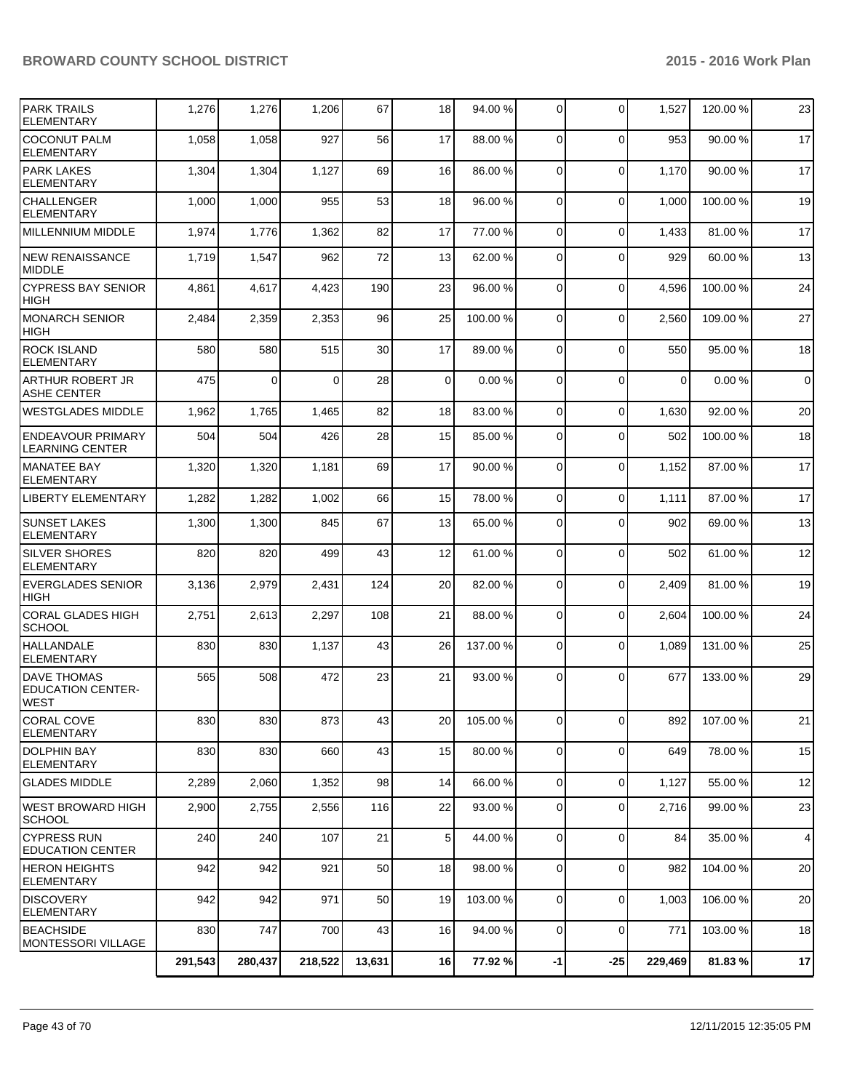|                                                               | 291,543 | 280,437 | 218,522  | 13,631 | 16             | 77.92 %  | $-1$           | $-25$          | 229,469     | 81.83%   | 17             |
|---------------------------------------------------------------|---------|---------|----------|--------|----------------|----------|----------------|----------------|-------------|----------|----------------|
| <b>BEACHSIDE</b><br>MONTESSORI VILLAGE                        | 830     | 747     | 700      | 43     | 16             | 94.00 %  | $\overline{0}$ | $\mathbf 0$    | 771         | 103.00 % | 18             |
| <b>DISCOVERY</b><br>ELEMENTARY                                | 942     | 942     | 971      | 50     | 19             | 103.00 % | $\Omega$       | $\mathbf 0$    | 1,003       | 106.00%  | 20             |
| <b>HERON HEIGHTS</b><br><b>ELEMENTARY</b>                     | 942     | 942     | 921      | 50     | 18             | 98.00 %  | $\overline{0}$ | $\mathbf 0$    | 982         | 104.00 % | 20             |
| <b>CYPRESS RUN</b><br><b>EDUCATION CENTER</b>                 | 240     | 240     | 107      | 21     | 5 <sub>1</sub> | 44.00 %  | $\overline{0}$ | $\mathbf 0$    | 84          | 35.00 %  | $\overline{4}$ |
| WEST BROWARD HIGH<br><b>SCHOOL</b>                            | 2,900   | 2,755   | 2,556    | 116    | 22             | 93.00 %  | $\overline{0}$ | $\mathbf 0$    | 2,716       | 99.00 %  | 23             |
| <b>GLADES MIDDLE</b>                                          | 2,289   | 2,060   | 1,352    | 98     | 14             | 66.00 %  | $\overline{0}$ | $\mathbf 0$    | 1,127       | 55.00 %  | 12             |
| <b>DOLPHIN BAY</b><br><b>ELEMENTARY</b>                       | 830     | 830     | 660      | 43     | 15             | 80.00 %  | $\overline{0}$ | $\mathbf 0$    | 649         | 78.00 %  | 15             |
| <b>CORAL COVE</b><br><b>ELEMENTARY</b>                        | 830     | 830     | 873      | 43     | 20             | 105.00 % | 0              | $\overline{0}$ | 8921        | 107.00 % | 21             |
| <b>DAVE THOMAS</b><br><b>EDUCATION CENTER-</b><br><b>WEST</b> | 565     | 508     | 472      | 23     | 21             | 93.00 %  | $\Omega$       | $\Omega$       | 677         | 133.00 % | 29             |
| <b>HALLANDALE</b><br><b>ELEMENTARY</b>                        | 830     | 830     | 1,137    | 43     | 26             | 137.00 % | 0              | $\mathbf 0$    | 1,089       | 131.00 % | 25             |
| <b>CORAL GLADES HIGH</b><br><b>SCHOOL</b>                     | 2,751   | 2,613   | 2,297    | 108    | 21             | 88.00 %  | $\overline{0}$ | $\mathbf 0$    | 2,604       | 100.00 % | 24             |
| <b>EVERGLADES SENIOR</b><br><b>HIGH</b>                       | 3,136   | 2,979   | 2,431    | 124    | 20             | 82.00 %  | $\Omega$       | $\Omega$       | 2,409       | 81.00%   | 19             |
| <b>SILVER SHORES</b><br><b>ELEMENTARY</b>                     | 820     | 820     | 499      | 43     | 12             | 61.00%   | $\Omega$       | $\Omega$       | 502         | 61.00%   | 12             |
| <b>SUNSET LAKES</b><br><b>ELEMENTARY</b>                      | 1,300   | 1,300   | 845      | 67     | 13             | 65.00 %  | $\Omega$       | $\Omega$       | 902         | 69.00 %  | 13             |
| <b>LIBERTY ELEMENTARY</b>                                     | 1,282   | 1,282   | 1,002    | 66     | 15             | 78.00 %  | $\Omega$       | $\Omega$       | 1,111       | 87.00 %  | 17             |
| <b>MANATEE BAY</b><br><b>ELEMENTARY</b>                       | 1,320   | 1,320   | 1,181    | 69     | 17             | 90.00 %  | $\overline{0}$ | $\mathbf 0$    | 1,152       | 87.00 %  | 17             |
| <b>ENDEAVOUR PRIMARY</b><br><b>LEARNING CENTER</b>            | 504     | 504     | 426      | 28     | 15             | 85.00 %  | $\Omega$       | $\Omega$       | 502         | 100.00%  | 18             |
| <b>ASHE CENTER</b><br><b>WESTGLADES MIDDLE</b>                | 1,962   | 1,765   | 1,465    | 82     | 18             | 83.00 %  | $\Omega$       | $\mathbf 0$    | 1,630       | 92.00 %  | 20             |
| ARTHUR ROBERT JR                                              | 475     | 0       | $\Omega$ | 28     | 0              | 0.00%    | $\Omega$       | $\Omega$       | $\mathbf 0$ | 0.00%    | $\overline{0}$ |
| <b>ROCK ISLAND</b><br><b>ELEMENTARY</b>                       | 580     | 580     | 515      | 30     | 17             | 89.00 %  | $\Omega$       | $\Omega$       | 550         | 95.00 %  | 18             |
| <b>MONARCH SENIOR</b><br><b>HIGH</b>                          | 2,484   | 2,359   | 2,353    | 96     | 25             | 100.00 % | $\Omega$       | $\mathbf 0$    | 2,560       | 109.00%  | 27             |
| <b>CYPRESS BAY SENIOR</b><br><b>HIGH</b>                      | 4,861   | 4,617   | 4,423    | 190    | 23             | 96.00 %  | $\Omega$       | $\mathbf 0$    | 4,596       | 100.00%  | 24             |
| <b>NEW RENAISSANCE</b><br><b>MIDDLE</b>                       | 1,719   | 1,547   | 962      | 72     | 13             | 62.00 %  | $\Omega$       | $\Omega$       | 929         | 60.00%   | 13             |
| <b>MILLENNIUM MIDDLE</b>                                      | 1,974   | 1,776   | 1,362    | 82     | 17             | 77.00 %  | $\Omega$       | $\Omega$       | 1,433       | 81.00%   | 17             |
| <b>CHALLENGER</b><br><b>ELEMENTARY</b>                        | 1,000   | 1,000   | 955      | 53     | 18             | 96.00 %  | $\Omega$       | $\Omega$       | 1,000       | 100.00%  | 19             |
| <b>PARK LAKES</b><br><b>ELEMENTARY</b>                        | 1,304   | 1,304   | 1,127    | 69     | 16             | 86.00 %  | $\Omega$       | $\mathbf 0$    | 1,170       | 90.00%   | 17             |
| <b>COCONUT PALM</b><br><b>ELEMENTARY</b>                      | 1,058   | 1,058   | 927      | 56     | 17             | 88.00 %  | $\Omega$       | $\Omega$       | 953         | 90.00 %  | 17             |
| <b>PARK TRAILS</b><br><b>ELEMENTARY</b>                       | 1,276   | 1,276   | 1,206    | 67     | 18             | 94.00 %  | $\overline{0}$ | $\Omega$       | 1,527       | 120.00 % | 23             |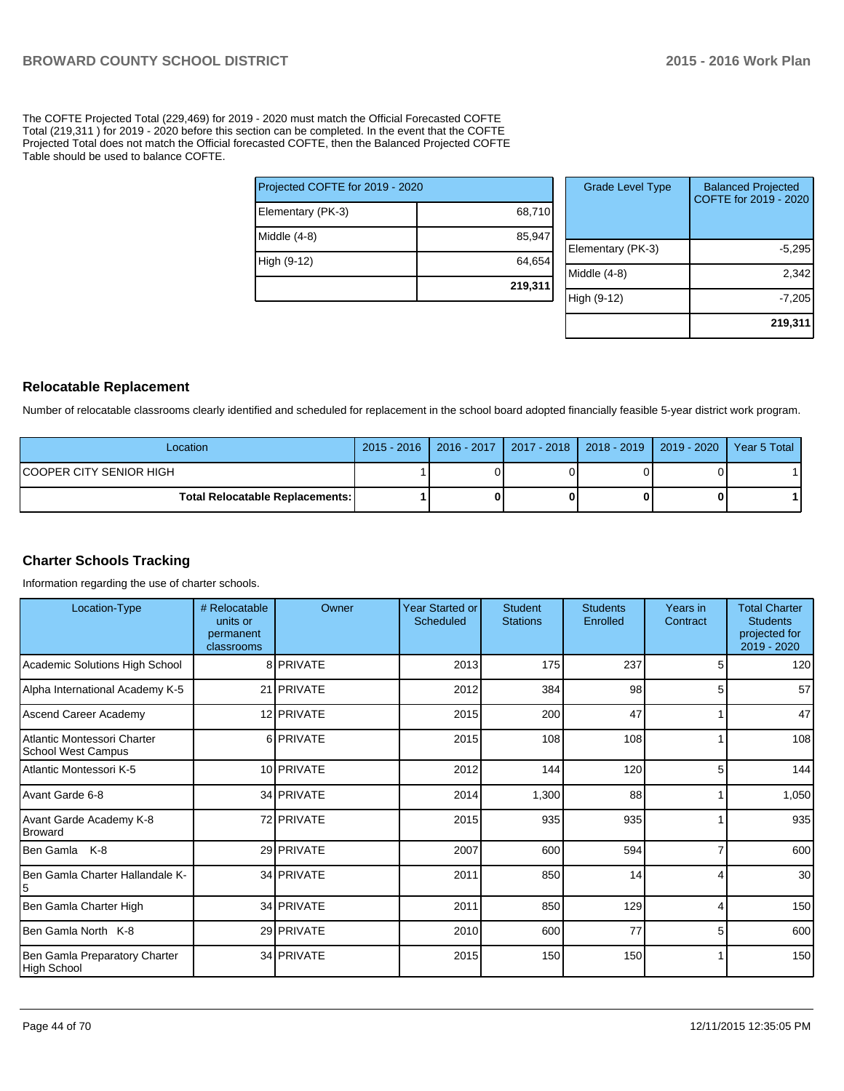The COFTE Projected Total (229,469) for 2019 - 2020 must match the Official Forecasted COFTE Total (219,311 ) for 2019 - 2020 before this section can be completed. In the event that the COFTE Projected Total does not match the Official forecasted COFTE, then the Balanced Projected COFTE Table should be used to balance COFTE.

| Projected COFTE for 2019 - 2020 |         |
|---------------------------------|---------|
| Elementary (PK-3)               | 68,710  |
| Middle (4-8)                    | 85,947  |
| High (9-12)                     | 64,654  |
|                                 | 219,311 |

| <b>Grade Level Type</b> | <b>Balanced Projected</b><br>COFTE for 2019 - 2020 |
|-------------------------|----------------------------------------------------|
| Elementary (PK-3)       | $-5,295$                                           |
| Middle $(4-8)$          | 2,342                                              |
| High (9-12)             | $-7,205$                                           |
|                         | 219,311                                            |

### **Relocatable Replacement**

Number of relocatable classrooms clearly identified and scheduled for replacement in the school board adopted financially feasible 5-year district work program.

| Location                                 | 2015 - 2016   2016 - 2017   2017 - 2018   2018 - 2019   2019 - 2020   Year 5 Total |  |  |
|------------------------------------------|------------------------------------------------------------------------------------|--|--|
| ICOOPER CITY SENIOR HIGH                 |                                                                                    |  |  |
| <b>Total Relocatable Replacements: I</b> |                                                                                    |  |  |

## **Charter Schools Tracking**

Information regarding the use of charter schools.

| Location-Type                                            | # Relocatable<br>units or<br>permanent<br>classrooms | Owner             | <b>Year Started or</b><br><b>Scheduled</b> | <b>Student</b><br><b>Stations</b> | <b>Students</b><br>Enrolled | Years in<br>Contract | <b>Total Charter</b><br><b>Students</b><br>projected for<br>2019 - 2020 |
|----------------------------------------------------------|------------------------------------------------------|-------------------|--------------------------------------------|-----------------------------------|-----------------------------|----------------------|-------------------------------------------------------------------------|
| Academic Solutions High School                           |                                                      | 8 PRIVATE         | 2013                                       | 175                               | 237                         |                      | 120                                                                     |
| Alpha International Academy K-5                          |                                                      | 21 PRIVATE        | 2012                                       | 384                               | 98                          | 5                    | 57                                                                      |
| Ascend Career Academy                                    |                                                      | 12 PRIVATE        | 2015                                       | 200                               | 47                          |                      | 47                                                                      |
| Atlantic Montessori Charter<br><b>School West Campus</b> |                                                      | 6 PRIVATE         | 2015                                       | 108                               | 108                         |                      | 108                                                                     |
| Atlantic Montessori K-5                                  |                                                      | 10 PRIVATE        | 2012                                       | 144                               | 120                         | 5                    | 144                                                                     |
| Avant Garde 6-8                                          |                                                      | 34 PRIVATE        | 2014                                       | 1,300                             | 88                          |                      | 1,050                                                                   |
| Avant Garde Academy K-8<br><b>Broward</b>                |                                                      | 72 PRIVATE        | 2015                                       | 935                               | 935                         |                      | 935                                                                     |
| Ben Gamla<br>K-8                                         |                                                      | 29 PRIVATE        | 2007                                       | 600                               | 594                         |                      | 600                                                                     |
| Ben Gamla Charter Hallandale K-                          |                                                      | 34 PRIVATE        | 2011                                       | 850                               | 14                          | 4                    | 30 <sup>1</sup>                                                         |
| Ben Gamla Charter High                                   |                                                      | 34 PRIVATE        | 2011                                       | 850                               | 129                         | Δ                    | 150                                                                     |
| Ben Gamla North K-8                                      |                                                      | 29 PRIVATE        | 2010                                       | 600                               | 77                          | 5                    | 600                                                                     |
| Ben Gamla Preparatory Charter<br>High School             |                                                      | 34 <b>PRIVATE</b> | 2015                                       | 150                               | 150                         |                      | 150                                                                     |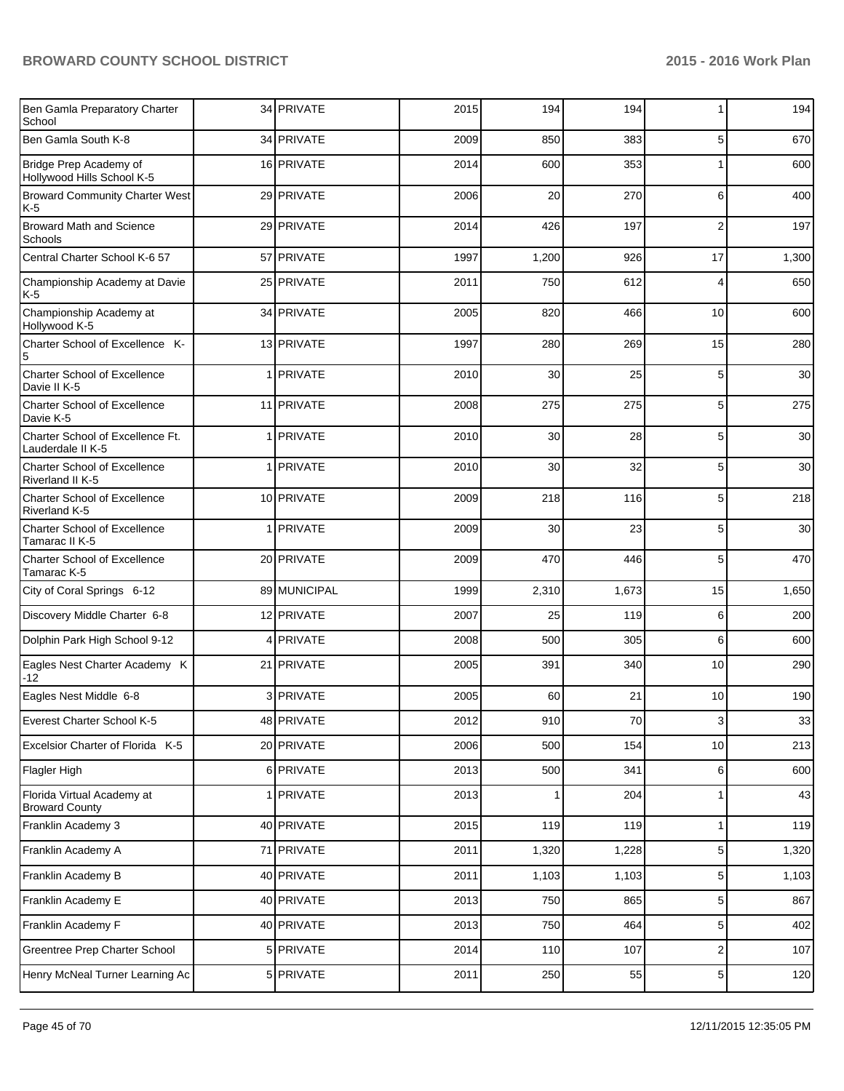| Ben Gamla Preparatory Charter<br>School                 | 34 PRIVATE   | 2015 | 194   | 194   | 1               | 194   |
|---------------------------------------------------------|--------------|------|-------|-------|-----------------|-------|
| Ben Gamla South K-8                                     | 34 PRIVATE   | 2009 | 850   | 383   | 5               | 670   |
| Bridge Prep Academy of<br>Hollywood Hills School K-5    | 16 PRIVATE   | 2014 | 600   | 353   | 1               | 600   |
| <b>Broward Community Charter West</b><br>K-5            | 29 PRIVATE   | 2006 | 20    | 270   | 6               | 400   |
| <b>Broward Math and Science</b><br>Schools              | 29 PRIVATE   | 2014 | 426   | 197   | $\overline{2}$  | 197   |
| Central Charter School K-6 57                           | 57 PRIVATE   | 1997 | 1,200 | 926   | 17              | 1,300 |
| Championship Academy at Davie<br>K 5                    | 25 PRIVATE   | 2011 | 750   | 612   | 4               | 650   |
| Championship Academy at<br>Hollywood K-5                | 34 PRIVATE   | 2005 | 820   | 466   | 10              | 600   |
| Charter School of Excellence K-<br>5                    | 13 PRIVATE   | 1997 | 280   | 269   | 15              | 280   |
| <b>Charter School of Excellence</b><br>Davie II K-5     | 1 PRIVATE    | 2010 | 30    | 25    | 5               | 30    |
| <b>Charter School of Excellence</b><br>Davie K-5        | 11 PRIVATE   | 2008 | 275   | 275   | 5               | 275   |
| Charter School of Excellence Ft.<br>Lauderdale II K-5   | 1 PRIVATE    | 2010 | 30    | 28    | 5               | 30    |
| <b>Charter School of Excellence</b><br>Riverland II K-5 | 1 PRIVATE    | 2010 | 30    | 32    | 5               | 30    |
| <b>Charter School of Excellence</b><br>Riverland K-5    | 10 PRIVATE   | 2009 | 218   | 116   | 5               | 218   |
| <b>Charter School of Excellence</b><br>Tamarac II K-5   | 1 PRIVATE    | 2009 | 30    | 23    | 5               | 30    |
| <b>Charter School of Excellence</b><br>Tamarac K-5      | 20 PRIVATE   | 2009 | 470   | 446   | 5               | 470   |
| City of Coral Springs 6-12                              | 89 MUNICIPAL | 1999 | 2,310 | 1,673 | 15              | 1,650 |
| Discovery Middle Charter 6-8                            | 12 PRIVATE   | 2007 | 25    | 119   | 6               | 200   |
| Dolphin Park High School 9-12                           | 4 PRIVATE    | 2008 | 500   | 305   | 6               | 600   |
| Eagles Nest Charter Academy K<br>-12                    | 21 PRIVATE   | 2005 | 391   | 340   | 10              | 290   |
| Eagles Nest Middle 6-8                                  | 3 PRIVATE    | 2005 | 60    | 21    | 10              | 190   |
| Everest Charter School K-5                              | 48   PRIVATE | 2012 | 910   | 70    | 3               | 33    |
| Excelsior Charter of Florida K-5                        | 20 PRIVATE   | 2006 | 500   | 154   | 10              | 213   |
| Flagler High                                            | 6 PRIVATE    | 2013 | 500   | 341   | 6               | 600   |
| Florida Virtual Academy at<br><b>Broward County</b>     | 1 PRIVATE    | 2013 |       | 204   | 1               | 43    |
| Franklin Academy 3                                      | 40 PRIVATE   | 2015 | 119   | 119   | 1               | 119   |
| Franklin Academy A                                      | 71 PRIVATE   | 2011 | 1,320 | 1,228 | 5 <sub>5</sub>  | 1,320 |
| Franklin Academy B                                      | 40 PRIVATE   | 2011 | 1,103 | 1,103 | $\sqrt{5}$      | 1,103 |
| Franklin Academy E                                      | 40 PRIVATE   | 2013 | 750   | 865   | $\sqrt{5}$      | 867   |
| Franklin Academy F                                      | 40 PRIVATE   | 2013 | 750   | 464   | $5\overline{)}$ | 402   |
| Greentree Prep Charter School                           | 5 PRIVATE    | 2014 | 110   | 107   | $\overline{2}$  | 107   |
| Henry McNeal Turner Learning Ac                         | 5 PRIVATE    | 2011 | 250   | 55    | 5 <sub>5</sub>  | 120   |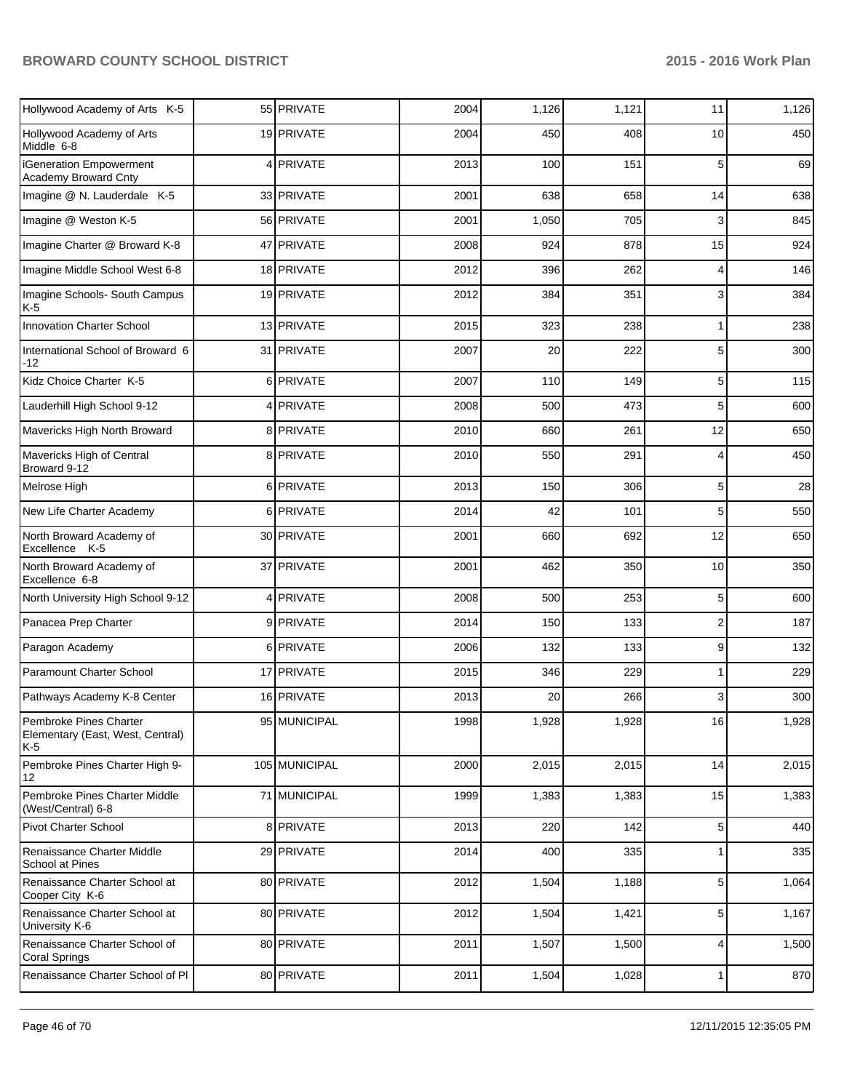| Hollywood Academy of Arts K-5                                       |   | 55 PRIVATE    | 2004 | 1,126 | 1,121 | 11                      | 1,126 |
|---------------------------------------------------------------------|---|---------------|------|-------|-------|-------------------------|-------|
| Hollywood Academy of Arts<br>Middle 6-8                             |   | 19 PRIVATE    | 2004 | 450   | 408   | 10                      | 450   |
| iGeneration Empowerment<br>Academy Broward Cnty                     |   | 4 PRIVATE     | 2013 | 100   | 151   | 5                       | 69    |
| Imagine @ N. Lauderdale K-5                                         |   | 33 PRIVATE    | 2001 | 638   | 658   | 14                      | 638   |
| Imagine @ Weston K-5                                                |   | 56 PRIVATE    | 2001 | 1,050 | 705   | 3                       | 845   |
| Imagine Charter @ Broward K-8                                       |   | 47 PRIVATE    | 2008 | 924   | 878   | 15                      | 924   |
| Imagine Middle School West 6-8                                      |   | 18 PRIVATE    | 2012 | 396   | 262   | 4                       | 146   |
| Imagine Schools- South Campus<br>K-5                                |   | 19 PRIVATE    | 2012 | 384   | 351   | 3                       | 384   |
| <b>Innovation Charter School</b>                                    |   | 13 PRIVATE    | 2015 | 323   | 238   | 1                       | 238   |
| International School of Broward 6<br>-12                            |   | 31 PRIVATE    | 2007 | 20    | 222   | 5                       | 300   |
| Kidz Choice Charter K-5                                             |   | 6 PRIVATE     | 2007 | 110   | 149   | 5                       | 115   |
| Lauderhill High School 9-12                                         | 4 | PRIVATE       | 2008 | 500   | 473   | 5                       | 600   |
| Mavericks High North Broward                                        |   | 8 PRIVATE     | 2010 | 660   | 261   | 12                      | 650   |
| Mavericks High of Central<br>Broward 9-12                           |   | 8 PRIVATE     | 2010 | 550   | 291   | 4                       | 450   |
| Melrose High                                                        |   | 6 PRIVATE     | 2013 | 150   | 306   | 5                       | 28    |
| New Life Charter Academy                                            |   | 6 PRIVATE     | 2014 | 42    | 101   | 5                       | 550   |
| North Broward Academy of<br>Excellence K-5                          |   | 30 PRIVATE    | 2001 | 660   | 692   | 12                      | 650   |
| North Broward Academy of<br>Excellence 6-8                          |   | 37 PRIVATE    | 2001 | 462   | 350   | 10                      | 350   |
| North University High School 9-12                                   |   | 4 PRIVATE     | 2008 | 500   | 253   | 5                       | 600   |
| Panacea Prep Charter                                                |   | 9 PRIVATE     | 2014 | 150   | 133   | $\overline{\mathbf{c}}$ | 187   |
| Paragon Academy                                                     | 6 | PRIVATE       | 2006 | 132   | 133   | 9                       | 132   |
| Paramount Charter School                                            |   | 17 PRIVATE    | 2015 | 346   | 229   | 1                       | 229   |
| Pathways Academy K-8 Center                                         |   | 16 PRIVATE    | 2013 | 20    | 266   | 3                       | 300   |
| Pembroke Pines Charter<br>Elementary (East, West, Central)<br>$K-5$ |   | 95 MUNICIPAL  | 1998 | 1,928 | 1,928 | 16                      | 1,928 |
| Pembroke Pines Charter High 9-<br>12                                |   | 105 MUNICIPAL | 2000 | 2,015 | 2,015 | 14                      | 2,015 |
| Pembroke Pines Charter Middle<br>(West/Central) 6-8                 |   | 71 MUNICIPAL  | 1999 | 1,383 | 1,383 | 15                      | 1,383 |
| <b>Pivot Charter School</b>                                         |   | 8 PRIVATE     | 2013 | 220   | 142   | 5                       | 440   |
| Renaissance Charter Middle<br>School at Pines                       |   | 29 PRIVATE    | 2014 | 400   | 335   |                         | 335   |
| Renaissance Charter School at<br>Cooper City K-6                    |   | 80 PRIVATE    | 2012 | 1,504 | 1,188 | 5                       | 1,064 |
| Renaissance Charter School at<br>University K-6                     |   | 80 PRIVATE    | 2012 | 1,504 | 1,421 | 5                       | 1,167 |
| Renaissance Charter School of<br><b>Coral Springs</b>               |   | 80 PRIVATE    | 2011 | 1,507 | 1,500 | 4                       | 1,500 |
| Renaissance Charter School of PI                                    |   | 80 PRIVATE    | 2011 | 1,504 | 1,028 | 1                       | 870   |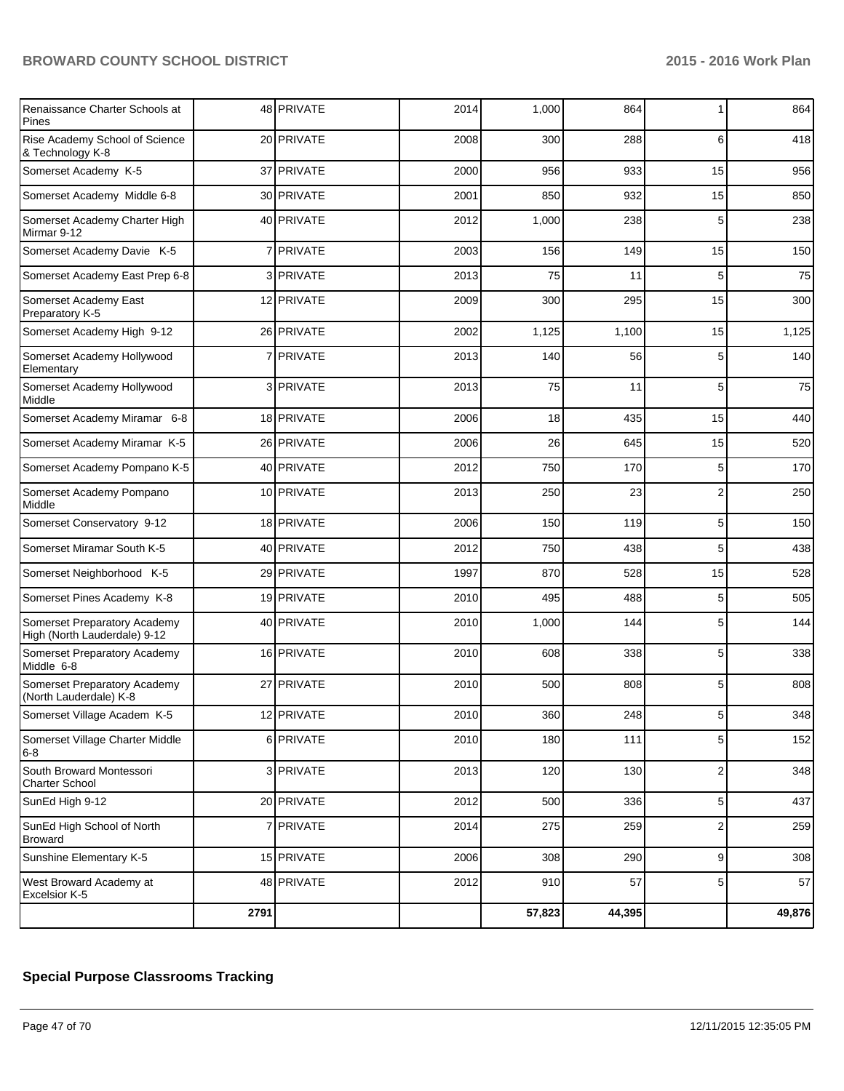| Renaissance Charter Schools at<br>Pines                      |              | 48 PRIVATE  | 2014 | 1,000  | 864    | 1               | 864    |
|--------------------------------------------------------------|--------------|-------------|------|--------|--------|-----------------|--------|
| Rise Academy School of Science<br>& Technology K-8           |              | 20 PRIVATE  | 2008 | 300    | 288    | 6               | 418    |
| Somerset Academy K-5                                         |              | 37 PRIVATE  | 2000 | 956    | 933    | 15              | 956    |
| Somerset Academy Middle 6-8                                  |              | 30 PRIVATE  | 2001 | 850    | 932    | 15              | 850    |
| Somerset Academy Charter High<br>Mirmar 9-12                 |              | 40 PRIVATE  | 2012 | 1,000  | 238    | 5               | 238    |
| Somerset Academy Davie K-5                                   | 7            | PRIVATE     | 2003 | 156    | 149    | 15              | 150    |
| Somerset Academy East Prep 6-8                               |              | 3 I PRIVATE | 2013 | 75     | 11     | 5               | 75     |
| Somerset Academy East<br>Preparatory K-5                     |              | 12 PRIVATE  | 2009 | 300    | 295    | 15              | 300    |
| Somerset Academy High 9-12                                   |              | 26 PRIVATE  | 2002 | 1,125  | 1,100  | 15              | 1,125  |
| Somerset Academy Hollywood<br>Elementary                     | $\mathbf{7}$ | PRIVATE     | 2013 | 140    | 56     | 5               | 140    |
| Somerset Academy Hollywood<br>Middle                         |              | 3 I PRIVATE | 2013 | 75     | 11     | 5               | 75     |
| Somerset Academy Miramar 6-8                                 |              | 18 PRIVATE  | 2006 | 18     | 435    | 15              | 440    |
| Somerset Academy Miramar K-5                                 |              | 26 PRIVATE  | 2006 | 26     | 645    | 15              | 520    |
| Somerset Academy Pompano K-5                                 |              | 40 PRIVATE  | 2012 | 750    | 170    | 5               | 170    |
| Somerset Academy Pompano<br>Middle                           |              | 10 PRIVATE  | 2013 | 250    | 23     | 2               | 250    |
| Somerset Conservatory 9-12                                   |              | 18 PRIVATE  | 2006 | 150    | 119    | 5               | 150    |
| Somerset Miramar South K-5                                   |              | 40 PRIVATE  | 2012 | 750    | 438    | 5               | 438    |
| Somerset Neighborhood K-5                                    |              | 29 PRIVATE  | 1997 | 870    | 528    | 15              | 528    |
| Somerset Pines Academy K-8                                   |              | 19 PRIVATE  | 2010 | 495    | 488    | 5               | 505    |
| Somerset Preparatory Academy<br>High (North Lauderdale) 9-12 |              | 40 PRIVATE  | 2010 | 1,000  | 144    | 5               | 144    |
| Somerset Preparatory Academy<br>Middle 6-8                   |              | 16 PRIVATE  | 2010 | 608    | 338    | 5               | 338    |
| Somerset Preparatory Academy<br>(North Lauderdale) K-8       |              | 27 PRIVATE  | 2010 | 500    | 808    | 5               | 808    |
| Somerset Village Academ K-5                                  |              | 12 PRIVATE  | 2010 | 360    | 248    | 5               | 348    |
| Somerset Village Charter Middle<br>6-8                       |              | 6 PRIVATE   | 2010 | 180    | 111    | $5\overline{)}$ | 152    |
| South Broward Montessori<br><b>Charter School</b>            |              | 3 PRIVATE   | 2013 | 120    | 130    | $\overline{2}$  | 348    |
| SunEd High 9-12                                              |              | 20 PRIVATE  | 2012 | 500    | 336    | $5\overline{)}$ | 437    |
| SunEd High School of North<br><b>Broward</b>                 |              | 7 PRIVATE   | 2014 | 275    | 259    | $\overline{2}$  | 259    |
| Sunshine Elementary K-5                                      |              | 15 PRIVATE  | 2006 | 308    | 290    | 9 <sub>l</sub>  | 308    |
| West Broward Academy at<br>Excelsior K-5                     |              | 48 PRIVATE  | 2012 | 910    | 57     | 5 <sub>5</sub>  | 57     |
|                                                              | 2791         |             |      | 57,823 | 44,395 |                 | 49,876 |

# **Special Purpose Classrooms Tracking**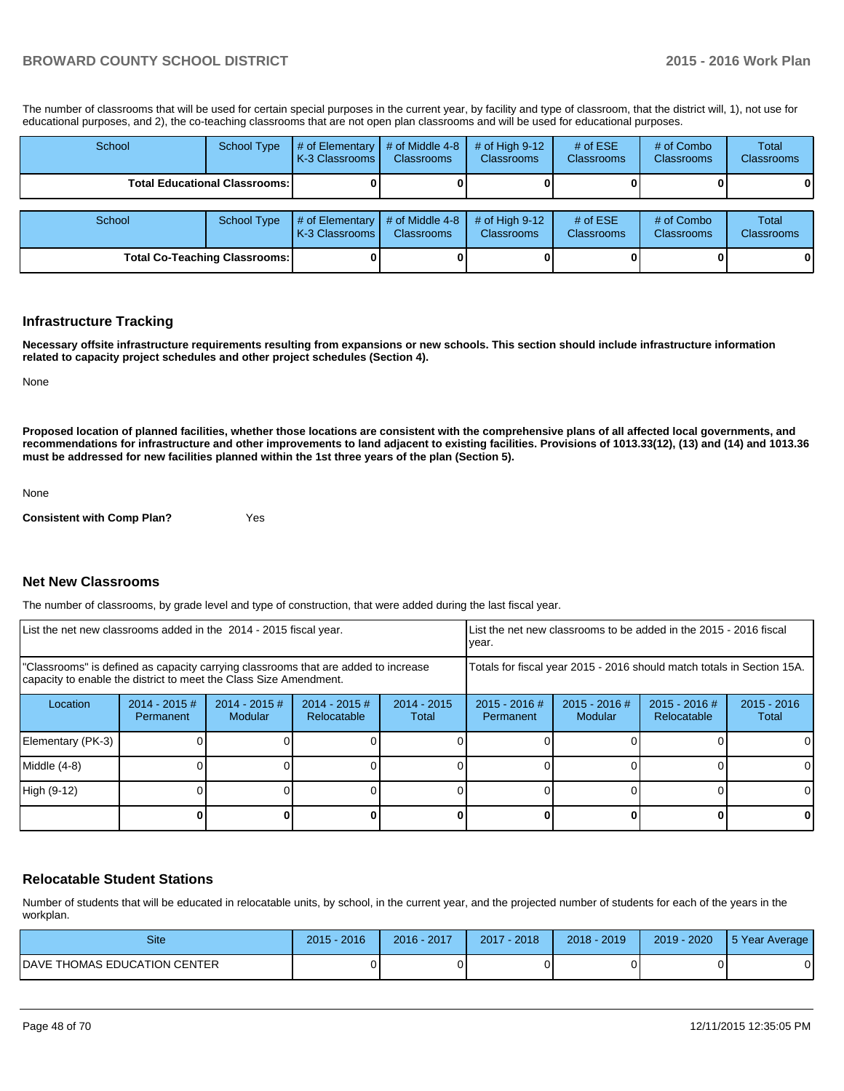The number of classrooms that will be used for certain special purposes in the current year, by facility and type of classroom, that the district will, 1), not use for educational purposes, and 2), the co-teaching classrooms that are not open plan classrooms and will be used for educational purposes.

| School | <b>School Type</b>                     | # of Elementary<br>K-3 Classrooms   | # of Middle 4-8<br><b>Classrooms</b> | # of High $9-12$<br><b>Classrooms</b> | # of $ESE$<br><b>Classrooms</b> | # of Combo<br><b>Classrooms</b> | <b>Total</b><br>Classrooms |
|--------|----------------------------------------|-------------------------------------|--------------------------------------|---------------------------------------|---------------------------------|---------------------------------|----------------------------|
|        | <b>Total Educational Classrooms: I</b> |                                     |                                      |                                       |                                 |                                 | 0                          |
|        |                                        |                                     |                                      |                                       |                                 |                                 |                            |
| School | <b>School Type</b>                     | # of Elementary<br>K-3 Classrooms I | # of Middle 4-8<br><b>Classrooms</b> | # of High $9-12$<br><b>Classrooms</b> | # of $ESE$<br><b>Classrooms</b> | # of Combo<br><b>Classrooms</b> | <b>Total</b><br>Classrooms |
|        | <b>Total Co-Teaching Classrooms:</b>   |                                     |                                      |                                       |                                 |                                 | $\mathbf{0}$               |

#### **Infrastructure Tracking**

**Necessary offsite infrastructure requirements resulting from expansions or new schools. This section should include infrastructure information related to capacity project schedules and other project schedules (Section 4).**

None

**Proposed location of planned facilities, whether those locations are consistent with the comprehensive plans of all affected local governments, and recommendations for infrastructure and other improvements to land adjacent to existing facilities. Provisions of 1013.33(12), (13) and (14) and 1013.36 must be addressed for new facilities planned within the 1st three years of the plan (Section 5).**

None

**Consistent with Comp Plan?** Yes

#### **Net New Classrooms**

The number of classrooms, by grade level and type of construction, that were added during the last fiscal year.

| List the net new classrooms added in the 2014 - 2015 fiscal year.                                                                                       |                               |                            |                                | LList the net new classrooms to be added in the 2015 - 2016 fiscal<br>Ivear. |                              |                                                                        |                                |                        |
|---------------------------------------------------------------------------------------------------------------------------------------------------------|-------------------------------|----------------------------|--------------------------------|------------------------------------------------------------------------------|------------------------------|------------------------------------------------------------------------|--------------------------------|------------------------|
| "Classrooms" is defined as capacity carrying classrooms that are added to increase<br>capacity to enable the district to meet the Class Size Amendment. |                               |                            |                                |                                                                              |                              | Totals for fiscal year 2015 - 2016 should match totals in Section 15A. |                                |                        |
| Location                                                                                                                                                | $2014 - 2015 \#$<br>Permanent | $2014 - 2015$ #<br>Modular | $2014 - 2015$ #<br>Relocatable | $2014 - 2015$<br>Total                                                       | $2015 - 2016$ #<br>Permanent | $2015 - 2016$ #<br>Modular                                             | $2015 - 2016$ #<br>Relocatable | $2015 - 2016$<br>Total |
| Elementary (PK-3)                                                                                                                                       |                               |                            |                                |                                                                              |                              |                                                                        |                                |                        |
| Middle (4-8)                                                                                                                                            |                               |                            |                                |                                                                              |                              |                                                                        |                                |                        |
| High (9-12)                                                                                                                                             |                               |                            |                                |                                                                              |                              |                                                                        |                                |                        |
|                                                                                                                                                         |                               |                            |                                |                                                                              |                              |                                                                        |                                | 0                      |

### **Relocatable Student Stations**

Number of students that will be educated in relocatable units, by school, in the current year, and the projected number of students for each of the years in the workplan.

| <b>Site</b>                   | 2016<br>2015 | 2016 - 2017 | $7 - 2018$<br>2017 | $2018 - 2019$ | 2019 - 2020 | 15 Year Average |
|-------------------------------|--------------|-------------|--------------------|---------------|-------------|-----------------|
| IDAVE THOMAS EDUCATION CENTER |              |             |                    |               |             |                 |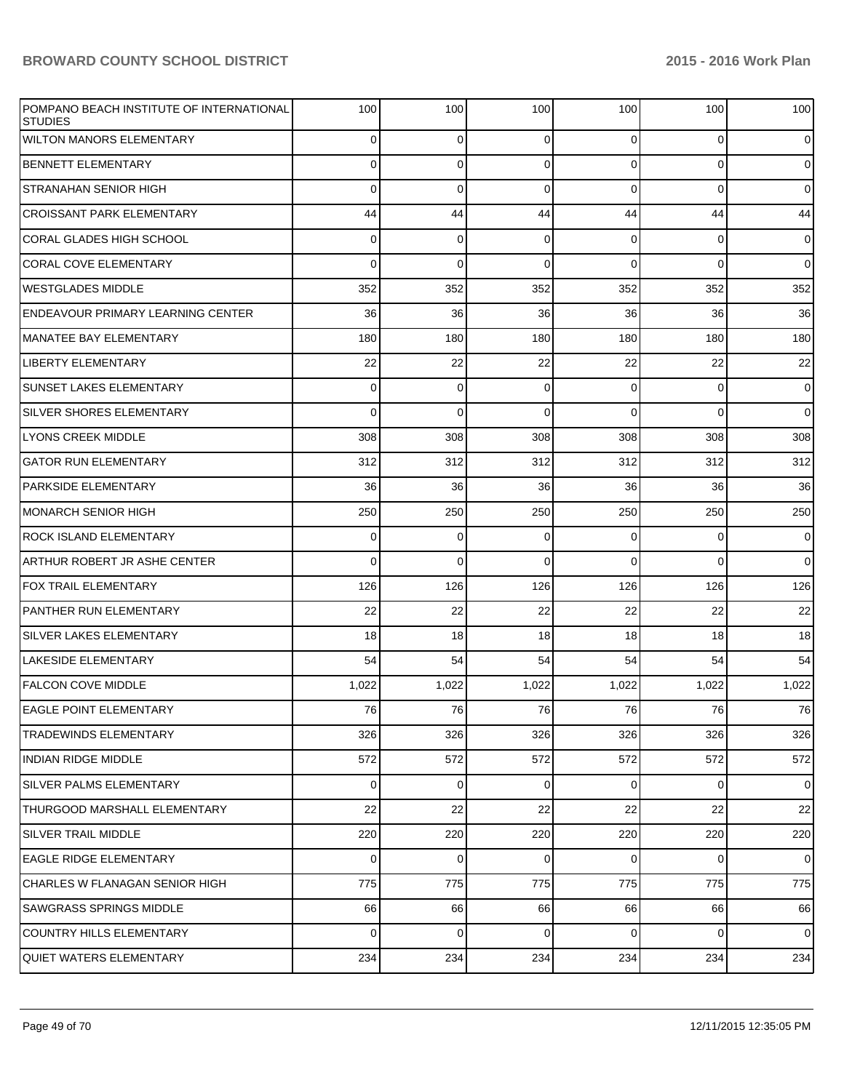| POMPANO BEACH INSTITUTE OF INTERNATIONAL<br><b>STUDIES</b> | 100         | 100         | 100         | 100            | 100            | 100            |
|------------------------------------------------------------|-------------|-------------|-------------|----------------|----------------|----------------|
| <b>WILTON MANORS ELEMENTARY</b>                            | 0           | 0           | $\mathbf 0$ | $\overline{0}$ | $\overline{0}$ | $\mathbf 0$    |
| <b>BENNETT ELEMENTARY</b>                                  | 0           | 0           | 0           | $\overline{0}$ | $\overline{0}$ | $\overline{0}$ |
| <b>STRANAHAN SENIOR HIGH</b>                               | 0           | 0           | $\mathbf 0$ | $\overline{0}$ | 0              | $\overline{0}$ |
| <b>CROISSANT PARK ELEMENTARY</b>                           | 44          | 44          | 44          | 44             | 44             | 44             |
| <b>CORAL GLADES HIGH SCHOOL</b>                            | 0           | $\mathbf 0$ | 0           | $\overline{0}$ | 0              | $\mathbf 0$    |
| <b>CORAL COVE ELEMENTARY</b>                               | 0           | 0           | 0           | $\Omega$       | 0              | $\overline{0}$ |
| <b>WESTGLADES MIDDLE</b>                                   | 352         | 352         | 352         | 352            | 352            | 352            |
| <b>ENDEAVOUR PRIMARY LEARNING CENTER</b>                   | 36          | 36          | 36          | 36             | 36             | 36             |
| MANATEE BAY ELEMENTARY                                     | 180         | 180         | 180         | 180            | 180            | 180            |
| <b>LIBERTY ELEMENTARY</b>                                  | 22          | 22          | 22          | 22             | 22             | 22             |
| <b>SUNSET LAKES ELEMENTARY</b>                             | 0           | $\mathbf 0$ | 0           | $\overline{0}$ | 0              | $\overline{0}$ |
| <b>SILVER SHORES ELEMENTARY</b>                            | 0           | 0           | $\mathbf 0$ | $\Omega$       | 0              | $\overline{0}$ |
| LYONS CREEK MIDDLE                                         | 308         | 308         | 308         | 308            | 308            | 308            |
| <b>GATOR RUN ELEMENTARY</b>                                | 312         | 312         | 312         | 312            | 312            | 312            |
| <b>PARKSIDE ELEMENTARY</b>                                 | 36          | 36          | 36          | 36             | 36             | 36             |
| <b>MONARCH SENIOR HIGH</b>                                 | 250         | 250         | 250         | 250            | 250            | 250            |
| <b>ROCK ISLAND ELEMENTARY</b>                              | 0           | $\mathbf 0$ | 0           | 0              | 0              | $\overline{0}$ |
| ARTHUR ROBERT JR ASHE CENTER                               | 0           | 0           | $\Omega$    | $\Omega$       | 0              | $\overline{0}$ |
| <b>FOX TRAIL ELEMENTARY</b>                                | 126         | 126         | 126         | 126            | 126            | 126            |
| PANTHER RUN ELEMENTARY                                     | 22          | 22          | 22          | 22             | 22             | 22             |
| <b>SILVER LAKES ELEMENTARY</b>                             | 18          | 18          | 18          | 18             | 18             | 18             |
| <b>LAKESIDE ELEMENTARY</b>                                 | 54          | 54          | 54          | 54             | 54             | 54             |
| <b>FALCON COVE MIDDLE</b>                                  | 1,022       | 1,022       | 1,022       | 1,022          | 1,022          | 1,022          |
| <b>EAGLE POINT ELEMENTARY</b>                              | 76          | 76          | 76          | 76             | 76             | 76             |
| <b>TRADEWINDS ELEMENTARY</b>                               | 326         | 326         | 326         | 326            | 326            | 326            |
| <b>INDIAN RIDGE MIDDLE</b>                                 | 572         | 572         | 572         | 572            | 572            | 572            |
| <b>SILVER PALMS ELEMENTARY</b>                             | 0           | 0           | $\mathbf 0$ | $\overline{0}$ | $\overline{0}$ | $\overline{0}$ |
| THURGOOD MARSHALL ELEMENTARY                               | 22          | 22          | 22          | 22             | 22             | 22             |
| <b>SILVER TRAIL MIDDLE</b>                                 | 220         | 220         | 220         | 220            | 220            | 220            |
| <b>EAGLE RIDGE ELEMENTARY</b>                              | 0           | 0           | $\mathbf 0$ | $\overline{0}$ | $\overline{0}$ | $\mathbf 0$    |
| CHARLES W FLANAGAN SENIOR HIGH                             | 775         | 775         | 775         | 775            | 775            | 775            |
| <b>SAWGRASS SPRINGS MIDDLE</b>                             | 66          | 66          | 66          | 66             | 66             | 66             |
| <b>COUNTRY HILLS ELEMENTARY</b>                            | $\mathbf 0$ | $\mathbf 0$ | $\mathbf 0$ | $\overline{0}$ | $\overline{0}$ | $\overline{0}$ |
| <b>QUIET WATERS ELEMENTARY</b>                             | 234         | 234         | 234         | 234            | 234            | 234            |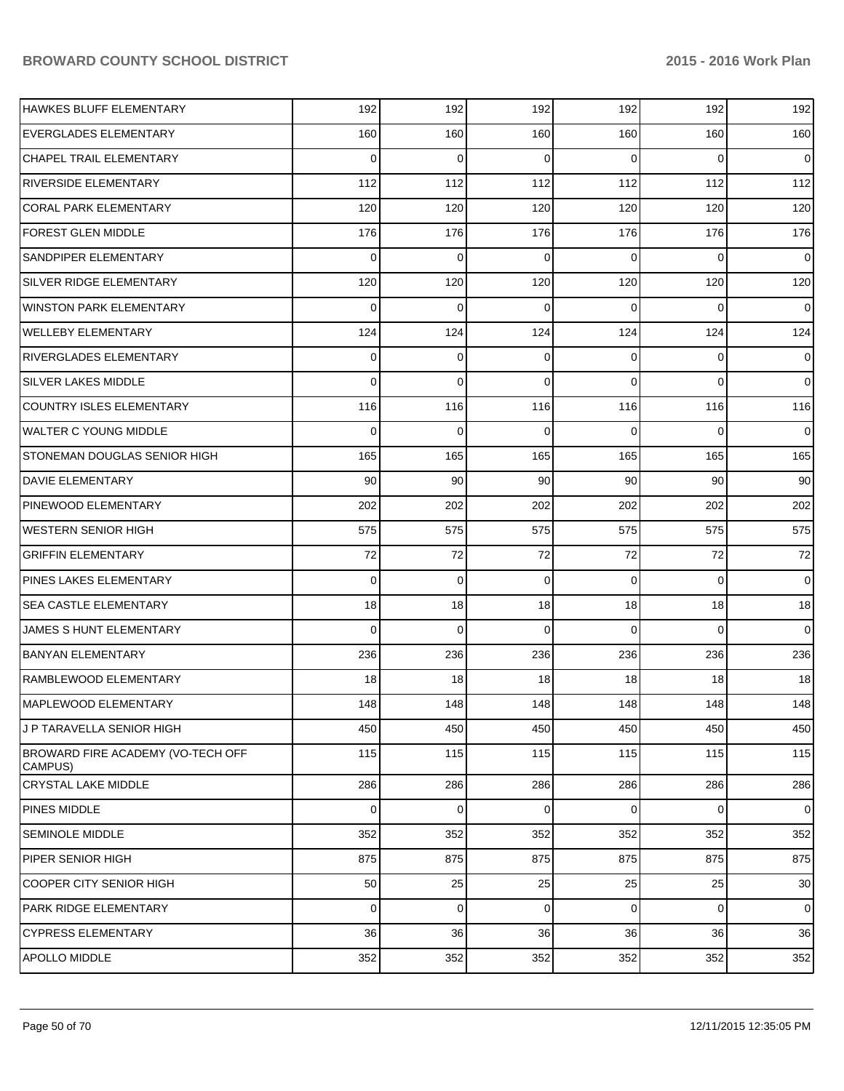| HAWKES BLUFF ELEMENTARY                      | 192         | 192         | 192            | 192 | 192            | 192         |
|----------------------------------------------|-------------|-------------|----------------|-----|----------------|-------------|
| <b>EVERGLADES ELEMENTARY</b>                 | 160         | 160         | 160            | 160 | 160            | 160         |
| CHAPEL TRAIL ELEMENTARY                      | 0           | 0           | $\Omega$       | 0   | 0              | $\mathbf 0$ |
| <b>RIVERSIDE ELEMENTARY</b>                  | 112         | 112         | 112            | 112 | 112            | 112         |
| <b>CORAL PARK ELEMENTARY</b>                 | 120         | 120         | 120            | 120 | 120            | 120         |
| <b>FOREST GLEN MIDDLE</b>                    | 176         | 176         | 176            | 176 | 176            | 176         |
| <b>SANDPIPER ELEMENTARY</b>                  | 0           | 0           | $\Omega$       | 0   | 0              | $\mathbf 0$ |
| SILVER RIDGE ELEMENTARY                      | 120         | 120         | 120            | 120 | 120            | 120         |
| WINSTON PARK ELEMENTARY                      | 0           | 0           | $\Omega$       | 0   | $\Omega$       | 0           |
| <b>WELLEBY ELEMENTARY</b>                    | 124         | 124         | 124            | 124 | 124            | 124         |
| <b>RIVERGLADES ELEMENTARY</b>                | 0           | 0           | $\overline{0}$ | 0   | 0              | 0           |
| <b>SILVER LAKES MIDDLE</b>                   | 0           | $\mathbf 0$ | 0              | 0   | 0              | 0           |
| <b>COUNTRY ISLES ELEMENTARY</b>              | 116         | 116         | 116            | 116 | 116            | 116         |
| <b>WALTER C YOUNG MIDDLE</b>                 | 0           | 0           | $\Omega$       | 0   | 0              | 0           |
| STONEMAN DOUGLAS SENIOR HIGH                 | 165         | 165         | 165            | 165 | 165            | 165         |
| <b>DAVIE ELEMENTARY</b>                      | 90          | 90          | 90             | 90  | 90             | 90          |
| <b>PINEWOOD ELEMENTARY</b>                   | 202         | 202         | 202            | 202 | 202            | 202         |
| <b>WESTERN SENIOR HIGH</b>                   | 575         | 575         | 575            | 575 | 575            | 575         |
| <b>GRIFFIN ELEMENTARY</b>                    | 72          | 72          | 72             | 72  | 72             | 72          |
| <b>PINES LAKES ELEMENTARY</b>                | 0           | $\mathbf 0$ | 0              | 0   | 0              | 0           |
| <b>SEA CASTLE ELEMENTARY</b>                 | 18          | 18          | 18             | 18  | 18             | 18          |
| JAMES S HUNT ELEMENTARY                      | 0           | 0           | $\Omega$       | 0   | $\Omega$       | 0           |
| <b>BANYAN ELEMENTARY</b>                     | 236         | 236         | 236            | 236 | 236            | 236         |
| RAMBLEWOOD ELEMENTARY                        | 18          | 18          | 18             | 18  | 18             | 18          |
| MAPLEWOOD ELEMENTARY                         | 148         | 148         | 148            | 148 | 148            | 148         |
| J P TARAVELLA SENIOR HIGH                    | 450         | 450         | 450            | 450 | 450            | 450         |
| BROWARD FIRE ACADEMY (VO-TECH OFF<br>CAMPUS) | 115         | 115         | 115            | 115 | 115            | 115         |
| CRYSTAL LAKE MIDDLE                          | 286         | 286         | 286            | 286 | 286            | 286         |
| PINES MIDDLE                                 | $\mathbf 0$ | $\mathbf 0$ | $\overline{0}$ | 0   | 0              | $\mathbf 0$ |
| <b>SEMINOLE MIDDLE</b>                       | 352         | 352         | 352            | 352 | 352            | 352         |
| PIPER SENIOR HIGH                            | 875         | 875         | 875            | 875 | 875            | 875         |
| <b>COOPER CITY SENIOR HIGH</b>               | 50          | 25          | 25             | 25  | 25             | 30          |
| PARK RIDGE ELEMENTARY                        | $\mathbf 0$ | $\mathbf 0$ | $\overline{0}$ | 0   | $\overline{0}$ | $\mathbf 0$ |
| <b>CYPRESS ELEMENTARY</b>                    | 36          | 36          | 36             | 36  | 36             | 36          |
| APOLLO MIDDLE                                | 352         | 352         | 352            | 352 | 352            | 352         |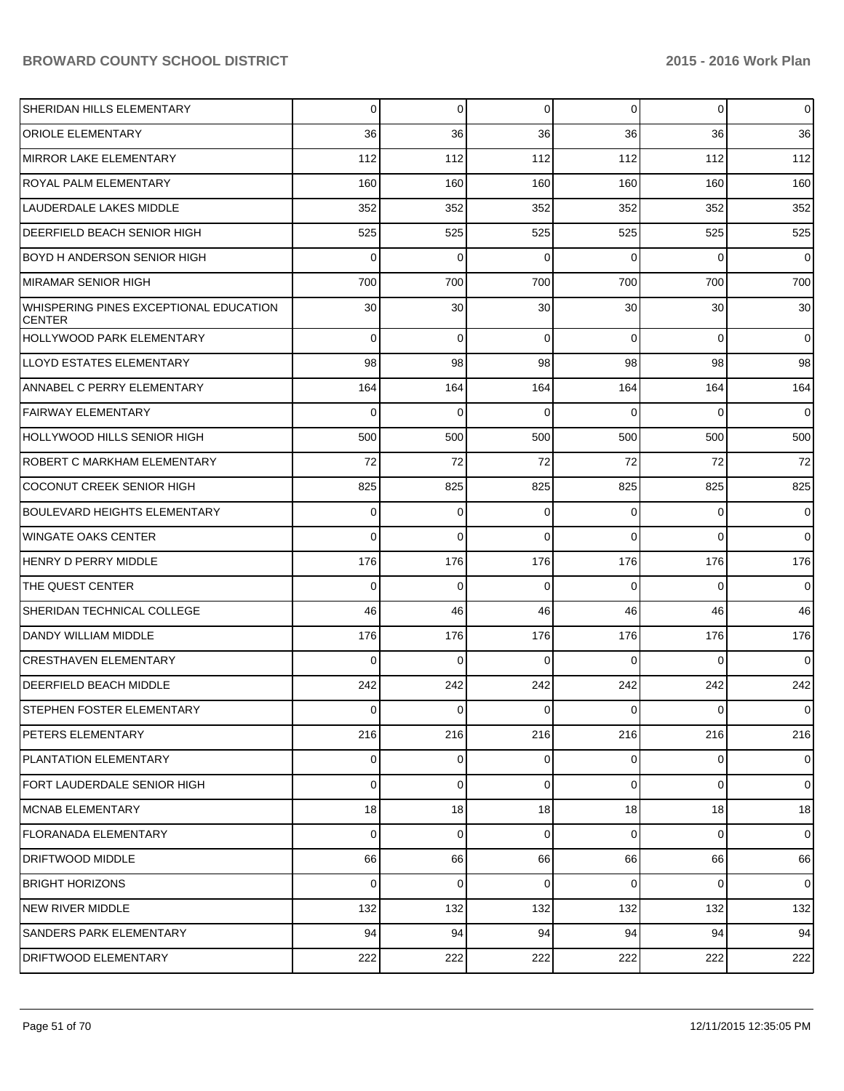| SHERIDAN HILLS ELEMENTARY                               | 0           | 0              | $\overline{0}$ | $\overline{0}$ | $\overline{0}$ | $\overline{0}$ |
|---------------------------------------------------------|-------------|----------------|----------------|----------------|----------------|----------------|
| <b>ORIOLE ELEMENTARY</b>                                | 36          | 36             | 36             | 36             | 36             | 36             |
| MIRROR LAKE ELEMENTARY                                  | 112         | 112            | 112            | 112            | 112            | 112            |
| <b>ROYAL PALM ELEMENTARY</b>                            | 160         | 160            | 160            | 160            | 160            | 160            |
| LAUDERDALE LAKES MIDDLE                                 | 352         | 352            | 352            | 352            | 352            | 352            |
| <b>DEERFIELD BEACH SENIOR HIGH</b>                      | 525         | 525            | 525            | 525            | 525            | 525            |
| BOYD H ANDERSON SENIOR HIGH                             | 0           | $\Omega$       | $\Omega$       | $\Omega$       | $\Omega$       | $\overline{0}$ |
| MIRAMAR SENIOR HIGH                                     | 700         | 700            | 700            | 700            | 700            | 700            |
| WHISPERING PINES EXCEPTIONAL EDUCATION<br><b>CENTER</b> | 30          | 30             | 30             | 30             | 30             | 30             |
| <b>HOLLYWOOD PARK ELEMENTARY</b>                        | 0           | $\mathbf 0$    | $\mathbf 0$    | $\Omega$       | $\overline{0}$ | $\overline{0}$ |
| ILLOYD ESTATES ELEMENTARY                               | 98          | 98             | 98             | 98             | 98             | 98             |
| ANNABEL C PERRY ELEMENTARY                              | 164         | 164            | 164            | 164            | 164            | 164            |
| <b>FAIRWAY ELEMENTARY</b>                               | 0           | $\mathbf 0$    | 0              | $\Omega$       | $\Omega$       | $\mathbf 0$    |
| HOLLYWOOD HILLS SENIOR HIGH                             | 500         | 500            | 500            | 500            | 500            | 500            |
| ROBERT C MARKHAM ELEMENTARY                             | 72          | 72             | 72             | 72             | 72             | 72             |
| <b>COCONUT CREEK SENIOR HIGH</b>                        | 825         | 825            | 825            | 825            | 825            | 825            |
| BOULEVARD HEIGHTS ELEMENTARY                            | 0           | 0              | 0              | $\Omega$       | $\overline{0}$ | $\mathbf 0$    |
| WINGATE OAKS CENTER                                     | 0           | $\Omega$       | $\Omega$       | $\Omega$       | $\Omega$       | $\Omega$       |
| HENRY D PERRY MIDDLE                                    | 176         | 176            | 176            | 176            | 176            | 176            |
| THE QUEST CENTER                                        | 0           | $\Omega$       | $\Omega$       | $\Omega$       | $\Omega$       | $\overline{0}$ |
| SHERIDAN TECHNICAL COLLEGE                              | 46          | 46             | 46             | 46             | 46             | 46             |
| DANDY WILLIAM MIDDLE                                    | 176         | 176            | 176            | 176            | 176            | 176            |
| <b>CRESTHAVEN ELEMENTARY</b>                            | 0           | 0              | $\Omega$       | $\Omega$       | $\Omega$       | $\mathbf 0$    |
| <b>DEERFIELD BEACH MIDDLE</b>                           | 242         | 242            | 242            | 242            | 242            | 242            |
| <b>STEPHEN FOSTER ELEMENTARY</b>                        | 0           | 0              | $\mathbf 0$    | $\overline{0}$ | $\overline{0}$ | $\overline{0}$ |
| PETERS ELEMENTARY                                       | 216         | 216            | 216            | 216            | 216            | 216            |
| PLANTATION ELEMENTARY                                   | 0           | $\overline{0}$ | $\overline{0}$ | $\overline{0}$ | $\overline{0}$ | $\mathbf 0$    |
| FORT LAUDERDALE SENIOR HIGH                             | 0           | 0              | $\mathbf 0$    | $\Omega$       | $\overline{0}$ | $\overline{0}$ |
| <b>MCNAB ELEMENTARY</b>                                 | 18          | 18             | 18             | 18             | 18             | 18             |
| FLORANADA ELEMENTARY                                    | $\mathbf 0$ | 0              | $\mathbf 0$    | $\Omega$       | $\overline{0}$ | $\overline{0}$ |
| <b>DRIFTWOOD MIDDLE</b>                                 | 66          | 66             | 66             | 66             | 66             | 66             |
| BRIGHT HORIZONS                                         | 0           | $\mathbf 0$    | $\mathbf 0$    | $\Omega$       | $\overline{0}$ | $\overline{0}$ |
| NEW RIVER MIDDLE                                        | 132         | 132            | 132            | 132            | 132            | 132            |
| <b>SANDERS PARK ELEMENTARY</b>                          | 94          | 94             | 94             | 94             | 94             | 94             |
| <b>DRIFTWOOD ELEMENTARY</b>                             | 222         | 222            | 222            | 222            | 222            | 222            |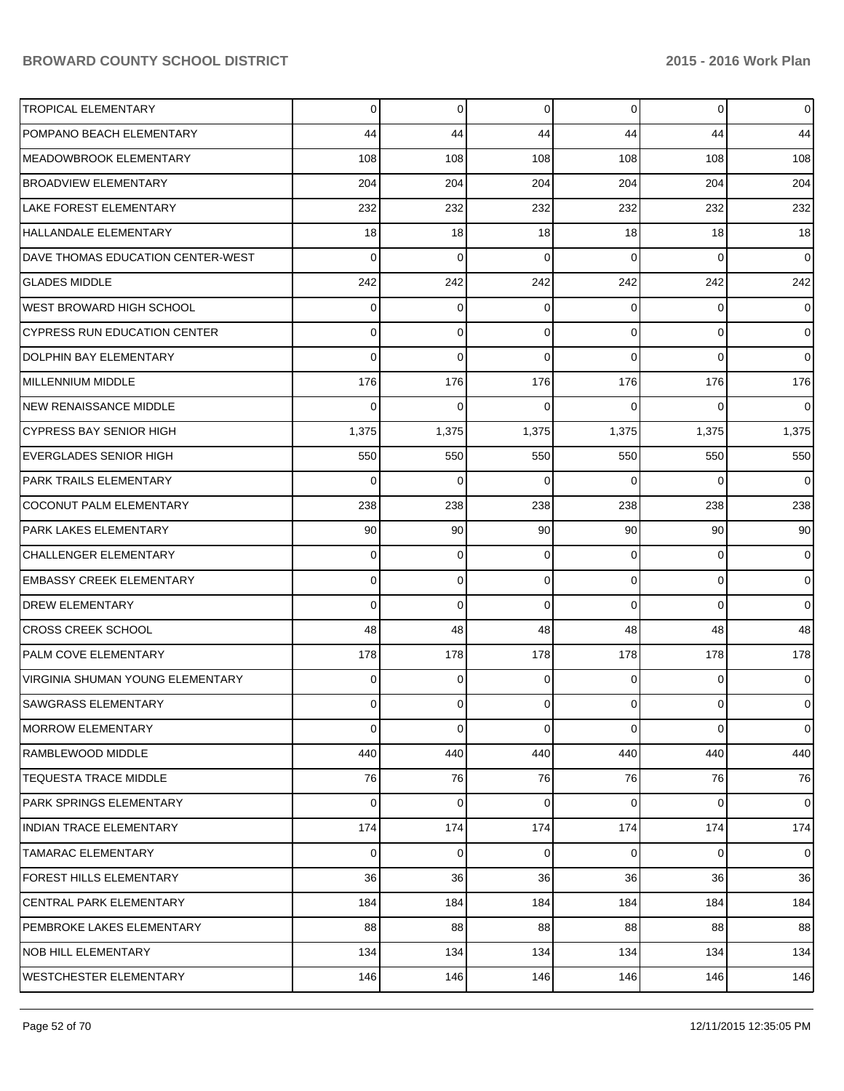| <b>TROPICAL ELEMENTARY</b>          | 0     | $\Omega$ | 0           | $\overline{0}$ | 0        | $\overline{0}$ |
|-------------------------------------|-------|----------|-------------|----------------|----------|----------------|
| POMPANO BEACH ELEMENTARY            | 44    | 44       | 44          | 44             | 44       | 44             |
| MEADOWBROOK ELEMENTARY              | 108   | 108      | 108         | 108            | 108      | 108            |
| <b>BROADVIEW ELEMENTARY</b>         | 204   | 204      | 204         | 204            | 204      | 204            |
| <b>LAKE FOREST ELEMENTARY</b>       | 232   | 232      | 232         | 232            | 232      | 232            |
| HALLANDALE ELEMENTARY               | 18    | 18       | 18          | 18             | 18       | 18             |
| DAVE THOMAS EDUCATION CENTER-WEST   | 0     | 0        | 0           | $\Omega$       | $\Omega$ | $\overline{0}$ |
| <b>GLADES MIDDLE</b>                | 242   | 242      | 242         | 242            | 242      | 242            |
| <b>WEST BROWARD HIGH SCHOOL</b>     | 0     | 0        | $\Omega$    | 0              | 0        | $\overline{0}$ |
| <b>CYPRESS RUN EDUCATION CENTER</b> | 0     | 0        | $\mathbf 0$ | $\Omega$       | 0        | $\overline{0}$ |
| DOLPHIN BAY ELEMENTARY              | 0     | 0        | $\Omega$    | $\Omega$       | $\Omega$ | $\overline{0}$ |
| MILLENNIUM MIDDLE                   | 176   | 176      | 176         | 176            | 176      | 176            |
| <b>NEW RENAISSANCE MIDDLE</b>       | 0     | $\Omega$ | $\Omega$    | 0              | 0        | 0              |
| <b>CYPRESS BAY SENIOR HIGH</b>      | 1,375 | 1,375    | 1,375       | 1,375          | 1,375    | 1,375          |
| <b>EVERGLADES SENIOR HIGH</b>       | 550   | 550      | 550         | 550            | 550      | 550            |
| PARK TRAILS ELEMENTARY              | 0     | 0        | 0           | $\Omega$       | 0        | $\overline{0}$ |
| COCONUT PALM ELEMENTARY             | 238   | 238      | 238         | 238            | 238      | 238            |
| PARK LAKES ELEMENTARY               | 90    | 90       | 90          | 90             | 90       | 90             |
| <b>CHALLENGER ELEMENTARY</b>        | 0     | 0        | $\Omega$    | $\Omega$       | 0        | $\overline{0}$ |
| <b>EMBASSY CREEK ELEMENTARY</b>     | 0     | $\Omega$ | 0           | $\Omega$       | 0        | $\overline{0}$ |
| <b>DREW ELEMENTARY</b>              | 0     | 0        | $\Omega$    | $\Omega$       | 0        | $\mathbf 0$    |
| <b>CROSS CREEK SCHOOL</b>           | 48    | 48       | 48          | 48             | 48       | 48             |
| PALM COVE ELEMENTARY                | 178   | 178      | 178         | 178            | 178      | 178            |
| VIRGINIA SHUMAN YOUNG ELEMENTARY    | 0     | 0        | $\Omega$    | 0              | 0        | 0              |
| SAWGRASS ELEMENTARY                 | 0     | 0        | $\Omega$    | $\Omega$       | 0        | 0              |
| <b>MORROW ELEMENTARY</b>            | 0     | 0        | 0           | $\overline{0}$ | 0        | $\overline{0}$ |
| RAMBLEWOOD MIDDLE                   | 440   | 440      | 440         | 440            | 440      | 440            |
| <b>TEQUESTA TRACE MIDDLE</b>        | 76    | 76       | 76          | 76             | 76       | 76             |
| PARK SPRINGS ELEMENTARY             | 0     | 0        | 0           | $\overline{0}$ | 0        | $\overline{0}$ |
| <b>INDIAN TRACE ELEMENTARY</b>      | 174   | 174      | 174         | 174            | 174      | 174            |
| <b>TAMARAC ELEMENTARY</b>           | 0     | 0        | $\mathbf 0$ | $\overline{0}$ | 0        | $\overline{0}$ |
| FOREST HILLS ELEMENTARY             | 36    | 36       | 36          | 36             | 36       | 36             |
| CENTRAL PARK ELEMENTARY             | 184   | 184      | 184         | 184            | 184      | 184            |
| PEMBROKE LAKES ELEMENTARY           | 88    | 88       | 88          | 88             | 88       | 88             |
| NOB HILL ELEMENTARY                 | 134   | 134      | 134         | 134            | 134      | 134            |
| <b>WESTCHESTER ELEMENTARY</b>       | 146   | 146      | 146         | 146            | 146      | 146            |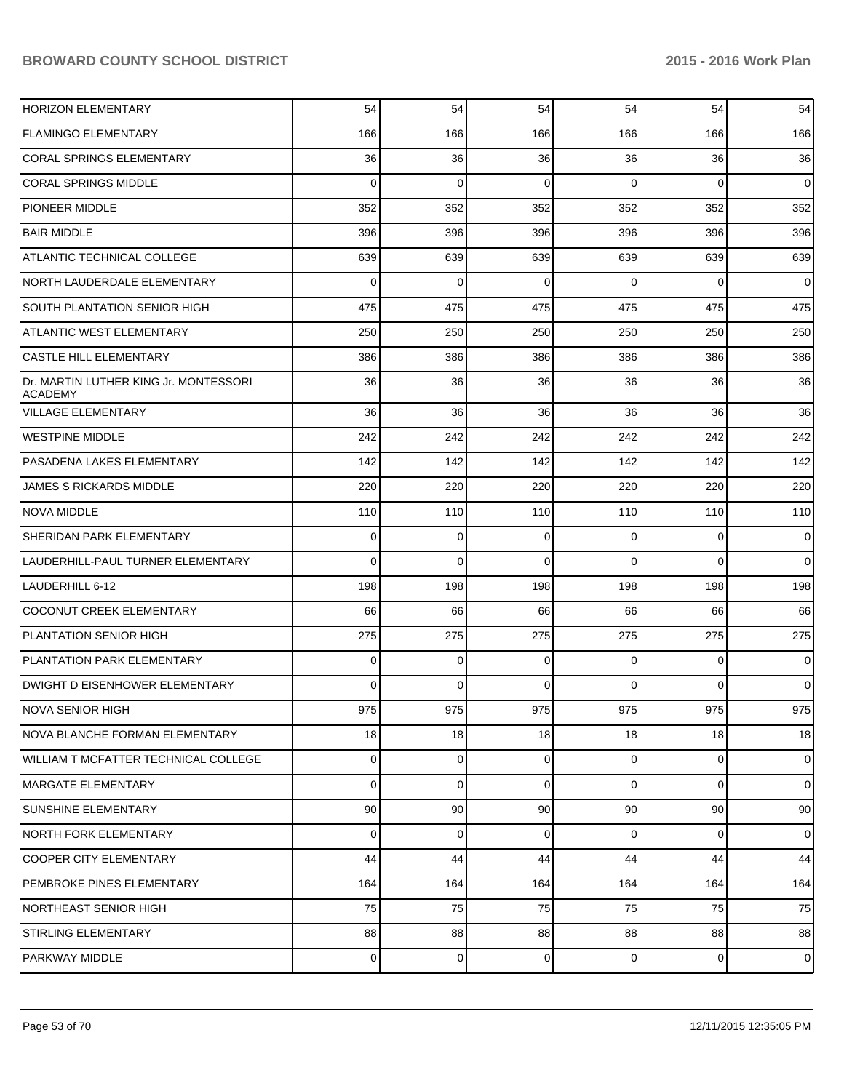| <b>HORIZON ELEMENTARY</b>                               | 54       | 54              | 54             | 54             | 54             | 54             |
|---------------------------------------------------------|----------|-----------------|----------------|----------------|----------------|----------------|
| <b>FLAMINGO ELEMENTARY</b>                              | 166      | 166             | 166            | 166            | 166            | 166            |
| <b>CORAL SPRINGS ELEMENTARY</b>                         | 36       | 36              | 36             | 36             | 36             | 36             |
| <b>CORAL SPRINGS MIDDLE</b>                             | $\Omega$ | $\mathbf 0$     | 0              | $\Omega$       | $\Omega$       | $\overline{0}$ |
| <b>PIONEER MIDDLE</b>                                   | 352      | 352             | 352            | 352            | 352            | 352            |
| <b>BAIR MIDDLE</b>                                      | 396      | 396             | 396            | 396            | 396            | 396            |
| <b>ATLANTIC TECHNICAL COLLEGE</b>                       | 639      | 639             | 639            | 639            | 639            | 639            |
| NORTH LAUDERDALE ELEMENTARY                             | $\Omega$ | $\mathbf 0$     | 0              | $\Omega$       | $\Omega$       | $\overline{0}$ |
| <b>SOUTH PLANTATION SENIOR HIGH</b>                     | 475      | 475             | 475            | 475            | 475            | 475            |
| <b>ATLANTIC WEST ELEMENTARY</b>                         | 250      | 250             | 250            | 250            | 250            | 250            |
| <b>CASTLE HILL ELEMENTARY</b>                           | 386      | 386             | 386            | 386            | 386            | 386            |
| Dr. MARTIN LUTHER KING Jr. MONTESSORI<br><b>ACADEMY</b> | 36       | 36              | 36             | 36             | 36             | 36             |
| <b>VILLAGE ELEMENTARY</b>                               | 36       | 36              | 36             | 36             | 36             | 36             |
| WESTPINE MIDDLE                                         | 242      | 242             | 242            | 242            | 242            | 242            |
| IPASADENA LAKES ELEMENTARY                              | 142      | 142             | 142            | 142            | 142            | 142            |
| <b>JAMES S RICKARDS MIDDLE</b>                          | 220      | 220             | 220            | 220            | 220            | 220            |
| <b>NOVA MIDDLE</b>                                      | 110      | 110             | 110            | 110            | 110            | 110            |
| SHERIDAN PARK ELEMENTARY                                | 0        | 0               | 0              | $\Omega$       | $\overline{0}$ | $\mathbf 0$    |
| LAUDERHILL-PAUL TURNER ELEMENTARY                       | 0        | 0               | $\Omega$       | $\Omega$       | $\Omega$       | $\mathbf 0$    |
| LAUDERHILL 6-12                                         | 198      | 198             | 198            | 198            | 198            | 198            |
| <b>COCONUT CREEK ELEMENTARY</b>                         | 66       | 66              | 66             | 66             | 66             | 66             |
| PLANTATION SENIOR HIGH                                  | 275      | 275             | 275            | 275            | 275            | 275            |
| PLANTATION PARK ELEMENTARY                              | 0        | 0               | $\mathbf 0$    | $\Omega$       | $\overline{0}$ | 0              |
| DWIGHT D EISENHOWER ELEMENTARY                          | 0        | $\Omega$        | $\Omega$       | 0              | $\Omega$       | $\mathbf 0$    |
| NOVA SENIOR HIGH                                        | 975      | 975             | 975            | 975            | 975            | 975            |
| NOVA BLANCHE FORMAN ELEMENTARY                          | 18       | 18              | 18             | 18             | 18             | 18             |
| WILLIAM T MCFATTER TECHNICAL COLLEGE                    | 0        | $\overline{0}$  | $\overline{0}$ | $\overline{0}$ | $\overline{0}$ | $\overline{0}$ |
| MARGATE ELEMENTARY                                      | 0        | $\Omega$        | $\Omega$       | $\Omega$       | $\overline{0}$ | $\overline{0}$ |
| <b>SUNSHINE ELEMENTARY</b>                              | 90       | 90 <sub>0</sub> | 90             | 90             | 90             | 90             |
| NORTH FORK ELEMENTARY                                   | 0        | $\overline{0}$  | 0              | $\Omega$       | $\overline{0}$ | $\overline{0}$ |
| <b>COOPER CITY ELEMENTARY</b>                           | 44       | 44              | 44             | 44             | 44             | 44             |
| PEMBROKE PINES ELEMENTARY                               | 164      | 164             | 164            | 164            | 164            | 164            |
| <b>NORTHEAST SENIOR HIGH</b>                            | 75       | 75              | 75             | 75             | 75             | 75             |
| <b>STIRLING ELEMENTARY</b>                              | 88       | 88              | 88             | 88             | 88             | 88             |
| <b>PARKWAY MIDDLE</b>                                   | 0        | $\overline{0}$  | $\mathbf 0$    | $\overline{0}$ | $\overline{0}$ | $\mathbf 0$    |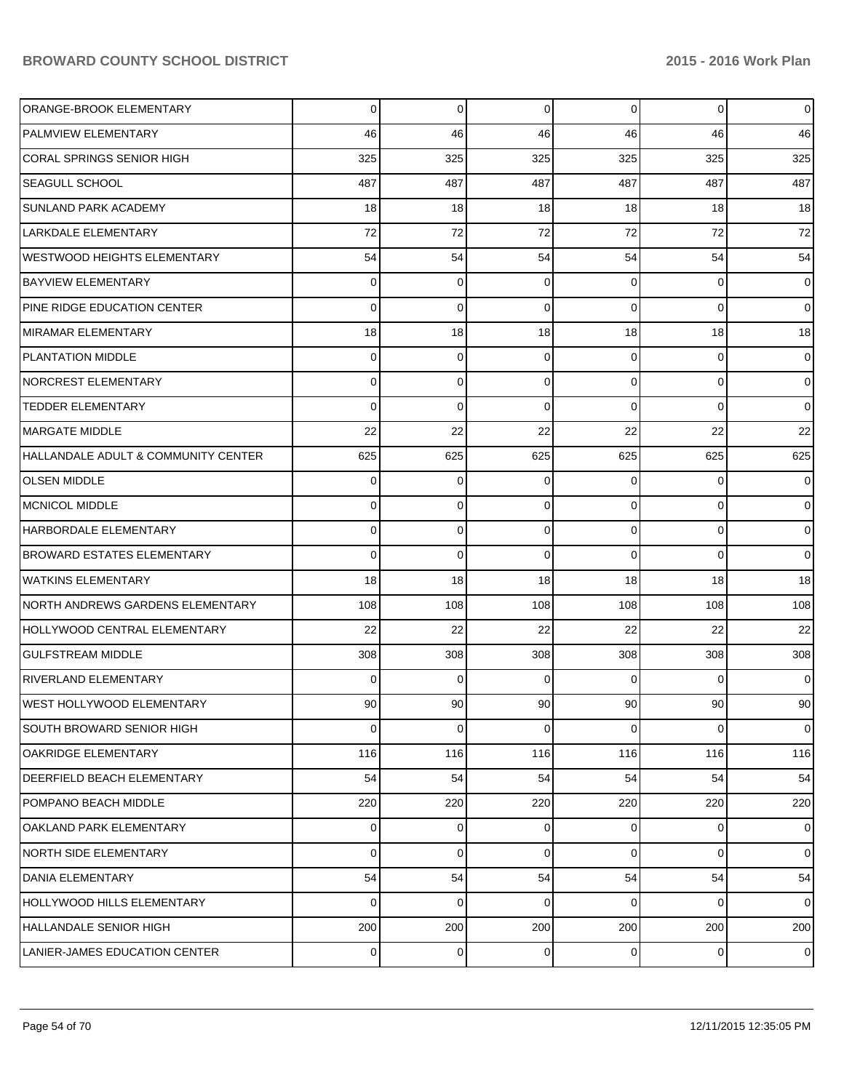| ORANGE-BROOK ELEMENTARY             | 0              | 0              | 0        | $\Omega$       | $\overline{0}$ | $\overline{0}$  |
|-------------------------------------|----------------|----------------|----------|----------------|----------------|-----------------|
| <b>PALMVIEW ELEMENTARY</b>          | 46             | 46             | 46       | 46             | 46             | 46              |
| CORAL SPRINGS SENIOR HIGH           | 325            | 325            | 325      | 325            | 325            | 325             |
| SEAGULL SCHOOL                      | 487            | 487            | 487      | 487            | 487            | 487             |
| <b>SUNLAND PARK ACADEMY</b>         | 18             | 18             | 18       | 18             | 18             | 18              |
| LARKDALE ELEMENTARY                 | 72             | 72             | 72       | 72             | 72             | 72              |
| <b>WESTWOOD HEIGHTS ELEMENTARY</b>  | 54             | 54             | 54       | 54             | 54             | 54              |
| <b>BAYVIEW ELEMENTARY</b>           | $\Omega$       | 0              | 0        | $\Omega$       | 0              | $\overline{0}$  |
| PINE RIDGE EDUCATION CENTER         | $\Omega$       | $\mathbf 0$    | 0        | $\Omega$       | $\Omega$       | $\overline{0}$  |
| <b>MIRAMAR ELEMENTARY</b>           | 18             | 18             | 18       | 18             | 18             | 18              |
| <b>PLANTATION MIDDLE</b>            | $\Omega$       | 0              | 0        | $\Omega$       | $\Omega$       | $\overline{0}$  |
| <b>NORCREST ELEMENTARY</b>          | $\Omega$       | 0              | $\Omega$ | $\Omega$       | $\Omega$       | $\overline{0}$  |
| <b>TEDDER ELEMENTARY</b>            | $\Omega$       | $\Omega$       | 0        | $\Omega$       | $\Omega$       | $\Omega$        |
| <b>MARGATE MIDDLE</b>               | 22             | 22             | 22       | 22             | 22             | 22              |
| HALLANDALE ADULT & COMMUNITY CENTER | 625            | 625            | 625      | 625            | 625            | 625             |
| <b>OLSEN MIDDLE</b>                 | $\Omega$       | 0              | 0        | $\Omega$       | $\Omega$       | $\overline{0}$  |
| MCNICOL MIDDLE                      | 0              | 0              | $\Omega$ | $\Omega$       | $\Omega$       | $\Omega$        |
| HARBORDALE ELEMENTARY               | $\Omega$       | 0              | 0        | $\Omega$       | $\Omega$       | $\overline{0}$  |
| <b>BROWARD ESTATES ELEMENTARY</b>   | $\Omega$       | $\mathbf 0$    | 0        | $\Omega$       | $\Omega$       | $\overline{0}$  |
| <b>WATKINS ELEMENTARY</b>           | 18             | 18             | 18       | 18             | 18             | 18              |
| NORTH ANDREWS GARDENS ELEMENTARY    | 108            | 108            | 108      | 108            | 108            | 108             |
| HOLLYWOOD CENTRAL ELEMENTARY        | 22             | 22             | 22       | 22             | 22             | 22              |
| <b>GULFSTREAM MIDDLE</b>            | 308            | 308            | 308      | 308            | 308            | 308             |
| <b>RIVERLAND ELEMENTARY</b>         | $\Omega$       | 0              | $\Omega$ | $\Omega$       | $\Omega$       | $\overline{0}$  |
| <b>WEST HOLLYWOOD ELEMENTARY</b>    | 90             | 90             | 90       | 90             | 90             | 90 <sub>1</sub> |
| SOUTH BROWARD SENIOR HIGH           | $\overline{0}$ | $\overline{0}$ | 0        | $\overline{0}$ | $\overline{0}$ | $\overline{0}$  |
| <b>OAKRIDGE ELEMENTARY</b>          | 116            | 116            | 116      | 116            | 116            | 116             |
| <b>DEERFIELD BEACH ELEMENTARY</b>   | 54             | 54             | 54       | 54             | 54             | 54              |
| POMPANO BEACH MIDDLE                | 220            | 220            | 220      | 220            | 220            | 220             |
| OAKLAND PARK ELEMENTARY             | $\Omega$       | 0              | 0        | $\Omega$       | $\overline{0}$ | $\overline{0}$  |
| <b>NORTH SIDE ELEMENTARY</b>        | $\Omega$       | $\mathbf 0$    | 0        | $\Omega$       | $\overline{0}$ | $\overline{0}$  |
| DANIA ELEMENTARY                    | 54             | 54             | 54       | 54             | 54             | 54              |
| <b>HOLLYWOOD HILLS ELEMENTARY</b>   | $\Omega$       | $\mathbf 0$    | 0        | $\Omega$       | $\overline{0}$ | $\overline{0}$  |
| HALLANDALE SENIOR HIGH              | 200            | 200            | 200      | 200            | 200            | 200             |
| LANIER-JAMES EDUCATION CENTER       | $\overline{0}$ | 0              | 0        | $\overline{0}$ | $\mathbf 0$    | $\overline{0}$  |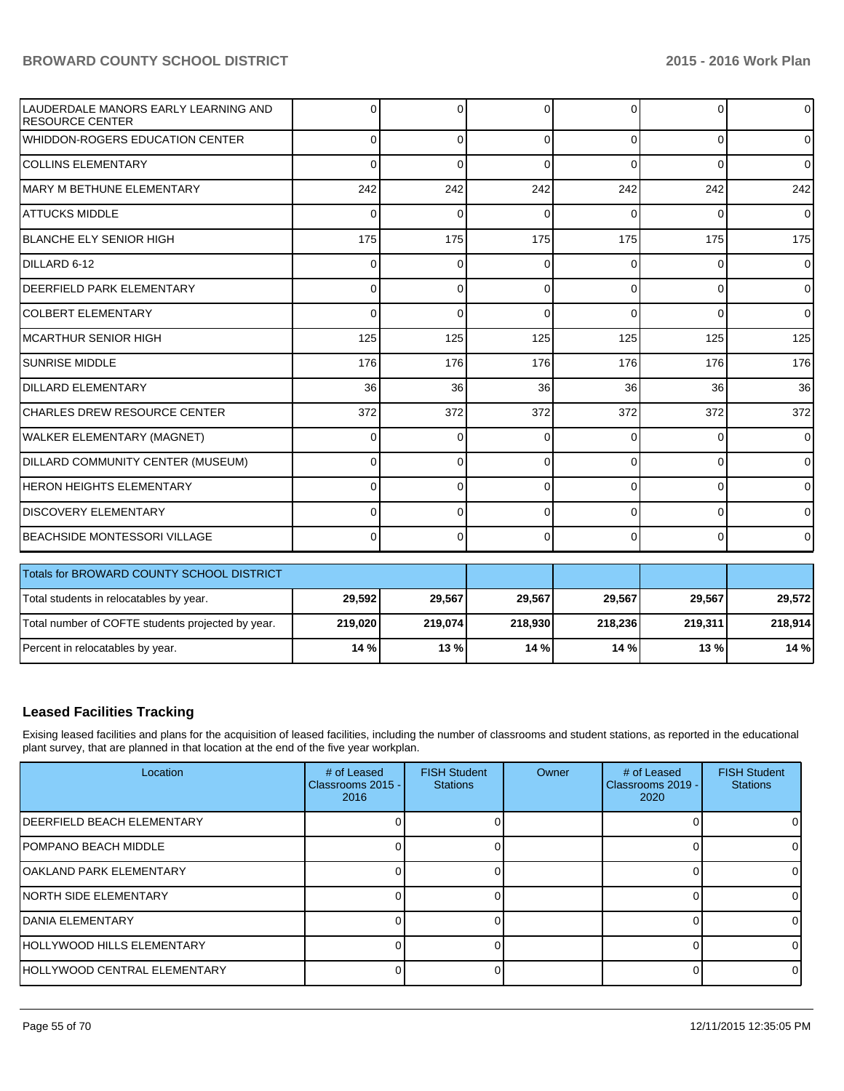| LAUDERDALE MANORS EARLY LEARNING AND<br><b>RESOURCE CENTER</b> | <sup>0</sup> | $\Omega$     | $\Omega$ | 0        | $\Omega$ | $\overline{0}$ |  |  |  |
|----------------------------------------------------------------|--------------|--------------|----------|----------|----------|----------------|--|--|--|
| WHIDDON-ROGERS EDUCATION CENTER                                | 0            | $\Omega$     | $\Omega$ | $\Omega$ | 0        | $\overline{0}$ |  |  |  |
| <b>COLLINS ELEMENTARY</b>                                      | $\Omega$     | $\Omega$     | $\Omega$ | $\Omega$ | $\Omega$ | $\overline{0}$ |  |  |  |
| MARY M BETHUNE ELEMENTARY                                      | 242          | 242          | 242      | 242      | 242      | 242            |  |  |  |
| <b>ATTUCKS MIDDLE</b>                                          | $\Omega$     | $\Omega$     | C        | C        | O        | $\overline{0}$ |  |  |  |
| <b>BLANCHE ELY SENIOR HIGH</b>                                 | 175          | 175          | 175      | 175      | 175      | 175            |  |  |  |
| DILLARD 6-12                                                   | 0            | 0            | 0        | 0        | 0        | $\overline{0}$ |  |  |  |
| DEERFIELD PARK ELEMENTARY                                      | 0            | 0            | $\Omega$ | $\Omega$ | $\Omega$ | $\Omega$       |  |  |  |
| <b>COLBERT ELEMENTARY</b>                                      | 0            | $\mathbf{0}$ | $\Omega$ | $\Omega$ | $\Omega$ | $\overline{0}$ |  |  |  |
| <b>MCARTHUR SENIOR HIGH</b>                                    | 125          | 125          | 125      | 125      | 125      | 125            |  |  |  |
| <b>SUNRISE MIDDLE</b>                                          | 176          | 176          | 176      | 176      | 176      | 176            |  |  |  |
| <b>DILLARD ELEMENTARY</b>                                      | 36           | 36           | 36       | 36       | 36       | 36             |  |  |  |
| CHARLES DREW RESOURCE CENTER                                   | 372          | 372          | 372      | 372      | 372      | 372            |  |  |  |
| <b>WALKER ELEMENTARY (MAGNET)</b>                              | $\Omega$     | $\Omega$     | $\Omega$ | $\Omega$ | $\Omega$ | $\Omega$       |  |  |  |
| DILLARD COMMUNITY CENTER (MUSEUM)                              | 0            | $\Omega$     | $\Omega$ | 0        | $\Omega$ | $\overline{0}$ |  |  |  |
| <b>HERON HEIGHTS ELEMENTARY</b>                                | $\Omega$     | $\Omega$     | $\Omega$ | $\Omega$ | $\Omega$ | $\Omega$       |  |  |  |
| <b>DISCOVERY ELEMENTARY</b>                                    | 0            | 0            | $\Omega$ | $\Omega$ | $\Omega$ | $\overline{0}$ |  |  |  |
| <b>BEACHSIDE MONTESSORI VILLAGE</b>                            | $\Omega$     | $\Omega$     | $\Omega$ | $\Omega$ | $\Omega$ | $\overline{0}$ |  |  |  |
| Totals for BROWARD COUNTY SCHOOL DISTRICT                      |              |              |          |          |          |                |  |  |  |
| Total students in relocatables by year.                        | 29,592       | 29,567       | 29,567   | 29,567   | 29,567   | 29,572         |  |  |  |
| Total number of COFTE students projected by year.              | 219,020      | 219,074      | 218,930  | 218,236  | 219,311  | 218,914        |  |  |  |
| Percent in relocatables by year.                               | 14 %         | 13%          | 14 %     | 14 %     | 13%      | 14 %           |  |  |  |

# **Leased Facilities Tracking**

Exising leased facilities and plans for the acquisition of leased facilities, including the number of classrooms and student stations, as reported in the educational plant survey, that are planned in that location at the end of the five year workplan.

| Location                             | # of Leased<br>Classrooms 2015 -<br>2016 | <b>FISH Student</b><br><b>Stations</b> | <b>Owner</b> | # of Leased<br>Classrooms 2019 -<br>2020 | <b>FISH Student</b><br><b>Stations</b> |
|--------------------------------------|------------------------------------------|----------------------------------------|--------------|------------------------------------------|----------------------------------------|
| <b>IDEERFIELD BEACH ELEMENTARY</b>   |                                          |                                        |              |                                          | OΙ                                     |
| <b>IPOMPANO BEACH MIDDLE</b>         |                                          |                                        |              |                                          | ΩI                                     |
| <b>JOAKLAND PARK ELEMENTARY</b>      |                                          |                                        |              |                                          | 01                                     |
| <b>INORTH SIDE ELEMENTARY</b>        |                                          |                                        |              |                                          | $\Omega$                               |
| <b>IDANIA ELEMENTARY</b>             |                                          |                                        |              |                                          | ΩI                                     |
| <b>HOLLYWOOD HILLS ELEMENTARY</b>    |                                          |                                        |              |                                          | $\Omega$                               |
| <b>IHOLLYWOOD CENTRAL ELEMENTARY</b> |                                          |                                        |              |                                          | $\Omega$                               |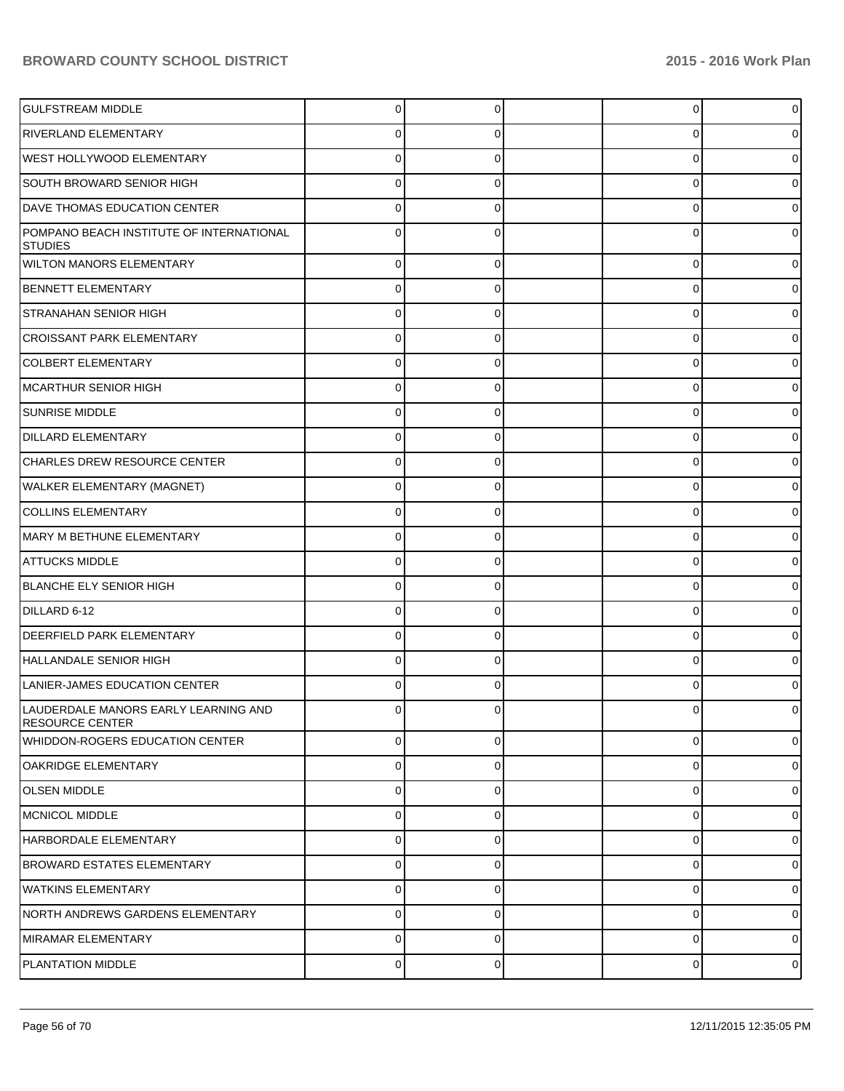| <b>I</b> GULFSTREAM MIDDLE                                     | 0              |   | 0 | $\overline{0}$ |
|----------------------------------------------------------------|----------------|---|---|----------------|
| RIVERLAND ELEMENTARY                                           |                |   | U | 0              |
| <b>WEST HOLLYWOOD ELEMENTARY</b>                               |                |   | C | 0              |
| SOUTH BROWARD SENIOR HIGH                                      |                |   | U | 0              |
| DAVE THOMAS EDUCATION CENTER                                   |                |   | U |                |
| POMPANO BEACH INSTITUTE OF INTERNATIONAL<br><b>STUDIES</b>     |                |   | U | 0              |
| <b>WILTON MANORS ELEMENTARY</b>                                | 0              | 0 | 0 | 0              |
| <b>BENNETT ELEMENTARY</b>                                      | U              | 0 | 0 | 0              |
| <b>STRANAHAN SENIOR HIGH</b>                                   | 0              | 0 | 0 | 0              |
| CROISSANT PARK ELEMENTARY                                      | U              | 0 | 0 | 0              |
| <b>COLBERT ELEMENTARY</b>                                      | 0              | 0 | 0 | 0              |
| MCARTHUR SENIOR HIGH                                           | U              | 0 | 0 | 0              |
| <b>SUNRISE MIDDLE</b>                                          | 0              | 0 | 0 | 0              |
| <b>DILLARD ELEMENTARY</b>                                      | U              | 0 | 0 | 0              |
| CHARLES DREW RESOURCE CENTER                                   | 0              | 0 | 0 | 0              |
| WALKER ELEMENTARY (MAGNET)                                     | O              | 0 | 0 | o              |
| <b>COLLINS ELEMENTARY</b>                                      | 0              | 0 | 0 | 0              |
| MARY M BETHUNE ELEMENTARY                                      | U              |   | 0 |                |
| <b>ATTUCKS MIDDLE</b>                                          | 0              | 0 | 0 | 0              |
| BLANCHE ELY SENIOR HIGH                                        | 0              | 0 | 0 | 0              |
| DILLARD 6-12                                                   | 0              | 0 | 0 | 0              |
| <b>DEERFIELD PARK ELEMENTARY</b>                               | ⋂              | 0 | 0 |                |
| HALLANDALE SENIOR HIGH                                         | 0              | 0 | 0 | 0              |
| LANIER-JAMES EDUCATION CENTER                                  |                |   | U |                |
| LAUDERDALE MANORS EARLY LEARNING AND<br><b>RESOURCE CENTER</b> | 0              |   |   | 0              |
| <b>WHIDDON-ROGERS EDUCATION CENTER</b>                         | $\overline{0}$ | 0 | 0 | $\overline{0}$ |
| OAKRIDGE ELEMENTARY                                            | $\mathbf 0$    | 0 | 0 | $\overline{0}$ |
| <b>OLSEN MIDDLE</b>                                            | $\mathbf 0$    | 0 | 0 | $\overline{0}$ |
| MCNICOL MIDDLE                                                 | 0              | 0 | 0 | 0              |
| HARBORDALE ELEMENTARY                                          | $\mathbf 0$    | 0 | 0 | $\overline{0}$ |
| BROWARD ESTATES ELEMENTARY                                     | $\mathbf 0$    | 0 | 0 | 01             |
| <b>I</b> WATKINS ELEMENTARY                                    | $\mathbf 0$    | 0 | 0 | $\overline{0}$ |
| NORTH ANDREWS GARDENS ELEMENTARY                               | $\mathbf 0$    | 0 | 0 | $\overline{0}$ |
| MIRAMAR ELEMENTARY                                             | $\mathbf 0$    | 0 | 0 | $\overline{0}$ |
| PLANTATION MIDDLE                                              | $\mathbf 0$    | 0 | 0 | $\overline{0}$ |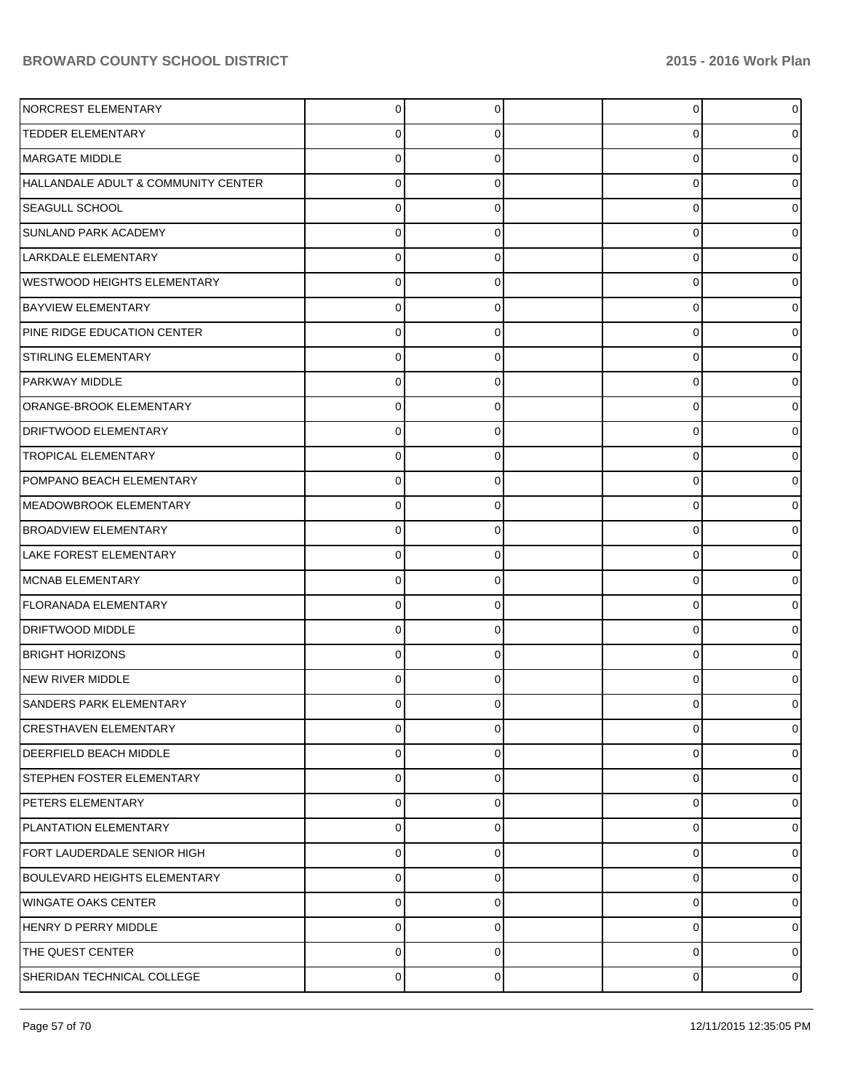| NORCREST ELEMENTARY                 | $\Omega$       | 0        | 0 | $\Omega$ |
|-------------------------------------|----------------|----------|---|----------|
| <b>TEDDER ELEMENTARY</b>            | 0              | O        | 0 | n        |
| MARGATE MIDDLE                      | U              |          | ŋ |          |
| HALLANDALE ADULT & COMMUNITY CENTER | 0              | 0        | 0 | n        |
| SEAGULL SCHOOL                      | U              |          | 0 |          |
| <b>SUNLAND PARK ACADEMY</b>         | 0              | 0        | 0 |          |
| <b>LARKDALE ELEMENTARY</b>          | U              |          | ŋ |          |
| <b>WESTWOOD HEIGHTS ELEMENTARY</b>  | 0              | 0        | 0 |          |
| <b>BAYVIEW ELEMENTARY</b>           | U              |          | 0 |          |
| PINE RIDGE EDUCATION CENTER         | 0              | 0        | 0 |          |
| <b>STIRLING ELEMENTARY</b>          | U              |          | ŋ |          |
| PARKWAY MIDDLE                      | 0              | 0        | 0 | n        |
| ORANGE-BROOK ELEMENTARY             | U              |          | 0 |          |
| DRIFTWOOD ELEMENTARY                | 0              | 0        | 0 |          |
| <b>TROPICAL ELEMENTARY</b>          | U              |          | ŋ |          |
| POMPANO BEACH ELEMENTARY            | 0              | 0        | 0 | n        |
| MEADOWBROOK ELEMENTARY              | U              |          | 0 |          |
| <b>BROADVIEW ELEMENTARY</b>         | 0              | 0        | 0 |          |
| <b>LAKE FOREST ELEMENTARY</b>       | U              |          | 0 |          |
| MCNAB ELEMENTARY                    | 0              | 0        | 0 | n        |
| <b>FLORANADA ELEMENTARY</b>         | U              |          | ŋ |          |
| <b>DRIFTWOOD MIDDLE</b>             | 0              | 0        | 0 |          |
| <b>BRIGHT HORIZONS</b>              | U              |          | 0 | n        |
| NEW RIVER MIDDLE                    | U              | 0        | 0 |          |
| <b>SANDERS PARK ELEMENTARY</b>      |                |          |   |          |
| <b>CRESTHAVEN ELEMENTARY</b>        | 0              | 0        | 0 | 0        |
| DEERFIELD BEACH MIDDLE              | 0              | 0        | 0 | 0        |
| STEPHEN FOSTER ELEMENTARY           | $\mathbf 0$    | 0        | 0 | 0        |
| PETERS ELEMENTARY                   | $\mathbf 0$    | 0        | 0 | 0        |
| PLANTATION ELEMENTARY               | $\mathbf 0$    | 0        | 0 | 0        |
| FORT LAUDERDALE SENIOR HIGH         | $\mathbf 0$    | 0        | 0 | 0        |
| <b>BOULEVARD HEIGHTS ELEMENTARY</b> | $\mathbf 0$    | 0        | 0 | 0        |
| <b>WINGATE OAKS CENTER</b>          | $\mathbf 0$    | 0        | 0 | 0        |
| HENRY D PERRY MIDDLE                | 0              | 0        | 0 | 0        |
| THE QUEST CENTER                    | 0              | $\Omega$ | 0 | 0        |
| SHERIDAN TECHNICAL COLLEGE          | $\overline{0}$ | 0        | 0 | 0        |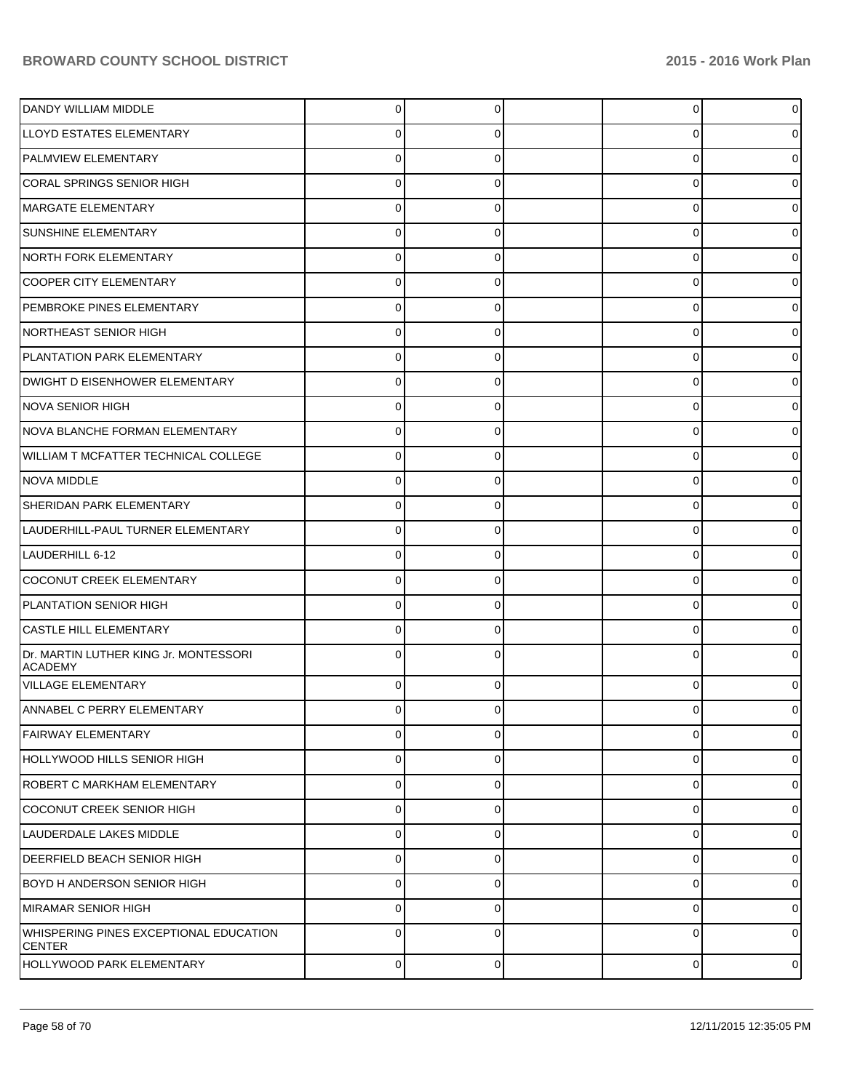| DANDY WILLIAM MIDDLE                                           | 0           | $\Omega$    | $\Omega$<br>$\overline{0}$ |
|----------------------------------------------------------------|-------------|-------------|----------------------------|
| LLOYD ESTATES ELEMENTARY                                       |             |             | 0<br>U                     |
| <b>PALMVIEW ELEMENTARY</b>                                     |             |             | 0<br>0                     |
| CORAL SPRINGS SENIOR HIGH                                      | U           |             | 0<br>0                     |
| MARGATE ELEMENTARY                                             | U           |             | 0<br>0                     |
| <b>SUNSHINE ELEMENTARY</b>                                     | o           |             | 0<br>0                     |
| NORTH FORK ELEMENTARY                                          | U           |             | 0<br>0                     |
| COOPER CITY ELEMENTARY                                         | 0           |             | 0<br>0                     |
| PEMBROKE PINES ELEMENTARY                                      | U           |             | 0<br>0                     |
| NORTHEAST SENIOR HIGH                                          | 0           |             | 0<br>0                     |
| PLANTATION PARK ELEMENTARY                                     |             |             | Ω<br>0                     |
| DWIGHT D EISENHOWER ELEMENTARY                                 | 0           |             | 0<br>0                     |
| NOVA SENIOR HIGH                                               | U           |             | 0<br>0                     |
| NOVA BLANCHE FORMAN ELEMENTARY                                 | 0           |             | 0<br>0                     |
| WILLIAM T MCFATTER TECHNICAL COLLEGE                           |             |             | Ω<br>0                     |
| NOVA MIDDLE                                                    | 0           |             | 0<br>0                     |
| <b>SHERIDAN PARK ELEMENTARY</b>                                | U           |             | 0<br>0                     |
| LAUDERHILL-PAUL TURNER ELEMENTARY                              | 0           |             | 0<br>0                     |
| LAUDERHILL 6-12                                                |             |             | Ω<br>o                     |
| COCONUT CREEK ELEMENTARY                                       | 0           |             | 0<br>0                     |
| PLANTATION SENIOR HIGH                                         | U           |             | 0<br>0                     |
| <b>CASTLE HILL ELEMENTARY</b>                                  | 0           |             | 0<br>0                     |
| Dr. MARTIN LUTHER KING Jr. MONTESSORI<br><b>ACADEMY</b>        |             |             | $\Omega$<br>0              |
| <b>VILLAGE ELEMENTARY</b>                                      | 0           |             | 0<br>0                     |
| <b>ANNABEL C PERRY ELEMENTARY</b>                              | $\Omega$    | $\Omega$    | 01<br>O                    |
| <b>FAIRWAY ELEMENTARY</b>                                      | 0           | $\Omega$    | $\Omega$<br>$\overline{0}$ |
| HOLLYWOOD HILLS SENIOR HIGH                                    | $\mathbf 0$ | $\Omega$    | $\Omega$<br>$\overline{0}$ |
| ROBERT C MARKHAM ELEMENTARY                                    | $\Omega$    | $\Omega$    | 0<br>$\overline{0}$        |
| COCONUT CREEK SENIOR HIGH                                      | $\Omega$    | $\Omega$    | $\Omega$<br>$\overline{0}$ |
| LAUDERDALE LAKES MIDDLE                                        | $\Omega$    | $\Omega$    | $\Omega$<br>$\overline{0}$ |
| DEERFIELD BEACH SENIOR HIGH                                    | $\Omega$    | $\Omega$    | $\Omega$<br>$\overline{0}$ |
| BOYD H ANDERSON SENIOR HIGH                                    | $\Omega$    | $\Omega$    | 0<br>$\overline{0}$        |
| MIRAMAR SENIOR HIGH                                            | $\Omega$    | $\Omega$    | $\Omega$<br>$\overline{0}$ |
| <b>WHISPERING PINES EXCEPTIONAL EDUCATION</b><br><b>CENTER</b> | $\Omega$    | $\Omega$    | $\Omega$<br>$\overline{0}$ |
| HOLLYWOOD PARK ELEMENTARY                                      | 0           | $\mathbf 0$ | 0<br>$\circ$               |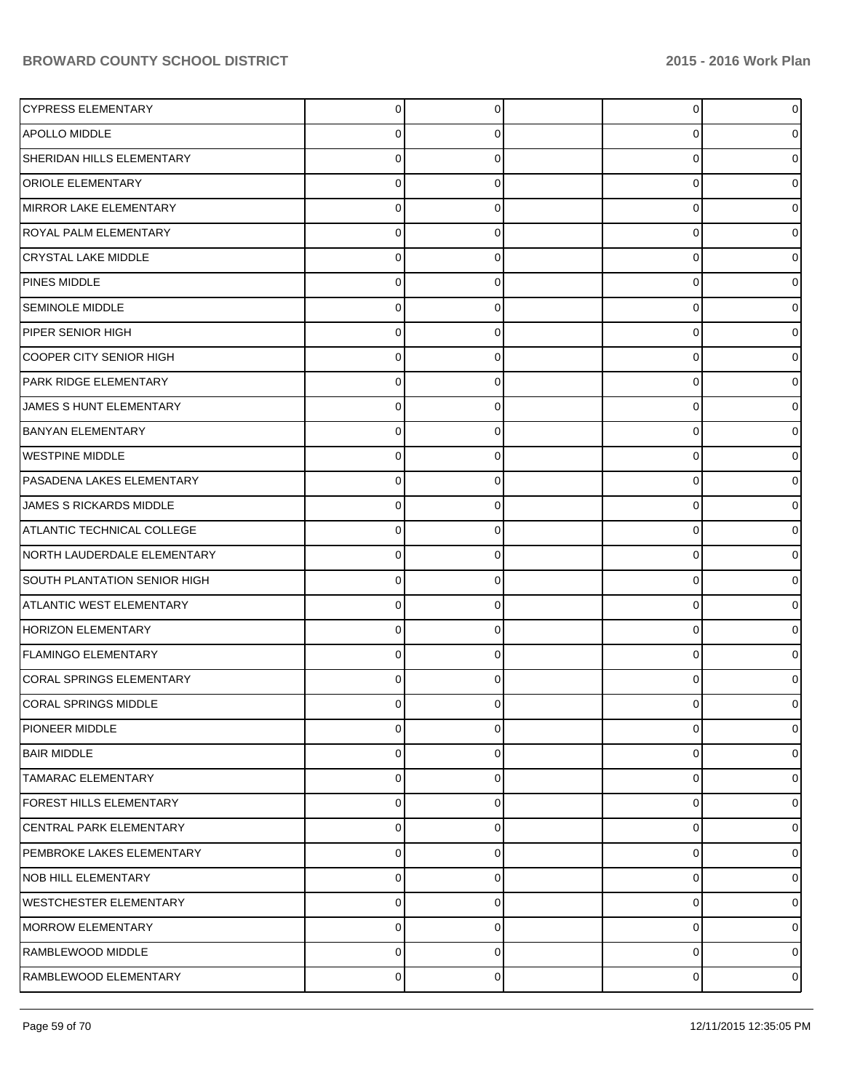| <b>CYPRESS ELEMENTARY</b>       | $\Omega$       | $\Omega$ | $\Omega$    | $\overline{0}$ |
|---------------------------------|----------------|----------|-------------|----------------|
| <b>APOLLO MIDDLE</b>            | 0              | 0        | 0           | 0              |
| SHERIDAN HILLS ELEMENTARY       | 0              | 0        | $\Omega$    | 0              |
| <b>ORIOLE ELEMENTARY</b>        | 0              | 0        | 0           | 0              |
| MIRROR LAKE ELEMENTARY          | 0              | 0        | $\Omega$    | 0              |
| <b>ROYAL PALM ELEMENTARY</b>    | 0              | 0        | $\Omega$    | 0              |
| <b>CRYSTAL LAKE MIDDLE</b>      | 0              | 0        | $\Omega$    | 0              |
| <b>PINES MIDDLE</b>             | 0              | 0        | $\Omega$    | 0              |
| <b>SEMINOLE MIDDLE</b>          | 0              | 0        | $\Omega$    | 0              |
| PIPER SENIOR HIGH               | 0              | 0        | $\Omega$    | 0              |
| COOPER CITY SENIOR HIGH         | 0              | 0        | $\Omega$    | ი              |
| PARK RIDGE ELEMENTARY           | 0              | $\Omega$ | $\Omega$    | 0              |
| JAMES S HUNT ELEMENTARY         | 0              | 0        | $\Omega$    | 0              |
| <b>BANYAN ELEMENTARY</b>        | 0              | 0        | $\Omega$    | 0              |
| <b>WESTPINE MIDDLE</b>          | 0              |          | 0           | o              |
| PASADENA LAKES ELEMENTARY       | 0              | $\Omega$ | $\Omega$    | 0              |
| JAMES S RICKARDS MIDDLE         | 0              | 0        | $\Omega$    | o              |
| ATLANTIC TECHNICAL COLLEGE      | 0              | 0        | $\Omega$    | 0              |
| NORTH LAUDERDALE ELEMENTARY     | 0              |          | 0           | o              |
| SOUTH PLANTATION SENIOR HIGH    | 0              | $\Omega$ | $\Omega$    | 0              |
| <b>ATLANTIC WEST ELEMENTARY</b> | 0              | 0        | $\Omega$    | 0              |
| <b>HORIZON ELEMENTARY</b>       | 0              | 0        | $\Omega$    | 0              |
| FLAMINGO ELEMENTARY             | 0              |          | $\Omega$    | o              |
| <b>CORAL SPRINGS ELEMENTARY</b> | 0              | 0        | 0           | ი              |
| <b>CORAL SPRINGS MIDDLE</b>     | 0              | 0        | U           | 0              |
| PIONEER MIDDLE                  | 0              | 0        | $\mathbf 0$ | $\overline{0}$ |
| <b>BAIR MIDDLE</b>              | 0              | 0        | 0           | 0              |
| TAMARAC ELEMENTARY              | $\Omega$       | $\Omega$ | $\mathbf 0$ | 0              |
| FOREST HILLS ELEMENTARY         | 0              | 0        | $\mathbf 0$ | 0              |
| CENTRAL PARK ELEMENTARY         | 0              | $\Omega$ | $\mathbf 0$ | 01             |
| PEMBROKE LAKES ELEMENTARY       | 0              | 0        | $\mathbf 0$ | 0              |
| NOB HILL ELEMENTARY             | 0              | $\Omega$ | $\mathbf 0$ | ٥I             |
| <b>WESTCHESTER ELEMENTARY</b>   | 0              | 0        | $\mathbf 0$ | 0              |
| MORROW ELEMENTARY               | 0              | $\Omega$ | $\mathbf 0$ | 0              |
| RAMBLEWOOD MIDDLE               | 0              | 0        | 0           | 0              |
| RAMBLEWOOD ELEMENTARY           | $\overline{0}$ | 0        | 0           | $\circ$        |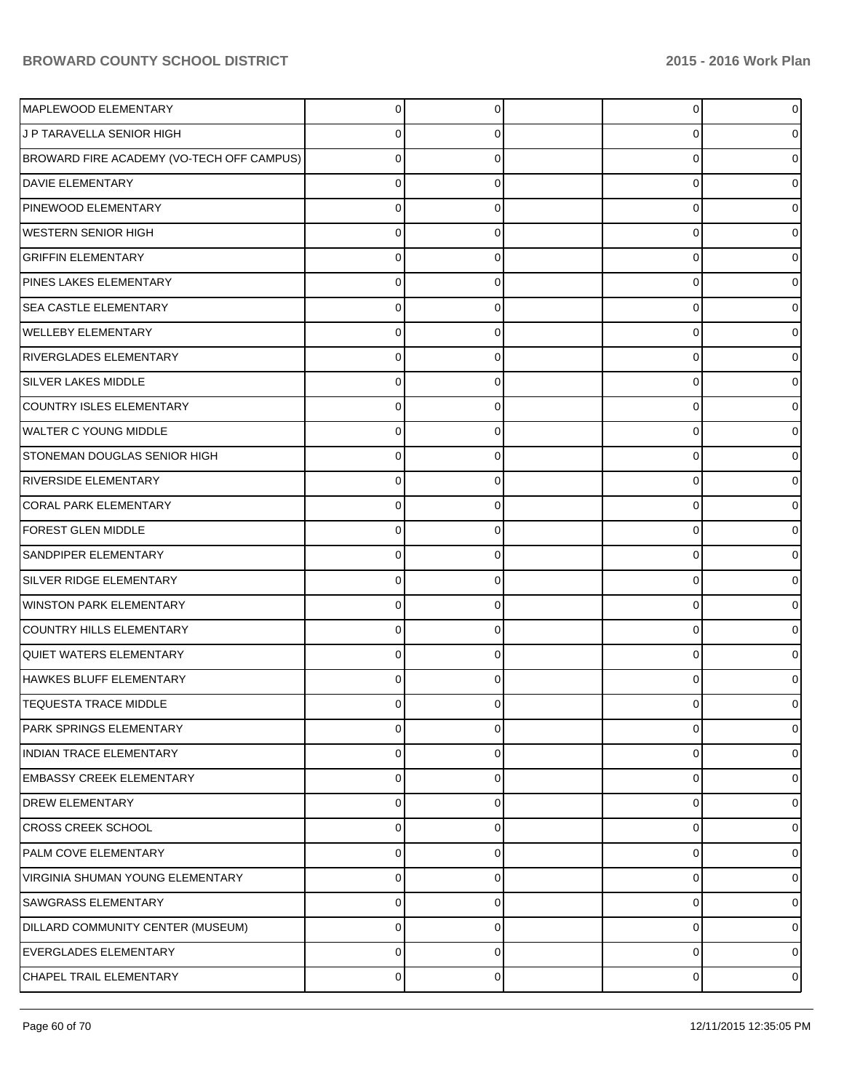| MAPLEWOOD ELEMENTARY                      | 0        | $\Omega$ | $\overline{0}$ | $\overline{0}$ |
|-------------------------------------------|----------|----------|----------------|----------------|
| J P TARAVELLA SENIOR HIGH                 | 0        | O        | 0              | 0              |
| BROWARD FIRE ACADEMY (VO-TECH OFF CAMPUS) | 0        | U        | 0              | 0              |
| DAVIE ELEMENTARY                          | 0        | ∩        | 0              | 0              |
| PINEWOOD ELEMENTARY                       | 0        | C        | 0              | 0              |
| <b>WESTERN SENIOR HIGH</b>                | 0        | 0        | 0              | 0              |
| <b>GRIFFIN ELEMENTARY</b>                 | 0        | U        | 0              | 0              |
| PINES LAKES ELEMENTARY                    | 0        | ∩        | 0              | 0              |
| <b>SEA CASTLE ELEMENTARY</b>              | 0        | C        | 0              | 0              |
| <b>WELLEBY ELEMENTARY</b>                 | 0        | 0        | 0              | 0              |
| <b>RIVERGLADES ELEMENTARY</b>             | 0        | C        | 0              | 0              |
| <b>SILVER LAKES MIDDLE</b>                | 0        | 0        | 0              | 0              |
| <b>COUNTRY ISLES ELEMENTARY</b>           | 0        | C        | 0              | 0              |
| WALTER C YOUNG MIDDLE                     | 0        | $\Omega$ | 0              | 0              |
| <b>STONEMAN DOUGLAS SENIOR HIGH</b>       | 0        | C        | 0              | 0              |
| <b>RIVERSIDE ELEMENTARY</b>               | 0        | $\Omega$ | 0              | 0              |
| <b>CORAL PARK ELEMENTARY</b>              | 0        | C        | 0              | 0              |
| <b>FOREST GLEN MIDDLE</b>                 | $\Omega$ | $\Omega$ | 0              | 0              |
| SANDPIPER ELEMENTARY                      | 0        | C        | 0              | 0              |
| SILVER RIDGE ELEMENTARY                   | $\Omega$ | $\Omega$ | 0              | 0              |
| WINSTON PARK ELEMENTARY                   | 0        | C        | $\Omega$       | 0              |
| <b>COUNTRY HILLS ELEMENTARY</b>           | $\Omega$ | 0        | 0              | 0              |
| QUIET WATERS ELEMENTARY                   | 0        | C        | 0              | 0              |
| HAWKES BLUFF ELEMENTARY                   | 0        | $\Omega$ | $\Omega$       | 0              |
| <b>TEQUESTA TRACE MIDDLE</b>              |          |          | U              | 0              |
| PARK SPRINGS ELEMENTARY                   | 0        | $\Omega$ | 0              | $\overline{0}$ |
| INDIAN TRACE ELEMENTARY                   | 0        | $\Omega$ | 0              | $\overline{0}$ |
| <b>EMBASSY CREEK ELEMENTARY</b>           | 0        | $\Omega$ | 0              | $\overline{0}$ |
| <b>DREW ELEMENTARY</b>                    | 0        | $\Omega$ | 0              | 0              |
| <b>CROSS CREEK SCHOOL</b>                 | 0        | $\Omega$ | 0              | $\overline{0}$ |
| PALM COVE ELEMENTARY                      | 0        | $\Omega$ | 0              | 0              |
| <b>VIRGINIA SHUMAN YOUNG ELEMENTARY</b>   | 0        | $\Omega$ | 0              | $\overline{0}$ |
| <b>SAWGRASS ELEMENTARY</b>                | 0        | $\Omega$ | 0              | 0              |
| DILLARD COMMUNITY CENTER (MUSEUM)         | 0        | $\Omega$ | 0              | $\overline{0}$ |
| <b>EVERGLADES ELEMENTARY</b>              | 0        | $\Omega$ | 0              | $\overline{0}$ |
| CHAPEL TRAIL ELEMENTARY                   | 0        | 0        | 0              | $\overline{0}$ |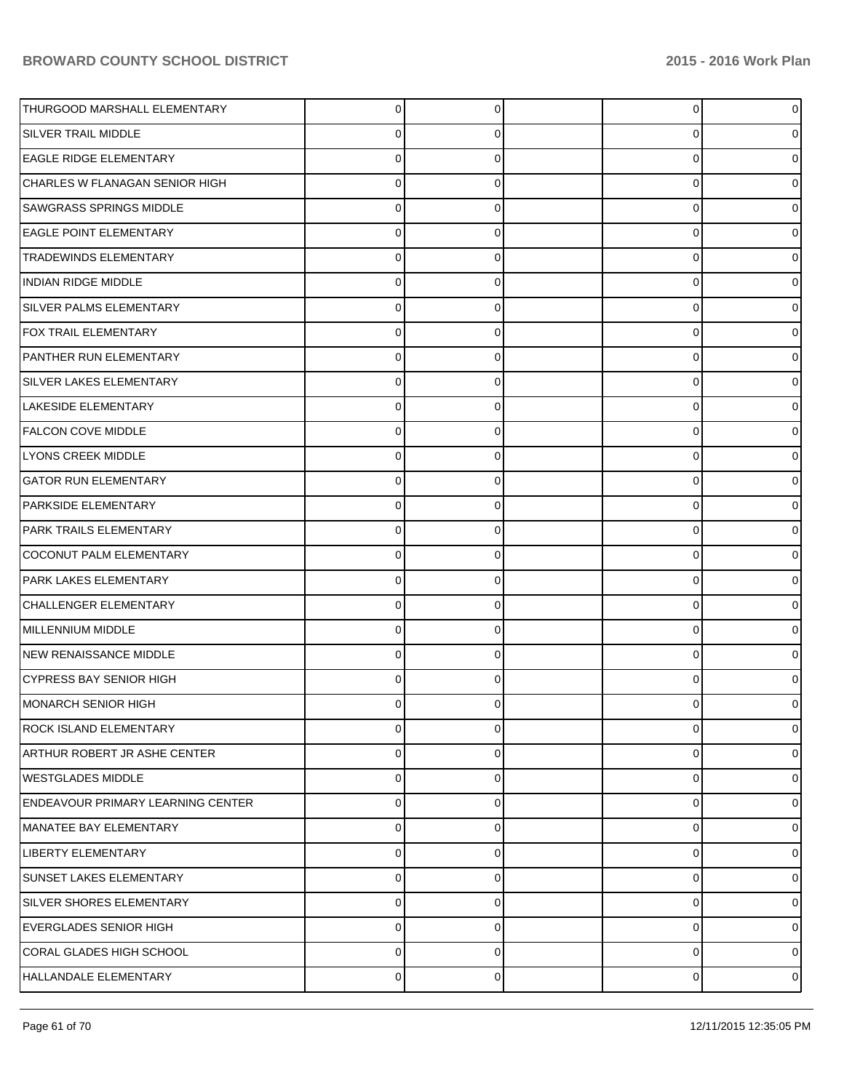| THURGOOD MARSHALL ELEMENTARY        | $\Omega$ | $\Omega$ | $\overline{0}$ | 0        |
|-------------------------------------|----------|----------|----------------|----------|
| <b>SILVER TRAIL MIDDLE</b>          | $\Omega$ | 0        | 0              |          |
| <b>EAGLE RIDGE ELEMENTARY</b>       | 0        | $\Omega$ | 0              |          |
| CHARLES W FLANAGAN SENIOR HIGH      | 0        | $\Omega$ | 0              |          |
| <b>SAWGRASS SPRINGS MIDDLE</b>      | 0        | 0        | 0              |          |
| <b>EAGLE POINT ELEMENTARY</b>       | $\Omega$ | $\Omega$ | 0              |          |
| <b>TRADEWINDS ELEMENTARY</b>        | $\Omega$ | $\Omega$ | 0              |          |
| INDIAN RIDGE MIDDLE                 | $\Omega$ | $\Omega$ | 0              |          |
| SILVER PALMS ELEMENTARY             | 0        | 0        | 0              |          |
| <b>FOX TRAIL ELEMENTARY</b>         | $\Omega$ | $\Omega$ | 0              |          |
| PANTHER RUN ELEMENTARY              | $\Omega$ | $\Omega$ | 0              |          |
| <b>SILVER LAKES ELEMENTARY</b>      | $\Omega$ | $\Omega$ | 0              |          |
| LAKESIDE ELEMENTARY                 | 0        | $\Omega$ | 0              |          |
| <b>FALCON COVE MIDDLE</b>           | $\Omega$ | $\Omega$ | 0              |          |
| <b>LYONS CREEK MIDDLE</b>           | $\Omega$ | $\Omega$ | 0              |          |
| <b>GATOR RUN ELEMENTARY</b>         | $\Omega$ | $\Omega$ | 0              |          |
| <b>PARKSIDE ELEMENTARY</b>          | 0        | $\Omega$ | 0              |          |
| <b>PARK TRAILS ELEMENTARY</b>       | $\Omega$ | $\Omega$ | 0              |          |
| COCONUT PALM ELEMENTARY             | $\Omega$ | $\Omega$ | 0              |          |
| PARK LAKES ELEMENTARY               | $\Omega$ | $\Omega$ | 0              |          |
| CHALLENGER ELEMENTARY               | 0        | $\Omega$ | 0              |          |
| MILLENNIUM MIDDLE                   | $\Omega$ | $\Omega$ | 0              |          |
| <b>NEW RENAISSANCE MIDDLE</b>       | $\Omega$ | $\Omega$ | 0              |          |
| <b>CYPRESS BAY SENIOR HIGH</b>      | $\Omega$ | 0        | 0              |          |
| IMONARCH SENIOR HIGH                | 0        | 0        | 0              |          |
| <b>ROCK ISLAND ELEMENTARY</b>       | $\Omega$ | $\Omega$ | 0              | 0        |
| <b>ARTHUR ROBERT JR ASHE CENTER</b> | 0        | 0        | 0              | 0        |
| WESTGLADES MIDDLE                   | $\Omega$ | 0        | 0              | $\Omega$ |
| ENDEAVOUR PRIMARY LEARNING CENTER   | $\Omega$ | $\Omega$ | $\mathbf 0$    |          |
| MANATEE BAY ELEMENTARY              | $\Omega$ | 0        | 0              | 0        |
| LIBERTY ELEMENTARY                  | $\Omega$ | $\Omega$ | 0              |          |
| <b>SUNSET LAKES ELEMENTARY</b>      | 0        | 0        | 0              |          |
| SILVER SHORES ELEMENTARY            | $\Omega$ | $\Omega$ | $\mathbf 0$    |          |
| EVERGLADES SENIOR HIGH              | 0        | 0        | 0              |          |
| CORAL GLADES HIGH SCHOOL            | $\Omega$ | $\Omega$ | $\mathbf 0$    |          |
| HALLANDALE ELEMENTARY               | 0        | 0        | 0              | 0        |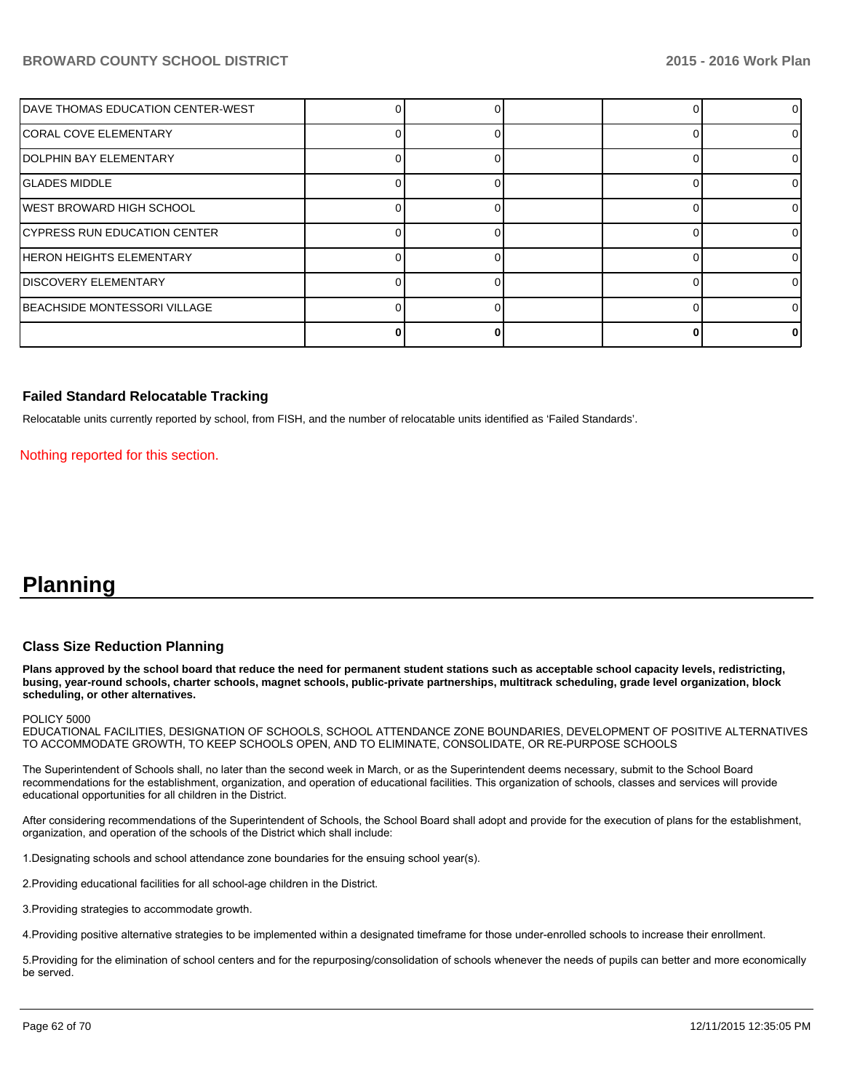| <b>IDAVE THOMAS EDUCATION CENTER-WEST</b> |  |  |    |
|-------------------------------------------|--|--|----|
| <b>ICORAL COVE ELEMENTARY</b>             |  |  |    |
| IDOLPHIN BAY ELEMENTARY                   |  |  | 0  |
| IGLADES MIDDLE                            |  |  | 0  |
| WEST BROWARD HIGH SCHOOL                  |  |  | 01 |
| CYPRESS RUN EDUCATION CENTER              |  |  | 0  |
| HERON HEIGHTS ELEMENTARY                  |  |  | 0  |
| DISCOVERY ELEMENTARY                      |  |  | 0  |
| BEACHSIDE MONTESSORI VILLAGE              |  |  | ΩI |
|                                           |  |  | 0  |

### **Failed Standard Relocatable Tracking**

Relocatable units currently reported by school, from FISH, and the number of relocatable units identified as 'Failed Standards'.

Nothing reported for this section.

# **Planning**

#### **Class Size Reduction Planning**

**Plans approved by the school board that reduce the need for permanent student stations such as acceptable school capacity levels, redistricting, busing, year-round schools, charter schools, magnet schools, public-private partnerships, multitrack scheduling, grade level organization, block scheduling, or other alternatives.**

#### POLICY 5000

EDUCATIONAL FACILITIES, DESIGNATION OF SCHOOLS, SCHOOL ATTENDANCE ZONE BOUNDARIES, DEVELOPMENT OF POSITIVE ALTERNATIVES TO ACCOMMODATE GROWTH, TO KEEP SCHOOLS OPEN, AND TO ELIMINATE, CONSOLIDATE, OR RE-PURPOSE SCHOOLS

The Superintendent of Schools shall, no later than the second week in March, or as the Superintendent deems necessary, submit to the School Board recommendations for the establishment, organization, and operation of educational facilities. This organization of schools, classes and services will provide educational opportunities for all children in the District.

After considering recommendations of the Superintendent of Schools, the School Board shall adopt and provide for the execution of plans for the establishment, organization, and operation of the schools of the District which shall include:

1. Designating schools and school attendance zone boundaries for the ensuing school year(s).

2. Providing educational facilities for all school-age children in the District.

3. Providing strategies to accommodate growth.

4. Providing positive alternative strategies to be implemented within a designated timeframe for those under-enrolled schools to increase their enrollment.

5. Providing for the elimination of school centers and for the repurposing/consolidation of schools whenever the needs of pupils can better and more economically be served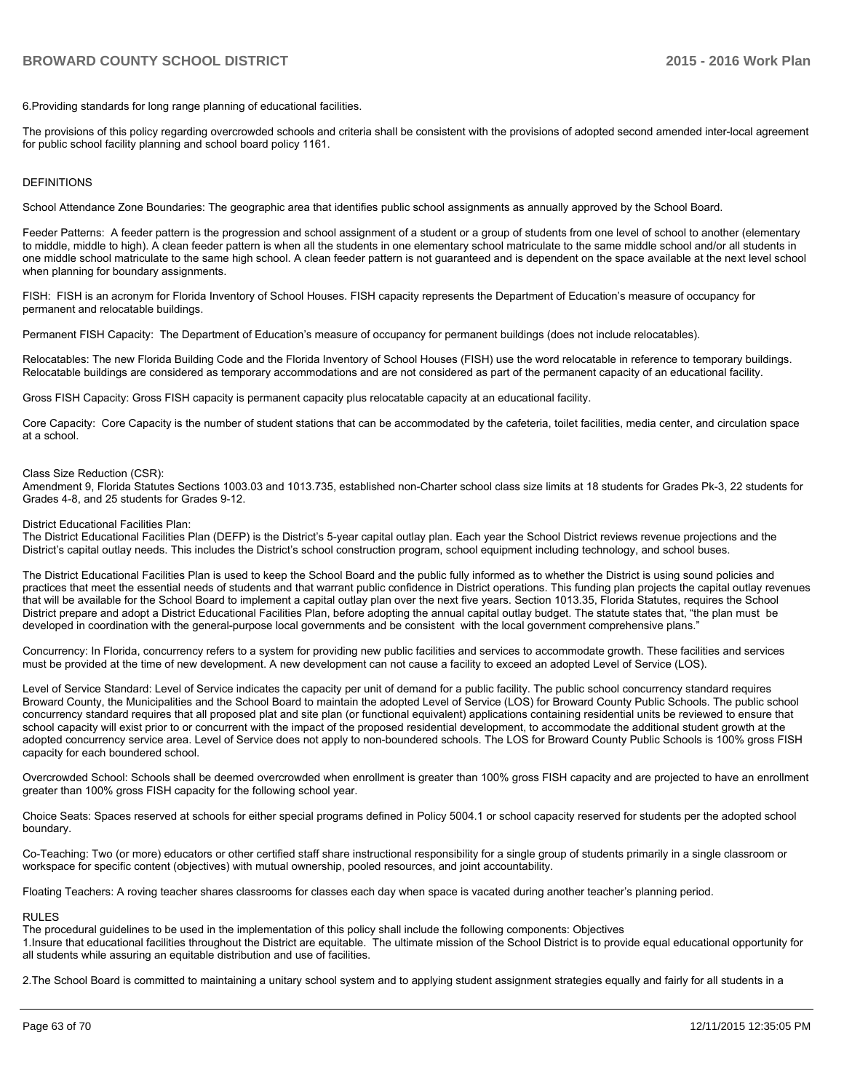6. Providing standards for long range planning of educational facilities.

The provisions of this policy regarding overcrowded schools and criteria shall be consistent with the provisions of adopted second amended inter-local agreement for public school facility planning and school board policy 1161.

#### DEFINITIONS

School Attendance Zone Boundaries: The geographic area that identifies public school assignments as annually approved by the School Board.

Feeder Patterns: A feeder pattern is the progression and school assignment of a student or a group of students from one level of school to another (elementary to middle, middle to high). A clean feeder pattern is when all the students in one elementary school matriculate to the same middle school and/or all students in one middle school matriculate to the same high school. A clean feeder pattern is not quaranteed and is dependent on the space available at the next level school when planning for boundary assignments.

FISH: FISH is an acronym for Florida Inventory of School Houses. FISH capacity represents the Department of Education's measure of occupancy for permanent and relocatable buildings.

Permanent FISH Capacity: The Department of Education's measure of occupancy for permanent buildings (does not include relocatables).

Relocatables: The new Florida Building Code and the Florida Inventory of School Houses (FISH) use the word relocatable in reference to temporary buildings. Relocatable buildings are considered as temporary accommodations and are not considered as part of the permanent capacity of an educational facility.

Gross FISH Capacity: Gross FISH capacity is permanent capacity plus relocatable capacity at an educational facility.

Core Capacity: Core Capacity is the number of student stations that can be accommodated by the cafeteria, toilet facilities, media center, and circulation space at a school.

#### Class Size Reduction (CSR):

Amendment 9, Florida Statutes Sections 1003.03 and 1013.735, established non-Charter school class size limits at 18 students for Grades Pk-3, 22 students for Grades 4-8, and 25 students for Grades 9-12.

#### District Educational Facilities Plan:

The District Educational Facilities Plan (DEFP) is the District's 5-year capital outlay plan. Each year the School District reviews revenue projections and the District's capital outlay needs. This includes the District's school construction program, school equipment including technology, and school buses.

The District Educational Facilities Plan is used to keep the School Board and the public fully informed as to whether the District is using sound policies and practices that meet the essential needs of students and that warrant public confidence in District operations. This funding plan projects the capital outlay revenues that will be available for the School Board to implement a capital outlay plan over the next five years. Section 1013.35, Florida Statutes, requires the School District prepare and adopt a District Educational Facilities Plan, before adopting the annual capital outlay budget. The statute states that, "the plan must be developed in coordination with the general-purpose local governments and be consistent with the local government comprehensive plans.

Concurrency: In Florida, concurrency refers to a system for providing new public facilities and services to accommodate growth. These facilities and services must be provided at the time of new development. A new development can not cause a facility to exceed an adopted Level of Service (LOS).

Level of Service Standard: Level of Service indicates the capacity per unit of demand for a public facility. The public school concurrency standard requires Broward County, the Municipalities and the School Board to maintain the adopted Level of Service (LOS) for Broward County Public Schools. The public school concurrency standard requires that all proposed plat and site plan (or functional equivalent) applications containing residential units be reviewed to ensure that school capacity will exist prior to or concurrent with the impact of the proposed residential development, to accommodate the additional student growth at the adopted concurrency service area. Level of Service does not apply to non-boundered schools. The LOS for Broward County Public Schools is 100% gross FISH capacity for each boundered school.

Overcrowded School: Schools shall be deemed overcrowded when enrollment is greater than 100% gross FISH capacity and are projected to have an enrollment greater than 100% gross FISH capacity for the following school year.

Choice Seats: Spaces reserved at schools for either special programs defined in Policy 5004.1 or school capacity reserved for students per the adopted school boundary.

Co-Teaching: Two (or more) educators or other certified staff share instructional responsibility for a single group of students primarily in a single classroom or workspace for specific content (objectives) with mutual ownership, pooled resources, and joint accountability.

Floating Teachers: A roving teacher shares classrooms for classes each day when space is vacated during another teacher's planning period.

#### $R$  $H$  $R$  $S$

The procedural guidelines to be used in the implementation of this policy shall include the following components: Objectives 1. Insure that educational facilities throughout the District are equitable. The ultimate mission of the School District is to provide equal educational opportunity for all students while assuring an equitable distribution and use of facilities.

2. The School Board is committed to maintaining a unitary school system and to applying student assignment strategies equally and fairly for all students in a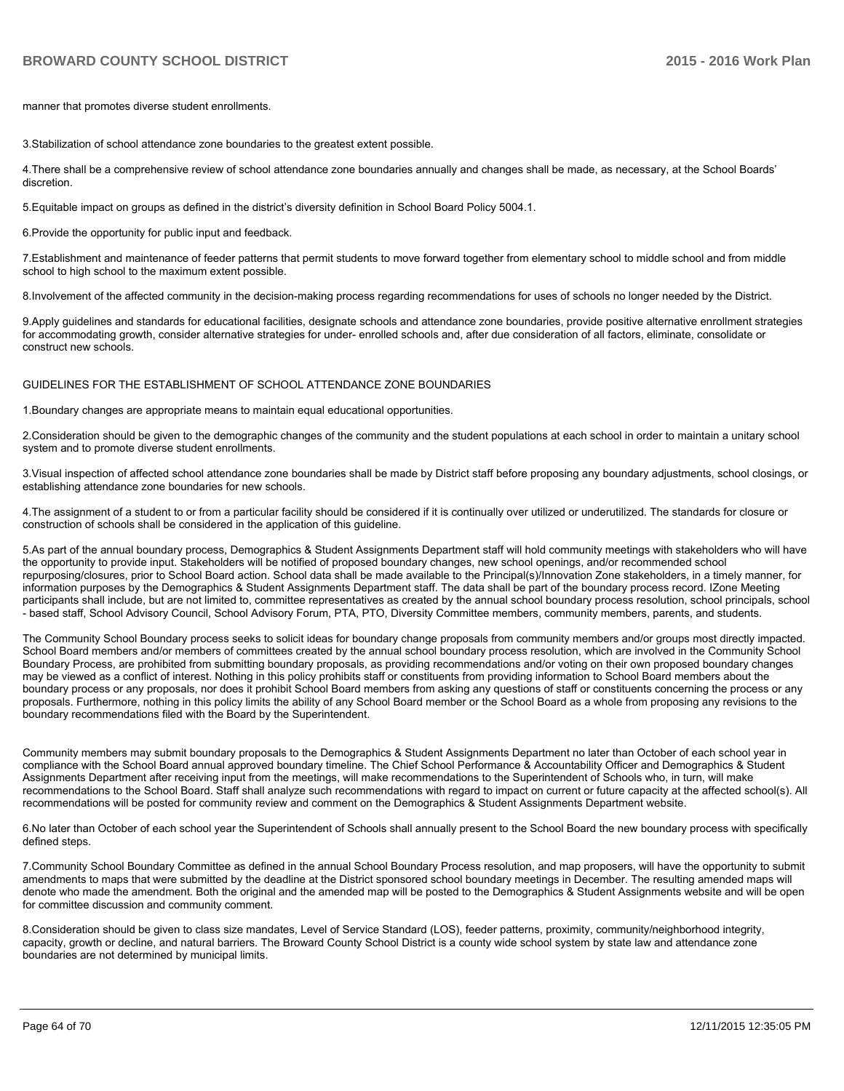manner that promotes diverse student enrollments.

3. Stabilization of school attendance zone boundaries to the greatest extent possible.

4. There shall be a comprehensive review of school attendance zone boundaries annually and changes shall be made, as necessary, at the School Boards' discretion

5. Equitable impact on groups as defined in the district's diversity definition in School Board Policy 5004.1.

6. Provide the opportunity for public input and feedback.

7. Establishment and maintenance of feeder patterns that permit students to move forward together from elementary school to middle school and from middle school to high school to the maximum extent possible.

8. Involvement of the affected community in the decision-making process regarding recommendations for uses of schools no longer needed by the District.

9. Apply quidelines and standards for educational facilities, designate schools and attendance zone boundaries, provide positive alternative enrollment strategies for accommodating growth, consider alternative strategies for under- enrolled schools and, after due consideration of all factors, eliminate, consolidate or construct new schools.

GUIDELINES FOR THE ESTABLISHMENT OF SCHOOL ATTENDANCE ZONE BOUNDARIES

1. Boundary changes are appropriate means to maintain equal educational opportunities.

2. Consideration should be given to the demographic changes of the community and the student populations at each school in order to maintain a unitary school system and to promote diverse student enrollments.

3. Visual inspection of affected school attendance zone boundaries shall be made by District staff before proposing any boundary adjustments, school closings, or establishing attendance zone boundaries for new schools.

4. The assignment of a student to or from a particular facility should be considered if it is continually over utilized or underutilized. The standards for closure or construction of schools shall be considered in the application of this quideline.

5.As part of the annual boundary process, Demographics & Student Assignments Department staff will hold community meetings with stakeholders who will have the opportunity to provide input. Stakeholders will be notified of proposed boundary changes, new school openings, and/or recommended school repurposing/closures, prior to School Board action. School data shall be made available to the Principal(s)/Innovation Zone stakeholders, in a timely manner, for information purposes by the Demographics & Student Assignments Department staff. The data shall be part of the boundary process record. IZone Meeting participants shall include, but are not limited to, committee representatives as created by the annual school boundary process resolution, school principals, school - based staff, School Advisory Council, School Advisory Forum, PTA, PTO, Diversity Committee members, community members, parents, and students.

The Community School Boundary process seeks to solicit ideas for boundary change proposals from community members and/or groups most directly impacted. School Board members and/or members of committees created by the annual school boundary process resolution, which are involved in the Community School Boundary Process, are prohibited from submitting boundary proposals, as providing recommendations and/or voting on their own proposed boundary changes may be viewed as a conflict of interest. Nothing in this policy prohibits staff or constituents from providing information to School Board members about the boundary process or any proposals, nor does it prohibit School Board members from asking any questions of staff or constituents concerning the process or any proposals. Furthermore, nothing in this policy limits the ability of any School Board member or the School Board as a whole from proposing any revisions to the boundary recommendations filed with the Board by the Superintendent.

Community members may submit boundary proposals to the Demographics & Student Assignments Department no later than October of each school year in compliance with the School Board annual approved boundary timeline. The Chief School Performance & Accountability Officer and Demographics & Student Assignments Department after receiving input from the meetings, will make recommendations to the Superintendent of Schools who, in turn, will make recommendations to the School Board. Staff shall analyze such recommendations with regard to impact on current or future capacity at the affected school(s). All recommendations will be posted for community review and comment on the Demographics & Student Assignments Department website.

6. No later than October of each school year the Superintendent of Schools shall annually present to the School Board the new boundary process with specifically defined steps.

7. Community School Boundary Committee as defined in the annual School Boundary Process resolution, and map proposers, will have the opportunity to submit amendments to maps that were submitted by the deadline at the District sponsored school boundary meetings in December. The resulting amended maps will denote who made the amendment. Both the original and the amended map will be posted to the Demographics & Student Assignments website and will be open for committee discussion and community comment.

8. Consideration should be given to class size mandates, Level of Service Standard (LOS), feeder patterns, proximity, community/neighborhood integrity, capacity, growth or decline, and natural barriers. The Broward County School District is a county wide school system by state law and attendance zone boundaries are not determined by municipal limits.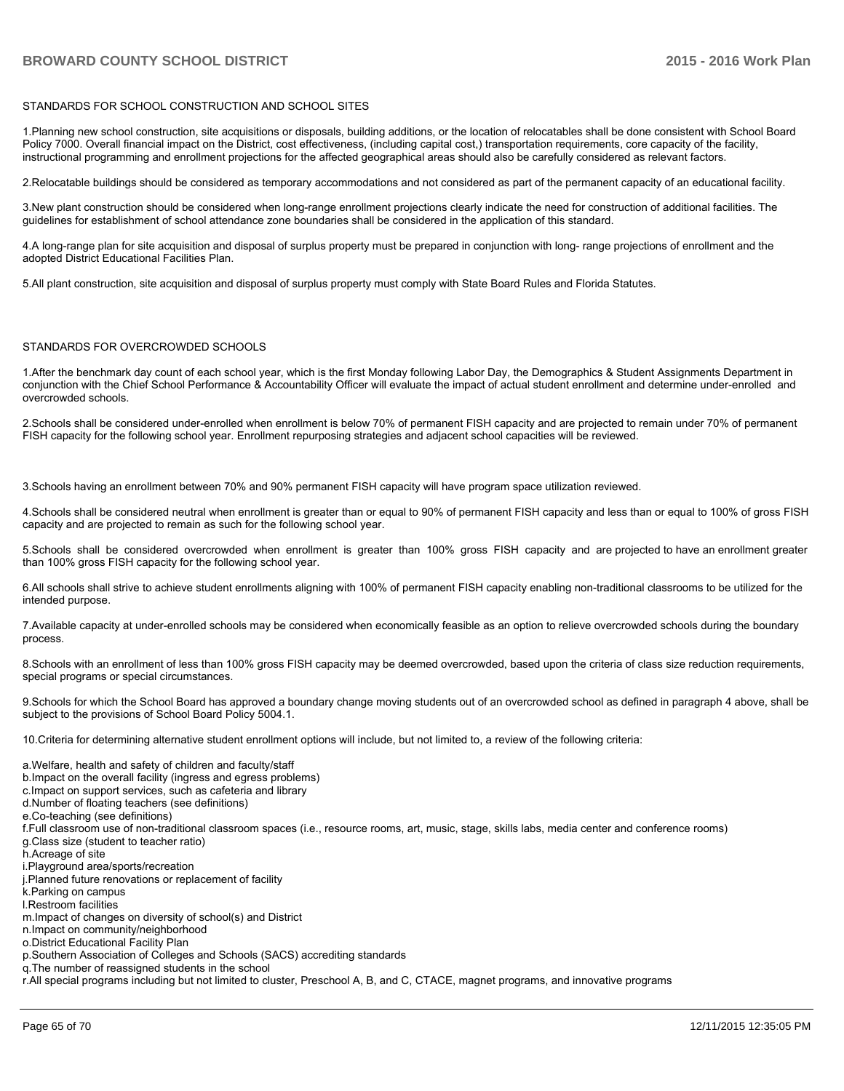#### STANDARDS FOR SCHOOL CONSTRUCTION AND SCHOOL SITES

1.Planning new school construction, site acquisitions or disposals, building additions, or the location of relocatables shall be done consistent with School Board Policy 7000. Overall financial impact on the District, cost effectiveness, (including capital cost,) transportation requirements, core capacity of the facility, instructional programming and enrollment projections for the affected geographical areas should also be carefully considered as relevant factors.

2. Relocatable buildings should be considered as temporary accommodations and not considered as part of the permanent capacity of an educational facility.

3. New plant construction should be considered when long-range enrollment projections clearly indicate the need for construction of additional facilities. The quidelines for establishment of school attendance zone boundaries shall be considered in the application of this standard.

4.A long-range plan for site acquisition and disposal of surplus property must be prepared in conjunction with long- range projections of enrollment and the adopted District Educational Facilities Plan.

5.All plant construction, site acquisition and disposal of surplus property must comply with State Board Rules and Florida Statutes.

#### STANDARDS FOR OVERCROWDED SCHOOLS

1. After the benchmark day count of each school year, which is the first Monday following Labor Day, the Demographics & Student Assignments Department in conjunction with the Chief School Performance & Accountability Officer will evaluate the impact of actual student enrollment and determine under-enrolled and overcrowded schools.

2.Schools shall be considered under-enrolled when enrollment is below 70% of permanent FISH capacity and are projected to remain under 70% of permanent FISH capacity for the following school year. Enrollment repurposing strategies and adjacent school capacities will be reviewed.

3. Schools having an enrollment between 70% and 90% permanent FISH capacity will have program space utilization reviewed.

4.Schools shall be considered neutral when enrollment is greater than or equal to 90% of permanent FISH capacity and less than or equal to 100% of gross FISH capacity and are projected to remain as such for the following school year.

5.Schools shall be considered overcrowded when enrollment is greater than 100% gross FISH capacity and are projected to have an enrollment greater than 100% gross FISH capacity for the following school year.

6.All schools shall strive to achieve student enrollments aligning with 100% of permanent FISH capacity enabling non-traditional classrooms to be utilized for the intended purpose.

7. Available capacity at under-enrolled schools may be considered when economically feasible as an option to relieve overcrowded schools during the boundary process

8.Schools with an enrollment of less than 100% gross FISH capacity may be deemed overcrowded, based upon the criteria of class size reduction requirements, special programs or special circumstances.

9.Schools for which the School Board has approved a boundary change moving students out of an overcrowded school as defined in paragraph 4 above, shall be subject to the provisions of School Board Policy 5004.1.

10. Criteria for determining alternative student enrollment options will include, but not limited to, a review of the following criteria:

- a. Welfare, health and safety of children and faculty/staff
- b. Impact on the overall facility (ingress and egress problems)
- c. Impact on support services, such as cafeteria and library
- d.Number of floating teachers (see definitions)
- e.Co-teaching (see definitions)
- f.Full classroom use of non-traditional classroom spaces (i.e., resource rooms, art, music, stage, skills labs, media center and conference rooms) g Class size (student to teacher ratio)
- h Acreage of site
- i.Playground area/sports/recreation
- j.Planned future renovations or replacement of facility
- k.Parking on campus
- I. Restroom facilities
- m. Impact of changes on diversity of school(s) and District
- n.Impact on community/neighborhood
- o District Educational Facility Plan
- p. Southern Association of Colleges and Schools (SACS) accrediting standards
- q. The number of reassigned students in the school
- r.All special programs including but not limited to cluster, Preschool A, B, and C, CTACE, magnet programs, and innovative programs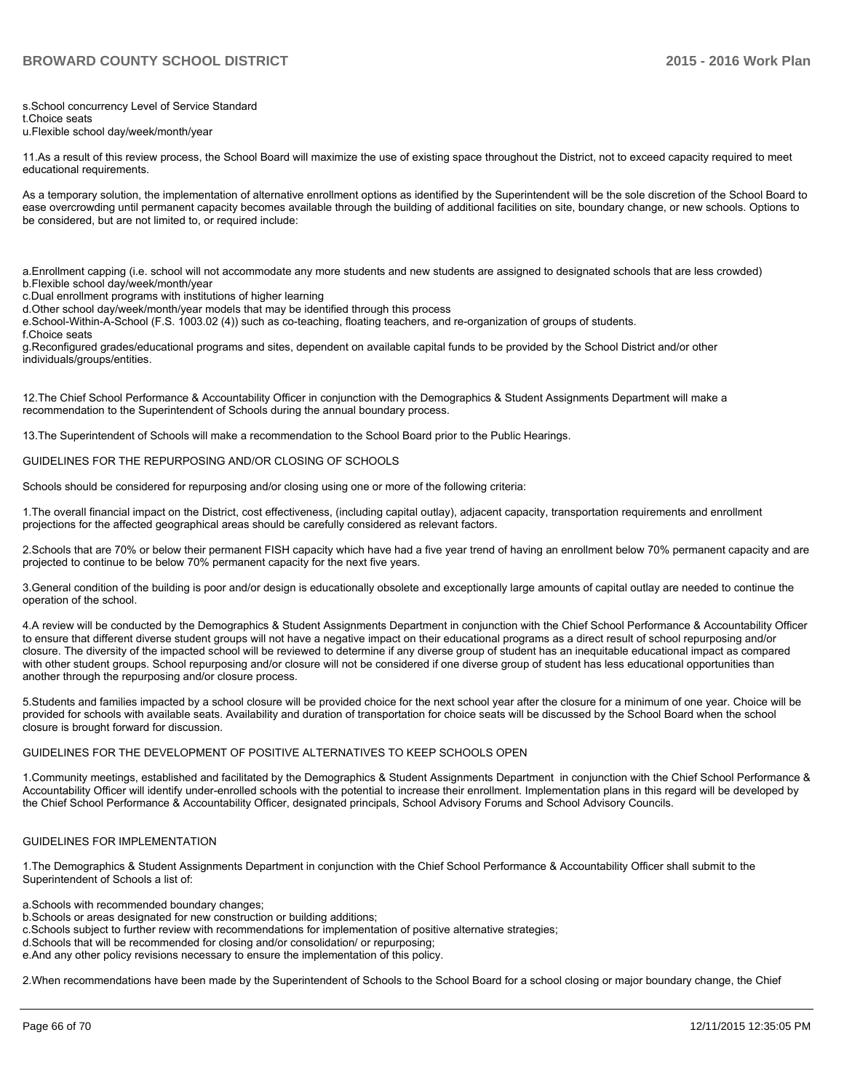s.School concurrency Level of Service Standard

t Choice seats

u.Flexible school dav/week/month/vear

11.As a result of this review process, the School Board will maximize the use of existing space throughout the District, not to exceed capacity required to meet educational requirements.

As a temporary solution, the implementation of alternative enrollment options as identified by the Superintendent will be the sole discretion of the School Board to ease overcrowding until permanent capacity becomes available through the building of additional facilities on site, boundary change, or new schools. Options to be considered, but are not limited to, or required include:

a. Enrollment capping (i.e. school will not accommodate any more students and new students are assigned to designated schools that are less crowded)

- b.Flexible school day/week/month/year
- c. Dual enrollment programs with institutions of higher learning
- d. Other school day/week/month/year models that may be identified through this process

e.School-Within-A-School (F.S. 1003.02 (4)) such as co-teaching. floating teachers, and re-organization of groups of students.

f Choice seats

g.Reconfigured grades/educational programs and sites, dependent on available capital funds to be provided by the School District and/or other individuals/groups/entities.

12. The Chief School Performance & Accountability Officer in conjunction with the Demographics & Student Assignments Department will make a recommendation to the Superintendent of Schools during the annual boundary process.

13. The Superintendent of Schools will make a recommendation to the School Board prior to the Public Hearings.

#### GUIDELINES FOR THE REPURPOSING AND/OR CLOSING OF SCHOOLS

Schools should be considered for repurposing and/or closing using one or more of the following criteria:

1. The overall financial impact on the District, cost effectiveness, (including capital outlay), adjacent capacity, transportation requirements and enrollment projections for the affected geographical areas should be carefully considered as relevant factors.

2.Schools that are 70% or below their permanent FISH capacity which have had a five year trend of having an enrollment below 70% permanent capacity and are projected to continue to be below 70% permanent capacity for the next five years.

3. General condition of the building is poor and/or design is educationally obsolete and exceptionally large amounts of capital outlay are needed to continue the operation of the school.

4.A review will be conducted by the Demographics & Student Assignments Department in conjunction with the Chief School Performance & Accountability Officer to ensure that different diverse student groups will not have a negative impact on their educational programs as a direct result of school repurposing and/or closure. The diversity of the impacted school will be reviewed to determine if any diverse group of student has an inequitable educational impact as compared with other student groups. School repurposing and/or closure will not be considered if one diverse group of student has less educational opportunities than another through the repurposing and/or closure process.

5. Students and families impacted by a school closure will be provided choice for the next school year after the closure for a minimum of one year. Choice will be provided for schools with available seats. Availability and duration of transportation for choice seats will be discussed by the School Board when the school closure is brought forward for discussion.

#### GUIDELINES FOR THE DEVELOPMENT OF POSITIVE ALTERNATIVES TO KEEP SCHOOLS OPEN

1. Community meetings, established and facilitated by the Demographics & Student Assignments Department in conjunction with the Chief School Performance & Accountability Officer will identify under-enrolled schools with the potential to increase their enrollment. Implementation plans in this regard will be developed by the Chief School Performance & Accountability Officer, designated principals, School Advisory Forums and School Advisory Councils.

#### GUIDELINES FOR IMPLEMENTATION

1. The Demographics & Student Assignments Department in conjunction with the Chief School Performance & Accountability Officer shall submit to the Superintendent of Schools a list of:

a.Schools with recommended boundary changes;

- b. Schools or areas designated for new construction or building additions;
- c.Schools subject to further review with recommendations for implementation of positive alternative strategies;
- d. Schools that will be recommended for closing and/or consolidation/ or repurposing:
- e. And any other policy revisions necessary to ensure the implementation of this policy.

2. When recommendations have been made by the Superintendent of Schools to the School Board for a school closing or major boundary change, the Chief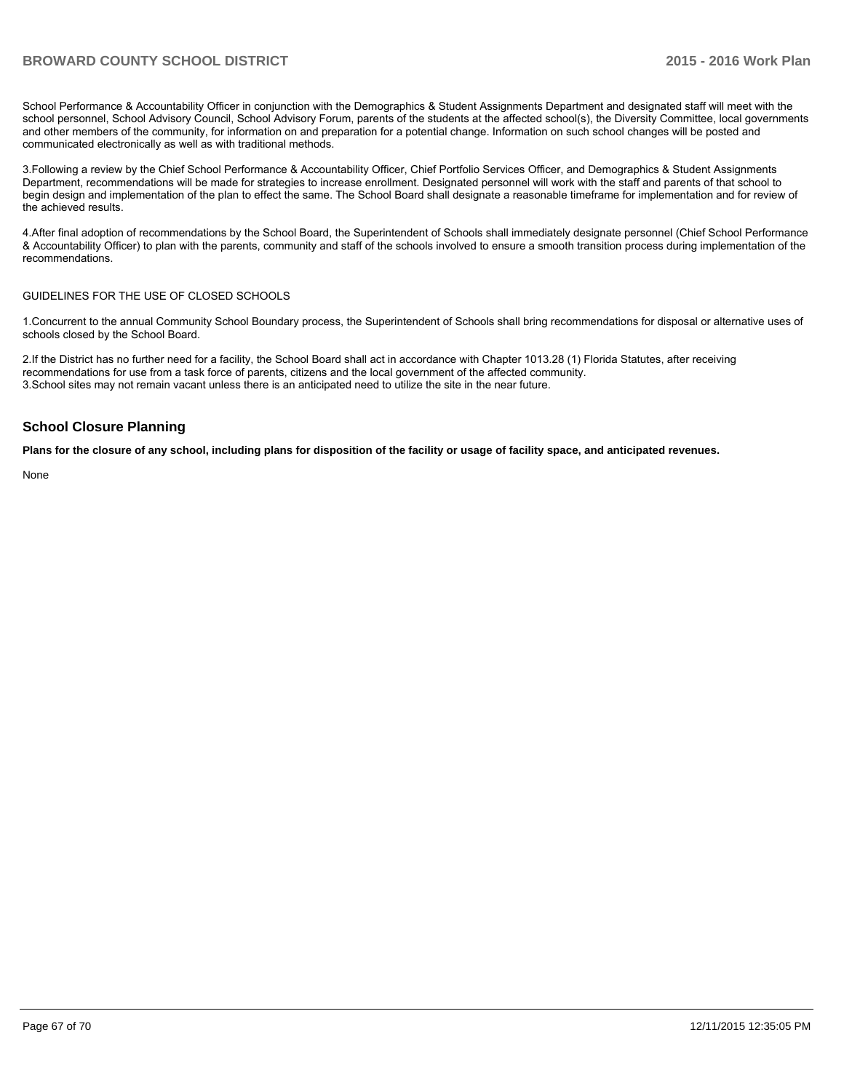School Performance & Accountability Officer in conjunction with the Demographics & Student Assignments Department and designated staff will meet with the school personnel, School Advisory Council, School Advisory Forum, parents of the students at the affected school(s), the Diversity Committee, local governments and other members of the community, for information on and preparation for a potential change. Information on such school changes will be posted and communicated electronically as well as with traditional methods.

3. Following a review by the Chief School Performance & Accountability Officer, Chief Portfolio Services Officer, and Demographics & Student Assignments Department, recommendations will be made for strategies to increase enrollment. Designated personnel will work with the staff and parents of that school to begin design and implementation of the plan to effect the same. The School Board shall designate a reasonable timeframe for implementation and for review of the achieved results.

4. After final adoption of recommendations by the School Board, the Superintendent of Schools shall immediately designate personnel (Chief School Performance & Accountability Officer) to plan with the parents, community and staff of the schools involved to ensure a smooth transition process during implementation of the recommendations.

#### GUIDELINES FOR THE USE OF CLOSED SCHOOLS

1. Concurrent to the annual Community School Boundary process, the Superintendent of Schools shall bring recommendations for disposal or alternative uses of schools closed by the School Board.

2.If the District has no further need for a facility, the School Board shall act in accordance with Chapter 1013.28 (1) Florida Statutes, after receiving recommendations for use from a task force of parents, citizens and the local government of the affected community. 3. School sites may not remain vacant unless there is an anticipated need to utilize the site in the near future.

#### **School Closure Planning**

**Plans for the closure of any school, including plans for disposition of the facility or usage of facility space, and anticipated revenues.**

None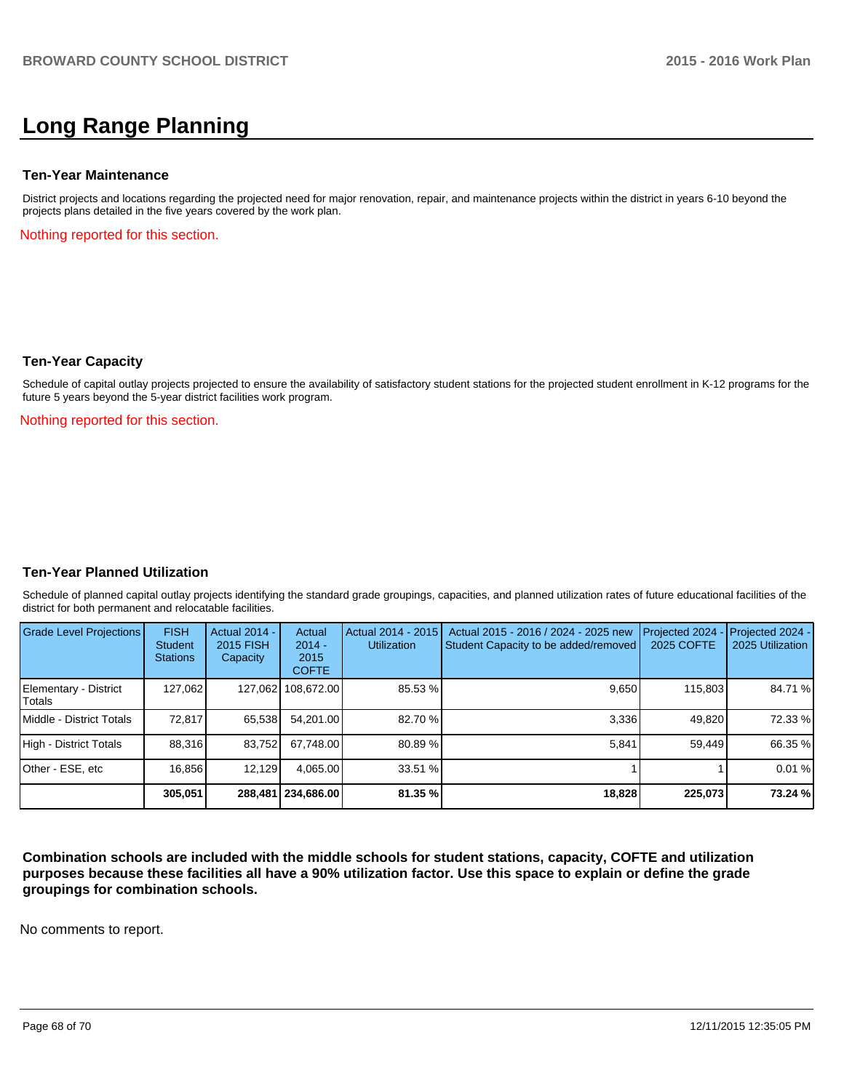# **Long Range Planning**

#### **Ten-Year Maintenance**

District projects and locations regarding the projected need for major renovation, repair, and maintenance projects within the district in years 6-10 beyond the projects plans detailed in the five years covered by the work plan.

Nothing reported for this section.

#### **Ten-Year Capacity**

Schedule of capital outlay projects projected to ensure the availability of satisfactory student stations for the projected student enrollment in K-12 programs for the future 5 years beyond the 5-year district facilities work program.

Nothing reported for this section.

### **Ten-Year Planned Utilization**

Schedule of planned capital outlay projects identifying the standard grade groupings, capacities, and planned utilization rates of future educational facilities of the district for both permanent and relocatable facilities.

| Grade Level Projections         | <b>FISH</b><br>Student<br><b>Stations</b> | Actual 2014 -<br>2015 FISH<br>Capacity | Actual<br>$2014 -$<br>2015<br><b>COFTE</b> | Actual 2014 - 2015<br><b>Utilization</b> | Actual 2015 - 2016 / 2024 - 2025 new<br>Student Capacity to be added/removed | Projected 2024<br>2025 COFTE | Projected 2024 -<br>2025 Utilization |
|---------------------------------|-------------------------------------------|----------------------------------------|--------------------------------------------|------------------------------------------|------------------------------------------------------------------------------|------------------------------|--------------------------------------|
| Elementary - District<br>Totals | 127,062                                   |                                        | 127,062 108,672.00                         | 85.53 %                                  | 9,650                                                                        | 115,803                      | 84.71 %                              |
| Middle - District Totals        | 72.817                                    | 65,538                                 | 54.201.00                                  | 82.70 %                                  | 3.336                                                                        | 49.820                       | 72.33 %                              |
| High - District Totals          | 88.316                                    | 83,752                                 | 67.748.00                                  | 80.89 %                                  | 5.841                                                                        | 59.449                       | 66.35 %                              |
| Other - ESE, etc                | 16.856                                    | 12,129                                 | 4,065.00                                   | 33.51%                                   |                                                                              |                              | 0.01%                                |
|                                 | 305,051                                   |                                        | 288,481   234,686.00                       | 81.35%                                   | 18,828                                                                       | 225,073                      | 73.24 %                              |

**Combination schools are included with the middle schools for student stations, capacity, COFTE and utilization purposes because these facilities all have a 90% utilization factor. Use this space to explain or define the grade groupings for combination schools.**

No comments to report.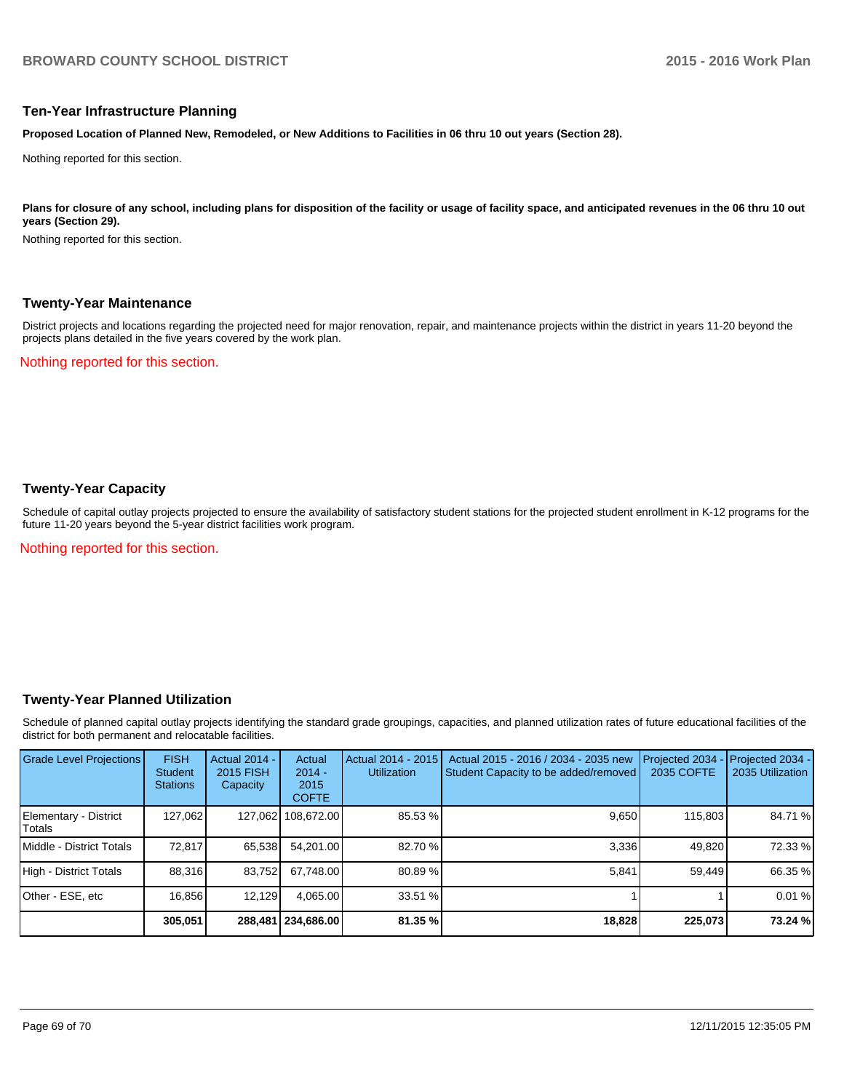#### **Ten-Year Infrastructure Planning**

**Proposed Location of Planned New, Remodeled, or New Additions to Facilities in 06 thru 10 out years (Section 28).**

Nothing reported for this section.

Plans for closure of any school, including plans for disposition of the facility or usage of facility space, and anticipated revenues in the 06 thru 10 out **years (Section 29).**

Nothing reported for this section.

#### **Twenty-Year Maintenance**

District projects and locations regarding the projected need for major renovation, repair, and maintenance projects within the district in years 11-20 beyond the projects plans detailed in the five years covered by the work plan.

Nothing reported for this section.

## **Twenty-Year Capacity**

Schedule of capital outlay projects projected to ensure the availability of satisfactory student stations for the projected student enrollment in K-12 programs for the future 11-20 years beyond the 5-year district facilities work program.

Nothing reported for this section.

### **Twenty-Year Planned Utilization**

Schedule of planned capital outlay projects identifying the standard grade groupings, capacities, and planned utilization rates of future educational facilities of the district for both permanent and relocatable facilities.

| <b>Grade Level Projections</b>   | <b>FISH</b><br><b>Student</b><br><b>Stations</b> | <b>Actual 2014 -</b><br>2015 FISH<br>Capacity | Actual<br>$2014 -$<br>2015<br><b>COFTE</b> | Actual 2014 - 2015<br><b>Utilization</b> | Actual 2015 - 2016 / 2034 - 2035 new<br>Student Capacity to be added/removed | Projected 2034<br><b>2035 COFTE</b> | Projected 2034 -<br>2035 Utilization |
|----------------------------------|--------------------------------------------------|-----------------------------------------------|--------------------------------------------|------------------------------------------|------------------------------------------------------------------------------|-------------------------------------|--------------------------------------|
| Elementary - District<br>lTotals | 127,062                                          |                                               | 127,062 108,672.00                         | 85.53 %                                  | 9,650                                                                        | 115,803                             | 84.71 %                              |
| Middle - District Totals         | 72.817                                           | 65.538                                        | 54.201.00                                  | 82.70 %                                  | 3.336                                                                        | 49.820                              | 72.33 %                              |
| High - District Totals           | 88,316                                           | 83,752                                        | 67.748.00                                  | 80.89%                                   | 5,841                                                                        | 59,449                              | 66.35 %                              |
| Other - ESE, etc                 | 16.856                                           | 12,129                                        | 4.065.00                                   | 33.51 %                                  |                                                                              |                                     | 0.01%                                |
|                                  | 305.051                                          |                                               | 288.481 234.686.00                         | 81.35 %                                  | 18,828                                                                       | 225,073                             | 73.24 %                              |